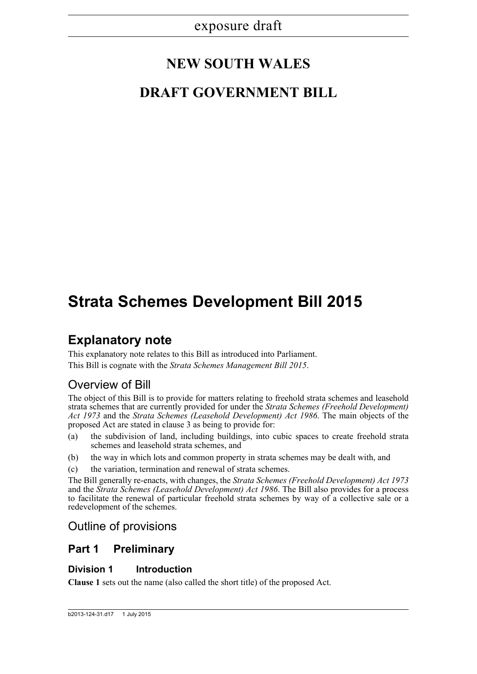# **NEW SOUTH WALES**

# **DRAFT GOVERNMENT BILL**

# **Strata Schemes Development Bill 2015**

## **Explanatory note**

This explanatory note relates to this Bill as introduced into Parliament. This Bill is cognate with the *Strata Schemes Management Bill 2015*.

## Overview of Bill

The object of this Bill is to provide for matters relating to freehold strata schemes and leasehold strata schemes that are currently provided for under the *Strata Schemes (Freehold Development) Act 1973* and the *Strata Schemes (Leasehold Development) Act 1986*. The main objects of the proposed Act are stated in clause 3 as being to provide for:

- (a) the subdivision of land, including buildings, into cubic spaces to create freehold strata schemes and leasehold strata schemes, and
- (b) the way in which lots and common property in strata schemes may be dealt with, and
- (c) the variation, termination and renewal of strata schemes.

The Bill generally re-enacts, with changes, the *Strata Schemes (Freehold Development) Act 1973* and the *Strata Schemes (Leasehold Development) Act 1986*. The Bill also provides for a process to facilitate the renewal of particular freehold strata schemes by way of a collective sale or a redevelopment of the schemes.

## Outline of provisions

### **Part 1 Preliminary**

### **Division 1 Introduction**

**Clause 1** sets out the name (also called the short title) of the proposed Act.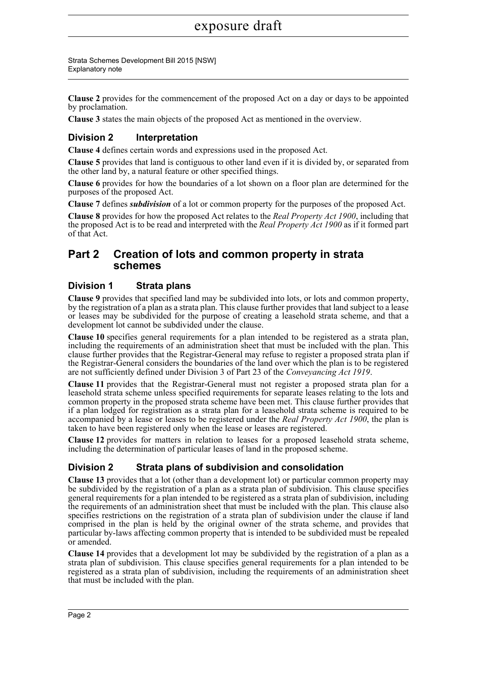Strata Schemes Development Bill 2015 [NSW] Explanatory note

**Clause 2** provides for the commencement of the proposed Act on a day or days to be appointed by proclamation.

**Clause 3** states the main objects of the proposed Act as mentioned in the overview.

### **Division 2 Interpretation**

**Clause 4** defines certain words and expressions used in the proposed Act.

**Clause 5** provides that land is contiguous to other land even if it is divided by, or separated from the other land by, a natural feature or other specified things.

**Clause 6** provides for how the boundaries of a lot shown on a floor plan are determined for the purposes of the proposed Act.

**Clause 7** defines *subdivision* of a lot or common property for the purposes of the proposed Act.

**Clause 8** provides for how the proposed Act relates to the *Real Property Act 1900*, including that the proposed Act is to be read and interpreted with the *Real Property Act 1900* as if it formed part of that Act.

### **Part 2 Creation of lots and common property in strata schemes**

### **Division 1 Strata plans**

**Clause 9** provides that specified land may be subdivided into lots, or lots and common property, by the registration of a plan as a strata plan. This clause further provides that land subject to a lease or leases may be subdivided for the purpose of creating a leasehold strata scheme, and that a development lot cannot be subdivided under the clause.

**Clause 10** specifies general requirements for a plan intended to be registered as a strata plan, including the requirements of an administration sheet that must be included with the plan. This clause further provides that the Registrar-General may refuse to register a proposed strata plan if the Registrar-General considers the boundaries of the land over which the plan is to be registered are not sufficiently defined under Division 3 of Part 23 of the *Conveyancing Act 1919*.

**Clause 11** provides that the Registrar-General must not register a proposed strata plan for a leasehold strata scheme unless specified requirements for separate leases relating to the lots and common property in the proposed strata scheme have been met. This clause further provides that if a plan lodged for registration as a strata plan for a leasehold strata scheme is required to be accompanied by a lease or leases to be registered under the *Real Property Act 1900*, the plan is taken to have been registered only when the lease or leases are registered.

**Clause 12** provides for matters in relation to leases for a proposed leasehold strata scheme, including the determination of particular leases of land in the proposed scheme.

### **Division 2 Strata plans of subdivision and consolidation**

**Clause 13** provides that a lot (other than a development lot) or particular common property may be subdivided by the registration of a plan as a strata plan of subdivision. This clause specifies general requirements for a plan intended to be registered as a strata plan of subdivision, including the requirements of an administration sheet that must be included with the plan. This clause also specifies restrictions on the registration of a strata plan of subdivision under the clause if land comprised in the plan is held by the original owner of the strata scheme, and provides that particular by-laws affecting common property that is intended to be subdivided must be repealed or amended.

**Clause 14** provides that a development lot may be subdivided by the registration of a plan as a strata plan of subdivision. This clause specifies general requirements for a plan intended to be registered as a strata plan of subdivision, including the requirements of an administration sheet that must be included with the plan.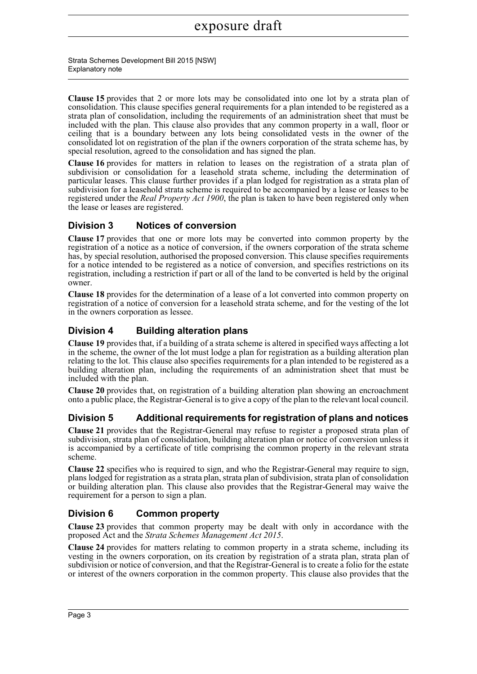**Clause 15** provides that 2 or more lots may be consolidated into one lot by a strata plan of consolidation. This clause specifies general requirements for a plan intended to be registered as a strata plan of consolidation, including the requirements of an administration sheet that must be included with the plan. This clause also provides that any common property in a wall, floor or ceiling that is a boundary between any lots being consolidated vests in the owner of the consolidated lot on registration of the plan if the owners corporation of the strata scheme has, by special resolution, agreed to the consolidation and has signed the plan.

**Clause 16** provides for matters in relation to leases on the registration of a strata plan of subdivision or consolidation for a leasehold strata scheme, including the determination of particular leases. This clause further provides if a plan lodged for registration as a strata plan of subdivision for a leasehold strata scheme is required to be accompanied by a lease or leases to be registered under the *Real Property Act 1900*, the plan is taken to have been registered only when the lease or leases are registered.

### **Division 3 Notices of conversion**

**Clause 17** provides that one or more lots may be converted into common property by the registration of a notice as a notice of conversion, if the owners corporation of the strata scheme has, by special resolution, authorised the proposed conversion. This clause specifies requirements for a notice intended to be registered as a notice of conversion, and specifies restrictions on its registration, including a restriction if part or all of the land to be converted is held by the original owner.

**Clause 18** provides for the determination of a lease of a lot converted into common property on registration of a notice of conversion for a leasehold strata scheme, and for the vesting of the lot in the owners corporation as lessee.

### **Division 4 Building alteration plans**

**Clause 19** provides that, if a building of a strata scheme is altered in specified ways affecting a lot in the scheme, the owner of the lot must lodge a plan for registration as a building alteration plan relating to the lot. This clause also specifies requirements for a plan intended to be registered as a building alteration plan, including the requirements of an administration sheet that must be included with the plan.

**Clause 20** provides that, on registration of a building alteration plan showing an encroachment onto a public place, the Registrar-General is to give a copy of the plan to the relevant local council.

### **Division 5 Additional requirements for registration of plans and notices**

**Clause 21** provides that the Registrar-General may refuse to register a proposed strata plan of subdivision, strata plan of consolidation, building alteration plan or notice of conversion unless it is accompanied by a certificate of title comprising the common property in the relevant strata scheme.

**Clause 22** specifies who is required to sign, and who the Registrar-General may require to sign, plans lodged for registration as a strata plan, strata plan of subdivision, strata plan of consolidation or building alteration plan. This clause also provides that the Registrar-General may waive the requirement for a person to sign a plan.

### **Division 6 Common property**

**Clause 23** provides that common property may be dealt with only in accordance with the proposed Act and the *Strata Schemes Management Act 2015*.

**Clause 24** provides for matters relating to common property in a strata scheme, including its vesting in the owners corporation, on its creation by registration of a strata plan, strata plan of subdivision or notice of conversion, and that the Registrar-General is to create a folio for the estate or interest of the owners corporation in the common property. This clause also provides that the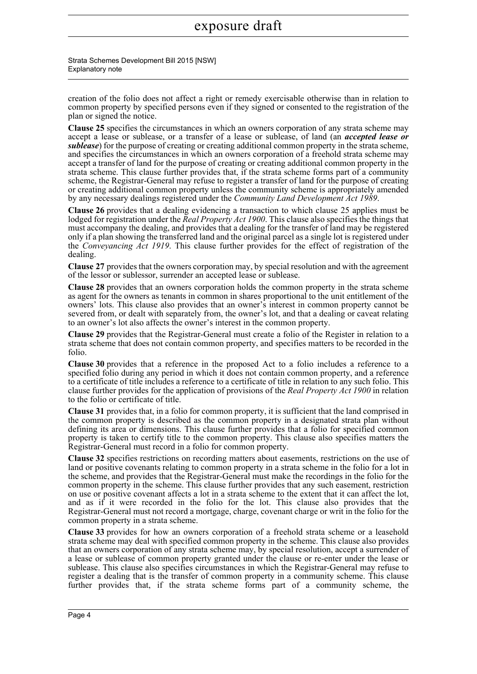Strata Schemes Development Bill 2015 [NSW] Explanatory note

creation of the folio does not affect a right or remedy exercisable otherwise than in relation to common property by specified persons even if they signed or consented to the registration of the plan or signed the notice.

**Clause 25** specifies the circumstances in which an owners corporation of any strata scheme may accept a lease or sublease, or a transfer of a lease or sublease, of land (an *accepted lease or sublease*) for the purpose of creating or creating additional common property in the strata scheme, and specifies the circumstances in which an owners corporation of a freehold strata scheme may accept a transfer of land for the purpose of creating or creating additional common property in the strata scheme. This clause further provides that, if the strata scheme forms part of a community scheme, the Registrar-General may refuse to register a transfer of land for the purpose of creating or creating additional common property unless the community scheme is appropriately amended by any necessary dealings registered under the *Community Land Development Act 1989*.

**Clause 26** provides that a dealing evidencing a transaction to which clause 25 applies must be lodged for registration under the *Real Property Act 1900*. This clause also specifies the things that must accompany the dealing, and provides that a dealing for the transfer of land may be registered only if a plan showing the transferred land and the original parcel as a single lot is registered under the *Conveyancing Act 1919*. This clause further provides for the effect of registration of the dealing.

**Clause 27** provides that the owners corporation may, by special resolution and with the agreement of the lessor or sublessor, surrender an accepted lease or sublease.

**Clause 28** provides that an owners corporation holds the common property in the strata scheme as agent for the owners as tenants in common in shares proportional to the unit entitlement of the owners' lots. This clause also provides that an owner's interest in common property cannot be severed from, or dealt with separately from, the owner's lot, and that a dealing or caveat relating to an owner's lot also affects the owner's interest in the common property.

**Clause 29** provides that the Registrar-General must create a folio of the Register in relation to a strata scheme that does not contain common property, and specifies matters to be recorded in the folio.

**Clause 30** provides that a reference in the proposed Act to a folio includes a reference to a specified folio during any period in which it does not contain common property, and a reference to a certificate of title includes a reference to a certificate of title in relation to any such folio. This clause further provides for the application of provisions of the *Real Property Act 1900* in relation to the folio or certificate of title.

**Clause 31** provides that, in a folio for common property, it is sufficient that the land comprised in the common property is described as the common property in a designated strata plan without defining its area or dimensions. This clause further provides that a folio for specified common property is taken to certify title to the common property. This clause also specifies matters the Registrar-General must record in a folio for common property.

**Clause 32** specifies restrictions on recording matters about easements, restrictions on the use of land or positive covenants relating to common property in a strata scheme in the folio for a lot in the scheme, and provides that the Registrar-General must make the recordings in the folio for the common property in the scheme. This clause further provides that any such easement, restriction on use or positive covenant affects a lot in a strata scheme to the extent that it can affect the lot, and as if it were recorded in the folio for the lot. This clause also provides that the Registrar-General must not record a mortgage, charge, covenant charge or writ in the folio for the common property in a strata scheme.

**Clause 33** provides for how an owners corporation of a freehold strata scheme or a leasehold strata scheme may deal with specified common property in the scheme. This clause also provides that an owners corporation of any strata scheme may, by special resolution, accept a surrender of a lease or sublease of common property granted under the clause or re-enter under the lease or sublease. This clause also specifies circumstances in which the Registrar-General may refuse to register a dealing that is the transfer of common property in a community scheme. This clause further provides that, if the strata scheme forms part of a community scheme, the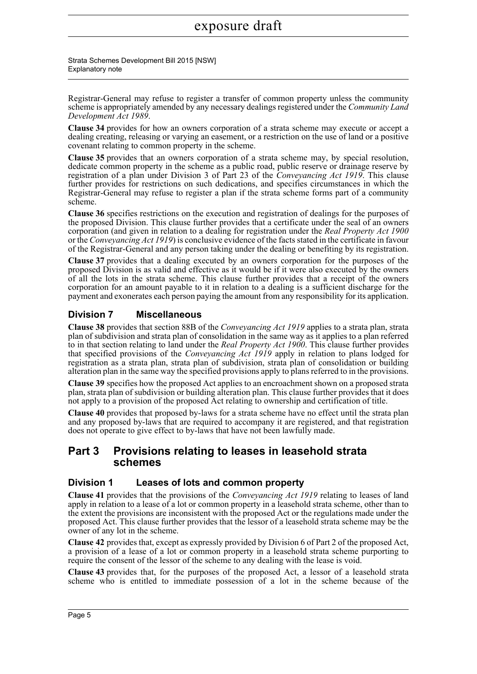Strata Schemes Development Bill 2015 [NSW] Explanatory note

Registrar-General may refuse to register a transfer of common property unless the community scheme is appropriately amended by any necessary dealings registered under the *Community Land Development Act 1989*.

**Clause 34** provides for how an owners corporation of a strata scheme may execute or accept a dealing creating, releasing or varying an easement, or a restriction on the use of land or a positive covenant relating to common property in the scheme.

**Clause 35** provides that an owners corporation of a strata scheme may, by special resolution, dedicate common property in the scheme as a public road, public reserve or drainage reserve by registration of a plan under Division 3 of Part 23 of the *Conveyancing Act 1919*. This clause further provides for restrictions on such dedications, and specifies circumstances in which the Registrar-General may refuse to register a plan if the strata scheme forms part of a community scheme.

**Clause 36** specifies restrictions on the execution and registration of dealings for the purposes of the proposed Division. This clause further provides that a certificate under the seal of an owners corporation (and given in relation to a dealing for registration under the *Real Property Act 1900* or the *Conveyancing Act 1919*) is conclusive evidence of the facts stated in the certificate in favour of the Registrar-General and any person taking under the dealing or benefiting by its registration.

**Clause 37** provides that a dealing executed by an owners corporation for the purposes of the proposed Division is as valid and effective as it would be if it were also executed by the owners of all the lots in the strata scheme. This clause further provides that a receipt of the owners corporation for an amount payable to it in relation to a dealing is a sufficient discharge for the payment and exonerates each person paying the amount from any responsibility for its application.

### **Division 7 Miscellaneous**

**Clause 38** provides that section 88B of the *Conveyancing Act 1919* applies to a strata plan, strata plan of subdivision and strata plan of consolidation in the same way as it applies to a plan referred to in that section relating to land under the *Real Property Act 1900*. This clause further provides that specified provisions of the *Conveyancing Act 1919* apply in relation to plans lodged for registration as a strata plan, strata plan of subdivision, strata plan of consolidation or building alteration plan in the same way the specified provisions apply to plans referred to in the provisions.

**Clause 39** specifies how the proposed Act applies to an encroachment shown on a proposed strata plan, strata plan of subdivision or building alteration plan. This clause further provides that it does not apply to a provision of the proposed Act relating to ownership and certification of title.

**Clause 40** provides that proposed by-laws for a strata scheme have no effect until the strata plan and any proposed by-laws that are required to accompany it are registered, and that registration does not operate to give effect to by-laws that have not been lawfully made.

### **Part 3 Provisions relating to leases in leasehold strata schemes**

### **Division 1 Leases of lots and common property**

**Clause 41** provides that the provisions of the *Conveyancing Act 1919* relating to leases of land apply in relation to a lease of a lot or common property in a leasehold strata scheme, other than to the extent the provisions are inconsistent with the proposed Act or the regulations made under the proposed Act. This clause further provides that the lessor of a leasehold strata scheme may be the owner of any lot in the scheme.

**Clause 42** provides that, except as expressly provided by Division 6 of Part 2 of the proposed Act, a provision of a lease of a lot or common property in a leasehold strata scheme purporting to require the consent of the lessor of the scheme to any dealing with the lease is void.

**Clause 43** provides that, for the purposes of the proposed Act, a lessor of a leasehold strata scheme who is entitled to immediate possession of a lot in the scheme because of the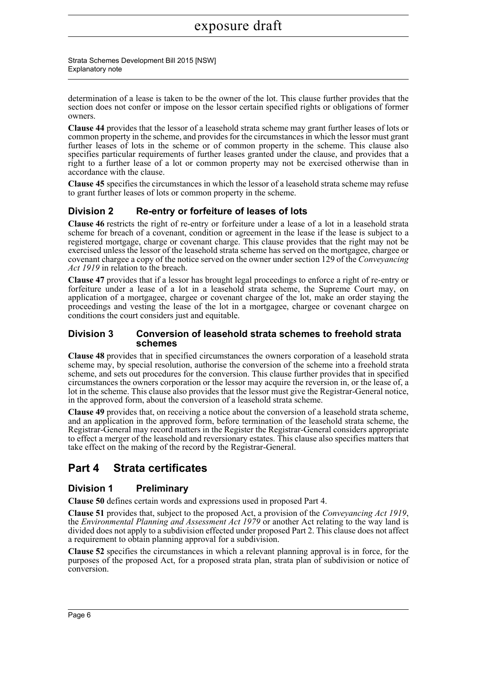determination of a lease is taken to be the owner of the lot. This clause further provides that the section does not confer or impose on the lessor certain specified rights or obligations of former owners.

**Clause 44** provides that the lessor of a leasehold strata scheme may grant further leases of lots or common property in the scheme, and provides for the circumstances in which the lessor must grant further leases of lots in the scheme or of common property in the scheme. This clause also specifies particular requirements of further leases granted under the clause, and provides that a right to a further lease of a lot or common property may not be exercised otherwise than in accordance with the clause.

**Clause 45** specifies the circumstances in which the lessor of a leasehold strata scheme may refuse to grant further leases of lots or common property in the scheme.

### **Division 2 Re-entry or forfeiture of leases of lots**

**Clause 46** restricts the right of re-entry or forfeiture under a lease of a lot in a leasehold strata scheme for breach of a covenant, condition or agreement in the lease if the lease is subject to a registered mortgage, charge or covenant charge. This clause provides that the right may not be exercised unless the lessor of the leasehold strata scheme has served on the mortgagee, chargee or covenant chargee a copy of the notice served on the owner under section 129 of the *Conveyancing Act 1919* in relation to the breach.

**Clause 47** provides that if a lessor has brought legal proceedings to enforce a right of re-entry or forfeiture under a lease of a lot in a leasehold strata scheme, the Supreme Court may, on application of a mortgagee, chargee or covenant chargee of the lot, make an order staying the proceedings and vesting the lease of the lot in a mortgagee, chargee or covenant chargee on conditions the court considers just and equitable.

### **Division 3 Conversion of leasehold strata schemes to freehold strata schemes**

**Clause 48** provides that in specified circumstances the owners corporation of a leasehold strata scheme may, by special resolution, authorise the conversion of the scheme into a freehold strata scheme, and sets out procedures for the conversion. This clause further provides that in specified circumstances the owners corporation or the lessor may acquire the reversion in, or the lease of, a lot in the scheme. This clause also provides that the lessor must give the Registrar-General notice, in the approved form, about the conversion of a leasehold strata scheme.

**Clause 49** provides that, on receiving a notice about the conversion of a leasehold strata scheme, and an application in the approved form, before termination of the leasehold strata scheme, the Registrar-General may record matters in the Register the Registrar-General considers appropriate to effect a merger of the leasehold and reversionary estates. This clause also specifies matters that take effect on the making of the record by the Registrar-General.

### **Part 4 Strata certificates**

### **Division 1 Preliminary**

**Clause 50** defines certain words and expressions used in proposed Part 4.

**Clause 51** provides that, subject to the proposed Act, a provision of the *Conveyancing Act 1919*, the *Environmental Planning and Assessment Act 1979* or another Act relating to the way land is divided does not apply to a subdivision effected under proposed Part 2. This clause does not affect a requirement to obtain planning approval for a subdivision.

**Clause 52** specifies the circumstances in which a relevant planning approval is in force, for the purposes of the proposed Act, for a proposed strata plan, strata plan of subdivision or notice of conversion.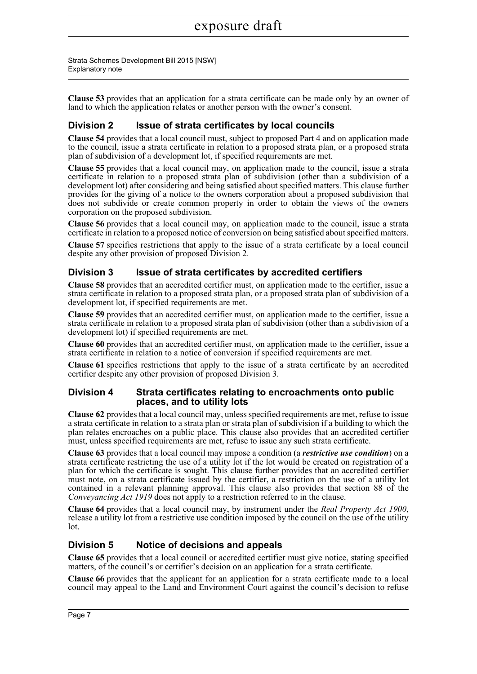Strata Schemes Development Bill 2015 [NSW] Explanatory note

**Clause 53** provides that an application for a strata certificate can be made only by an owner of land to which the application relates or another person with the owner's consent.

### **Division 2 Issue of strata certificates by local councils**

**Clause 54** provides that a local council must, subject to proposed Part 4 and on application made to the council, issue a strata certificate in relation to a proposed strata plan, or a proposed strata plan of subdivision of a development lot, if specified requirements are met.

**Clause 55** provides that a local council may, on application made to the council, issue a strata certificate in relation to a proposed strata plan of subdivision (other than a subdivision of a development lot) after considering and being satisfied about specified matters. This clause further provides for the giving of a notice to the owners corporation about a proposed subdivision that does not subdivide or create common property in order to obtain the views of the owners corporation on the proposed subdivision.

**Clause 56** provides that a local council may, on application made to the council, issue a strata certificate in relation to a proposed notice of conversion on being satisfied about specified matters.

**Clause 57** specifies restrictions that apply to the issue of a strata certificate by a local council despite any other provision of proposed Division 2.

### **Division 3 Issue of strata certificates by accredited certifiers**

**Clause 58** provides that an accredited certifier must, on application made to the certifier, issue a strata certificate in relation to a proposed strata plan, or a proposed strata plan of subdivision of a development lot, if specified requirements are met.

**Clause 59** provides that an accredited certifier must, on application made to the certifier, issue a strata certificate in relation to a proposed strata plan of subdivision (other than a subdivision of a development lot) if specified requirements are met.

**Clause 60** provides that an accredited certifier must, on application made to the certifier, issue a strata certificate in relation to a notice of conversion if specified requirements are met.

**Clause 61** specifies restrictions that apply to the issue of a strata certificate by an accredited certifier despite any other provision of proposed Division 3.

### **Division 4 Strata certificates relating to encroachments onto public places, and to utility lots**

**Clause 62** provides that a local council may, unless specified requirements are met, refuse to issue a strata certificate in relation to a strata plan or strata plan of subdivision if a building to which the plan relates encroaches on a public place. This clause also provides that an accredited certifier must, unless specified requirements are met, refuse to issue any such strata certificate.

**Clause 63** provides that a local council may impose a condition (a *restrictive use condition*) on a strata certificate restricting the use of a utility lot if the lot would be created on registration of a plan for which the certificate is sought. This clause further provides that an accredited certifier must note, on a strata certificate issued by the certifier, a restriction on the use of a utility lot contained in a relevant planning approval. This clause also provides that section 88 of the *Conveyancing Act 1919* does not apply to a restriction referred to in the clause.

**Clause 64** provides that a local council may, by instrument under the *Real Property Act 1900*, release a utility lot from a restrictive use condition imposed by the council on the use of the utility lot.

### **Division 5 Notice of decisions and appeals**

**Clause 65** provides that a local council or accredited certifier must give notice, stating specified matters, of the council's or certifier's decision on an application for a strata certificate.

**Clause 66** provides that the applicant for an application for a strata certificate made to a local council may appeal to the Land and Environment Court against the council's decision to refuse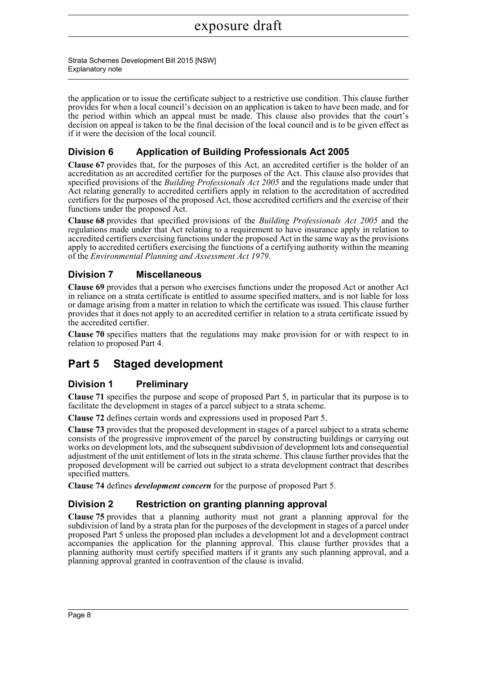the application or to issue the certificate subject to a restrictive use condition. This clause further provides for when a local council's decision on an application is taken to have been made, and for the period within which an appeal must be made. This clause also provides that the court's decision on appeal is taken to be the final decision of the local council and is to be given effect as if it were the decision of the local council.

### **Division 6 Application of Building Professionals Act 2005**

**Clause 67** provides that, for the purposes of this Act, an accredited certifier is the holder of an accreditation as an accredited certifier for the purposes of the Act. This clause also provides that specified provisions of the *Building Professionals Act 2005* and the regulations made under that Act relating generally to accredited certifiers apply in relation to the accreditation of accredited certifiers for the purposes of the proposed Act, those accredited certifiers and the exercise of their functions under the proposed Act.

**Clause 68** provides that specified provisions of the *Building Professionals Act 2005* and the regulations made under that Act relating to a requirement to have insurance apply in relation to accredited certifiers exercising functions under the proposed Act in the same way as the provisions apply to accredited certifiers exercising the functions of a certifying authority within the meaning of the *Environmental Planning and Assessment Act 1979*.

### **Division 7 Miscellaneous**

**Clause 69** provides that a person who exercises functions under the proposed Act or another Act in reliance on a strata certificate is entitled to assume specified matters, and is not liable for loss or damage arising from a matter in relation to which the certificate was issued. This clause further provides that it does not apply to an accredited certifier in relation to a strata certificate issued by the accredited certifier.

**Clause 70** specifies matters that the regulations may make provision for or with respect to in relation to proposed Part 4.

### **Part 5 Staged development**

### **Division 1 Preliminary**

**Clause 71** specifies the purpose and scope of proposed Part 5, in particular that its purpose is to facilitate the development in stages of a parcel subject to a strata scheme.

**Clause 72** defines certain words and expressions used in proposed Part 5.

**Clause 73** provides that the proposed development in stages of a parcel subject to a strata scheme consists of the progressive improvement of the parcel by constructing buildings or carrying out works on development lots, and the subsequent subdivision of development lots and consequential adjustment of the unit entitlement of lots in the strata scheme. This clause further provides that the proposed development will be carried out subject to a strata development contract that describes specified matters.

**Clause 74** defines *development concern* for the purpose of proposed Part 5.

### **Division 2 Restriction on granting planning approval**

**Clause 75** provides that a planning authority must not grant a planning approval for the subdivision of land by a strata plan for the purposes of the development in stages of a parcel under proposed Part 5 unless the proposed plan includes a development lot and a development contract accompanies the application for the planning approval. This clause further provides that a planning authority must certify specified matters if it grants any such planning approval, and a planning approval granted in contravention of the clause is invalid.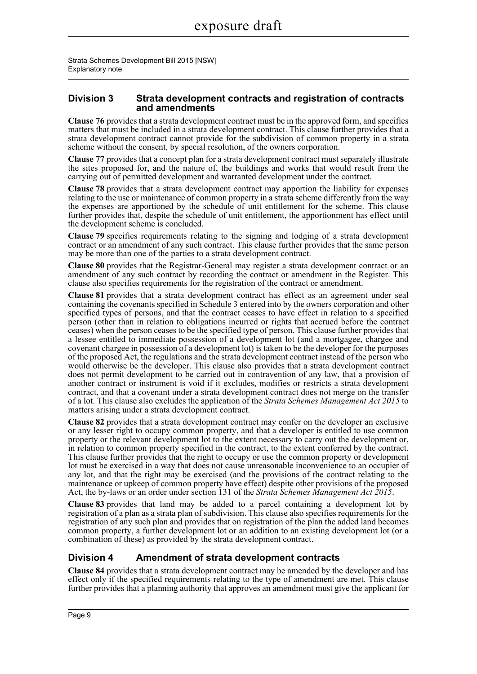### **Division 3 Strata development contracts and registration of contracts and amendments**

**Clause 76** provides that a strata development contract must be in the approved form, and specifies matters that must be included in a strata development contract. This clause further provides that a strata development contract cannot provide for the subdivision of common property in a strata scheme without the consent, by special resolution, of the owners corporation.

**Clause 77** provides that a concept plan for a strata development contract must separately illustrate the sites proposed for, and the nature of, the buildings and works that would result from the carrying out of permitted development and warranted development under the contract.

**Clause 78** provides that a strata development contract may apportion the liability for expenses relating to the use or maintenance of common property in a strata scheme differently from the way the expenses are apportioned by the schedule of unit entitlement for the scheme. This clause further provides that, despite the schedule of unit entitlement, the apportionment has effect until the development scheme is concluded.

**Clause 79** specifies requirements relating to the signing and lodging of a strata development contract or an amendment of any such contract. This clause further provides that the same person may be more than one of the parties to a strata development contract.

**Clause 80** provides that the Registrar-General may register a strata development contract or an amendment of any such contract by recording the contract or amendment in the Register. This clause also specifies requirements for the registration of the contract or amendment.

**Clause 81** provides that a strata development contract has effect as an agreement under seal containing the covenants specified in Schedule 3 entered into by the owners corporation and other specified types of persons, and that the contract ceases to have effect in relation to a specified person (other than in relation to obligations incurred or rights that accrued before the contract ceases) when the person ceases to be the specified type of person. This clause further provides that a lessee entitled to immediate possession of a development lot (and a mortgagee, chargee and covenant chargee in possession of a development lot) is taken to be the developer for the purposes of the proposed Act, the regulations and the strata development contract instead of the person who would otherwise be the developer. This clause also provides that a strata development contract does not permit development to be carried out in contravention of any law, that a provision of another contract or instrument is void if it excludes, modifies or restricts a strata development contract, and that a covenant under a strata development contract does not merge on the transfer of a lot. This clause also excludes the application of the *Strata Schemes Management Act 2015* to matters arising under a strata development contract.

**Clause 82** provides that a strata development contract may confer on the developer an exclusive or any lesser right to occupy common property, and that a developer is entitled to use common property or the relevant development lot to the extent necessary to carry out the development or, in relation to common property specified in the contract, to the extent conferred by the contract. This clause further provides that the right to occupy or use the common property or development lot must be exercised in a way that does not cause unreasonable inconvenience to an occupier of any lot, and that the right may be exercised (and the provisions of the contract relating to the maintenance or upkeep of common property have effect) despite other provisions of the proposed Act, the by-laws or an order under section 131 of the *Strata Schemes Management Act 2015*.

**Clause 83** provides that land may be added to a parcel containing a development lot by registration of a plan as a strata plan of subdivision. This clause also specifies requirements for the registration of any such plan and provides that on registration of the plan the added land becomes common property, a further development lot or an addition to an existing development lot (or a combination of these) as provided by the strata development contract.

### **Division 4 Amendment of strata development contracts**

**Clause 84** provides that a strata development contract may be amended by the developer and has effect only if the specified requirements relating to the type of amendment are met. This clause further provides that a planning authority that approves an amendment must give the applicant for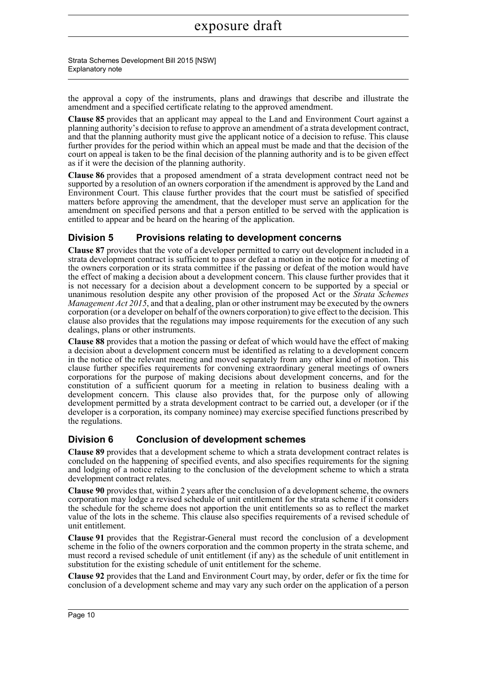the approval a copy of the instruments, plans and drawings that describe and illustrate the amendment and a specified certificate relating to the approved amendment.

**Clause 85** provides that an applicant may appeal to the Land and Environment Court against a planning authority's decision to refuse to approve an amendment of a strata development contract, and that the planning authority must give the applicant notice of a decision to refuse. This clause further provides for the period within which an appeal must be made and that the decision of the court on appeal is taken to be the final decision of the planning authority and is to be given effect as if it were the decision of the planning authority.

**Clause 86** provides that a proposed amendment of a strata development contract need not be supported by a resolution of an owners corporation if the amendment is approved by the Land and Environment Court. This clause further provides that the court must be satisfied of specified matters before approving the amendment, that the developer must serve an application for the amendment on specified persons and that a person entitled to be served with the application is entitled to appear and be heard on the hearing of the application.

### **Division 5 Provisions relating to development concerns**

**Clause 87** provides that the vote of a developer permitted to carry out development included in a strata development contract is sufficient to pass or defeat a motion in the notice for a meeting of the owners corporation or its strata committee if the passing or defeat of the motion would have the effect of making a decision about a development concern. This clause further provides that it is not necessary for a decision about a development concern to be supported by a special or unanimous resolution despite any other provision of the proposed Act or the *Strata Schemes Management Act 2015*, and that a dealing, plan or other instrument may be executed by the owners corporation (or a developer on behalf of the owners corporation) to give effect to the decision. This clause also provides that the regulations may impose requirements for the execution of any such dealings, plans or other instruments.

**Clause 88** provides that a motion the passing or defeat of which would have the effect of making a decision about a development concern must be identified as relating to a development concern in the notice of the relevant meeting and moved separately from any other kind of motion. This clause further specifies requirements for convening extraordinary general meetings of owners corporations for the purpose of making decisions about development concerns, and for the constitution of a sufficient quorum for a meeting in relation to business dealing with a development concern. This clause also provides that, for the purpose only of allowing development permitted by a strata development contract to be carried out, a developer (or if the developer is a corporation, its company nominee) may exercise specified functions prescribed by the regulations.

### **Division 6 Conclusion of development schemes**

**Clause 89** provides that a development scheme to which a strata development contract relates is concluded on the happening of specified events, and also specifies requirements for the signing and lodging of a notice relating to the conclusion of the development scheme to which a strata development contract relates.

**Clause 90** provides that, within 2 years after the conclusion of a development scheme, the owners corporation may lodge a revised schedule of unit entitlement for the strata scheme if it considers the schedule for the scheme does not apportion the unit entitlements so as to reflect the market value of the lots in the scheme. This clause also specifies requirements of a revised schedule of unit entitlement.

**Clause 91** provides that the Registrar-General must record the conclusion of a development scheme in the folio of the owners corporation and the common property in the strata scheme, and must record a revised schedule of unit entitlement (if any) as the schedule of unit entitlement in substitution for the existing schedule of unit entitlement for the scheme.

**Clause 92** provides that the Land and Environment Court may, by order, defer or fix the time for conclusion of a development scheme and may vary any such order on the application of a person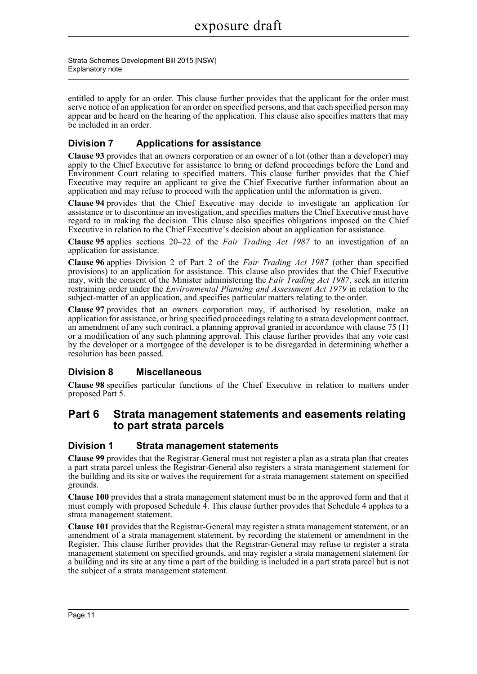Strata Schemes Development Bill 2015 [NSW] Explanatory note

entitled to apply for an order. This clause further provides that the applicant for the order must serve notice of an application for an order on specified persons, and that each specified person may appear and be heard on the hearing of the application. This clause also specifies matters that may be included in an order.

### **Division 7 Applications for assistance**

**Clause 93** provides that an owners corporation or an owner of a lot (other than a developer) may apply to the Chief Executive for assistance to bring or defend proceedings before the Land and Environment Court relating to specified matters. This clause further provides that the Chief Executive may require an applicant to give the Chief Executive further information about an application and may refuse to proceed with the application until the information is given.

**Clause 94** provides that the Chief Executive may decide to investigate an application for assistance or to discontinue an investigation, and specifies matters the Chief Executive must have regard to in making the decision. This clause also specifies obligations imposed on the Chief Executive in relation to the Chief Executive's decision about an application for assistance.

**Clause 95** applies sections 20–22 of the *Fair Trading Act 1987* to an investigation of an application for assistance.

**Clause 96** applies Division 2 of Part 2 of the *Fair Trading Act 1987* (other than specified provisions) to an application for assistance. This clause also provides that the Chief Executive may, with the consent of the Minister administering the *Fair Trading Act 1987*, seek an interim restraining order under the *Environmental Planning and Assessment Act 1979* in relation to the subject-matter of an application, and specifies particular matters relating to the order.

**Clause 97** provides that an owners corporation may, if authorised by resolution, make an application for assistance, or bring specified proceedings relating to a strata development contract, an amendment of any such contract, a planning approval granted in accordance with clause 75 (1) or a modification of any such planning approval. This clause further provides that any vote cast by the developer or a mortgagee of the developer is to be disregarded in determining whether a resolution has been passed.

### **Division 8 Miscellaneous**

**Clause 98** specifies particular functions of the Chief Executive in relation to matters under proposed Part 5.

### **Part 6 Strata management statements and easements relating to part strata parcels**

### **Division 1 Strata management statements**

**Clause 99** provides that the Registrar-General must not register a plan as a strata plan that creates a part strata parcel unless the Registrar-General also registers a strata management statement for the building and its site or waives the requirement for a strata management statement on specified grounds.

**Clause 100** provides that a strata management statement must be in the approved form and that it must comply with proposed Schedule 4. This clause further provides that Schedule 4 applies to a strata management statement.

**Clause 101** provides that the Registrar-General may register a strata management statement, or an amendment of a strata management statement, by recording the statement or amendment in the Register. This clause further provides that the Registrar-General may refuse to register a strata management statement on specified grounds, and may register a strata management statement for a building and its site at any time a part of the building is included in a part strata parcel but is not the subject of a strata management statement.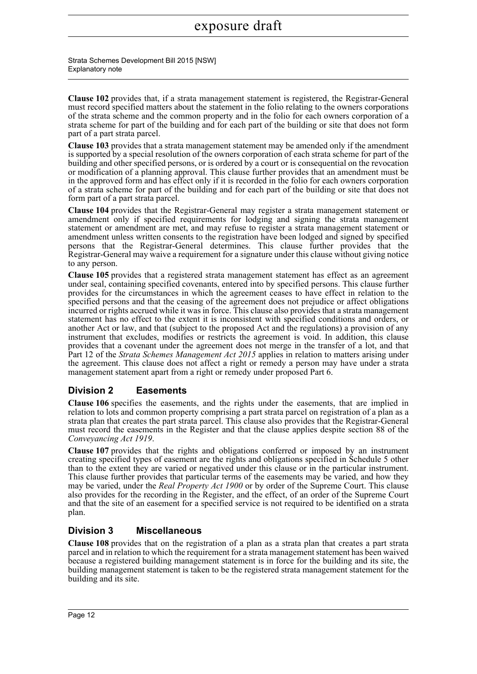Strata Schemes Development Bill 2015 [NSW] Explanatory note

**Clause 102** provides that, if a strata management statement is registered, the Registrar-General must record specified matters about the statement in the folio relating to the owners corporations of the strata scheme and the common property and in the folio for each owners corporation of a strata scheme for part of the building and for each part of the building or site that does not form part of a part strata parcel.

**Clause 103** provides that a strata management statement may be amended only if the amendment is supported by a special resolution of the owners corporation of each strata scheme for part of the building and other specified persons, or is ordered by a court or is consequential on the revocation or modification of a planning approval. This clause further provides that an amendment must be in the approved form and has effect only if it is recorded in the folio for each owners corporation of a strata scheme for part of the building and for each part of the building or site that does not form part of a part strata parcel.

**Clause 104** provides that the Registrar-General may register a strata management statement or amendment only if specified requirements for lodging and signing the strata management statement or amendment are met, and may refuse to register a strata management statement or amendment unless written consents to the registration have been lodged and signed by specified persons that the Registrar-General determines. This clause further provides that the Registrar-General may waive a requirement for a signature under this clause without giving notice to any person.

**Clause 105** provides that a registered strata management statement has effect as an agreement under seal, containing specified covenants, entered into by specified persons. This clause further provides for the circumstances in which the agreement ceases to have effect in relation to the specified persons and that the ceasing of the agreement does not prejudice or affect obligations incurred or rights accrued while it was in force. This clause also provides that a strata management statement has no effect to the extent it is inconsistent with specified conditions and orders, or another Act or law, and that (subject to the proposed Act and the regulations) a provision of any instrument that excludes, modifies or restricts the agreement is void. In addition, this clause provides that a covenant under the agreement does not merge in the transfer of a lot, and that Part 12 of the *Strata Schemes Management Act 2015* applies in relation to matters arising under the agreement. This clause does not affect a right or remedy a person may have under a strata management statement apart from a right or remedy under proposed Part 6.

### **Division 2 Easements**

**Clause 106** specifies the easements, and the rights under the easements, that are implied in relation to lots and common property comprising a part strata parcel on registration of a plan as a strata plan that creates the part strata parcel. This clause also provides that the Registrar-General must record the easements in the Register and that the clause applies despite section 88 of the *Conveyancing Act 1919*.

**Clause 107** provides that the rights and obligations conferred or imposed by an instrument creating specified types of easement are the rights and obligations specified in Schedule 5 other than to the extent they are varied or negatived under this clause or in the particular instrument. This clause further provides that particular terms of the easements may be varied, and how they may be varied, under the *Real Property Act 1900* or by order of the Supreme Court. This clause also provides for the recording in the Register, and the effect, of an order of the Supreme Court and that the site of an easement for a specified service is not required to be identified on a strata plan.

### **Division 3 Miscellaneous**

**Clause 108** provides that on the registration of a plan as a strata plan that creates a part strata parcel and in relation to which the requirement for a strata management statement has been waived because a registered building management statement is in force for the building and its site, the building management statement is taken to be the registered strata management statement for the building and its site.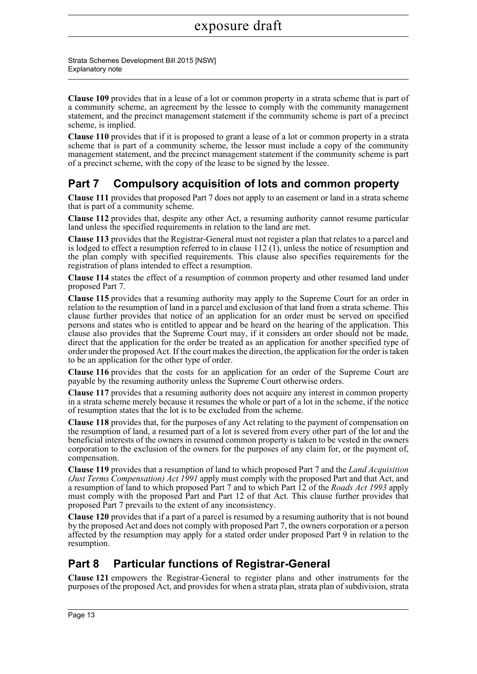**Clause 109** provides that in a lease of a lot or common property in a strata scheme that is part of a community scheme, an agreement by the lessee to comply with the community management statement, and the precinct management statement if the community scheme is part of a precinct scheme, is implied.

**Clause 110** provides that if it is proposed to grant a lease of a lot or common property in a strata scheme that is part of a community scheme, the lessor must include a copy of the community management statement, and the precinct management statement if the community scheme is part of a precinct scheme, with the copy of the lease to be signed by the lessee.

## **Part 7 Compulsory acquisition of lots and common property**

**Clause 111** provides that proposed Part 7 does not apply to an easement or land in a strata scheme that is part of a community scheme.

**Clause 112** provides that, despite any other Act, a resuming authority cannot resume particular land unless the specified requirements in relation to the land are met.

**Clause 113** provides that the Registrar-General must not register a plan that relates to a parcel and is lodged to effect a resumption referred to in clause 112 (1), unless the notice of resumption and the plan comply with specified requirements. This clause also specifies requirements for the registration of plans intended to effect a resumption.

**Clause 114** states the effect of a resumption of common property and other resumed land under proposed Part 7.

**Clause 115** provides that a resuming authority may apply to the Supreme Court for an order in relation to the resumption of land in a parcel and exclusion of that land from a strata scheme. This clause further provides that notice of an application for an order must be served on specified persons and states who is entitled to appear and be heard on the hearing of the application. This clause also provides that the Supreme Court may, if it considers an order should not be made, direct that the application for the order be treated as an application for another specified type of order under the proposed Act. If the court makes the direction, the application for the order is taken to be an application for the other type of order.

**Clause 116** provides that the costs for an application for an order of the Supreme Court are payable by the resuming authority unless the Supreme Court otherwise orders.

**Clause 117** provides that a resuming authority does not acquire any interest in common property in a strata scheme merely because it resumes the whole or part of a lot in the scheme, if the notice of resumption states that the lot is to be excluded from the scheme.

**Clause 118** provides that, for the purposes of any Act relating to the payment of compensation on the resumption of land, a resumed part of a lot is severed from every other part of the lot and the beneficial interests of the owners in resumed common property is taken to be vested in the owners corporation to the exclusion of the owners for the purposes of any claim for, or the payment of, compensation.

**Clause 119** provides that a resumption of land to which proposed Part 7 and the *Land Acquisition (Just Terms Compensation) Act 1991* apply must comply with the proposed Part and that Act, and a resumption of land to which proposed Part 7 and to which Part 12 of the *Roads Act 1993* apply must comply with the proposed Part and Part 12 of that Act. This clause further provides that proposed Part 7 prevails to the extent of any inconsistency.

**Clause 120** provides that if a part of a parcel is resumed by a resuming authority that is not bound by the proposed Act and does not comply with proposed Part 7, the owners corporation or a person affected by the resumption may apply for a stated order under proposed Part 9 in relation to the resumption.

### **Part 8 Particular functions of Registrar-General**

**Clause 121** empowers the Registrar-General to register plans and other instruments for the purposes of the proposed Act, and provides for when a strata plan, strata plan of subdivision, strata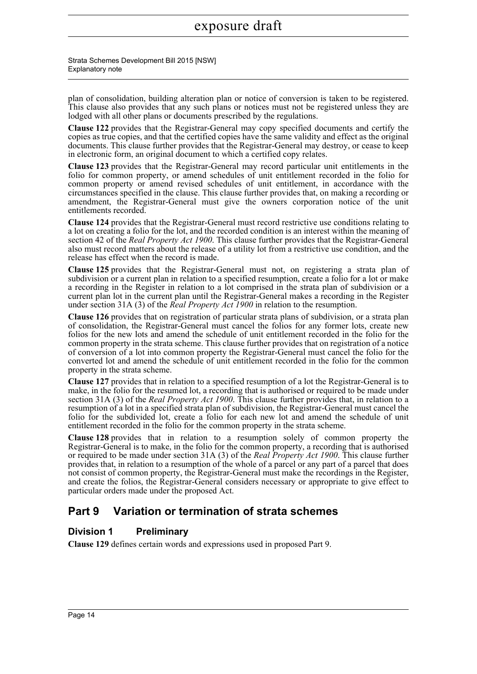Strata Schemes Development Bill 2015 [NSW] Explanatory note

plan of consolidation, building alteration plan or notice of conversion is taken to be registered. This clause also provides that any such plans or notices must not be registered unless they are lodged with all other plans or documents prescribed by the regulations.

**Clause 122** provides that the Registrar-General may copy specified documents and certify the copies as true copies, and that the certified copies have the same validity and effect as the original documents. This clause further provides that the Registrar-General may destroy, or cease to keep in electronic form, an original document to which a certified copy relates.

**Clause 123** provides that the Registrar-General may record particular unit entitlements in the folio for common property, or amend schedules of unit entitlement recorded in the folio for common property or amend revised schedules of unit entitlement, in accordance with the circumstances specified in the clause. This clause further provides that, on making a recording or amendment, the Registrar-General must give the owners corporation notice of the unit entitlements recorded.

**Clause 124** provides that the Registrar-General must record restrictive use conditions relating to a lot on creating a folio for the lot, and the recorded condition is an interest within the meaning of section 42 of the *Real Property Act 1900*. This clause further provides that the Registrar-General also must record matters about the release of a utility lot from a restrictive use condition, and the release has effect when the record is made.

**Clause 125** provides that the Registrar-General must not, on registering a strata plan of subdivision or a current plan in relation to a specified resumption, create a folio for a lot or make a recording in the Register in relation to a lot comprised in the strata plan of subdivision or a current plan lot in the current plan until the Registrar-General makes a recording in the Register under section 31A (3) of the *Real Property Act 1900* in relation to the resumption.

**Clause 126** provides that on registration of particular strata plans of subdivision, or a strata plan of consolidation, the Registrar-General must cancel the folios for any former lots, create new folios for the new lots and amend the schedule of unit entitlement recorded in the folio for the common property in the strata scheme. This clause further provides that on registration of a notice of conversion of a lot into common property the Registrar-General must cancel the folio for the converted lot and amend the schedule of unit entitlement recorded in the folio for the common property in the strata scheme.

**Clause 127** provides that in relation to a specified resumption of a lot the Registrar-General is to make, in the folio for the resumed lot, a recording that is authorised or required to be made under section 31A (3) of the *Real Property Act 1900*. This clause further provides that, in relation to a resumption of a lot in a specified strata plan of subdivision, the Registrar-General must cancel the folio for the subdivided lot, create a folio for each new lot and amend the schedule of unit entitlement recorded in the folio for the common property in the strata scheme.

**Clause 128** provides that in relation to a resumption solely of common property the Registrar-General is to make, in the folio for the common property, a recording that is authorised or required to be made under section 31A (3) of the *Real Property Act 1900*. This clause further provides that, in relation to a resumption of the whole of a parcel or any part of a parcel that does not consist of common property, the Registrar-General must make the recordings in the Register, and create the folios, the Registrar-General considers necessary or appropriate to give effect to particular orders made under the proposed Act.

## **Part 9 Variation or termination of strata schemes**

### **Division 1 Preliminary**

**Clause 129** defines certain words and expressions used in proposed Part 9.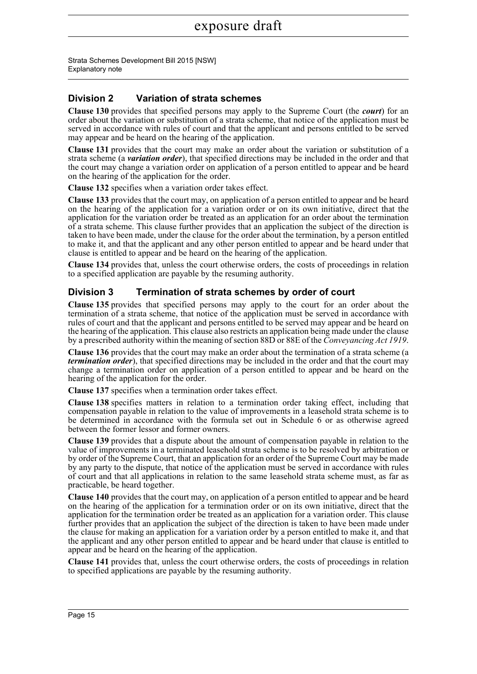### **Division 2 Variation of strata schemes**

**Clause 130** provides that specified persons may apply to the Supreme Court (the *court*) for an order about the variation or substitution of a strata scheme, that notice of the application must be served in accordance with rules of court and that the applicant and persons entitled to be served may appear and be heard on the hearing of the application.

**Clause 131** provides that the court may make an order about the variation or substitution of a strata scheme (a *variation order*), that specified directions may be included in the order and that the court may change a variation order on application of a person entitled to appear and be heard on the hearing of the application for the order.

**Clause 132** specifies when a variation order takes effect.

**Clause 133** provides that the court may, on application of a person entitled to appear and be heard on the hearing of the application for a variation order or on its own initiative, direct that the application for the variation order be treated as an application for an order about the termination of a strata scheme. This clause further provides that an application the subject of the direction is taken to have been made, under the clause for the order about the termination, by a person entitled to make it, and that the applicant and any other person entitled to appear and be heard under that clause is entitled to appear and be heard on the hearing of the application.

**Clause 134** provides that, unless the court otherwise orders, the costs of proceedings in relation to a specified application are payable by the resuming authority.

### **Division 3 Termination of strata schemes by order of court**

**Clause 135** provides that specified persons may apply to the court for an order about the termination of a strata scheme, that notice of the application must be served in accordance with rules of court and that the applicant and persons entitled to be served may appear and be heard on the hearing of the application. This clause also restricts an application being made under the clause by a prescribed authority within the meaning of section 88D or 88E of the *Conveyancing Act 1919*.

**Clause 136** provides that the court may make an order about the termination of a strata scheme (a *termination order*), that specified directions may be included in the order and that the court may change a termination order on application of a person entitled to appear and be heard on the hearing of the application for the order.

**Clause 137** specifies when a termination order takes effect.

**Clause 138** specifies matters in relation to a termination order taking effect, including that compensation payable in relation to the value of improvements in a leasehold strata scheme is to be determined in accordance with the formula set out in Schedule 6 or as otherwise agreed between the former lessor and former owners.

**Clause 139** provides that a dispute about the amount of compensation payable in relation to the value of improvements in a terminated leasehold strata scheme is to be resolved by arbitration or by order of the Supreme Court, that an application for an order of the Supreme Court may be made by any party to the dispute, that notice of the application must be served in accordance with rules of court and that all applications in relation to the same leasehold strata scheme must, as far as practicable, be heard together.

**Clause 140** provides that the court may, on application of a person entitled to appear and be heard on the hearing of the application for a termination order or on its own initiative, direct that the application for the termination order be treated as an application for a variation order. This clause further provides that an application the subject of the direction is taken to have been made under the clause for making an application for a variation order by a person entitled to make it, and that the applicant and any other person entitled to appear and be heard under that clause is entitled to appear and be heard on the hearing of the application.

**Clause 141** provides that, unless the court otherwise orders, the costs of proceedings in relation to specified applications are payable by the resuming authority.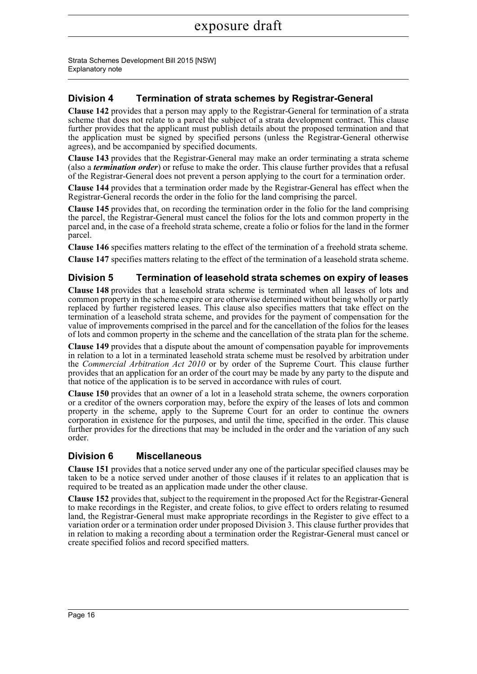### **Division 4 Termination of strata schemes by Registrar-General**

**Clause 142** provides that a person may apply to the Registrar-General for termination of a strata scheme that does not relate to a parcel the subject of a strata development contract. This clause further provides that the applicant must publish details about the proposed termination and that the application must be signed by specified persons (unless the Registrar-General otherwise agrees), and be accompanied by specified documents.

**Clause 143** provides that the Registrar-General may make an order terminating a strata scheme (also a *termination order*) or refuse to make the order. This clause further provides that a refusal of the Registrar-General does not prevent a person applying to the court for a termination order.

**Clause 144** provides that a termination order made by the Registrar-General has effect when the Registrar-General records the order in the folio for the land comprising the parcel.

**Clause 145** provides that, on recording the termination order in the folio for the land comprising the parcel, the Registrar-General must cancel the folios for the lots and common property in the parcel and, in the case of a freehold strata scheme, create a folio or folios for the land in the former parcel.

**Clause 146** specifies matters relating to the effect of the termination of a freehold strata scheme.

**Clause 147** specifies matters relating to the effect of the termination of a leasehold strata scheme.

### **Division 5 Termination of leasehold strata schemes on expiry of leases**

**Clause 148** provides that a leasehold strata scheme is terminated when all leases of lots and common property in the scheme expire or are otherwise determined without being wholly or partly replaced by further registered leases. This clause also specifies matters that take effect on the termination of a leasehold strata scheme, and provides for the payment of compensation for the value of improvements comprised in the parcel and for the cancellation of the folios for the leases of lots and common property in the scheme and the cancellation of the strata plan for the scheme.

**Clause 149** provides that a dispute about the amount of compensation payable for improvements in relation to a lot in a terminated leasehold strata scheme must be resolved by arbitration under the *Commercial Arbitration Act 2010* or by order of the Supreme Court. This clause further provides that an application for an order of the court may be made by any party to the dispute and that notice of the application is to be served in accordance with rules of court.

**Clause 150** provides that an owner of a lot in a leasehold strata scheme, the owners corporation or a creditor of the owners corporation may, before the expiry of the leases of lots and common property in the scheme, apply to the Supreme Court for an order to continue the owners corporation in existence for the purposes, and until the time, specified in the order. This clause further provides for the directions that may be included in the order and the variation of any such order.

### **Division 6 Miscellaneous**

**Clause 151** provides that a notice served under any one of the particular specified clauses may be taken to be a notice served under another of those clauses if it relates to an application that is required to be treated as an application made under the other clause.

**Clause 152** provides that, subject to the requirement in the proposed Act for the Registrar-General to make recordings in the Register, and create folios, to give effect to orders relating to resumed land, the Registrar-General must make appropriate recordings in the Register to give effect to a variation order or a termination order under proposed Division 3. This clause further provides that in relation to making a recording about a termination order the Registrar-General must cancel or create specified folios and record specified matters.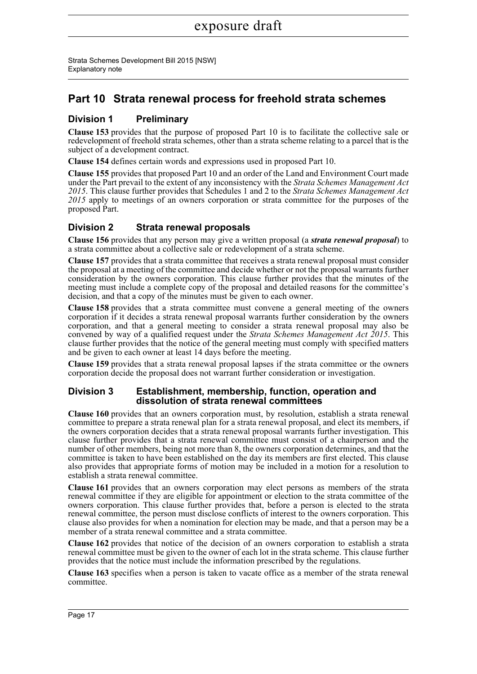### **Part 10 Strata renewal process for freehold strata schemes**

### **Division 1 Preliminary**

**Clause 153** provides that the purpose of proposed Part 10 is to facilitate the collective sale or redevelopment of freehold strata schemes, other than a strata scheme relating to a parcel that is the subject of a development contract.

**Clause 154** defines certain words and expressions used in proposed Part 10.

**Clause 155** provides that proposed Part 10 and an order of the Land and Environment Court made under the Part prevail to the extent of any inconsistency with the *Strata Schemes Management Act 2015*. This clause further provides that Schedules 1 and 2 to the *Strata Schemes Management Act 2015* apply to meetings of an owners corporation or strata committee for the purposes of the proposed Part.

### **Division 2 Strata renewal proposals**

**Clause 156** provides that any person may give a written proposal (a *strata renewal proposal*) to a strata committee about a collective sale or redevelopment of a strata scheme.

**Clause 157** provides that a strata committee that receives a strata renewal proposal must consider the proposal at a meeting of the committee and decide whether or not the proposal warrants further consideration by the owners corporation. This clause further provides that the minutes of the meeting must include a complete copy of the proposal and detailed reasons for the committee's decision, and that a copy of the minutes must be given to each owner.

**Clause 158** provides that a strata committee must convene a general meeting of the owners corporation if it decides a strata renewal proposal warrants further consideration by the owners corporation, and that a general meeting to consider a strata renewal proposal may also be convened by way of a qualified request under the *Strata Schemes Management Act 2015*. This clause further provides that the notice of the general meeting must comply with specified matters and be given to each owner at least 14 days before the meeting.

**Clause 159** provides that a strata renewal proposal lapses if the strata committee or the owners corporation decide the proposal does not warrant further consideration or investigation.

#### **Division 3 Establishment, membership, function, operation and dissolution of strata renewal committees**

**Clause 160** provides that an owners corporation must, by resolution, establish a strata renewal committee to prepare a strata renewal plan for a strata renewal proposal, and elect its members, if the owners corporation decides that a strata renewal proposal warrants further investigation. This clause further provides that a strata renewal committee must consist of a chairperson and the number of other members, being not more than 8, the owners corporation determines, and that the committee is taken to have been established on the day its members are first elected. This clause also provides that appropriate forms of motion may be included in a motion for a resolution to establish a strata renewal committee.

**Clause 161** provides that an owners corporation may elect persons as members of the strata renewal committee if they are eligible for appointment or election to the strata committee of the owners corporation. This clause further provides that, before a person is elected to the strata renewal committee, the person must disclose conflicts of interest to the owners corporation. This clause also provides for when a nomination for election may be made, and that a person may be a member of a strata renewal committee and a strata committee.

**Clause 162** provides that notice of the decision of an owners corporation to establish a strata renewal committee must be given to the owner of each lot in the strata scheme. This clause further provides that the notice must include the information prescribed by the regulations.

**Clause 163** specifies when a person is taken to vacate office as a member of the strata renewal committee.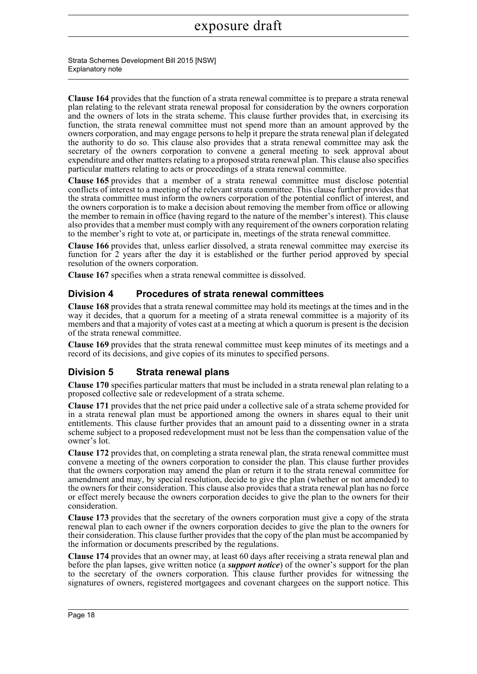Strata Schemes Development Bill 2015 [NSW] Explanatory note

**Clause 164** provides that the function of a strata renewal committee is to prepare a strata renewal plan relating to the relevant strata renewal proposal for consideration by the owners corporation and the owners of lots in the strata scheme. This clause further provides that, in exercising its function, the strata renewal committee must not spend more than an amount approved by the owners corporation, and may engage persons to help it prepare the strata renewal plan if delegated the authority to do so. This clause also provides that a strata renewal committee may ask the secretary of the owners corporation to convene a general meeting to seek approval about expenditure and other matters relating to a proposed strata renewal plan. This clause also specifies particular matters relating to acts or proceedings of a strata renewal committee.

**Clause 165** provides that a member of a strata renewal committee must disclose potential conflicts of interest to a meeting of the relevant strata committee. This clause further provides that the strata committee must inform the owners corporation of the potential conflict of interest, and the owners corporation is to make a decision about removing the member from office or allowing the member to remain in office (having regard to the nature of the member's interest). This clause also provides that a member must comply with any requirement of the owners corporation relating to the member's right to vote at, or participate in, meetings of the strata renewal committee.

**Clause 166** provides that, unless earlier dissolved, a strata renewal committee may exercise its function for 2 years after the day it is established or the further period approved by special resolution of the owners corporation.

**Clause 167** specifies when a strata renewal committee is dissolved.

### **Division 4 Procedures of strata renewal committees**

**Clause 168** provides that a strata renewal committee may hold its meetings at the times and in the way it decides, that a quorum for a meeting of a strata renewal committee is a majority of its members and that a majority of votes cast at a meeting at which a quorum is present is the decision of the strata renewal committee.

**Clause 169** provides that the strata renewal committee must keep minutes of its meetings and a record of its decisions, and give copies of its minutes to specified persons.

### **Division 5 Strata renewal plans**

**Clause 170** specifies particular matters that must be included in a strata renewal plan relating to a proposed collective sale or redevelopment of a strata scheme.

**Clause 171** provides that the net price paid under a collective sale of a strata scheme provided for in a strata renewal plan must be apportioned among the owners in shares equal to their unit entitlements. This clause further provides that an amount paid to a dissenting owner in a strata scheme subject to a proposed redevelopment must not be less than the compensation value of the owner's lot.

**Clause 172** provides that, on completing a strata renewal plan, the strata renewal committee must convene a meeting of the owners corporation to consider the plan. This clause further provides that the owners corporation may amend the plan or return it to the strata renewal committee for amendment and may, by special resolution, decide to give the plan (whether or not amended) to the owners for their consideration. This clause also provides that a strata renewal plan has no force or effect merely because the owners corporation decides to give the plan to the owners for their consideration.

**Clause 173** provides that the secretary of the owners corporation must give a copy of the strata renewal plan to each owner if the owners corporation decides to give the plan to the owners for their consideration. This clause further provides that the copy of the plan must be accompanied by the information or documents prescribed by the regulations.

**Clause 174** provides that an owner may, at least 60 days after receiving a strata renewal plan and before the plan lapses, give written notice (a *support notice*) of the owner's support for the plan to the secretary of the owners corporation. This clause further provides for witnessing the signatures of owners, registered mortgagees and covenant chargees on the support notice. This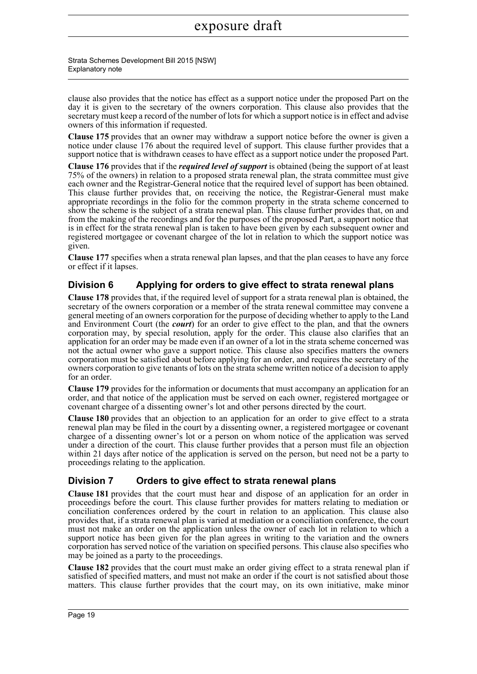Strata Schemes Development Bill 2015 [NSW] Explanatory note

clause also provides that the notice has effect as a support notice under the proposed Part on the day it is given to the secretary of the owners corporation. This clause also provides that the secretary must keep a record of the number of lots for which a support notice is in effect and advise owners of this information if requested.

**Clause 175** provides that an owner may withdraw a support notice before the owner is given a notice under clause 176 about the required level of support. This clause further provides that a support notice that is withdrawn ceases to have effect as a support notice under the proposed Part.

**Clause 176** provides that if the *required level of support* is obtained (being the support of at least 75% of the owners) in relation to a proposed strata renewal plan, the strata committee must give each owner and the Registrar-General notice that the required level of support has been obtained. This clause further provides that, on receiving the notice, the Registrar-General must make appropriate recordings in the folio for the common property in the strata scheme concerned to show the scheme is the subject of a strata renewal plan. This clause further provides that, on and from the making of the recordings and for the purposes of the proposed Part, a support notice that is in effect for the strata renewal plan is taken to have been given by each subsequent owner and registered mortgagee or covenant chargee of the lot in relation to which the support notice was given.

**Clause 177** specifies when a strata renewal plan lapses, and that the plan ceases to have any force or effect if it lapses.

### **Division 6 Applying for orders to give effect to strata renewal plans**

**Clause 178** provides that, if the required level of support for a strata renewal plan is obtained, the secretary of the owners corporation or a member of the strata renewal committee may convene a general meeting of an owners corporation for the purpose of deciding whether to apply to the Land and Environment Court (the *court*) for an order to give effect to the plan, and that the owners corporation may, by special resolution, apply for the order. This clause also clarifies that an application for an order may be made even if an owner of a lot in the strata scheme concerned was not the actual owner who gave a support notice. This clause also specifies matters the owners corporation must be satisfied about before applying for an order, and requires the secretary of the owners corporation to give tenants of lots on the strata scheme written notice of a decision to apply for an order.

**Clause 179** provides for the information or documents that must accompany an application for an order, and that notice of the application must be served on each owner, registered mortgagee or covenant chargee of a dissenting owner's lot and other persons directed by the court.

**Clause 180** provides that an objection to an application for an order to give effect to a strata renewal plan may be filed in the court by a dissenting owner, a registered mortgagee or covenant chargee of a dissenting owner's lot or a person on whom notice of the application was served under a direction of the court. This clause further provides that a person must file an objection within 21 days after notice of the application is served on the person, but need not be a party to proceedings relating to the application.

### **Division 7 Orders to give effect to strata renewal plans**

**Clause 181** provides that the court must hear and dispose of an application for an order in proceedings before the court. This clause further provides for matters relating to mediation or conciliation conferences ordered by the court in relation to an application. This clause also provides that, if a strata renewal plan is varied at mediation or a conciliation conference, the court must not make an order on the application unless the owner of each lot in relation to which a support notice has been given for the plan agrees in writing to the variation and the owners corporation has served notice of the variation on specified persons. This clause also specifies who may be joined as a party to the proceedings.

**Clause 182** provides that the court must make an order giving effect to a strata renewal plan if satisfied of specified matters, and must not make an order if the court is not satisfied about those matters. This clause further provides that the court may, on its own initiative, make minor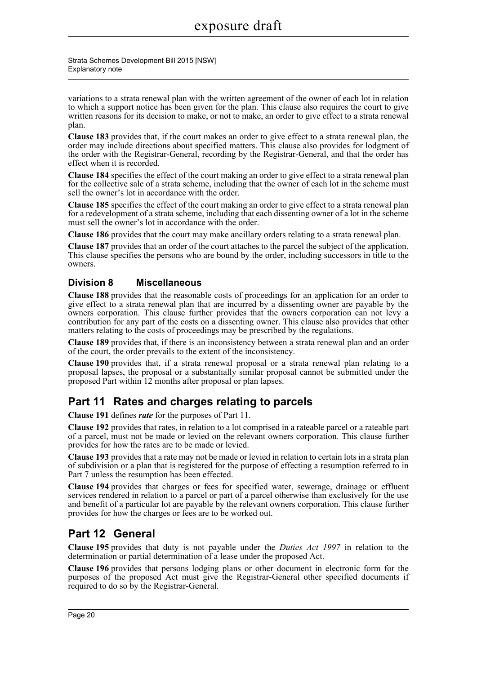Strata Schemes Development Bill 2015 [NSW] Explanatory note

variations to a strata renewal plan with the written agreement of the owner of each lot in relation to which a support notice has been given for the plan. This clause also requires the court to give written reasons for its decision to make, or not to make, an order to give effect to a strata renewal plan.

**Clause 183** provides that, if the court makes an order to give effect to a strata renewal plan, the order may include directions about specified matters. This clause also provides for lodgment of the order with the Registrar-General, recording by the Registrar-General, and that the order has effect when it is recorded.

**Clause 184** specifies the effect of the court making an order to give effect to a strata renewal plan for the collective sale of a strata scheme, including that the owner of each lot in the scheme must sell the owner's lot in accordance with the order.

**Clause 185** specifies the effect of the court making an order to give effect to a strata renewal plan for a redevelopment of a strata scheme, including that each dissenting owner of a lot in the scheme must sell the owner's lot in accordance with the order.

**Clause 186** provides that the court may make ancillary orders relating to a strata renewal plan.

**Clause 187** provides that an order of the court attaches to the parcel the subject of the application. This clause specifies the persons who are bound by the order, including successors in title to the owners.

### **Division 8 Miscellaneous**

**Clause 188** provides that the reasonable costs of proceedings for an application for an order to give effect to a strata renewal plan that are incurred by a dissenting owner are payable by the owners corporation. This clause further provides that the owners corporation can not levy a contribution for any part of the costs on a dissenting owner. This clause also provides that other matters relating to the costs of proceedings may be prescribed by the regulations.

**Clause 189** provides that, if there is an inconsistency between a strata renewal plan and an order of the court, the order prevails to the extent of the inconsistency.

**Clause 190** provides that, if a strata renewal proposal or a strata renewal plan relating to a proposal lapses, the proposal or a substantially similar proposal cannot be submitted under the proposed Part within 12 months after proposal or plan lapses.

### **Part 11 Rates and charges relating to parcels**

**Clause 191** defines *rate* for the purposes of Part 11.

**Clause 192** provides that rates, in relation to a lot comprised in a rateable parcel or a rateable part of a parcel, must not be made or levied on the relevant owners corporation. This clause further provides for how the rates are to be made or levied.

**Clause 193** provides that a rate may not be made or levied in relation to certain lots in a strata plan of subdivision or a plan that is registered for the purpose of effecting a resumption referred to in Part 7 unless the resumption has been effected.

**Clause 194** provides that charges or fees for specified water, sewerage, drainage or effluent services rendered in relation to a parcel or part of a parcel otherwise than exclusively for the use and benefit of a particular lot are payable by the relevant owners corporation. This clause further provides for how the charges or fees are to be worked out.

### **Part 12 General**

**Clause 195** provides that duty is not payable under the *Duties Act 1997* in relation to the determination or partial determination of a lease under the proposed Act.

**Clause 196** provides that persons lodging plans or other document in electronic form for the purposes of the proposed Act must give the Registrar-General other specified documents if required to do so by the Registrar-General.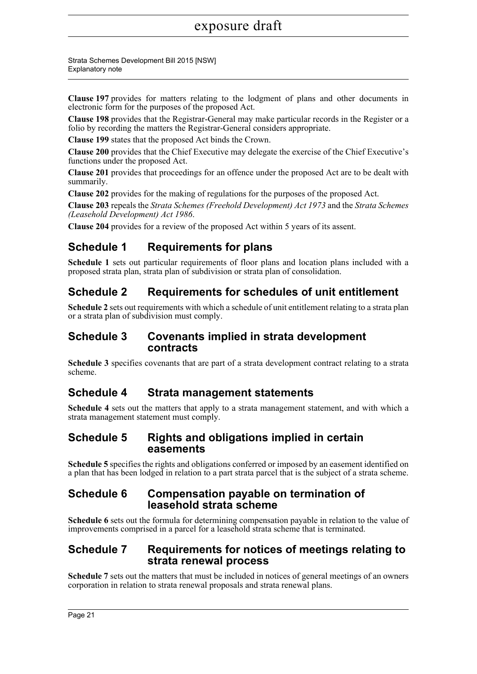Strata Schemes Development Bill 2015 [NSW] Explanatory note

**Clause 197** provides for matters relating to the lodgment of plans and other documents in electronic form for the purposes of the proposed Act.

**Clause 198** provides that the Registrar-General may make particular records in the Register or a folio by recording the matters the Registrar-General considers appropriate.

**Clause 199** states that the proposed Act binds the Crown.

**Clause 200** provides that the Chief Executive may delegate the exercise of the Chief Executive's functions under the proposed Act.

**Clause 201** provides that proceedings for an offence under the proposed Act are to be dealt with summarily.

**Clause 202** provides for the making of regulations for the purposes of the proposed Act.

**Clause 203** repeals the *Strata Schemes (Freehold Development) Act 1973* and the *Strata Schemes (Leasehold Development) Act 1986*.

**Clause 204** provides for a review of the proposed Act within 5 years of its assent.

### **Schedule 1 Requirements for plans**

**Schedule 1** sets out particular requirements of floor plans and location plans included with a proposed strata plan, strata plan of subdivision or strata plan of consolidation.

### **Schedule 2 Requirements for schedules of unit entitlement**

**Schedule 2** sets out requirements with which a schedule of unit entitlement relating to a strata plan or a strata plan of subdivision must comply.

### **Schedule 3 Covenants implied in strata development contracts**

**Schedule 3** specifies covenants that are part of a strata development contract relating to a strata scheme.

### **Schedule 4 Strata management statements**

**Schedule 4** sets out the matters that apply to a strata management statement, and with which a strata management statement must comply.

### **Schedule 5 Rights and obligations implied in certain easements**

**Schedule 5** specifies the rights and obligations conferred or imposed by an easement identified on a plan that has been lodged in relation to a part strata parcel that is the subject of a strata scheme.

### **Schedule 6 Compensation payable on termination of leasehold strata scheme**

**Schedule 6** sets out the formula for determining compensation payable in relation to the value of improvements comprised in a parcel for a leasehold strata scheme that is terminated.

### **Schedule 7 Requirements for notices of meetings relating to strata renewal process**

**Schedule 7** sets out the matters that must be included in notices of general meetings of an owners corporation in relation to strata renewal proposals and strata renewal plans.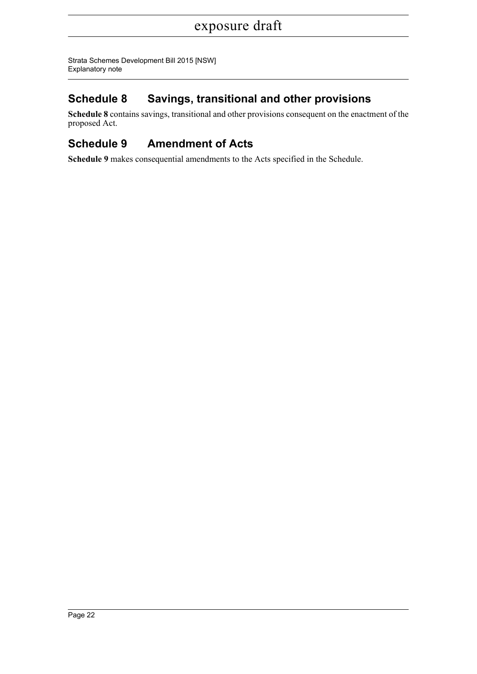Strata Schemes Development Bill 2015 [NSW] Explanatory note

## **Schedule 8 Savings, transitional and other provisions**

**Schedule 8** contains savings, transitional and other provisions consequent on the enactment of the proposed Act.

## **Schedule 9 Amendment of Acts**

**Schedule 9** makes consequential amendments to the Acts specified in the Schedule.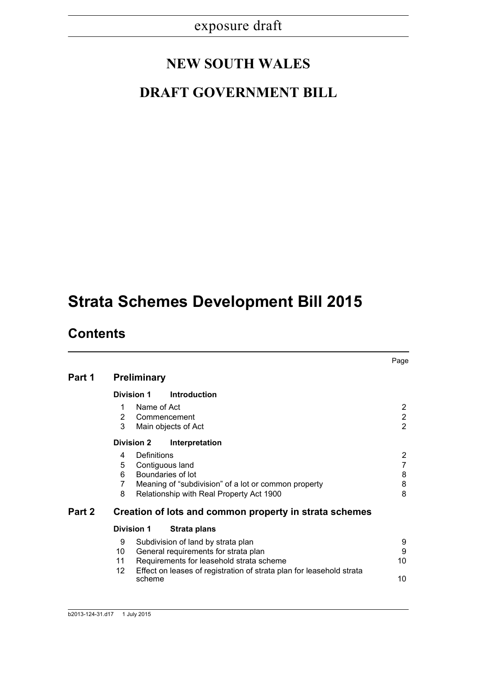# **NEW SOUTH WALES**

# **DRAFT GOVERNMENT BILL**

# **Strata Schemes Development Bill 2015**

## **Contents**

|        |                                    |             |                                                                                                                                                                                                | Page                                                      |  |  |
|--------|------------------------------------|-------------|------------------------------------------------------------------------------------------------------------------------------------------------------------------------------------------------|-----------------------------------------------------------|--|--|
| Part 1 | <b>Preliminary</b>                 |             |                                                                                                                                                                                                |                                                           |  |  |
|        | <b>Division 1</b>                  |             | <b>Introduction</b>                                                                                                                                                                            |                                                           |  |  |
|        | 1<br>2<br>3                        | Name of Act | Commencement<br>Main objects of Act                                                                                                                                                            | $\mathbf{2}^{\prime}$<br>$\overline{2}$<br>$\overline{2}$ |  |  |
|        | <b>Division 2</b>                  |             | Interpretation                                                                                                                                                                                 |                                                           |  |  |
|        | 4<br>5<br>6<br>$\overline{7}$<br>8 | Definitions | Contiguous land<br>Boundaries of lot<br>Meaning of "subdivision" of a lot or common property<br>Relationship with Real Property Act 1900                                                       | $\overline{2}$<br>$\overline{7}$<br>8<br>8<br>8           |  |  |
| Part 2 |                                    |             | Creation of lots and common property in strata schemes                                                                                                                                         |                                                           |  |  |
|        | <b>Division 1</b>                  |             | Strata plans                                                                                                                                                                                   |                                                           |  |  |
|        | 9<br>10<br>11<br>12                |             | Subdivision of land by strata plan<br>General requirements for strata plan<br>Requirements for leasehold strata scheme<br>Effect on leases of registration of strata plan for leasehold strata | 9<br>9<br>10<br>10                                        |  |  |
|        |                                    | scheme      |                                                                                                                                                                                                |                                                           |  |  |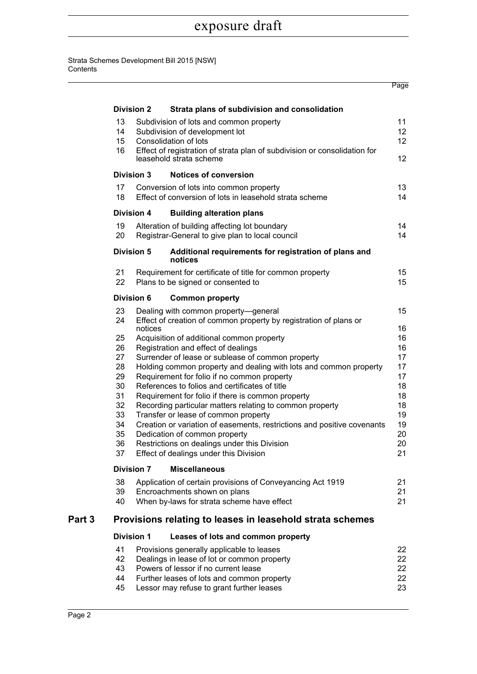Strata Schemes Development Bill 2015 [NSW] **Contents** 

|        |                  |                   |                                                                                                      | Page            |
|--------|------------------|-------------------|------------------------------------------------------------------------------------------------------|-----------------|
|        |                  | <b>Division 2</b> | Strata plans of subdivision and consolidation                                                        |                 |
|        | 13               |                   | Subdivision of lots and common property                                                              | 11              |
|        | 14               |                   | Subdivision of development lot                                                                       | 12 <sup>°</sup> |
|        | 15 <sub>15</sub> |                   | Consolidation of lots                                                                                | 12              |
|        | 16               |                   | Effect of registration of strata plan of subdivision or consolidation for<br>leasehold strata scheme | 12              |
|        |                  | Division 3        | <b>Notices of conversion</b>                                                                         |                 |
|        | 17               |                   | Conversion of lots into common property                                                              | 13              |
|        | 18               |                   | Effect of conversion of lots in leasehold strata scheme                                              | 14              |
|        |                  | <b>Division 4</b> | <b>Building alteration plans</b>                                                                     |                 |
|        | 19               |                   | Alteration of building affecting lot boundary                                                        | 14              |
|        | 20               |                   | Registrar-General to give plan to local council                                                      | 14              |
|        |                  | <b>Division 5</b> | Additional requirements for registration of plans and<br>notices                                     |                 |
|        | 21               |                   | Requirement for certificate of title for common property                                             | 15              |
|        | 22               |                   | Plans to be signed or consented to                                                                   | 15              |
|        |                  | <b>Division 6</b> | <b>Common property</b>                                                                               |                 |
|        | 23               |                   | Dealing with common property-general                                                                 | 15              |
|        | 24               |                   | Effect of creation of common property by registration of plans or                                    |                 |
|        |                  | notices           |                                                                                                      | 16              |
|        | 25<br>26         |                   | Acquisition of additional common property<br>Registration and effect of dealings                     | 16<br>16        |
|        | 27               |                   | Surrender of lease or sublease of common property                                                    | 17              |
|        | 28               |                   | Holding common property and dealing with lots and common property                                    | 17              |
|        | 29               |                   | Requirement for folio if no common property                                                          | 17              |
|        | 30               |                   | References to folios and certificates of title                                                       | 18              |
|        | 31               |                   | Requirement for folio if there is common property                                                    | 18              |
|        | 32               |                   | Recording particular matters relating to common property                                             | 18              |
|        | 33               |                   | Transfer or lease of common property                                                                 | 19              |
|        | 34               |                   | Creation or variation of easements, restrictions and positive covenants                              | 19              |
|        | 35               |                   | Dedication of common property                                                                        | 20              |
|        | 36               |                   | Restrictions on dealings under this Division                                                         | 20              |
|        | 37               |                   | Effect of dealings under this Division                                                               | 21              |
|        |                  | <b>Division 7</b> | <b>Miscellaneous</b>                                                                                 |                 |
|        | 38               |                   | Application of certain provisions of Conveyancing Act 1919                                           | 21              |
|        | 39               |                   | Encroachments shown on plans                                                                         | 21              |
|        | 40               |                   | When by-laws for strata scheme have effect                                                           | 21              |
| Part 3 |                  |                   | Provisions relating to leases in leasehold strata schemes                                            |                 |
|        |                  | <b>Division 1</b> | Leases of lots and common property                                                                   |                 |
|        | 41               |                   | Provisions generally applicable to leases                                                            | 22              |
|        | 42               |                   | Dealings in lease of lot or common property                                                          | 22              |
|        | 43               |                   | Powers of lessor if no current lease                                                                 | 22              |
|        | 44<br>45         |                   | Further leases of lots and common property<br>Lessor may refuse to grant further leases              | 22<br>23        |
|        |                  |                   |                                                                                                      |                 |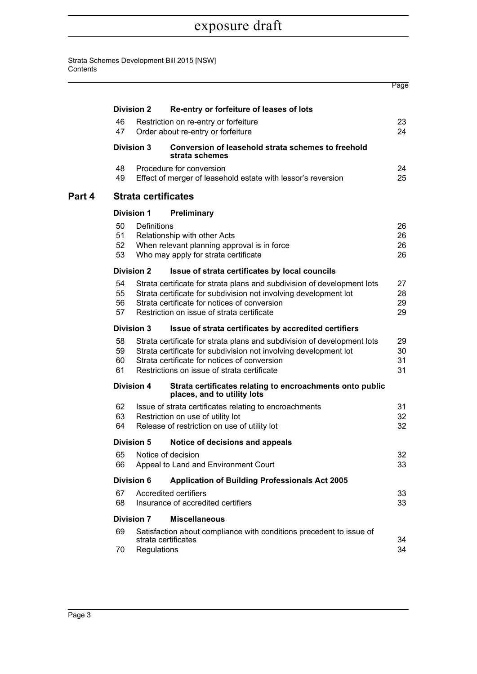Strata Schemes Development Bill 2015 [NSW] **Contents** 

|        |                                                                                                                                                                                                                                                                   |                            |                                                                                                                                                                                                                                            | Page                 |
|--------|-------------------------------------------------------------------------------------------------------------------------------------------------------------------------------------------------------------------------------------------------------------------|----------------------------|--------------------------------------------------------------------------------------------------------------------------------------------------------------------------------------------------------------------------------------------|----------------------|
|        |                                                                                                                                                                                                                                                                   | <b>Division 2</b>          | Re-entry or forfeiture of leases of lots                                                                                                                                                                                                   |                      |
|        | 46<br>47                                                                                                                                                                                                                                                          |                            | Restriction on re-entry or forfeiture<br>Order about re-entry or forfeiture                                                                                                                                                                | 23<br>24             |
|        |                                                                                                                                                                                                                                                                   | <b>Division 3</b>          | Conversion of leasehold strata schemes to freehold<br>strata schemes                                                                                                                                                                       |                      |
|        | 48<br>49                                                                                                                                                                                                                                                          |                            | Procedure for conversion<br>Effect of merger of leasehold estate with lessor's reversion                                                                                                                                                   | 24<br>25             |
| Part 4 |                                                                                                                                                                                                                                                                   | <b>Strata certificates</b> |                                                                                                                                                                                                                                            |                      |
|        |                                                                                                                                                                                                                                                                   | <b>Division 1</b>          | Preliminary                                                                                                                                                                                                                                |                      |
|        | 50<br>51<br>52<br>53                                                                                                                                                                                                                                              | Definitions                | Relationship with other Acts<br>When relevant planning approval is in force<br>Who may apply for strata certificate                                                                                                                        | 26<br>26<br>26<br>26 |
|        |                                                                                                                                                                                                                                                                   | <b>Division 2</b>          | Issue of strata certificates by local councils                                                                                                                                                                                             |                      |
|        | 54<br>Strata certificate for strata plans and subdivision of development lots<br>55<br>Strata certificate for subdivision not involving development lot<br>Strata certificate for notices of conversion<br>56<br>Restriction on issue of strata certificate<br>57 |                            |                                                                                                                                                                                                                                            |                      |
|        |                                                                                                                                                                                                                                                                   | <b>Division 3</b>          | Issue of strata certificates by accredited certifiers                                                                                                                                                                                      |                      |
|        | 58<br>59<br>60<br>61                                                                                                                                                                                                                                              |                            | Strata certificate for strata plans and subdivision of development lots<br>Strata certificate for subdivision not involving development lot<br>Strata certificate for notices of conversion<br>Restrictions on issue of strata certificate | 29<br>30<br>31<br>31 |
|        |                                                                                                                                                                                                                                                                   | <b>Division 4</b>          | Strata certificates relating to encroachments onto public<br>places, and to utility lots                                                                                                                                                   |                      |
|        | 62<br>63<br>64                                                                                                                                                                                                                                                    |                            | Issue of strata certificates relating to encroachments<br>Restriction on use of utility lot<br>Release of restriction on use of utility lot                                                                                                | 31<br>32<br>32       |
|        |                                                                                                                                                                                                                                                                   | <b>Division 5</b>          | Notice of decisions and appeals                                                                                                                                                                                                            |                      |
|        | 65<br>66                                                                                                                                                                                                                                                          |                            | Notice of decision<br>Appeal to Land and Environment Court                                                                                                                                                                                 | 32<br>33             |
|        |                                                                                                                                                                                                                                                                   | <b>Division 6</b>          | <b>Application of Building Professionals Act 2005</b>                                                                                                                                                                                      |                      |
|        | Accredited certifiers<br>67<br>Insurance of accredited certifiers<br>68                                                                                                                                                                                           |                            |                                                                                                                                                                                                                                            | 33<br>33             |
|        |                                                                                                                                                                                                                                                                   | <b>Division 7</b>          | <b>Miscellaneous</b>                                                                                                                                                                                                                       |                      |
|        | 69<br>70                                                                                                                                                                                                                                                          | Regulations                | Satisfaction about compliance with conditions precedent to issue of<br>strata certificates                                                                                                                                                 | 34<br>34             |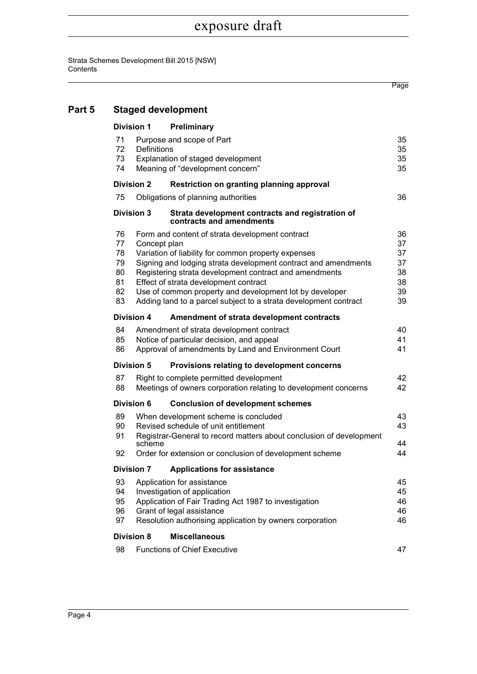Strata Schemes Development Bill 2015 [NSW] **Contents** 

Page

| Part 5 | <b>Staged development</b>                                                                                                                 |              |                                                                                                                                                                                                                                                                                                                                                                                                            |                                              |  |  |  |
|--------|-------------------------------------------------------------------------------------------------------------------------------------------|--------------|------------------------------------------------------------------------------------------------------------------------------------------------------------------------------------------------------------------------------------------------------------------------------------------------------------------------------------------------------------------------------------------------------------|----------------------------------------------|--|--|--|
|        | <b>Division 1</b><br>Preliminary                                                                                                          |              |                                                                                                                                                                                                                                                                                                                                                                                                            |                                              |  |  |  |
|        | 71<br>Purpose and scope of Part<br>72<br>Definitions<br>73<br>Explanation of staged development<br>74<br>Meaning of "development concern" |              |                                                                                                                                                                                                                                                                                                                                                                                                            |                                              |  |  |  |
|        | <b>Division 2</b><br>Restriction on granting planning approval                                                                            |              |                                                                                                                                                                                                                                                                                                                                                                                                            |                                              |  |  |  |
|        | 75                                                                                                                                        |              | Obligations of planning authorities                                                                                                                                                                                                                                                                                                                                                                        | 36                                           |  |  |  |
|        | <b>Division 3</b>                                                                                                                         |              | Strata development contracts and registration of<br>contracts and amendments                                                                                                                                                                                                                                                                                                                               |                                              |  |  |  |
|        | 76<br>77<br>78<br>79<br>80<br>81<br>82<br>83                                                                                              | Concept plan | Form and content of strata development contract<br>Variation of liability for common property expenses<br>Signing and lodging strata development contract and amendments<br>Registering strata development contract and amendments<br>Effect of strata development contract<br>Use of common property and development lot by developer<br>Adding land to a parcel subject to a strata development contract | 36<br>37<br>37<br>37<br>38<br>38<br>39<br>39 |  |  |  |
|        | <b>Division 4</b><br>Amendment of strata development contracts                                                                            |              |                                                                                                                                                                                                                                                                                                                                                                                                            |                                              |  |  |  |
|        | 84<br>85<br>86                                                                                                                            |              | Amendment of strata development contract<br>Notice of particular decision, and appeal<br>Approval of amendments by Land and Environment Court                                                                                                                                                                                                                                                              | 40<br>41<br>41                               |  |  |  |
|        | <b>Division 5</b>                                                                                                                         |              | Provisions relating to development concerns                                                                                                                                                                                                                                                                                                                                                                |                                              |  |  |  |
|        | 87<br>88                                                                                                                                  |              | Right to complete permitted development<br>Meetings of owners corporation relating to development concerns                                                                                                                                                                                                                                                                                                 | 42<br>42                                     |  |  |  |
|        | Division 6                                                                                                                                |              | <b>Conclusion of development schemes</b>                                                                                                                                                                                                                                                                                                                                                                   |                                              |  |  |  |
|        | 89<br>90<br>91                                                                                                                            | scheme       | When development scheme is concluded<br>Revised schedule of unit entitlement<br>Registrar-General to record matters about conclusion of development                                                                                                                                                                                                                                                        | 43<br>43<br>44                               |  |  |  |
|        | 92                                                                                                                                        |              | Order for extension or conclusion of development scheme                                                                                                                                                                                                                                                                                                                                                    | 44                                           |  |  |  |
|        | <b>Division 7</b>                                                                                                                         |              | <b>Applications for assistance</b>                                                                                                                                                                                                                                                                                                                                                                         |                                              |  |  |  |
|        | 93<br>94<br>95<br>96<br>97                                                                                                                |              | Application for assistance<br>Investigation of application<br>Application of Fair Trading Act 1987 to investigation<br>Grant of legal assistance<br>Resolution authorising application by owners corporation                                                                                                                                                                                               | 45<br>45<br>46<br>46<br>46                   |  |  |  |
|        | <b>Division 8</b>                                                                                                                         |              | <b>Miscellaneous</b>                                                                                                                                                                                                                                                                                                                                                                                       |                                              |  |  |  |
|        | 98                                                                                                                                        |              | <b>Functions of Chief Executive</b>                                                                                                                                                                                                                                                                                                                                                                        | 47                                           |  |  |  |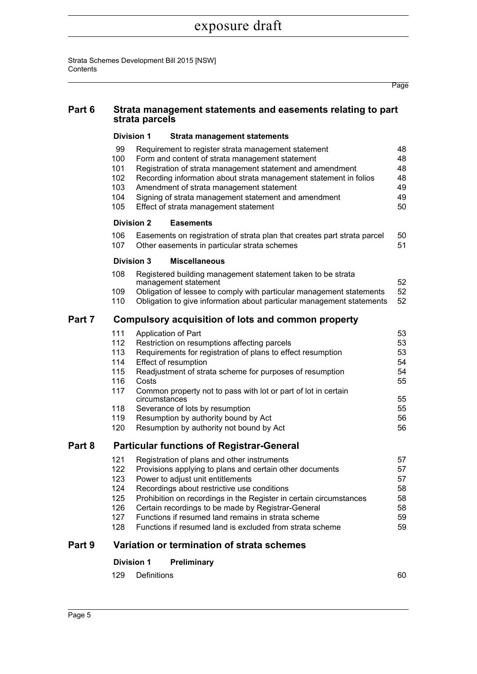Strata Schemes Development Bill 2015 [NSW] **Contents** 

|        |                                                                               |                   |                                                                                                                                                                                                                                                                                                                                                                                                                                           | Page                                               |  |  |  |
|--------|-------------------------------------------------------------------------------|-------------------|-------------------------------------------------------------------------------------------------------------------------------------------------------------------------------------------------------------------------------------------------------------------------------------------------------------------------------------------------------------------------------------------------------------------------------------------|----------------------------------------------------|--|--|--|
| Part 6 | Strata management statements and easements relating to part<br>strata parcels |                   |                                                                                                                                                                                                                                                                                                                                                                                                                                           |                                                    |  |  |  |
|        | <b>Division 1</b><br><b>Strata management statements</b>                      |                   |                                                                                                                                                                                                                                                                                                                                                                                                                                           |                                                    |  |  |  |
|        | 99<br>100<br>101<br>102<br>103<br>104<br>105                                  |                   | Requirement to register strata management statement<br>Form and content of strata management statement<br>Registration of strata management statement and amendment<br>Recording information about strata management statement in folios<br>Amendment of strata management statement<br>Signing of strata management statement and amendment<br>Effect of strata management statement                                                     | 48<br>48<br>48<br>48<br>49<br>49<br>50             |  |  |  |
|        |                                                                               | <b>Division 2</b> | <b>Easements</b>                                                                                                                                                                                                                                                                                                                                                                                                                          |                                                    |  |  |  |
|        | 106<br>107                                                                    |                   | Easements on registration of strata plan that creates part strata parcel<br>Other easements in particular strata schemes                                                                                                                                                                                                                                                                                                                  | 50<br>51                                           |  |  |  |
|        |                                                                               | <b>Division 3</b> | <b>Miscellaneous</b>                                                                                                                                                                                                                                                                                                                                                                                                                      |                                                    |  |  |  |
|        | 108<br>109<br>110                                                             |                   | Registered building management statement taken to be strata<br>management statement<br>Obligation of lessee to comply with particular management statements<br>Obligation to give information about particular management statements                                                                                                                                                                                                      | 52<br>52<br>52                                     |  |  |  |
| Part 7 | Compulsory acquisition of lots and common property                            |                   |                                                                                                                                                                                                                                                                                                                                                                                                                                           |                                                    |  |  |  |
|        | 111<br>112<br>113<br>114<br>115<br>116<br>117<br>118<br>119                   | Costs             | Application of Part<br>Restriction on resumptions affecting parcels<br>Requirements for registration of plans to effect resumption<br>Effect of resumption<br>Readjustment of strata scheme for purposes of resumption<br>Common property not to pass with lot or part of lot in certain<br>circumstances<br>Severance of lots by resumption<br>Resumption by authority bound by Act                                                      | 53<br>53<br>53<br>54<br>54<br>55<br>55<br>55<br>56 |  |  |  |
|        | 120                                                                           |                   | Resumption by authority not bound by Act                                                                                                                                                                                                                                                                                                                                                                                                  | 56                                                 |  |  |  |
| Part 8 | <b>Particular functions of Registrar-General</b>                              |                   |                                                                                                                                                                                                                                                                                                                                                                                                                                           |                                                    |  |  |  |
|        | 121<br>122<br>123<br>124<br>125<br>126<br>127<br>128                          |                   | Registration of plans and other instruments<br>Provisions applying to plans and certain other documents<br>Power to adjust unit entitlements<br>Recordings about restrictive use conditions<br>Prohibition on recordings in the Register in certain circumstances<br>Certain recordings to be made by Registrar-General<br>Functions if resumed land remains in strata scheme<br>Functions if resumed land is excluded from strata scheme | 57<br>57<br>57<br>58<br>58<br>58<br>59<br>59       |  |  |  |
| Part 9 |                                                                               |                   | Variation or termination of strata schemes                                                                                                                                                                                                                                                                                                                                                                                                |                                                    |  |  |  |
|        | <b>Division 1</b>                                                             |                   | Preliminary                                                                                                                                                                                                                                                                                                                                                                                                                               |                                                    |  |  |  |

| 129 Definitions |  | 60 |
|-----------------|--|----|
|                 |  |    |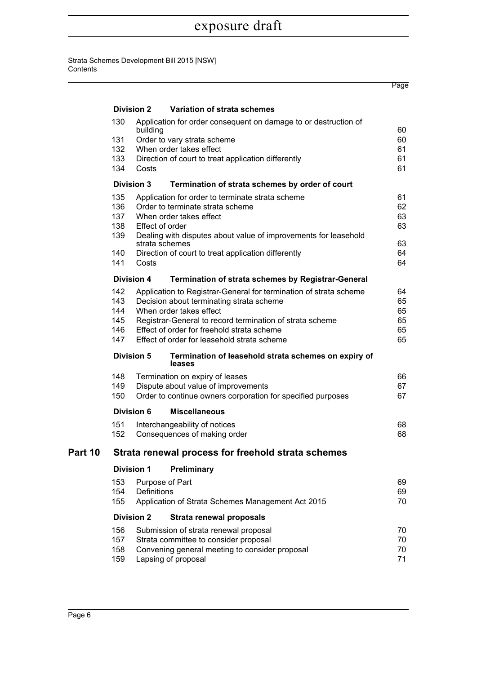#### Strata Schemes Development Bill 2015 [NSW] **Contents**

|         |                                                    |                                                         |                                                                                   | Page     |  |  |  |
|---------|----------------------------------------------------|---------------------------------------------------------|-----------------------------------------------------------------------------------|----------|--|--|--|
|         |                                                    | <b>Division 2</b>                                       | Variation of strata schemes                                                       |          |  |  |  |
|         | 130                                                | building                                                | Application for order consequent on damage to or destruction of                   | 60       |  |  |  |
|         | 131                                                |                                                         | Order to vary strata scheme                                                       | 60       |  |  |  |
|         | 132                                                |                                                         | When order takes effect                                                           | 61       |  |  |  |
|         | 133                                                |                                                         | Direction of court to treat application differently                               | 61       |  |  |  |
|         | 134                                                | Costs                                                   |                                                                                   | 61       |  |  |  |
|         |                                                    | <b>Division 3</b>                                       | Termination of strata schemes by order of court                                   |          |  |  |  |
|         | 135                                                |                                                         | Application for order to terminate strata scheme                                  | 61       |  |  |  |
|         | 136                                                |                                                         | Order to terminate strata scheme                                                  | 62       |  |  |  |
|         | 137                                                |                                                         | When order takes effect                                                           | 63       |  |  |  |
|         | 138                                                | Effect of order                                         |                                                                                   | 63       |  |  |  |
|         | 139                                                |                                                         | Dealing with disputes about value of improvements for leasehold<br>strata schemes | 63       |  |  |  |
|         | 140                                                |                                                         | Direction of court to treat application differently                               | 64       |  |  |  |
|         | 141                                                | Costs                                                   |                                                                                   | 64       |  |  |  |
|         |                                                    | <b>Division 4</b>                                       | <b>Termination of strata schemes by Registrar-General</b>                         |          |  |  |  |
|         | 142                                                |                                                         | Application to Registrar-General for termination of strata scheme                 | 64       |  |  |  |
|         | 143                                                | Decision about terminating strata scheme<br>65          |                                                                                   |          |  |  |  |
|         | 144                                                |                                                         | When order takes effect                                                           | 65       |  |  |  |
|         | 145                                                |                                                         | Registrar-General to record termination of strata scheme                          | 65       |  |  |  |
|         | 146                                                |                                                         | Effect of order for freehold strata scheme                                        | 65<br>65 |  |  |  |
|         | 147<br>Effect of order for leasehold strata scheme |                                                         |                                                                                   |          |  |  |  |
|         |                                                    | <b>Division 5</b>                                       | Termination of leasehold strata schemes on expiry of<br>leases                    |          |  |  |  |
|         | 148<br>Termination on expiry of leases             |                                                         |                                                                                   |          |  |  |  |
|         | 149                                                | Dispute about value of improvements                     |                                                                                   |          |  |  |  |
|         | 150                                                |                                                         | Order to continue owners corporation for specified purposes                       | 67       |  |  |  |
|         |                                                    | <b>Division 6</b>                                       | <b>Miscellaneous</b>                                                              |          |  |  |  |
|         | 151                                                |                                                         | Interchangeability of notices                                                     | 68       |  |  |  |
|         | 152                                                |                                                         | Consequences of making order                                                      | 68       |  |  |  |
| Part 10 | Strata renewal process for freehold strata schemes |                                                         |                                                                                   |          |  |  |  |
|         |                                                    | <b>Division 1</b>                                       | <b>Preliminary</b>                                                                |          |  |  |  |
|         | 153                                                |                                                         | Purpose of Part                                                                   | 69       |  |  |  |
|         | 154                                                | Definitions                                             |                                                                                   | 69       |  |  |  |
|         | 155                                                | Application of Strata Schemes Management Act 2015<br>70 |                                                                                   |          |  |  |  |
|         |                                                    | <b>Division 2</b>                                       | Strata renewal proposals                                                          |          |  |  |  |
|         | 156                                                |                                                         | Submission of strata renewal proposal                                             | 70       |  |  |  |
|         | 157<br>Strata committee to consider proposal<br>70 |                                                         |                                                                                   |          |  |  |  |
|         | 158                                                |                                                         | Convening general meeting to consider proposal                                    | 70       |  |  |  |
|         | 159                                                |                                                         | Lapsing of proposal                                                               | 71       |  |  |  |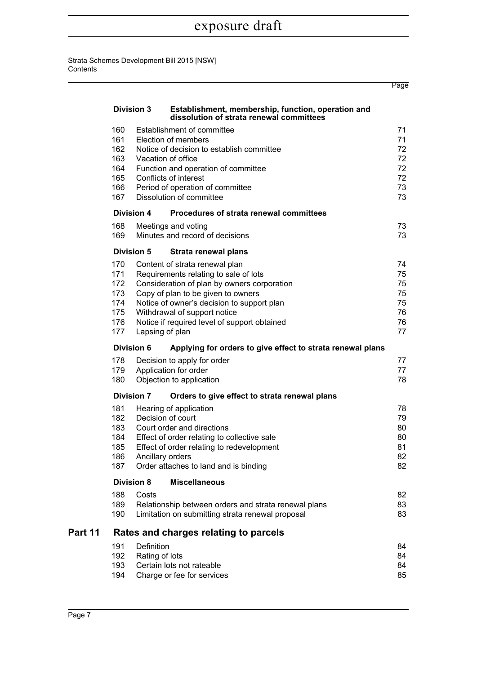#### Strata Schemes Development Bill 2015 [NSW] **Contents**

|         |                                                      |                              |                                                                                                                                                                                                                                                                                            | Page                                         |
|---------|------------------------------------------------------|------------------------------|--------------------------------------------------------------------------------------------------------------------------------------------------------------------------------------------------------------------------------------------------------------------------------------------|----------------------------------------------|
|         | <b>Division 3</b>                                    |                              | Establishment, membership, function, operation and<br>dissolution of strata renewal committees                                                                                                                                                                                             |                                              |
|         | 160<br>161<br>162<br>163<br>164<br>165<br>166<br>167 |                              | Establishment of committee<br>Election of members<br>Notice of decision to establish committee<br>Vacation of office<br>Function and operation of committee<br>Conflicts of interest<br>Period of operation of committee<br>Dissolution of committee                                       | 71<br>71<br>72<br>72<br>72<br>72<br>73<br>73 |
|         | <b>Division 4</b>                                    |                              | Procedures of strata renewal committees                                                                                                                                                                                                                                                    |                                              |
|         | 168<br>169                                           |                              | Meetings and voting<br>Minutes and record of decisions                                                                                                                                                                                                                                     | 73<br>73                                     |
|         | <b>Division 5</b>                                    |                              | Strata renewal plans                                                                                                                                                                                                                                                                       |                                              |
|         | 170<br>171<br>172<br>173<br>174<br>175<br>176<br>177 | Lapsing of plan              | Content of strata renewal plan<br>Requirements relating to sale of lots<br>Consideration of plan by owners corporation<br>Copy of plan to be given to owners<br>Notice of owner's decision to support plan<br>Withdrawal of support notice<br>Notice if required level of support obtained | 74<br>75<br>75<br>75<br>75<br>76<br>76<br>77 |
|         | <b>Division 6</b>                                    |                              | Applying for orders to give effect to strata renewal plans                                                                                                                                                                                                                                 |                                              |
|         | 178<br>179<br>180                                    |                              | Decision to apply for order<br>Application for order<br>Objection to application                                                                                                                                                                                                           | 77<br>77<br>78                               |
|         | <b>Division 7</b>                                    |                              | Orders to give effect to strata renewal plans                                                                                                                                                                                                                                              |                                              |
|         | 181<br>182<br>183<br>184<br>185<br>186<br>187        | Ancillary orders             | Hearing of application<br>Decision of court<br>Court order and directions<br>Effect of order relating to collective sale<br>Effect of order relating to redevelopment<br>Order attaches to land and is binding                                                                             | 78<br>79<br>80<br>80<br>81<br>82<br>82       |
|         | <b>Division 8</b>                                    |                              | <b>Miscellaneous</b>                                                                                                                                                                                                                                                                       |                                              |
|         | 188<br>189<br>190                                    | Costs                        | Relationship between orders and strata renewal plans<br>Limitation on submitting strata renewal proposal                                                                                                                                                                                   | 82<br>83<br>83                               |
| Part 11 |                                                      |                              | Rates and charges relating to parcels                                                                                                                                                                                                                                                      |                                              |
|         | 191<br>192<br>193<br>194                             | Definition<br>Rating of lots | Certain lots not rateable<br>Charge or fee for services                                                                                                                                                                                                                                    | 84<br>84<br>84<br>85                         |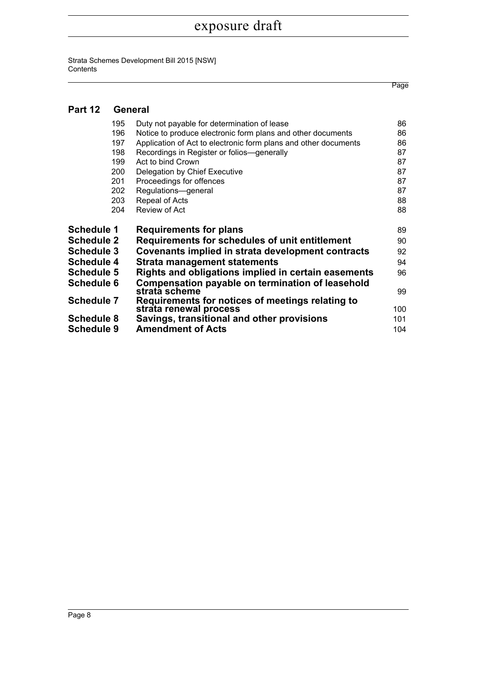Strata Schemes Development Bill 2015 [NSW] **Contents** 

### **[Part 12 General](#page-115-0)**

| 195               | Duty not payable for determination of lease                       | 86  |
|-------------------|-------------------------------------------------------------------|-----|
| 196               | Notice to produce electronic form plans and other documents       | 86  |
| 197               | Application of Act to electronic form plans and other documents   | 86  |
| 198               | Recordings in Register or folios-generally                        | 87  |
| 199               | Act to bind Crown                                                 | 87  |
| 200               | Delegation by Chief Executive                                     | 87  |
| 201               | Proceedings for offences                                          | 87  |
| 202               | Regulations-general                                               | 87  |
| 203               | Repeal of Acts                                                    | 88  |
| 204               | Review of Act                                                     | 88  |
| Schedule 1        | <b>Requirements for plans</b>                                     | 89  |
| <b>Schedule 2</b> | Requirements for schedules of unit entitlement                    | 90  |
| Schedule 3        | Covenants implied in strata development contracts                 | 92  |
|                   |                                                                   |     |
| <b>Schedule 4</b> | Strata management statements                                      | 94  |
| <b>Schedule 5</b> | Rights and obligations implied in certain easements               | 96  |
| <b>Schedule 6</b> | Compensation payable on termination of leasehold<br>strata scheme | 99  |
| <b>Schedule 7</b> | Requirements for notices of meetings relating to                  |     |
|                   | strata renewal process                                            | 100 |
| Schedule 8        | Savings, transitional and other provisions                        | 101 |
| Schedule 9        | <b>Amendment of Acts</b>                                          | 104 |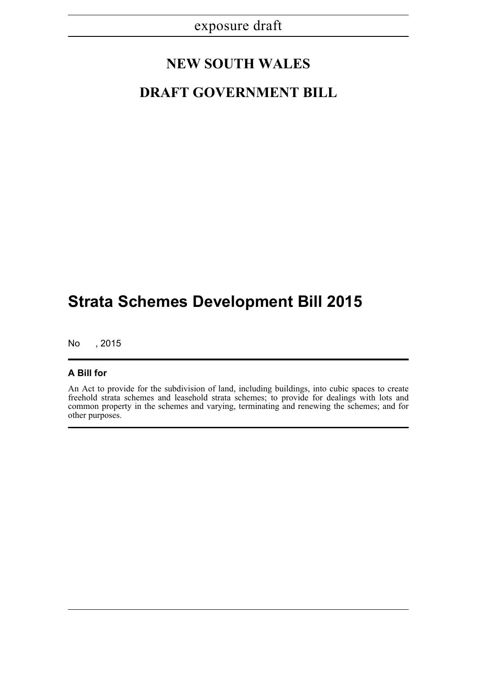## **NEW SOUTH WALES**

## **DRAFT GOVERNMENT BILL**

# **Strata Schemes Development Bill 2015**

No , 2015

### **A Bill for**

An Act to provide for the subdivision of land, including buildings, into cubic spaces to create freehold strata schemes and leasehold strata schemes; to provide for dealings with lots and common property in the schemes and varying, terminating and renewing the schemes; and for other purposes.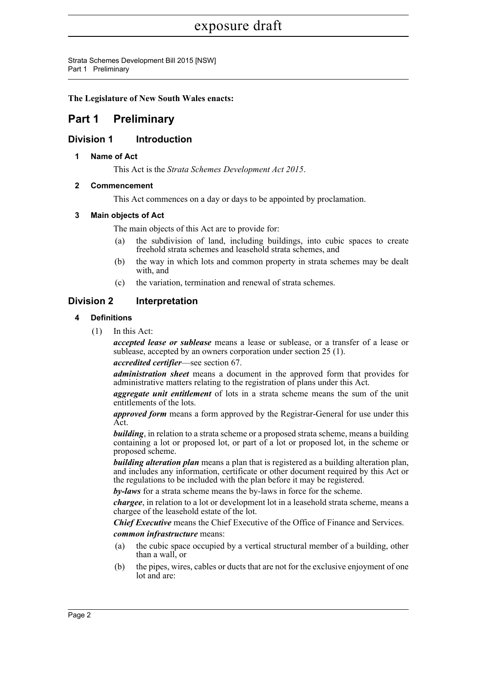Strata Schemes Development Bill 2015 [NSW] Part 1 Preliminary

**The Legislature of New South Wales enacts:**

### <span id="page-31-0"></span>**Part 1 Preliminary**

### <span id="page-31-2"></span><span id="page-31-1"></span>**Division 1 Introduction**

### **1 Name of Act**

This Act is the *Strata Schemes Development Act 2015*.

### <span id="page-31-3"></span>**2 Commencement**

This Act commences on a day or days to be appointed by proclamation.

### <span id="page-31-4"></span>**3 Main objects of Act**

The main objects of this Act are to provide for:

- (a) the subdivision of land, including buildings, into cubic spaces to create freehold strata schemes and leasehold strata schemes, and
- (b) the way in which lots and common property in strata schemes may be dealt with, and
- (c) the variation, termination and renewal of strata schemes.

### <span id="page-31-6"></span><span id="page-31-5"></span>**Division 2 Interpretation**

### **4 Definitions**

(1) In this Act:

*accepted lease or sublease* means a lease or sublease, or a transfer of a lease or sublease, accepted by an owners corporation under section 25 (1).

#### *accredited certifier*—see section 67.

*administration sheet* means a document in the approved form that provides for administrative matters relating to the registration of plans under this Act.

*aggregate unit entitlement* of lots in a strata scheme means the sum of the unit entitlements of the lots.

*approved form* means a form approved by the Registrar-General for use under this Act.

*building*, in relation to a strata scheme or a proposed strata scheme, means a building containing a lot or proposed lot, or part of a lot or proposed lot, in the scheme or proposed scheme.

*building alteration plan* means a plan that is registered as a building alteration plan, and includes any information, certificate or other document required by this Act or the regulations to be included with the plan before it may be registered.

*by-laws* for a strata scheme means the by-laws in force for the scheme.

*chargee*, in relation to a lot or development lot in a leasehold strata scheme, means a chargee of the leasehold estate of the lot.

*Chief Executive* means the Chief Executive of the Office of Finance and Services.

*common infrastructure* means:

- (a) the cubic space occupied by a vertical structural member of a building, other than a wall, or
- (b) the pipes, wires, cables or ducts that are not for the exclusive enjoyment of one lot and are: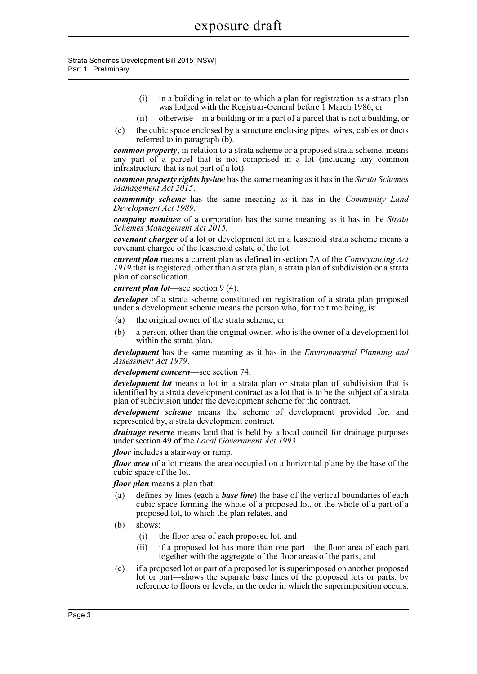- (i) in a building in relation to which a plan for registration as a strata plan was lodged with the Registrar-General before 1 March 1986, or
- (ii) otherwise—in a building or in a part of a parcel that is not a building, or
- (c) the cubic space enclosed by a structure enclosing pipes, wires, cables or ducts referred to in paragraph (b).

*common property*, in relation to a strata scheme or a proposed strata scheme, means any part of a parcel that is not comprised in a lot (including any common infrastructure that is not part of a lot).

*common property rights by-law* has the same meaning as it has in the *Strata Schemes Management Act 2015*.

*community scheme* has the same meaning as it has in the *Community Land Development Act 1989*.

*company nominee* of a corporation has the same meaning as it has in the *Strata Schemes Management Act 2015*.

*covenant chargee* of a lot or development lot in a leasehold strata scheme means a covenant chargee of the leasehold estate of the lot.

*current plan* means a current plan as defined in section 7A of the *Conveyancing Act 1919* that is registered, other than a strata plan, a strata plan of subdivision or a strata plan of consolidation.

#### *current plan lot*—see section 9 (4).

*developer* of a strata scheme constituted on registration of a strata plan proposed under a development scheme means the person who, for the time being, is:

- (a) the original owner of the strata scheme, or
- (b) a person, other than the original owner, who is the owner of a development lot within the strata plan.

*development* has the same meaning as it has in the *Environmental Planning and Assessment Act 1979*.

*development concern*—see section 74.

*development lot* means a lot in a strata plan or strata plan of subdivision that is identified by a strata development contract as a lot that is to be the subject of a strata plan of subdivision under the development scheme for the contract.

*development scheme* means the scheme of development provided for, and represented by, a strata development contract.

*drainage reserve* means land that is held by a local council for drainage purposes under section 49 of the *Local Government Act 1993*.

*floor* includes a stairway or ramp.

*floor area* of a lot means the area occupied on a horizontal plane by the base of the cubic space of the lot.

*floor plan* means a plan that:

- (a) defines by lines (each a *base line*) the base of the vertical boundaries of each cubic space forming the whole of a proposed lot, or the whole of a part of a proposed lot, to which the plan relates, and
- (b) shows:
	- (i) the floor area of each proposed lot, and
	- (ii) if a proposed lot has more than one part—the floor area of each part together with the aggregate of the floor areas of the parts, and
- (c) if a proposed lot or part of a proposed lot is superimposed on another proposed lot or part—shows the separate base lines of the proposed lots or parts, by reference to floors or levels, in the order in which the superimposition occurs.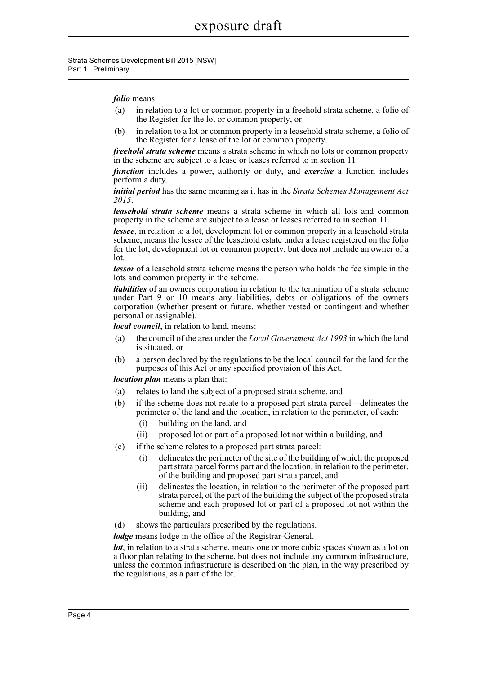#### *folio* means:

- (a) in relation to a lot or common property in a freehold strata scheme, a folio of the Register for the lot or common property, or
- (b) in relation to a lot or common property in a leasehold strata scheme, a folio of the Register for a lease of the lot or common property.

*freehold strata scheme* means a strata scheme in which no lots or common property in the scheme are subject to a lease or leases referred to in section 11.

*function* includes a power, authority or duty, and *exercise* a function includes perform a duty.

*initial period* has the same meaning as it has in the *Strata Schemes Management Act 2015*.

*leasehold strata scheme* means a strata scheme in which all lots and common property in the scheme are subject to a lease or leases referred to in section 11.

*lessee*, in relation to a lot, development lot or common property in a leasehold strata scheme, means the lessee of the leasehold estate under a lease registered on the folio for the lot, development lot or common property, but does not include an owner of a lot.

*lessor* of a leasehold strata scheme means the person who holds the fee simple in the lots and common property in the scheme.

*liabilities* of an owners corporation in relation to the termination of a strata scheme under Part 9 or 10 means any liabilities, debts or obligations of the owners corporation (whether present or future, whether vested or contingent and whether personal or assignable).

*local council*, in relation to land, means:

- (a) the council of the area under the *Local Government Act 1993* in which the land is situated, or
- (b) a person declared by the regulations to be the local council for the land for the purposes of this Act or any specified provision of this Act.

*location plan* means a plan that:

- (a) relates to land the subject of a proposed strata scheme, and
- (b) if the scheme does not relate to a proposed part strata parcel—delineates the perimeter of the land and the location, in relation to the perimeter, of each:
	- (i) building on the land, and
	- (ii) proposed lot or part of a proposed lot not within a building, and
- (c) if the scheme relates to a proposed part strata parcel:
	- (i) delineates the perimeter of the site of the building of which the proposed part strata parcel forms part and the location, in relation to the perimeter, of the building and proposed part strata parcel, and
	- (ii) delineates the location, in relation to the perimeter of the proposed part strata parcel, of the part of the building the subject of the proposed strata scheme and each proposed lot or part of a proposed lot not within the building, and
- (d) shows the particulars prescribed by the regulations.

*lodge* means lodge in the office of the Registrar-General.

*lot*, in relation to a strata scheme, means one or more cubic spaces shown as a lot on a floor plan relating to the scheme, but does not include any common infrastructure, unless the common infrastructure is described on the plan, in the way prescribed by the regulations, as a part of the lot.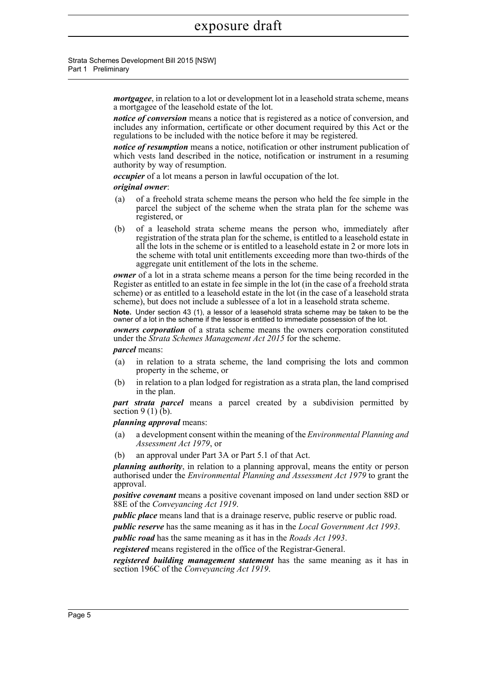> *mortgagee*, in relation to a lot or development lot in a leasehold strata scheme, means a mortgagee of the leasehold estate of the lot.

> *notice of conversion* means a notice that is registered as a notice of conversion, and includes any information, certificate or other document required by this Act or the regulations to be included with the notice before it may be registered.

> *notice of resumption* means a notice, notification or other instrument publication of which vests land described in the notice, notification or instrument in a resuming authority by way of resumption.

*occupier* of a lot means a person in lawful occupation of the lot.

#### *original owner*:

- (a) of a freehold strata scheme means the person who held the fee simple in the parcel the subject of the scheme when the strata plan for the scheme was registered, or
- (b) of a leasehold strata scheme means the person who, immediately after registration of the strata plan for the scheme, is entitled to a leasehold estate in all the lots in the scheme or is entitled to a leasehold estate in 2 or more lots in the scheme with total unit entitlements exceeding more than two-thirds of the aggregate unit entitlement of the lots in the scheme.

*owner* of a lot in a strata scheme means a person for the time being recorded in the Register as entitled to an estate in fee simple in the lot (in the case of a freehold strata scheme) or as entitled to a leasehold estate in the lot (in the case of a leasehold strata scheme), but does not include a sublessee of a lot in a leasehold strata scheme.

**Note.** Under section 43 (1), a lessor of a leasehold strata scheme may be taken to be the owner of a lot in the scheme if the lessor is entitled to immediate possession of the lot.

*owners corporation* of a strata scheme means the owners corporation constituted under the *Strata Schemes Management Act 2015* for the scheme.

*parcel* means:

- (a) in relation to a strata scheme, the land comprising the lots and common property in the scheme, or
- (b) in relation to a plan lodged for registration as a strata plan, the land comprised in the plan.

*part strata parcel* means a parcel created by a subdivision permitted by section  $9(1)$  (b).

*planning approval* means:

- (a) a development consent within the meaning of the *Environmental Planning and Assessment Act 1979*, or
- (b) an approval under Part 3A or Part 5.1 of that Act.

*planning authority*, in relation to a planning approval, means the entity or person authorised under the *Environmental Planning and Assessment Act 1979* to grant the approval.

*positive covenant* means a positive covenant imposed on land under section 88D or 88E of the *Conveyancing Act 1919*.

*public place* means land that is a drainage reserve, public reserve or public road.

*public reserve* has the same meaning as it has in the *Local Government Act 1993*.

*public road* has the same meaning as it has in the *Roads Act 1993*.

*registered* means registered in the office of the Registrar-General.

*registered building management statement* has the same meaning as it has in section 196C of the *Conveyancing Act 1919*.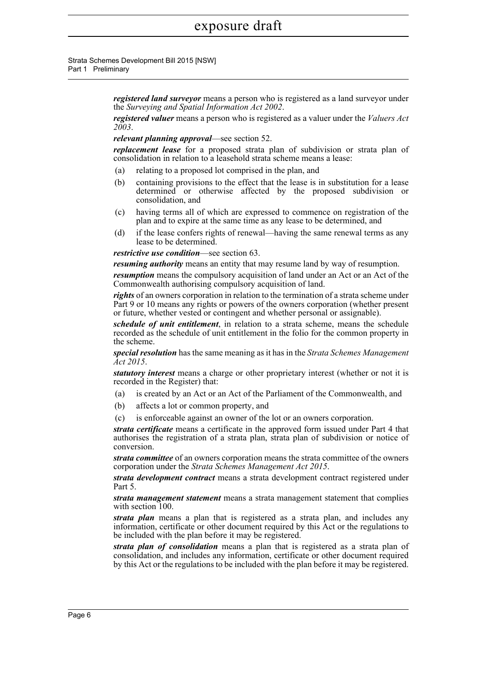*registered land surveyor* means a person who is registered as a land surveyor under the *Surveying and Spatial Information Act 2002*.

*registered valuer* means a person who is registered as a valuer under the *Valuers Act 2003*.

*relevant planning approval*—see section 52.

*replacement lease* for a proposed strata plan of subdivision or strata plan of consolidation in relation to a leasehold strata scheme means a lease:

- (a) relating to a proposed lot comprised in the plan, and
- (b) containing provisions to the effect that the lease is in substitution for a lease determined or otherwise affected by the proposed subdivision or consolidation, and
- (c) having terms all of which are expressed to commence on registration of the plan and to expire at the same time as any lease to be determined, and
- (d) if the lease confers rights of renewal—having the same renewal terms as any lease to be determined.

*restrictive use condition*—see section 63.

*resuming authority* means an entity that may resume land by way of resumption.

*resumption* means the compulsory acquisition of land under an Act or an Act of the Commonwealth authorising compulsory acquisition of land.

*rights* of an owners corporation in relation to the termination of a strata scheme under Part 9 or 10 means any rights or powers of the owners corporation (whether present or future, whether vested or contingent and whether personal or assignable).

*schedule of unit entitlement*, in relation to a strata scheme, means the schedule recorded as the schedule of unit entitlement in the folio for the common property in the scheme.

*special resolution* has the same meaning as it has in the *Strata Schemes Management Act 2015*.

*statutory interest* means a charge or other proprietary interest (whether or not it is recorded in the Register) that:

- (a) is created by an Act or an Act of the Parliament of the Commonwealth, and
- (b) affects a lot or common property, and
- (c) is enforceable against an owner of the lot or an owners corporation.

*strata certificate* means a certificate in the approved form issued under Part 4 that authorises the registration of a strata plan, strata plan of subdivision or notice of conversion.

*strata committee* of an owners corporation means the strata committee of the owners corporation under the *Strata Schemes Management Act 2015*.

*strata development contract* means a strata development contract registered under Part 5.

*strata management statement* means a strata management statement that complies with section 100.

*strata plan* means a plan that is registered as a strata plan, and includes any information, certificate or other document required by this Act or the regulations to be included with the plan before it may be registered.

*strata plan of consolidation* means a plan that is registered as a strata plan of consolidation, and includes any information, certificate or other document required by this Act or the regulations to be included with the plan before it may be registered.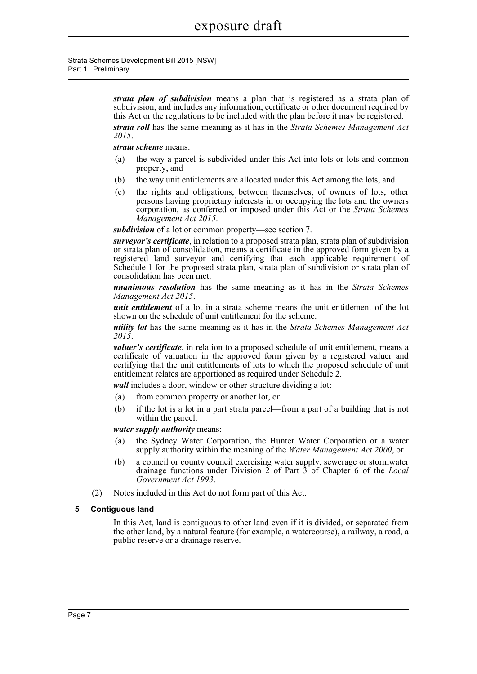Strata Schemes Development Bill 2015 [NSW] Part 1 Preliminary

> *strata plan of subdivision* means a plan that is registered as a strata plan of subdivision, and includes any information, certificate or other document required by this Act or the regulations to be included with the plan before it may be registered.

> *strata roll* has the same meaning as it has in the *Strata Schemes Management Act 2015*.

#### *strata scheme* means:

- (a) the way a parcel is subdivided under this Act into lots or lots and common property, and
- (b) the way unit entitlements are allocated under this Act among the lots, and
- (c) the rights and obligations, between themselves, of owners of lots, other persons having proprietary interests in or occupying the lots and the owners corporation, as conferred or imposed under this Act or the *Strata Schemes Management Act 2015*.

*subdivision* of a lot or common property—see section 7.

*surveyor's certificate*, in relation to a proposed strata plan, strata plan of subdivision or strata plan of consolidation, means a certificate in the approved form given by a registered land surveyor and certifying that each applicable requirement of Schedule 1 for the proposed strata plan, strata plan of subdivision or strata plan of consolidation has been met.

*unanimous resolution* has the same meaning as it has in the *Strata Schemes Management Act 2015*.

*unit entitlement* of a lot in a strata scheme means the unit entitlement of the lot shown on the schedule of unit entitlement for the scheme.

*utility lot* has the same meaning as it has in the *Strata Schemes Management Act 2015*.

*valuer's certificate*, in relation to a proposed schedule of unit entitlement, means a certificate of valuation in the approved form given by a registered valuer and certifying that the unit entitlements of lots to which the proposed schedule of unit entitlement relates are apportioned as required under Schedule 2.

*wall* includes a door, window or other structure dividing a lot:

- (a) from common property or another lot, or
- (b) if the lot is a lot in a part strata parcel—from a part of a building that is not within the parcel.

*water supply authority* means:

- (a) the Sydney Water Corporation, the Hunter Water Corporation or a water supply authority within the meaning of the *Water Management Act 2000*, or
- (b) a council or county council exercising water supply, sewerage or stormwater drainage functions under Division 2 of Part 3 of Chapter 6 of the *Local Government Act 1993*.
- (2) Notes included in this Act do not form part of this Act.

### **5 Contiguous land**

In this Act, land is contiguous to other land even if it is divided, or separated from the other land, by a natural feature (for example, a watercourse), a railway, a road, a public reserve or a drainage reserve.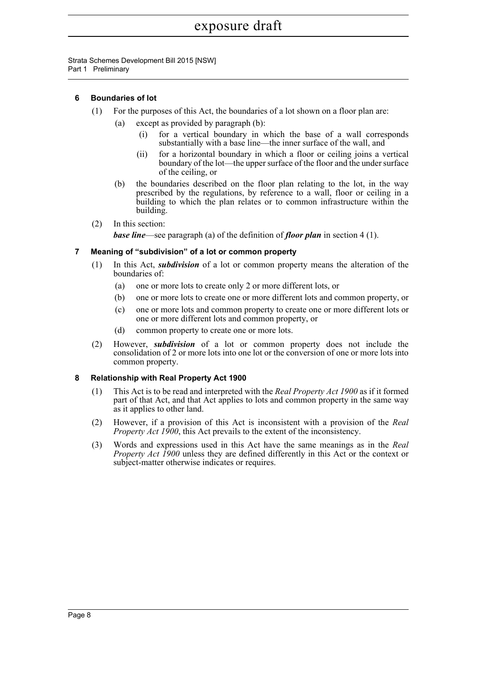Strata Schemes Development Bill 2015 [NSW] Part 1 Preliminary

## **6 Boundaries of lot**

- (1) For the purposes of this Act, the boundaries of a lot shown on a floor plan are:
	- (a) except as provided by paragraph (b):
		- (i) for a vertical boundary in which the base of a wall corresponds substantially with a base line—the inner surface of the wall, and
		- (ii) for a horizontal boundary in which a floor or ceiling joins a vertical boundary of the lot—the upper surface of the floor and the under surface of the ceiling, or
	- (b) the boundaries described on the floor plan relating to the lot, in the way prescribed by the regulations, by reference to a wall, floor or ceiling in a building to which the plan relates or to common infrastructure within the building.
- (2) In this section: *base line*—see paragraph (a) of the definition of *floor plan* in section 4 (1).

## **7 Meaning of "subdivision" of a lot or common property**

- (1) In this Act, *subdivision* of a lot or common property means the alteration of the boundaries of:
	- (a) one or more lots to create only 2 or more different lots, or
	- (b) one or more lots to create one or more different lots and common property, or
	- (c) one or more lots and common property to create one or more different lots or one or more different lots and common property, or
	- (d) common property to create one or more lots.
- (2) However, *subdivision* of a lot or common property does not include the consolidation of 2 or more lots into one lot or the conversion of one or more lots into common property.

## **8 Relationship with Real Property Act 1900**

- (1) This Act is to be read and interpreted with the *Real Property Act 1900* as if it formed part of that Act, and that Act applies to lots and common property in the same way as it applies to other land.
- (2) However, if a provision of this Act is inconsistent with a provision of the *Real Property Act 1900*, this Act prevails to the extent of the inconsistency.
- (3) Words and expressions used in this Act have the same meanings as in the *Real Property Act 1900* unless they are defined differently in this Act or the context or subject-matter otherwise indicates or requires.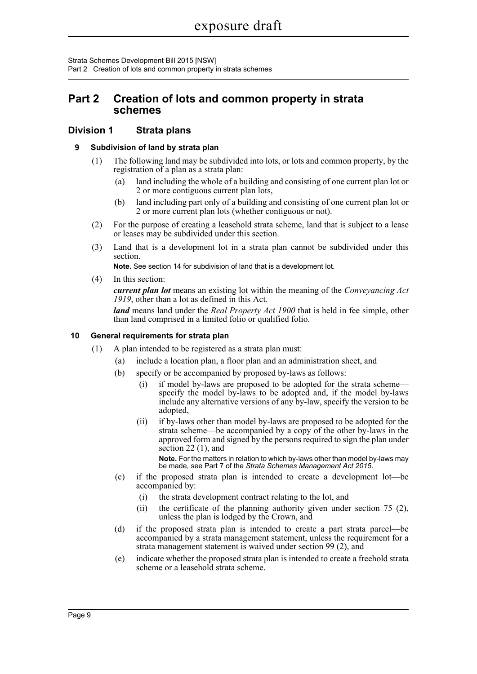Strata Schemes Development Bill 2015 [NSW] Part 2 Creation of lots and common property in strata schemes

# **Part 2 Creation of lots and common property in strata schemes**

# **Division 1 Strata plans**

## **9 Subdivision of land by strata plan**

- (1) The following land may be subdivided into lots, or lots and common property, by the registration of a plan as a strata plan:
	- (a) land including the whole of a building and consisting of one current plan lot or 2 or more contiguous current plan lots,
	- (b) land including part only of a building and consisting of one current plan lot or 2 or more current plan lots (whether contiguous or not).
- (2) For the purpose of creating a leasehold strata scheme, land that is subject to a lease or leases may be subdivided under this section.
- (3) Land that is a development lot in a strata plan cannot be subdivided under this section.

**Note.** See section 14 for subdivision of land that is a development lot.

(4) In this section:

*current plan lot* means an existing lot within the meaning of the *Conveyancing Act 1919*, other than a lot as defined in this Act.

*land* means land under the *Real Property Act 1900* that is held in fee simple, other than land comprised in a limited folio or qualified folio.

## **10 General requirements for strata plan**

- (1) A plan intended to be registered as a strata plan must:
	- (a) include a location plan, a floor plan and an administration sheet, and
	- (b) specify or be accompanied by proposed by-laws as follows:
		- (i) if model by-laws are proposed to be adopted for the strata scheme specify the model by-laws to be adopted and, if the model by-laws include any alternative versions of any by-law, specify the version to be adopted,
		- (ii) if by-laws other than model by-laws are proposed to be adopted for the strata scheme—be accompanied by a copy of the other by-laws in the approved form and signed by the persons required to sign the plan under section 22 (1), and

**Note.** For the matters in relation to which by-laws other than model by-laws may be made, see Part 7 of the *Strata Schemes Management Act 2015*.

- (c) if the proposed strata plan is intended to create a development lot—be accompanied by:
	- (i) the strata development contract relating to the lot, and
	- (ii) the certificate of the planning authority given under section 75 (2), unless the plan is lodged by the Crown, and
- (d) if the proposed strata plan is intended to create a part strata parcel—be accompanied by a strata management statement, unless the requirement for a strata management statement is waived under section 99 (2), and
- (e) indicate whether the proposed strata plan is intended to create a freehold strata scheme or a leasehold strata scheme.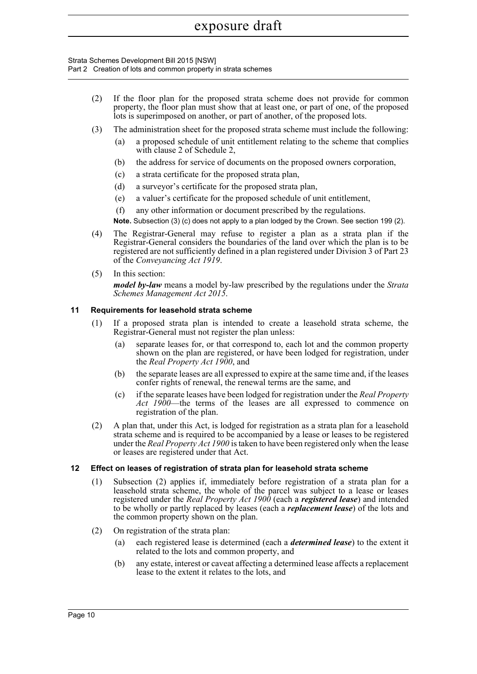Strata Schemes Development Bill 2015 [NSW] Part 2 Creation of lots and common property in strata schemes

- (2) If the floor plan for the proposed strata scheme does not provide for common property, the floor plan must show that at least one, or part of one, of the proposed lots is superimposed on another, or part of another, of the proposed lots.
- (3) The administration sheet for the proposed strata scheme must include the following:
	- (a) a proposed schedule of unit entitlement relating to the scheme that complies with clause 2 of Schedule 2,
	- (b) the address for service of documents on the proposed owners corporation,
	- (c) a strata certificate for the proposed strata plan,
	- (d) a surveyor's certificate for the proposed strata plan,
	- (e) a valuer's certificate for the proposed schedule of unit entitlement,
	- (f) any other information or document prescribed by the regulations.

**Note.** Subsection (3) (c) does not apply to a plan lodged by the Crown. See section 199 (2).

- (4) The Registrar-General may refuse to register a plan as a strata plan if the Registrar-General considers the boundaries of the land over which the plan is to be registered are not sufficiently defined in a plan registered under Division 3 of Part 23 of the *Conveyancing Act 1919*.
- (5) In this section:

*model by-law* means a model by-law prescribed by the regulations under the *Strata Schemes Management Act 2015*.

## **11 Requirements for leasehold strata scheme**

- (1) If a proposed strata plan is intended to create a leasehold strata scheme, the Registrar-General must not register the plan unless:
	- (a) separate leases for, or that correspond to, each lot and the common property shown on the plan are registered, or have been lodged for registration, under the *Real Property Act 1900*, and
	- (b) the separate leases are all expressed to expire at the same time and, if the leases confer rights of renewal, the renewal terms are the same, and
	- (c) if the separate leases have been lodged for registration under the *Real Property Act 1900*—the terms of the leases are all expressed to commence on registration of the plan.
- (2) A plan that, under this Act, is lodged for registration as a strata plan for a leasehold strata scheme and is required to be accompanied by a lease or leases to be registered under the *Real Property Act 1900* is taken to have been registered only when the lease or leases are registered under that Act.

## **12 Effect on leases of registration of strata plan for leasehold strata scheme**

- (1) Subsection (2) applies if, immediately before registration of a strata plan for a leasehold strata scheme, the whole of the parcel was subject to a lease or leases registered under the *Real Property Act 1900* (each a *registered lease*) and intended to be wholly or partly replaced by leases (each a *replacement lease*) of the lots and the common property shown on the plan.
- (2) On registration of the strata plan:
	- (a) each registered lease is determined (each a *determined lease*) to the extent it related to the lots and common property, and
	- (b) any estate, interest or caveat affecting a determined lease affects a replacement lease to the extent it relates to the lots, and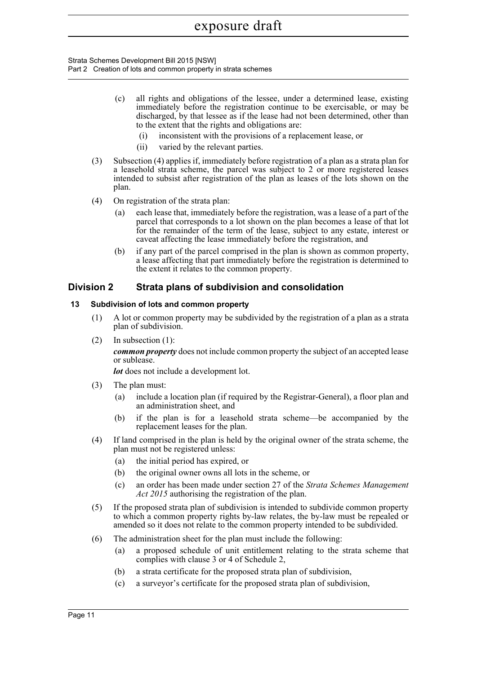Strata Schemes Development Bill 2015 [NSW] Part 2 Creation of lots and common property in strata schemes

- (c) all rights and obligations of the lessee, under a determined lease, existing immediately before the registration continue to be exercisable, or may be discharged, by that lessee as if the lease had not been determined, other than to the extent that the rights and obligations are:
	- (i) inconsistent with the provisions of a replacement lease, or
	- (ii) varied by the relevant parties.
- (3) Subsection (4) applies if, immediately before registration of a plan as a strata plan for a leasehold strata scheme, the parcel was subject to 2 or more registered leases intended to subsist after registration of the plan as leases of the lots shown on the plan.
- (4) On registration of the strata plan:
	- (a) each lease that, immediately before the registration, was a lease of a part of the parcel that corresponds to a lot shown on the plan becomes a lease of that lot for the remainder of the term of the lease, subject to any estate, interest or caveat affecting the lease immediately before the registration, and
	- (b) if any part of the parcel comprised in the plan is shown as common property, a lease affecting that part immediately before the registration is determined to the extent it relates to the common property.

## **Division 2 Strata plans of subdivision and consolidation**

## **13 Subdivision of lots and common property**

- (1) A lot or common property may be subdivided by the registration of a plan as a strata plan of subdivision.
- (2) In subsection (1):

*common property* does not include common property the subject of an accepted lease or sublease.

*lot* does not include a development lot.

- (3) The plan must:
	- (a) include a location plan (if required by the Registrar-General), a floor plan and an administration sheet, and
	- (b) if the plan is for a leasehold strata scheme—be accompanied by the replacement leases for the plan.
- (4) If land comprised in the plan is held by the original owner of the strata scheme, the plan must not be registered unless:
	- (a) the initial period has expired, or
	- (b) the original owner owns all lots in the scheme, or
	- (c) an order has been made under section 27 of the *Strata Schemes Management Act 2015* authorising the registration of the plan.
- (5) If the proposed strata plan of subdivision is intended to subdivide common property to which a common property rights by-law relates, the by-law must be repealed or amended so it does not relate to the common property intended to be subdivided.
- (6) The administration sheet for the plan must include the following:
	- (a) a proposed schedule of unit entitlement relating to the strata scheme that complies with clause 3 or 4 of Schedule 2,
	- (b) a strata certificate for the proposed strata plan of subdivision,
	- (c) a surveyor's certificate for the proposed strata plan of subdivision,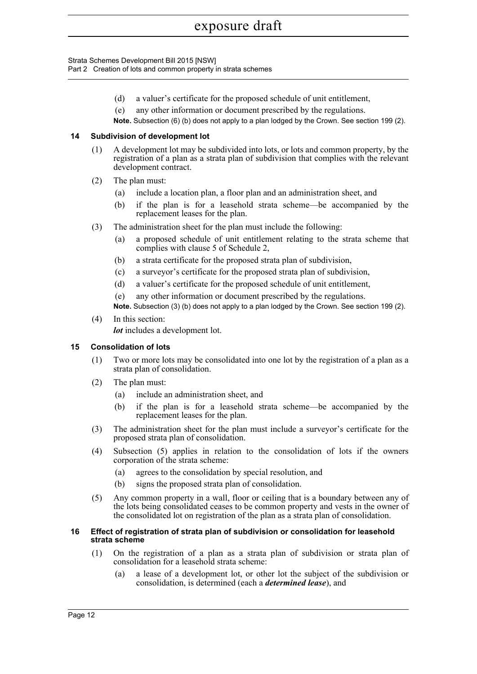Strata Schemes Development Bill 2015 [NSW] Part 2 Creation of lots and common property in strata schemes

- (d) a valuer's certificate for the proposed schedule of unit entitlement,
- (e) any other information or document prescribed by the regulations.

**Note.** Subsection (6) (b) does not apply to a plan lodged by the Crown. See section 199 (2).

## **14 Subdivision of development lot**

- (1) A development lot may be subdivided into lots, or lots and common property, by the registration of a plan as a strata plan of subdivision that complies with the relevant development contract.
- (2) The plan must:
	- (a) include a location plan, a floor plan and an administration sheet, and
	- (b) if the plan is for a leasehold strata scheme—be accompanied by the replacement leases for the plan.
- (3) The administration sheet for the plan must include the following:
	- (a) a proposed schedule of unit entitlement relating to the strata scheme that complies with clause 5 of Schedule 2,
	- (b) a strata certificate for the proposed strata plan of subdivision,
	- (c) a surveyor's certificate for the proposed strata plan of subdivision,
	- (d) a valuer's certificate for the proposed schedule of unit entitlement,
	- (e) any other information or document prescribed by the regulations.

**Note.** Subsection (3) (b) does not apply to a plan lodged by the Crown. See section 199 (2).

(4) In this section:

*lot* includes a development lot.

## **15 Consolidation of lots**

- (1) Two or more lots may be consolidated into one lot by the registration of a plan as a strata plan of consolidation.
- (2) The plan must:
	- (a) include an administration sheet, and
	- (b) if the plan is for a leasehold strata scheme—be accompanied by the replacement leases for the plan.
- (3) The administration sheet for the plan must include a surveyor's certificate for the proposed strata plan of consolidation.
- (4) Subsection (5) applies in relation to the consolidation of lots if the owners corporation of the strata scheme:
	- (a) agrees to the consolidation by special resolution, and
	- (b) signs the proposed strata plan of consolidation.
- (5) Any common property in a wall, floor or ceiling that is a boundary between any of the lots being consolidated ceases to be common property and vests in the owner of the consolidated lot on registration of the plan as a strata plan of consolidation.

## **16 Effect of registration of strata plan of subdivision or consolidation for leasehold strata scheme**

- (1) On the registration of a plan as a strata plan of subdivision or strata plan of consolidation for a leasehold strata scheme:
	- (a) a lease of a development lot, or other lot the subject of the subdivision or consolidation, is determined (each a *determined lease*), and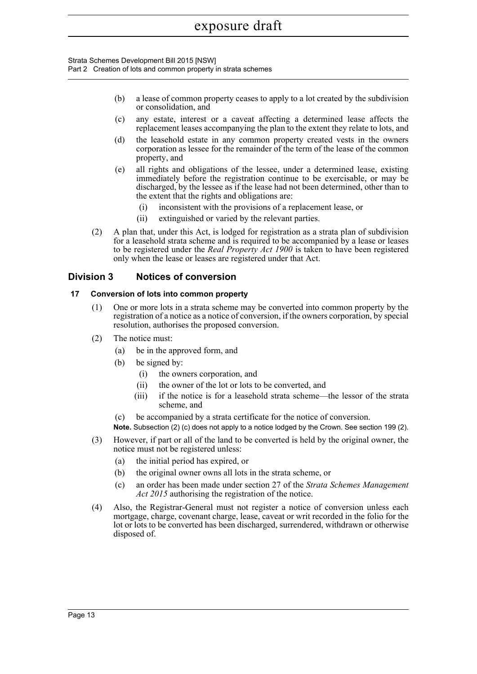Strata Schemes Development Bill 2015 [NSW] Part 2 Creation of lots and common property in strata schemes

- (b) a lease of common property ceases to apply to a lot created by the subdivision or consolidation, and
- (c) any estate, interest or a caveat affecting a determined lease affects the replacement leases accompanying the plan to the extent they relate to lots, and
- (d) the leasehold estate in any common property created vests in the owners corporation as lessee for the remainder of the term of the lease of the common property, and
- (e) all rights and obligations of the lessee, under a determined lease, existing immediately before the registration continue to be exercisable, or may be discharged, by the lessee as if the lease had not been determined, other than to the extent that the rights and obligations are:
	- (i) inconsistent with the provisions of a replacement lease, or
	- (ii) extinguished or varied by the relevant parties.
- (2) A plan that, under this Act, is lodged for registration as a strata plan of subdivision for a leasehold strata scheme and is required to be accompanied by a lease or leases to be registered under the *Real Property Act 1900* is taken to have been registered only when the lease or leases are registered under that Act.

# **Division 3 Notices of conversion**

## **17 Conversion of lots into common property**

- (1) One or more lots in a strata scheme may be converted into common property by the registration of a notice as a notice of conversion, if the owners corporation, by special resolution, authorises the proposed conversion.
- (2) The notice must:
	- (a) be in the approved form, and
	- (b) be signed by:
		- (i) the owners corporation, and
		- (ii) the owner of the lot or lots to be converted, and
		- (iii) if the notice is for a leasehold strata scheme—the lessor of the strata scheme, and
	- (c) be accompanied by a strata certificate for the notice of conversion.

**Note.** Subsection (2) (c) does not apply to a notice lodged by the Crown. See section 199 (2).

- (3) However, if part or all of the land to be converted is held by the original owner, the notice must not be registered unless:
	- (a) the initial period has expired, or
	- (b) the original owner owns all lots in the strata scheme, or
	- (c) an order has been made under section 27 of the *Strata Schemes Management Act 2015* authorising the registration of the notice.
- (4) Also, the Registrar-General must not register a notice of conversion unless each mortgage, charge, covenant charge, lease, caveat or writ recorded in the folio for the lot or lots to be converted has been discharged, surrendered, withdrawn or otherwise disposed of.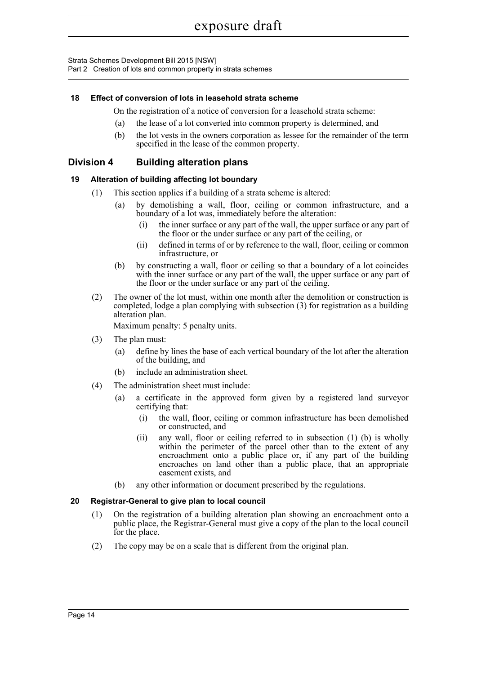Strata Schemes Development Bill 2015 [NSW] Part 2 Creation of lots and common property in strata schemes

## **18 Effect of conversion of lots in leasehold strata scheme**

On the registration of a notice of conversion for a leasehold strata scheme:

- (a) the lease of a lot converted into common property is determined, and
- (b) the lot vests in the owners corporation as lessee for the remainder of the term specified in the lease of the common property.

## **Division 4 Building alteration plans**

## **19 Alteration of building affecting lot boundary**

- (1) This section applies if a building of a strata scheme is altered:
	- (a) by demolishing a wall, floor, ceiling or common infrastructure, and a boundary of a lot was, immediately before the alteration:
		- (i) the inner surface or any part of the wall, the upper surface or any part of the floor or the under surface or any part of the ceiling, or
		- (ii) defined in terms of or by reference to the wall, floor, ceiling or common infrastructure, or
	- (b) by constructing a wall, floor or ceiling so that a boundary of a lot coincides with the inner surface or any part of the wall, the upper surface or any part of the floor or the under surface or any part of the ceiling.
- (2) The owner of the lot must, within one month after the demolition or construction is completed, lodge a plan complying with subsection (3) for registration as a building alteration plan.

Maximum penalty: 5 penalty units.

- (3) The plan must:
	- (a) define by lines the base of each vertical boundary of the lot after the alteration of the building, and
	- (b) include an administration sheet.
- (4) The administration sheet must include:
	- (a) a certificate in the approved form given by a registered land surveyor certifying that:
		- (i) the wall, floor, ceiling or common infrastructure has been demolished or constructed, and
		- (ii) any wall, floor or ceiling referred to in subsection (1) (b) is wholly within the perimeter of the parcel other than to the extent of any encroachment onto a public place or, if any part of the building encroaches on land other than a public place, that an appropriate easement exists, and
	- (b) any other information or document prescribed by the regulations.

## **20 Registrar-General to give plan to local council**

- (1) On the registration of a building alteration plan showing an encroachment onto a public place, the Registrar-General must give a copy of the plan to the local council for the place.
- (2) The copy may be on a scale that is different from the original plan.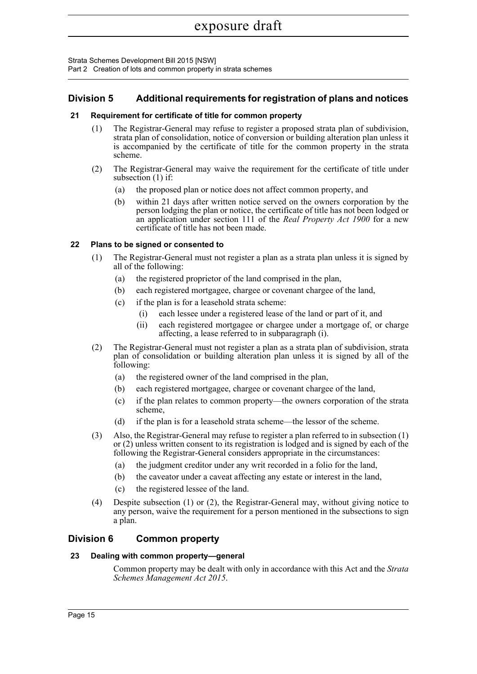Strata Schemes Development Bill 2015 [NSW]

Part 2 Creation of lots and common property in strata schemes

# **Division 5 Additional requirements for registration of plans and notices**

## **21 Requirement for certificate of title for common property**

- (1) The Registrar-General may refuse to register a proposed strata plan of subdivision, strata plan of consolidation, notice of conversion or building alteration plan unless it is accompanied by the certificate of title for the common property in the strata scheme.
- (2) The Registrar-General may waive the requirement for the certificate of title under subsection (1) if:
	- (a) the proposed plan or notice does not affect common property, and
	- (b) within 21 days after written notice served on the owners corporation by the person lodging the plan or notice, the certificate of title has not been lodged or an application under section 111 of the *Real Property Act 1900* for a new certificate of title has not been made.

## **22 Plans to be signed or consented to**

- (1) The Registrar-General must not register a plan as a strata plan unless it is signed by all of the following:
	- (a) the registered proprietor of the land comprised in the plan,
	- (b) each registered mortgagee, chargee or covenant chargee of the land,
	- (c) if the plan is for a leasehold strata scheme:
		- (i) each lessee under a registered lease of the land or part of it, and
		- (ii) each registered mortgagee or chargee under a mortgage of, or charge affecting, a lease referred to in subparagraph (i).
- (2) The Registrar-General must not register a plan as a strata plan of subdivision, strata plan of consolidation or building alteration plan unless it is signed by all of the following:
	- (a) the registered owner of the land comprised in the plan,
	- (b) each registered mortgagee, chargee or covenant chargee of the land,
	- (c) if the plan relates to common property—the owners corporation of the strata scheme,
	- (d) if the plan is for a leasehold strata scheme—the lessor of the scheme.
- (3) Also, the Registrar-General may refuse to register a plan referred to in subsection (1) or (2) unless written consent to its registration is lodged and is signed by each of the following the Registrar-General considers appropriate in the circumstances:
	- (a) the judgment creditor under any writ recorded in a folio for the land,
	- (b) the caveator under a caveat affecting any estate or interest in the land,
	- (c) the registered lessee of the land.
- (4) Despite subsection (1) or (2), the Registrar-General may, without giving notice to any person, waive the requirement for a person mentioned in the subsections to sign a plan.

# **Division 6 Common property**

## **23 Dealing with common property—general**

Common property may be dealt with only in accordance with this Act and the *Strata Schemes Management Act 2015*.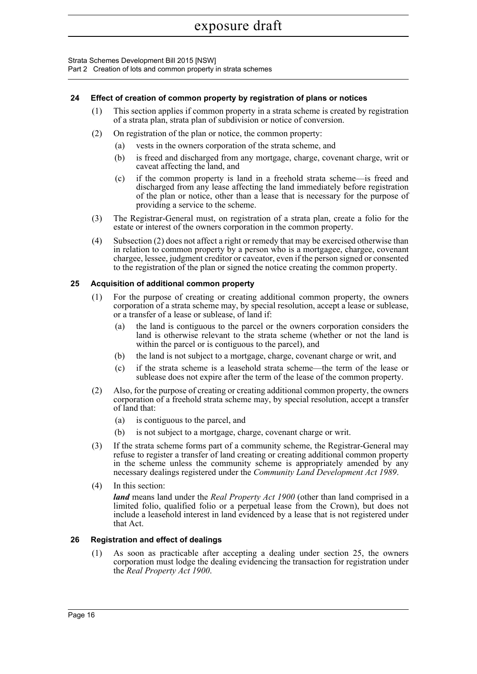Strata Schemes Development Bill 2015 [NSW] Part 2 Creation of lots and common property in strata schemes

## **24 Effect of creation of common property by registration of plans or notices**

- (1) This section applies if common property in a strata scheme is created by registration of a strata plan, strata plan of subdivision or notice of conversion.
- (2) On registration of the plan or notice, the common property:
	- (a) vests in the owners corporation of the strata scheme, and
	- (b) is freed and discharged from any mortgage, charge, covenant charge, writ or caveat affecting the land, and
	- (c) if the common property is land in a freehold strata scheme—is freed and discharged from any lease affecting the land immediately before registration of the plan or notice, other than a lease that is necessary for the purpose of providing a service to the scheme.
- (3) The Registrar-General must, on registration of a strata plan, create a folio for the estate or interest of the owners corporation in the common property.
- (4) Subsection (2) does not affect a right or remedy that may be exercised otherwise than in relation to common property by a person who is a mortgagee, chargee, covenant chargee, lessee, judgment creditor or caveator, even if the person signed or consented to the registration of the plan or signed the notice creating the common property.

## **25 Acquisition of additional common property**

- (1) For the purpose of creating or creating additional common property, the owners corporation of a strata scheme may, by special resolution, accept a lease or sublease, or a transfer of a lease or sublease, of land if:
	- (a) the land is contiguous to the parcel or the owners corporation considers the land is otherwise relevant to the strata scheme (whether or not the land is within the parcel or is contiguous to the parcel), and
	- (b) the land is not subject to a mortgage, charge, covenant charge or writ, and
	- (c) if the strata scheme is a leasehold strata scheme—the term of the lease or sublease does not expire after the term of the lease of the common property.
- (2) Also, for the purpose of creating or creating additional common property, the owners corporation of a freehold strata scheme may, by special resolution, accept a transfer of land that:
	- (a) is contiguous to the parcel, and
	- (b) is not subject to a mortgage, charge, covenant charge or writ.
- (3) If the strata scheme forms part of a community scheme, the Registrar-General may refuse to register a transfer of land creating or creating additional common property in the scheme unless the community scheme is appropriately amended by any necessary dealings registered under the *Community Land Development Act 1989*.
- (4) In this section:

*land* means land under the *Real Property Act 1900* (other than land comprised in a limited folio, qualified folio or a perpetual lease from the Crown), but does not include a leasehold interest in land evidenced by a lease that is not registered under that Act.

## **26 Registration and effect of dealings**

(1) As soon as practicable after accepting a dealing under section 25, the owners corporation must lodge the dealing evidencing the transaction for registration under the *Real Property Act 1900*.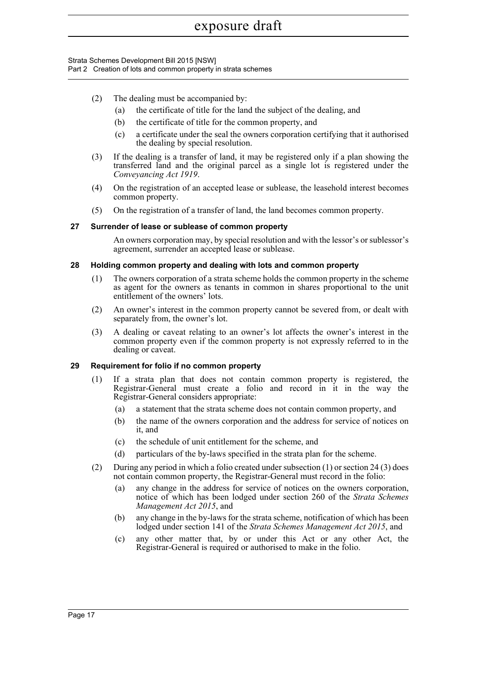Strata Schemes Development Bill 2015 [NSW] Part 2 Creation of lots and common property in strata schemes

- (2) The dealing must be accompanied by:
	- (a) the certificate of title for the land the subject of the dealing, and
	- (b) the certificate of title for the common property, and
	- (c) a certificate under the seal the owners corporation certifying that it authorised the dealing by special resolution.
- (3) If the dealing is a transfer of land, it may be registered only if a plan showing the transferred land and the original parcel as a single lot is registered under the *Conveyancing Act 1919*.
- (4) On the registration of an accepted lease or sublease, the leasehold interest becomes common property.
- (5) On the registration of a transfer of land, the land becomes common property.

## **27 Surrender of lease or sublease of common property**

An owners corporation may, by special resolution and with the lessor's or sublessor's agreement, surrender an accepted lease or sublease.

## **28 Holding common property and dealing with lots and common property**

- (1) The owners corporation of a strata scheme holds the common property in the scheme as agent for the owners as tenants in common in shares proportional to the unit entitlement of the owners' lots.
- (2) An owner's interest in the common property cannot be severed from, or dealt with separately from, the owner's lot.
- (3) A dealing or caveat relating to an owner's lot affects the owner's interest in the common property even if the common property is not expressly referred to in the dealing or caveat.

## **29 Requirement for folio if no common property**

- (1) If a strata plan that does not contain common property is registered, the Registrar-General must create a folio and record in it in the way the Registrar-General considers appropriate:
	- (a) a statement that the strata scheme does not contain common property, and
	- (b) the name of the owners corporation and the address for service of notices on it, and
	- (c) the schedule of unit entitlement for the scheme, and
	- (d) particulars of the by-laws specified in the strata plan for the scheme.
- (2) During any period in which a folio created under subsection (1) or section 24 (3) does not contain common property, the Registrar-General must record in the folio:
	- (a) any change in the address for service of notices on the owners corporation, notice of which has been lodged under section 260 of the *Strata Schemes Management Act 2015*, and
	- (b) any change in the by-laws for the strata scheme, notification of which has been lodged under section 141 of the *Strata Schemes Management Act 2015*, and
	- (c) any other matter that, by or under this Act or any other Act, the Registrar-General is required or authorised to make in the folio.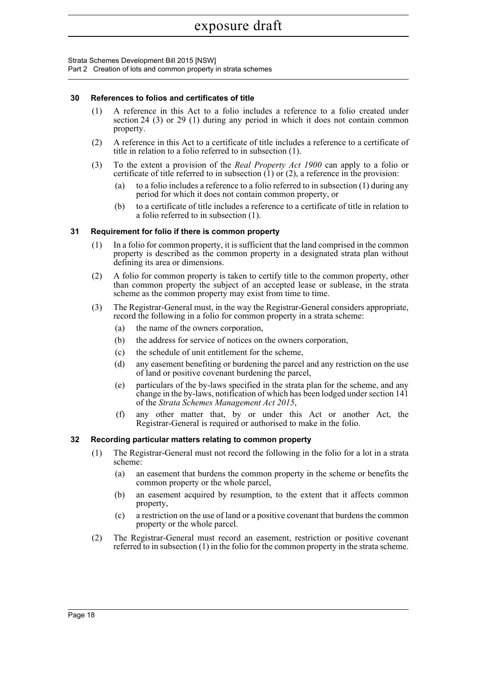Strata Schemes Development Bill 2015 [NSW] Part 2 Creation of lots and common property in strata schemes

## **30 References to folios and certificates of title**

- (1) A reference in this Act to a folio includes a reference to a folio created under section 24 (3) or 29 (1) during any period in which it does not contain common property.
- (2) A reference in this Act to a certificate of title includes a reference to a certificate of title in relation to a folio referred to in subsection (1).
- (3) To the extent a provision of the *Real Property Act 1900* can apply to a folio or certificate of title referred to in subsection  $(1)$  or  $(2)$ , a reference in the provision:
	- (a) to a folio includes a reference to a folio referred to in subsection (1) during any period for which it does not contain common property, or
	- (b) to a certificate of title includes a reference to a certificate of title in relation to a folio referred to in subsection (1).

## **31 Requirement for folio if there is common property**

- (1) In a folio for common property, it is sufficient that the land comprised in the common property is described as the common property in a designated strata plan without defining its area or dimensions.
- (2) A folio for common property is taken to certify title to the common property, other than common property the subject of an accepted lease or sublease, in the strata scheme as the common property may exist from time to time.
- (3) The Registrar-General must, in the way the Registrar-General considers appropriate, record the following in a folio for common property in a strata scheme:
	- (a) the name of the owners corporation,
	- (b) the address for service of notices on the owners corporation,
	- (c) the schedule of unit entitlement for the scheme,
	- (d) any easement benefiting or burdening the parcel and any restriction on the use of land or positive covenant burdening the parcel,
	- (e) particulars of the by-laws specified in the strata plan for the scheme, and any change in the by-laws, notification of which has been lodged under section 141 of the *Strata Schemes Management Act 2015*,
	- (f) any other matter that, by or under this Act or another Act, the Registrar-General is required or authorised to make in the folio.

### **32 Recording particular matters relating to common property**

- (1) The Registrar-General must not record the following in the folio for a lot in a strata scheme:
	- (a) an easement that burdens the common property in the scheme or benefits the common property or the whole parcel,
	- (b) an easement acquired by resumption, to the extent that it affects common property,
	- (c) a restriction on the use of land or a positive covenant that burdens the common property or the whole parcel.
- (2) The Registrar-General must record an easement, restriction or positive covenant referred to in subsection (1) in the folio for the common property in the strata scheme.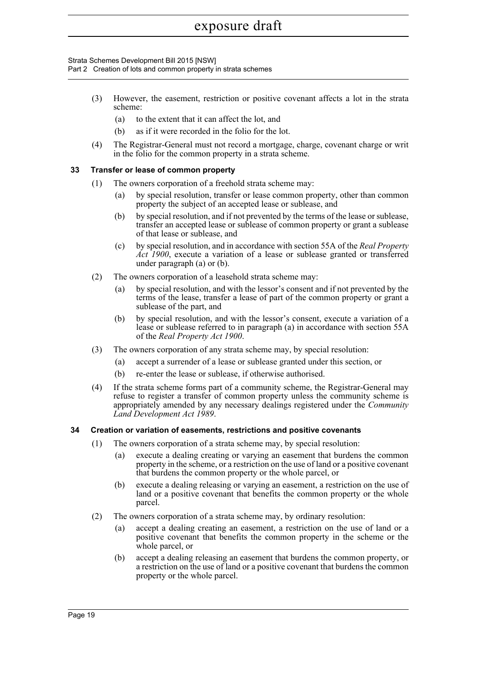Strata Schemes Development Bill 2015 [NSW] Part 2 Creation of lots and common property in strata schemes

- (3) However, the easement, restriction or positive covenant affects a lot in the strata scheme:
	- (a) to the extent that it can affect the lot, and
	- (b) as if it were recorded in the folio for the lot.
- (4) The Registrar-General must not record a mortgage, charge, covenant charge or writ in the folio for the common property in a strata scheme.

## **33 Transfer or lease of common property**

- (1) The owners corporation of a freehold strata scheme may:
	- (a) by special resolution, transfer or lease common property, other than common property the subject of an accepted lease or sublease, and
	- (b) by special resolution, and if not prevented by the terms of the lease or sublease, transfer an accepted lease or sublease of common property or grant a sublease of that lease or sublease, and
	- (c) by special resolution, and in accordance with section 55A of the *Real Property Act 1900*, execute a variation of a lease or sublease granted or transferred under paragraph (a) or (b).
- (2) The owners corporation of a leasehold strata scheme may:
	- (a) by special resolution, and with the lessor's consent and if not prevented by the terms of the lease, transfer a lease of part of the common property or grant a sublease of the part, and
	- (b) by special resolution, and with the lessor's consent, execute a variation of a lease or sublease referred to in paragraph (a) in accordance with section 55A of the *Real Property Act 1900*.
- (3) The owners corporation of any strata scheme may, by special resolution:
	- (a) accept a surrender of a lease or sublease granted under this section, or
		- (b) re-enter the lease or sublease, if otherwise authorised.
- (4) If the strata scheme forms part of a community scheme, the Registrar-General may refuse to register a transfer of common property unless the community scheme is appropriately amended by any necessary dealings registered under the *Community Land Development Act 1989*.

## **34 Creation or variation of easements, restrictions and positive covenants**

- (1) The owners corporation of a strata scheme may, by special resolution:
	- (a) execute a dealing creating or varying an easement that burdens the common property in the scheme, or a restriction on the use of land or a positive covenant that burdens the common property or the whole parcel, or
	- (b) execute a dealing releasing or varying an easement, a restriction on the use of land or a positive covenant that benefits the common property or the whole parcel.
- (2) The owners corporation of a strata scheme may, by ordinary resolution:
	- (a) accept a dealing creating an easement, a restriction on the use of land or a positive covenant that benefits the common property in the scheme or the whole parcel, or
	- (b) accept a dealing releasing an easement that burdens the common property, or a restriction on the use of land or a positive covenant that burdens the common property or the whole parcel.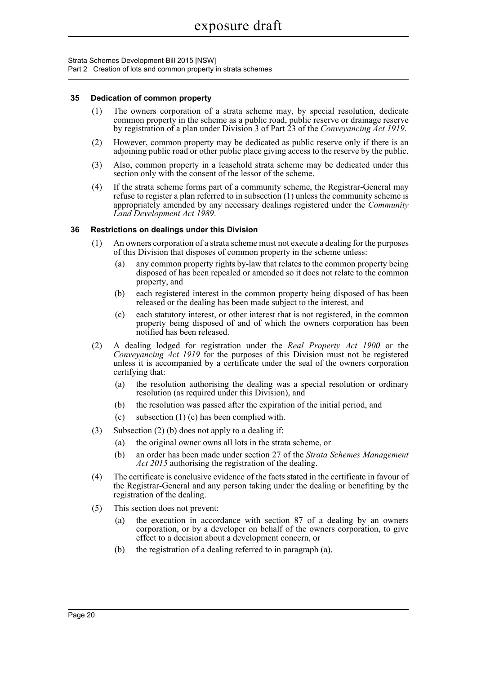Strata Schemes Development Bill 2015 [NSW]

Part 2 Creation of lots and common property in strata schemes

## **35 Dedication of common property**

- (1) The owners corporation of a strata scheme may, by special resolution, dedicate common property in the scheme as a public road, public reserve or drainage reserve by registration of a plan under Division 3 of Part 23 of the *Conveyancing Act 1919*.
- (2) However, common property may be dedicated as public reserve only if there is an adjoining public road or other public place giving access to the reserve by the public.
- (3) Also, common property in a leasehold strata scheme may be dedicated under this section only with the consent of the lessor of the scheme.
- (4) If the strata scheme forms part of a community scheme, the Registrar-General may refuse to register a plan referred to in subsection (1) unless the community scheme is appropriately amended by any necessary dealings registered under the *Community Land Development Act 1989*.

## **36 Restrictions on dealings under this Division**

- (1) An owners corporation of a strata scheme must not execute a dealing for the purposes of this Division that disposes of common property in the scheme unless:
	- (a) any common property rights by-law that relates to the common property being disposed of has been repealed or amended so it does not relate to the common property, and
	- (b) each registered interest in the common property being disposed of has been released or the dealing has been made subject to the interest, and
	- (c) each statutory interest, or other interest that is not registered, in the common property being disposed of and of which the owners corporation has been notified has been released.
- (2) A dealing lodged for registration under the *Real Property Act 1900* or the *Conveyancing Act 1919* for the purposes of this Division must not be registered unless it is accompanied by a certificate under the seal of the owners corporation certifying that:
	- (a) the resolution authorising the dealing was a special resolution or ordinary resolution (as required under this Division), and
	- (b) the resolution was passed after the expiration of the initial period, and
	- (c) subsection (1) (c) has been complied with.
- (3) Subsection (2) (b) does not apply to a dealing if:
	- (a) the original owner owns all lots in the strata scheme, or
	- (b) an order has been made under section 27 of the *Strata Schemes Management Act 2015* authorising the registration of the dealing.
- (4) The certificate is conclusive evidence of the facts stated in the certificate in favour of the Registrar-General and any person taking under the dealing or benefiting by the registration of the dealing.
- (5) This section does not prevent:
	- (a) the execution in accordance with section 87 of a dealing by an owners corporation, or by a developer on behalf of the owners corporation, to give effect to a decision about a development concern, or
	- (b) the registration of a dealing referred to in paragraph (a).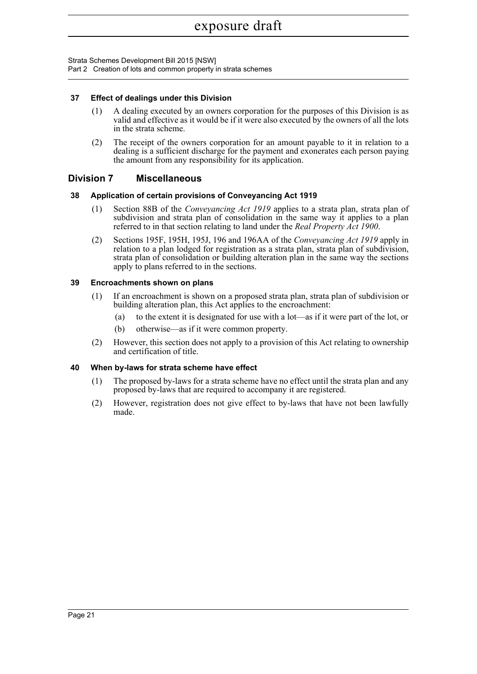Strata Schemes Development Bill 2015 [NSW] Part 2 Creation of lots and common property in strata schemes

## **37 Effect of dealings under this Division**

- (1) A dealing executed by an owners corporation for the purposes of this Division is as valid and effective as it would be if it were also executed by the owners of all the lots in the strata scheme.
- (2) The receipt of the owners corporation for an amount payable to it in relation to a dealing is a sufficient discharge for the payment and exonerates each person paying the amount from any responsibility for its application.

## **Division 7 Miscellaneous**

## **38 Application of certain provisions of Conveyancing Act 1919**

- (1) Section 88B of the *Conveyancing Act 1919* applies to a strata plan, strata plan of subdivision and strata plan of consolidation in the same way it applies to a plan referred to in that section relating to land under the *Real Property Act 1900*.
- (2) Sections 195F, 195H, 195J, 196 and 196AA of the *Conveyancing Act 1919* apply in relation to a plan lodged for registration as a strata plan, strata plan of subdivision, strata plan of consolidation or building alteration plan in the same way the sections apply to plans referred to in the sections.

## **39 Encroachments shown on plans**

- (1) If an encroachment is shown on a proposed strata plan, strata plan of subdivision or building alteration plan, this Act applies to the encroachment:
	- (a) to the extent it is designated for use with a lot—as if it were part of the lot, or
	- (b) otherwise—as if it were common property.
- (2) However, this section does not apply to a provision of this Act relating to ownership and certification of title.

### **40 When by-laws for strata scheme have effect**

- (1) The proposed by-laws for a strata scheme have no effect until the strata plan and any proposed by-laws that are required to accompany it are registered.
- (2) However, registration does not give effect to by-laws that have not been lawfully made.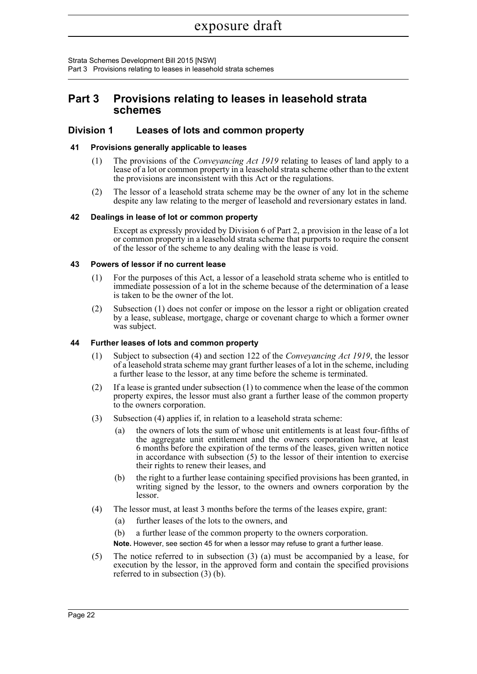Strata Schemes Development Bill 2015 [NSW] Part 3 Provisions relating to leases in leasehold strata schemes

# **Part 3 Provisions relating to leases in leasehold strata schemes**

## **Division 1 Leases of lots and common property**

## **41 Provisions generally applicable to leases**

- (1) The provisions of the *Conveyancing Act 1919* relating to leases of land apply to a lease of a lot or common property in a leasehold strata scheme other than to the extent the provisions are inconsistent with this Act or the regulations.
- (2) The lessor of a leasehold strata scheme may be the owner of any lot in the scheme despite any law relating to the merger of leasehold and reversionary estates in land.

## **42 Dealings in lease of lot or common property**

Except as expressly provided by Division 6 of Part 2, a provision in the lease of a lot or common property in a leasehold strata scheme that purports to require the consent of the lessor of the scheme to any dealing with the lease is void.

## **43 Powers of lessor if no current lease**

- (1) For the purposes of this Act, a lessor of a leasehold strata scheme who is entitled to immediate possession of a lot in the scheme because of the determination of a lease is taken to be the owner of the lot.
- (2) Subsection (1) does not confer or impose on the lessor a right or obligation created by a lease, sublease, mortgage, charge or covenant charge to which a former owner was subject.

## **44 Further leases of lots and common property**

- (1) Subject to subsection (4) and section 122 of the *Conveyancing Act 1919*, the lessor of a leasehold strata scheme may grant further leases of a lot in the scheme, including a further lease to the lessor, at any time before the scheme is terminated.
- (2) If a lease is granted under subsection (1) to commence when the lease of the common property expires, the lessor must also grant a further lease of the common property to the owners corporation.
- (3) Subsection (4) applies if, in relation to a leasehold strata scheme:
	- (a) the owners of lots the sum of whose unit entitlements is at least four-fifths of the aggregate unit entitlement and the owners corporation have, at least 6 months before the expiration of the terms of the leases, given written notice in accordance with subsection (5) to the lessor of their intention to exercise their rights to renew their leases, and
	- (b) the right to a further lease containing specified provisions has been granted, in writing signed by the lessor, to the owners and owners corporation by the lessor.
- (4) The lessor must, at least 3 months before the terms of the leases expire, grant:
	- (a) further leases of the lots to the owners, and

(b) a further lease of the common property to the owners corporation.

**Note.** However, see section 45 for when a lessor may refuse to grant a further lease.

(5) The notice referred to in subsection (3) (a) must be accompanied by a lease, for execution by the lessor, in the approved form and contain the specified provisions referred to in subsection (3) (b).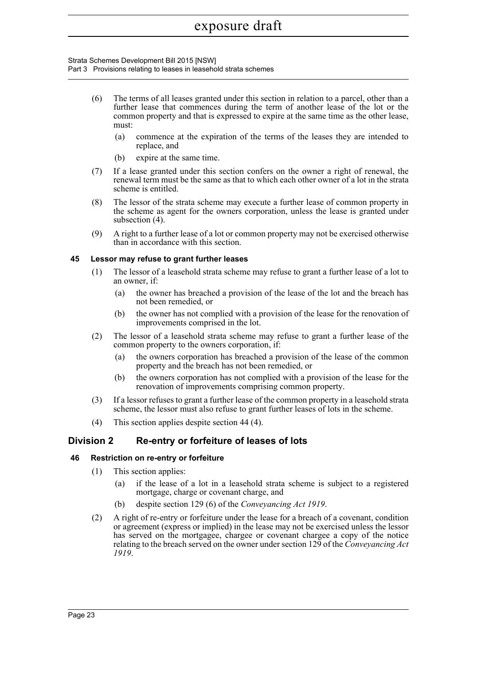#### Strata Schemes Development Bill 2015 [NSW] Part 3 Provisions relating to leases in leasehold strata schemes

- (6) The terms of all leases granted under this section in relation to a parcel, other than a further lease that commences during the term of another lease of the lot or the common property and that is expressed to expire at the same time as the other lease, must:
	- (a) commence at the expiration of the terms of the leases they are intended to replace, and
	- (b) expire at the same time.
- (7) If a lease granted under this section confers on the owner a right of renewal, the renewal term must be the same as that to which each other owner of a lot in the strata scheme is entitled.
- (8) The lessor of the strata scheme may execute a further lease of common property in the scheme as agent for the owners corporation, unless the lease is granted under subsection (4).
- (9) A right to a further lease of a lot or common property may not be exercised otherwise than in accordance with this section.

## **45 Lessor may refuse to grant further leases**

- (1) The lessor of a leasehold strata scheme may refuse to grant a further lease of a lot to an owner, if:
	- (a) the owner has breached a provision of the lease of the lot and the breach has not been remedied, or
	- (b) the owner has not complied with a provision of the lease for the renovation of improvements comprised in the lot.
- (2) The lessor of a leasehold strata scheme may refuse to grant a further lease of the common property to the owners corporation, if:
	- (a) the owners corporation has breached a provision of the lease of the common property and the breach has not been remedied, or
	- (b) the owners corporation has not complied with a provision of the lease for the renovation of improvements comprising common property.
- (3) If a lessor refuses to grant a further lease of the common property in a leasehold strata scheme, the lessor must also refuse to grant further leases of lots in the scheme.
- (4) This section applies despite section 44 (4).

# **Division 2 Re-entry or forfeiture of leases of lots**

## **46 Restriction on re-entry or forfeiture**

- (1) This section applies:
	- (a) if the lease of a lot in a leasehold strata scheme is subject to a registered mortgage, charge or covenant charge, and
	- (b) despite section 129 (6) of the *Conveyancing Act 1919*.
- (2) A right of re-entry or forfeiture under the lease for a breach of a covenant, condition or agreement (express or implied) in the lease may not be exercised unless the lessor has served on the mortgagee, chargee or covenant chargee a copy of the notice relating to the breach served on the owner under section 129 of the *Conveyancing Act 1919*.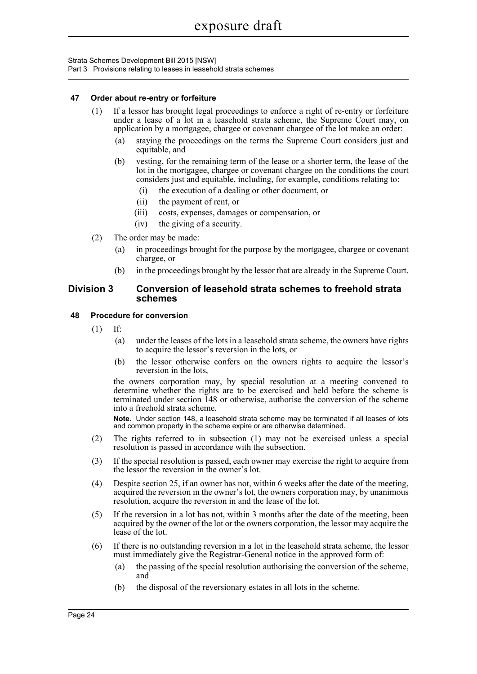Strata Schemes Development Bill 2015 [NSW] Part 3 Provisions relating to leases in leasehold strata schemes

## **47 Order about re-entry or forfeiture**

- (1) If a lessor has brought legal proceedings to enforce a right of re-entry or forfeiture under a lease of a lot in a leasehold strata scheme, the Supreme Court may, on application by a mortgagee, chargee or covenant chargee of the lot make an order:
	- (a) staying the proceedings on the terms the Supreme Court considers just and equitable, and
	- (b) vesting, for the remaining term of the lease or a shorter term, the lease of the lot in the mortgagee, chargee or covenant chargee on the conditions the court considers just and equitable, including, for example, conditions relating to:
		- (i) the execution of a dealing or other document, or
		- (ii) the payment of rent, or
		- (iii) costs, expenses, damages or compensation, or
		- (iv) the giving of a security.
- (2) The order may be made:
	- (a) in proceedings brought for the purpose by the mortgagee, chargee or covenant chargee, or
	- (b) in the proceedings brought by the lessor that are already in the Supreme Court.

## **Division 3 Conversion of leasehold strata schemes to freehold strata schemes**

### **48 Procedure for conversion**

- (1) If:
	- (a) under the leases of the lots in a leasehold strata scheme, the owners have rights to acquire the lessor's reversion in the lots, or
	- (b) the lessor otherwise confers on the owners rights to acquire the lessor's reversion in the lots,

the owners corporation may, by special resolution at a meeting convened to determine whether the rights are to be exercised and held before the scheme is terminated under section 148 or otherwise, authorise the conversion of the scheme into a freehold strata scheme.

**Note.** Under section 148, a leasehold strata scheme may be terminated if all leases of lots and common property in the scheme expire or are otherwise determined.

- (2) The rights referred to in subsection (1) may not be exercised unless a special resolution is passed in accordance with the subsection.
- (3) If the special resolution is passed, each owner may exercise the right to acquire from the lessor the reversion in the owner's lot.
- (4) Despite section 25, if an owner has not, within 6 weeks after the date of the meeting, acquired the reversion in the owner's lot, the owners corporation may, by unanimous resolution, acquire the reversion in and the lease of the lot.
- (5) If the reversion in a lot has not, within 3 months after the date of the meeting, been acquired by the owner of the lot or the owners corporation, the lessor may acquire the lease of the lot.
- (6) If there is no outstanding reversion in a lot in the leasehold strata scheme, the lessor must immediately give the Registrar-General notice in the approved form of:
	- (a) the passing of the special resolution authorising the conversion of the scheme, and
	- (b) the disposal of the reversionary estates in all lots in the scheme.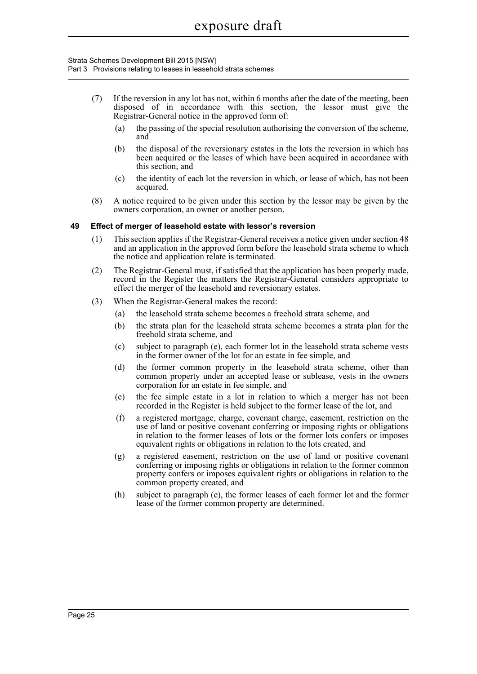#### Strata Schemes Development Bill 2015 [NSW] Part 3 Provisions relating to leases in leasehold strata schemes

- (7) If the reversion in any lot has not, within 6 months after the date of the meeting, been disposed of in accordance with this section, the lessor must give the Registrar-General notice in the approved form of:
	- (a) the passing of the special resolution authorising the conversion of the scheme, and
	- (b) the disposal of the reversionary estates in the lots the reversion in which has been acquired or the leases of which have been acquired in accordance with this section, and
	- (c) the identity of each lot the reversion in which, or lease of which, has not been acquired.
- (8) A notice required to be given under this section by the lessor may be given by the owners corporation, an owner or another person.

## **49 Effect of merger of leasehold estate with lessor's reversion**

- (1) This section applies if the Registrar-General receives a notice given under section 48 and an application in the approved form before the leasehold strata scheme to which the notice and application relate is terminated.
- (2) The Registrar-General must, if satisfied that the application has been properly made, record in the Register the matters the Registrar-General considers appropriate to effect the merger of the leasehold and reversionary estates.
- (3) When the Registrar-General makes the record:
	- (a) the leasehold strata scheme becomes a freehold strata scheme, and
	- (b) the strata plan for the leasehold strata scheme becomes a strata plan for the freehold strata scheme, and
	- (c) subject to paragraph (e), each former lot in the leasehold strata scheme vests in the former owner of the lot for an estate in fee simple, and
	- (d) the former common property in the leasehold strata scheme, other than common property under an accepted lease or sublease, vests in the owners corporation for an estate in fee simple, and
	- (e) the fee simple estate in a lot in relation to which a merger has not been recorded in the Register is held subject to the former lease of the lot, and
	- (f) a registered mortgage, charge, covenant charge, easement, restriction on the use of land or positive covenant conferring or imposing rights or obligations in relation to the former leases of lots or the former lots confers or imposes equivalent rights or obligations in relation to the lots created, and
	- (g) a registered easement, restriction on the use of land or positive covenant conferring or imposing rights or obligations in relation to the former common property confers or imposes equivalent rights or obligations in relation to the common property created, and
	- (h) subject to paragraph (e), the former leases of each former lot and the former lease of the former common property are determined.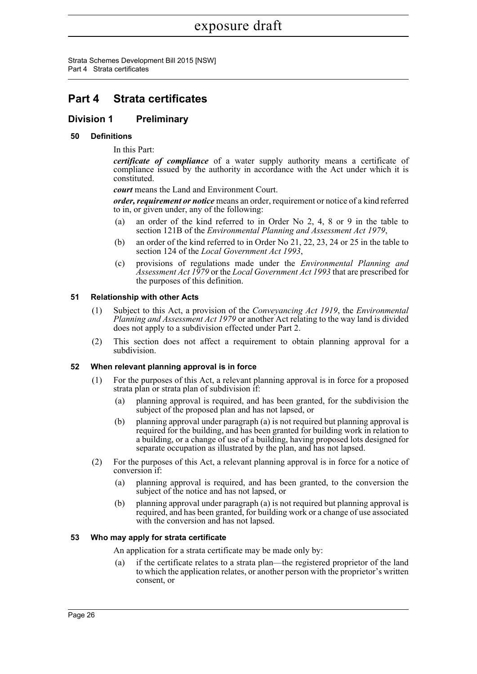Strata Schemes Development Bill 2015 [NSW] Part 4 Strata certificates

# **Part 4 Strata certificates**

# **Division 1 Preliminary**

## **50 Definitions**

In this Part:

*certificate of compliance* of a water supply authority means a certificate of compliance issued by the authority in accordance with the Act under which it is constituted.

*court* means the Land and Environment Court.

*order, requirement or notice* means an order, requirement or notice of a kind referred to in, or given under, any of the following:

- (a) an order of the kind referred to in Order No 2, 4, 8 or 9 in the table to section 121B of the *Environmental Planning and Assessment Act 1979*,
- (b) an order of the kind referred to in Order No 21, 22, 23, 24 or 25 in the table to section 124 of the *Local Government Act 1993*,
- (c) provisions of regulations made under the *Environmental Planning and Assessment Act 1979* or the *Local Government Act 1993* that are prescribed for the purposes of this definition.

## **51 Relationship with other Acts**

- (1) Subject to this Act, a provision of the *Conveyancing Act 1919*, the *Environmental Planning and Assessment Act 1979* or another Act relating to the way land is divided does not apply to a subdivision effected under Part 2.
- (2) This section does not affect a requirement to obtain planning approval for a subdivision.

## **52 When relevant planning approval is in force**

- (1) For the purposes of this Act, a relevant planning approval is in force for a proposed strata plan or strata plan of subdivision if:
	- (a) planning approval is required, and has been granted, for the subdivision the subject of the proposed plan and has not lapsed, or
	- (b) planning approval under paragraph (a) is not required but planning approval is required for the building, and has been granted for building work in relation to a building, or a change of use of a building, having proposed lots designed for separate occupation as illustrated by the plan, and has not lapsed.
- (2) For the purposes of this Act, a relevant planning approval is in force for a notice of conversion if:
	- (a) planning approval is required, and has been granted, to the conversion the subject of the notice and has not lapsed, or
	- (b) planning approval under paragraph (a) is not required but planning approval is required, and has been granted, for building work or a change of use associated with the conversion and has not lapsed.

## **53 Who may apply for strata certificate**

An application for a strata certificate may be made only by:

(a) if the certificate relates to a strata plan—the registered proprietor of the land to which the application relates, or another person with the proprietor's written consent, or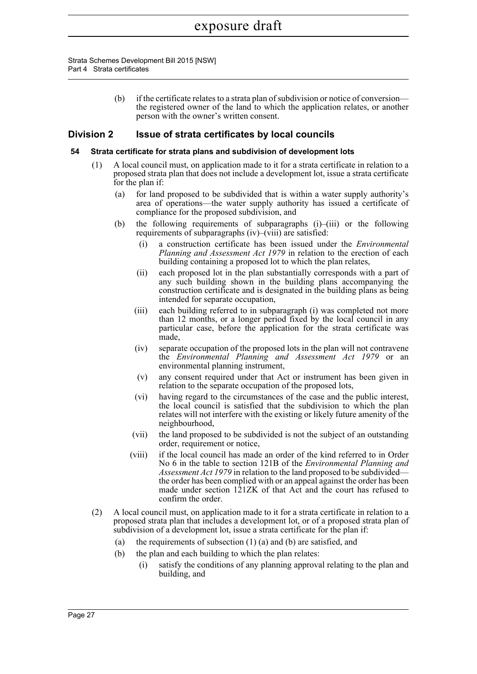> (b) if the certificate relates to a strata plan of subdivision or notice of conversion the registered owner of the land to which the application relates, or another person with the owner's written consent.

## **Division 2 Issue of strata certificates by local councils**

### **54 Strata certificate for strata plans and subdivision of development lots**

- (1) A local council must, on application made to it for a strata certificate in relation to a proposed strata plan that does not include a development lot, issue a strata certificate for the plan if:
	- (a) for land proposed to be subdivided that is within a water supply authority's area of operations—the water supply authority has issued a certificate of compliance for the proposed subdivision, and
	- (b) the following requirements of subparagraphs  $(i)$ – $(iii)$  or the following requirements of subparagraphs (iv)–(viii) are satisfied:
		- (i) a construction certificate has been issued under the *Environmental Planning and Assessment Act 1979* in relation to the erection of each building containing a proposed lot to which the plan relates,
		- (ii) each proposed lot in the plan substantially corresponds with a part of any such building shown in the building plans accompanying the construction certificate and is designated in the building plans as being intended for separate occupation,
		- (iii) each building referred to in subparagraph (i) was completed not more than 12 months, or a longer period fixed by the local council in any particular case, before the application for the strata certificate was made,
		- (iv) separate occupation of the proposed lots in the plan will not contravene the *Environmental Planning and Assessment Act 1979* or an environmental planning instrument,
		- (v) any consent required under that Act or instrument has been given in relation to the separate occupation of the proposed lots,
		- (vi) having regard to the circumstances of the case and the public interest, the local council is satisfied that the subdivision to which the plan relates will not interfere with the existing or likely future amenity of the neighbourhood,
		- (vii) the land proposed to be subdivided is not the subject of an outstanding order, requirement or notice,
		- (viii) if the local council has made an order of the kind referred to in Order No 6 in the table to section 121B of the *Environmental Planning and Assessment Act 1979* in relation to the land proposed to be subdivided the order has been complied with or an appeal against the order has been made under section 121ZK of that Act and the court has refused to confirm the order.
- (2) A local council must, on application made to it for a strata certificate in relation to a proposed strata plan that includes a development lot, or of a proposed strata plan of subdivision of a development lot, issue a strata certificate for the plan if:
	- (a) the requirements of subsection (1) (a) and (b) are satisfied, and
	- (b) the plan and each building to which the plan relates:
		- (i) satisfy the conditions of any planning approval relating to the plan and building, and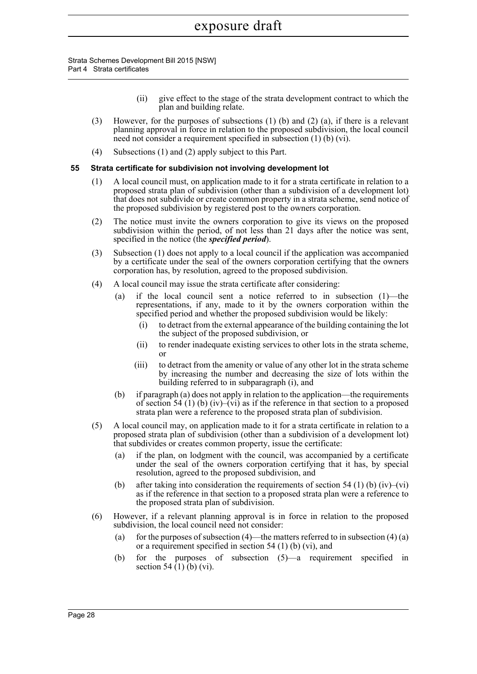- (ii) give effect to the stage of the strata development contract to which the plan and building relate.
- (3) However, for the purposes of subsections (1) (b) and (2) (a), if there is a relevant planning approval in force in relation to the proposed subdivision, the local council need not consider a requirement specified in subsection (1) (b) (vi).
- (4) Subsections (1) and (2) apply subject to this Part.

## **55 Strata certificate for subdivision not involving development lot**

- (1) A local council must, on application made to it for a strata certificate in relation to a proposed strata plan of subdivision (other than a subdivision of a development lot) that does not subdivide or create common property in a strata scheme, send notice of the proposed subdivision by registered post to the owners corporation.
- (2) The notice must invite the owners corporation to give its views on the proposed subdivision within the period, of not less than 21 days after the notice was sent, specified in the notice (the *specified period*).
- (3) Subsection (1) does not apply to a local council if the application was accompanied by a certificate under the seal of the owners corporation certifying that the owners corporation has, by resolution, agreed to the proposed subdivision.
- (4) A local council may issue the strata certificate after considering:
	- if the local council sent a notice referred to in subsection  $(1)$ —the representations, if any, made to it by the owners corporation within the specified period and whether the proposed subdivision would be likely:
		- (i) to detract from the external appearance of the building containing the lot the subject of the proposed subdivision, or
		- (ii) to render inadequate existing services to other lots in the strata scheme, or
		- (iii) to detract from the amenity or value of any other lot in the strata scheme by increasing the number and decreasing the size of lots within the building referred to in subparagraph (i), and
	- (b) if paragraph (a) does not apply in relation to the application—the requirements of section 54 (1) (b) (iv)–(vi) as if the reference in that section to a proposed strata plan were a reference to the proposed strata plan of subdivision.
- (5) A local council may, on application made to it for a strata certificate in relation to a proposed strata plan of subdivision (other than a subdivision of a development lot) that subdivides or creates common property, issue the certificate:
	- (a) if the plan, on lodgment with the council, was accompanied by a certificate under the seal of the owners corporation certifying that it has, by special resolution, agreed to the proposed subdivision, and
	- (b) after taking into consideration the requirements of section 54 (1) (b) (iv)–(vi) as if the reference in that section to a proposed strata plan were a reference to the proposed strata plan of subdivision.
- (6) However, if a relevant planning approval is in force in relation to the proposed subdivision, the local council need not consider:
	- (a) for the purposes of subsection  $(4)$ —the matters referred to in subsection  $(4)$   $(a)$ or a requirement specified in section 54 (1) (b) (vi), and
	- (b) for the purposes of subsection (5)—a requirement specified in section 54  $(1)$  $(b)$  (vi).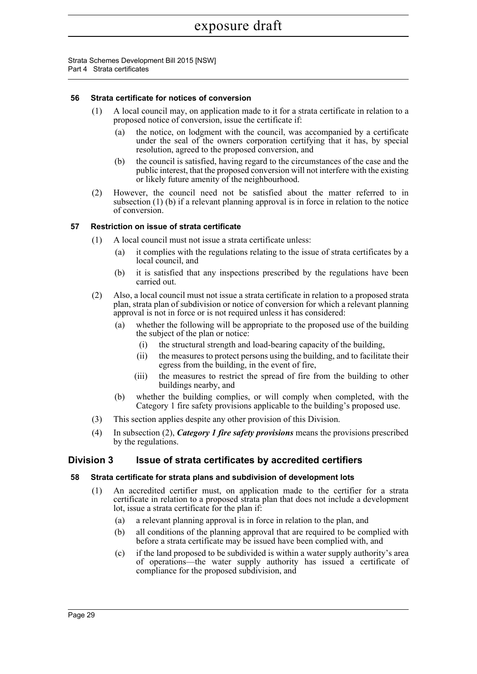## **56 Strata certificate for notices of conversion**

- (1) A local council may, on application made to it for a strata certificate in relation to a proposed notice of conversion, issue the certificate if:
	- (a) the notice, on lodgment with the council, was accompanied by a certificate under the seal of the owners corporation certifying that it has, by special resolution, agreed to the proposed conversion, and
	- (b) the council is satisfied, having regard to the circumstances of the case and the public interest, that the proposed conversion will not interfere with the existing or likely future amenity of the neighbourhood.
- (2) However, the council need not be satisfied about the matter referred to in subsection (1) (b) if a relevant planning approval is in force in relation to the notice of conversion.

## **57 Restriction on issue of strata certificate**

- (1) A local council must not issue a strata certificate unless:
	- (a) it complies with the regulations relating to the issue of strata certificates by a local council, and
	- (b) it is satisfied that any inspections prescribed by the regulations have been carried out.
- (2) Also, a local council must not issue a strata certificate in relation to a proposed strata plan, strata plan of subdivision or notice of conversion for which a relevant planning approval is not in force or is not required unless it has considered:
	- (a) whether the following will be appropriate to the proposed use of the building the subject of the plan or notice:
		- (i) the structural strength and load-bearing capacity of the building,
		- (ii) the measures to protect persons using the building, and to facilitate their egress from the building, in the event of fire,
		- (iii) the measures to restrict the spread of fire from the building to other buildings nearby, and
	- (b) whether the building complies, or will comply when completed, with the Category 1 fire safety provisions applicable to the building's proposed use.
- (3) This section applies despite any other provision of this Division.
- (4) In subsection (2), *Category 1 fire safety provisions* means the provisions prescribed by the regulations.

## **Division 3 Issue of strata certificates by accredited certifiers**

### **58 Strata certificate for strata plans and subdivision of development lots**

- (1) An accredited certifier must, on application made to the certifier for a strata certificate in relation to a proposed strata plan that does not include a development lot, issue a strata certificate for the plan if:
	- (a) a relevant planning approval is in force in relation to the plan, and
	- (b) all conditions of the planning approval that are required to be complied with before a strata certificate may be issued have been complied with, and
	- (c) if the land proposed to be subdivided is within a water supply authority's area of operations—the water supply authority has issued a certificate of compliance for the proposed subdivision, and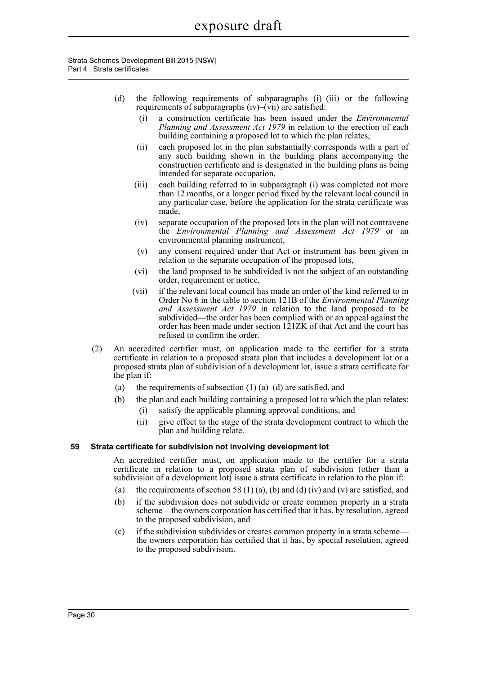- (d) the following requirements of subparagraphs (i)–(iii) or the following requirements of subparagraphs (iv)–(vii) are satisfied:
	- (i) a construction certificate has been issued under the *Environmental Planning and Assessment Act 1979* in relation to the erection of each building containing a proposed lot to which the plan relates,
	- (ii) each proposed lot in the plan substantially corresponds with a part of any such building shown in the building plans accompanying the construction certificate and is designated in the building plans as being intended for separate occupation,
	- (iii) each building referred to in subparagraph (i) was completed not more than 12 months, or a longer period fixed by the relevant local council in any particular case, before the application for the strata certificate was made,
	- (iv) separate occupation of the proposed lots in the plan will not contravene the *Environmental Planning and Assessment Act 1979* or an environmental planning instrument,
	- (v) any consent required under that Act or instrument has been given in relation to the separate occupation of the proposed lots,
	- (vi) the land proposed to be subdivided is not the subject of an outstanding order, requirement or notice,
	- (vii) if the relevant local council has made an order of the kind referred to in Order No 6 in the table to section 121B of the *Environmental Planning and Assessment Act 1979* in relation to the land proposed to be subdivided—the order has been complied with or an appeal against the order has been made under section 121ZK of that Act and the court has refused to confirm the order.
- (2) An accredited certifier must, on application made to the certifier for a strata certificate in relation to a proposed strata plan that includes a development lot or a proposed strata plan of subdivision of a development lot, issue a strata certificate for the plan if:
	- (a) the requirements of subsection  $(1)$  (a)–(d) are satisfied, and
	- (b) the plan and each building containing a proposed lot to which the plan relates:
		- (i) satisfy the applicable planning approval conditions, and
		- (ii) give effect to the stage of the strata development contract to which the plan and building relate.

## **59 Strata certificate for subdivision not involving development lot**

An accredited certifier must, on application made to the certifier for a strata certificate in relation to a proposed strata plan of subdivision (other than a subdivision of a development lot) issue a strata certificate in relation to the plan if:

- (a) the requirements of section 58 (1) (a), (b) and (d) (iv) and (v) are satisfied, and
- (b) if the subdivision does not subdivide or create common property in a strata scheme—the owners corporation has certified that it has, by resolution, agreed to the proposed subdivision, and
- (c) if the subdivision subdivides or creates common property in a strata scheme the owners corporation has certified that it has, by special resolution, agreed to the proposed subdivision.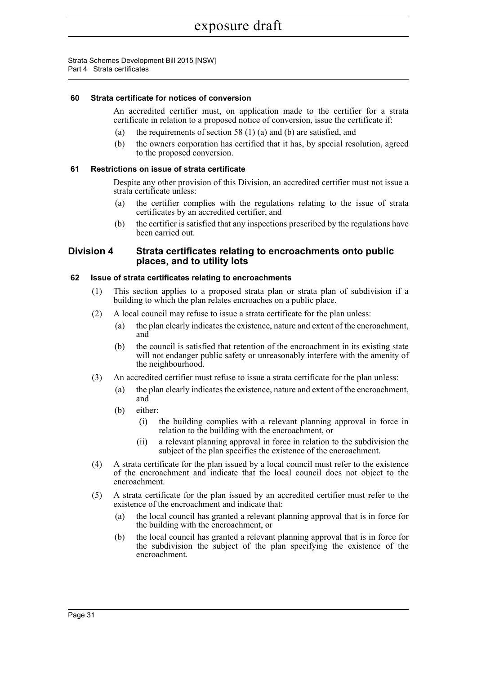## **60 Strata certificate for notices of conversion**

An accredited certifier must, on application made to the certifier for a strata certificate in relation to a proposed notice of conversion, issue the certificate if:

- (a) the requirements of section 58 (1) (a) and (b) are satisfied, and
- (b) the owners corporation has certified that it has, by special resolution, agreed to the proposed conversion.

## **61 Restrictions on issue of strata certificate**

Despite any other provision of this Division, an accredited certifier must not issue a strata certificate unless:

- (a) the certifier complies with the regulations relating to the issue of strata certificates by an accredited certifier, and
- (b) the certifier is satisfied that any inspections prescribed by the regulations have been carried out.

## **Division 4 Strata certificates relating to encroachments onto public places, and to utility lots**

## **62 Issue of strata certificates relating to encroachments**

- (1) This section applies to a proposed strata plan or strata plan of subdivision if a building to which the plan relates encroaches on a public place.
- (2) A local council may refuse to issue a strata certificate for the plan unless:
	- (a) the plan clearly indicates the existence, nature and extent of the encroachment, and
	- (b) the council is satisfied that retention of the encroachment in its existing state will not endanger public safety or unreasonably interfere with the amenity of the neighbourhood.
- (3) An accredited certifier must refuse to issue a strata certificate for the plan unless:
	- (a) the plan clearly indicates the existence, nature and extent of the encroachment, and
	- (b) either:
		- (i) the building complies with a relevant planning approval in force in relation to the building with the encroachment, or
		- (ii) a relevant planning approval in force in relation to the subdivision the subject of the plan specifies the existence of the encroachment.
- (4) A strata certificate for the plan issued by a local council must refer to the existence of the encroachment and indicate that the local council does not object to the encroachment.
- (5) A strata certificate for the plan issued by an accredited certifier must refer to the existence of the encroachment and indicate that:
	- (a) the local council has granted a relevant planning approval that is in force for the building with the encroachment, or
	- (b) the local council has granted a relevant planning approval that is in force for the subdivision the subject of the plan specifying the existence of the encroachment.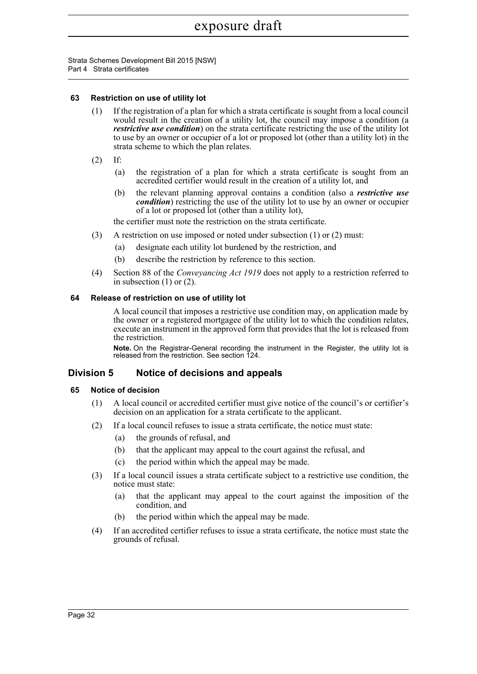Strata Schemes Development Bill 2015 [NSW] Part 4 Strata certificates

## **63 Restriction on use of utility lot**

- (1) If the registration of a plan for which a strata certificate is sought from a local council would result in the creation of a utility lot, the council may impose a condition (a *restrictive use condition*) on the strata certificate restricting the use of the utility lot to use by an owner or occupier of a lot or proposed lot (other than a utility lot) in the strata scheme to which the plan relates.
- (2) If:
	- (a) the registration of a plan for which a strata certificate is sought from an accredited certifier would result in the creation of a utility lot, and
	- (b) the relevant planning approval contains a condition (also a *restrictive use condition*) restricting the use of the utility lot to use by an owner or occupier of a lot or proposed lot (other than a utility lot),

the certifier must note the restriction on the strata certificate.

- (3) A restriction on use imposed or noted under subsection (1) or (2) must:
	- (a) designate each utility lot burdened by the restriction, and
	- (b) describe the restriction by reference to this section.
- (4) Section 88 of the *Conveyancing Act 1919* does not apply to a restriction referred to in subsection  $(1)$  or  $(2)$ .

### **64 Release of restriction on use of utility lot**

A local council that imposes a restrictive use condition may, on application made by the owner or a registered mortgagee of the utility lot to which the condition relates, execute an instrument in the approved form that provides that the lot is released from the restriction.

**Note.** On the Registrar-General recording the instrument in the Register, the utility lot is released from the restriction. See section 124.

## **Division 5 Notice of decisions and appeals**

### **65 Notice of decision**

- (1) A local council or accredited certifier must give notice of the council's or certifier's decision on an application for a strata certificate to the applicant.
- (2) If a local council refuses to issue a strata certificate, the notice must state:
	- (a) the grounds of refusal, and
	- (b) that the applicant may appeal to the court against the refusal, and
	- (c) the period within which the appeal may be made.
- (3) If a local council issues a strata certificate subject to a restrictive use condition, the notice must state:
	- (a) that the applicant may appeal to the court against the imposition of the condition, and
	- (b) the period within which the appeal may be made.
- (4) If an accredited certifier refuses to issue a strata certificate, the notice must state the grounds of refusal.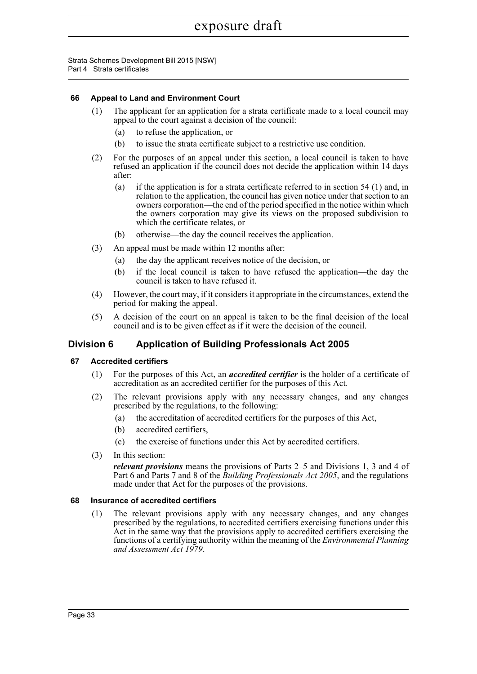Strata Schemes Development Bill 2015 [NSW] Part 4 Strata certificates

## **66 Appeal to Land and Environment Court**

- (1) The applicant for an application for a strata certificate made to a local council may appeal to the court against a decision of the council:
	- (a) to refuse the application, or
	- (b) to issue the strata certificate subject to a restrictive use condition.
- (2) For the purposes of an appeal under this section, a local council is taken to have refused an application if the council does not decide the application within 14 days after:
	- (a) if the application is for a strata certificate referred to in section 54 (1) and, in relation to the application, the council has given notice under that section to an owners corporation—the end of the period specified in the notice within which the owners corporation may give its views on the proposed subdivision to which the certificate relates, or
	- (b) otherwise—the day the council receives the application.
- (3) An appeal must be made within 12 months after:
	- (a) the day the applicant receives notice of the decision, or
	- (b) if the local council is taken to have refused the application—the day the council is taken to have refused it.
- (4) However, the court may, if it considers it appropriate in the circumstances, extend the period for making the appeal.
- (5) A decision of the court on an appeal is taken to be the final decision of the local council and is to be given effect as if it were the decision of the council.

## **Division 6 Application of Building Professionals Act 2005**

### **67 Accredited certifiers**

- (1) For the purposes of this Act, an *accredited certifier* is the holder of a certificate of accreditation as an accredited certifier for the purposes of this Act.
- (2) The relevant provisions apply with any necessary changes, and any changes prescribed by the regulations, to the following:
	- (a) the accreditation of accredited certifiers for the purposes of this Act,
	- (b) accredited certifiers,
	- (c) the exercise of functions under this Act by accredited certifiers.
- (3) In this section:

*relevant provisions* means the provisions of Parts 2–5 and Divisions 1, 3 and 4 of Part 6 and Parts 7 and 8 of the *Building Professionals Act 2005*, and the regulations made under that Act for the purposes of the provisions.

### **68 Insurance of accredited certifiers**

(1) The relevant provisions apply with any necessary changes, and any changes prescribed by the regulations, to accredited certifiers exercising functions under this Act in the same way that the provisions apply to accredited certifiers exercising the functions of a certifying authority within the meaning of the *Environmental Planning and Assessment Act 1979*.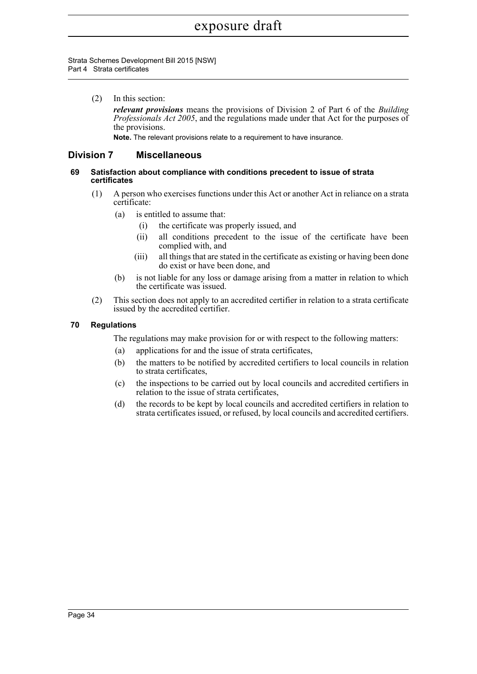Strata Schemes Development Bill 2015 [NSW] Part 4 Strata certificates

> (2) In this section: *relevant provisions* means the provisions of Division 2 of Part 6 of the *Building Professionals Act 2005*, and the regulations made under that Act for the purposes of the provisions.

**Note.** The relevant provisions relate to a requirement to have insurance.

## **Division 7 Miscellaneous**

## **69 Satisfaction about compliance with conditions precedent to issue of strata certificates**

- (1) A person who exercises functions under this Act or another Act in reliance on a strata certificate:
	- (a) is entitled to assume that:
		- (i) the certificate was properly issued, and
		- (ii) all conditions precedent to the issue of the certificate have been complied with, and
		- (iii) all things that are stated in the certificate as existing or having been done do exist or have been done, and
	- (b) is not liable for any loss or damage arising from a matter in relation to which the certificate was issued.
- (2) This section does not apply to an accredited certifier in relation to a strata certificate issued by the accredited certifier.

## **70 Regulations**

The regulations may make provision for or with respect to the following matters:

- (a) applications for and the issue of strata certificates,
- (b) the matters to be notified by accredited certifiers to local councils in relation to strata certificates,
- (c) the inspections to be carried out by local councils and accredited certifiers in relation to the issue of strata certificates,
- (d) the records to be kept by local councils and accredited certifiers in relation to strata certificates issued, or refused, by local councils and accredited certifiers.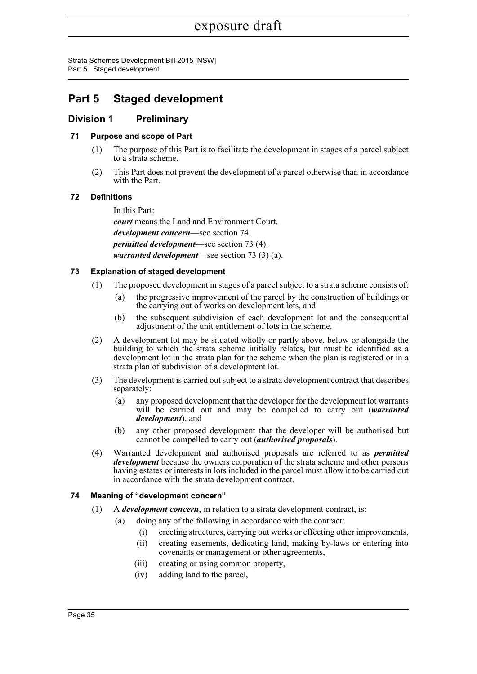Strata Schemes Development Bill 2015 [NSW] Part 5 Staged development

# **Part 5 Staged development**

# **Division 1 Preliminary**

## **71 Purpose and scope of Part**

- (1) The purpose of this Part is to facilitate the development in stages of a parcel subject to a strata scheme.
- (2) This Part does not prevent the development of a parcel otherwise than in accordance with the Part.

## **72 Definitions**

In this Part: *court* means the Land and Environment Court. *development concern*—see section 74. *permitted development*—see section 73 (4). *warranted development*—see section 73 (3) (a).

## **73 Explanation of staged development**

- (1) The proposed development in stages of a parcel subject to a strata scheme consists of:
	- (a) the progressive improvement of the parcel by the construction of buildings or the carrying out of works on development lots, and
	- (b) the subsequent subdivision of each development lot and the consequential adjustment of the unit entitlement of lots in the scheme.
- (2) A development lot may be situated wholly or partly above, below or alongside the building to which the strata scheme initially relates, but must be identified as a development lot in the strata plan for the scheme when the plan is registered or in a strata plan of subdivision of a development lot.
- (3) The development is carried out subject to a strata development contract that describes separately:
	- (a) any proposed development that the developer for the development lot warrants will be carried out and may be compelled to carry out *(warranted*) *development*), and
	- (b) any other proposed development that the developer will be authorised but cannot be compelled to carry out (*authorised proposals*).
- (4) Warranted development and authorised proposals are referred to as *permitted development* because the owners corporation of the strata scheme and other persons having estates or interests in lots included in the parcel must allow it to be carried out in accordance with the strata development contract.

## **74 Meaning of "development concern"**

- (1) A *development concern*, in relation to a strata development contract, is:
	- (a) doing any of the following in accordance with the contract:
		- (i) erecting structures, carrying out works or effecting other improvements,
		- (ii) creating easements, dedicating land, making by-laws or entering into covenants or management or other agreements,
		- (iii) creating or using common property,
		- (iv) adding land to the parcel,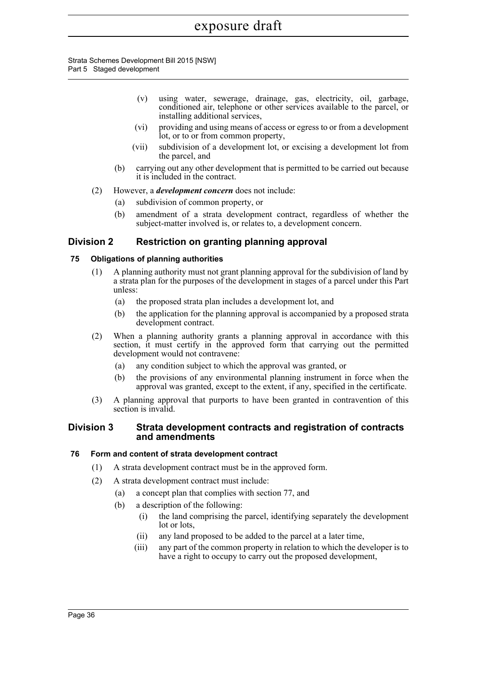#### Strata Schemes Development Bill 2015 [NSW] Part 5 Staged development

- (v) using water, sewerage, drainage, gas, electricity, oil, garbage, conditioned air, telephone or other services available to the parcel, or installing additional services,
- (vi) providing and using means of access or egress to or from a development lot, or to or from common property,
- (vii) subdivision of a development lot, or excising a development lot from the parcel, and
- (b) carrying out any other development that is permitted to be carried out because it is included in the contract.
- (2) However, a *development concern* does not include:
	- (a) subdivision of common property, or
	- (b) amendment of a strata development contract, regardless of whether the subject-matter involved is, or relates to, a development concern.

# **Division 2 Restriction on granting planning approval**

## **75 Obligations of planning authorities**

- (1) A planning authority must not grant planning approval for the subdivision of land by a strata plan for the purposes of the development in stages of a parcel under this Part unless:
	- (a) the proposed strata plan includes a development lot, and
	- (b) the application for the planning approval is accompanied by a proposed strata development contract.
- (2) When a planning authority grants a planning approval in accordance with this section, it must certify in the approved form that carrying out the permitted development would not contravene:
	- (a) any condition subject to which the approval was granted, or
	- (b) the provisions of any environmental planning instrument in force when the approval was granted, except to the extent, if any, specified in the certificate.
- (3) A planning approval that purports to have been granted in contravention of this section is invalid.

## **Division 3 Strata development contracts and registration of contracts and amendments**

## **76 Form and content of strata development contract**

- (1) A strata development contract must be in the approved form.
- (2) A strata development contract must include:
	- (a) a concept plan that complies with section 77, and
	- (b) a description of the following:
		- (i) the land comprising the parcel, identifying separately the development lot or lots,
		- (ii) any land proposed to be added to the parcel at a later time,
		- (iii) any part of the common property in relation to which the developer is to have a right to occupy to carry out the proposed development,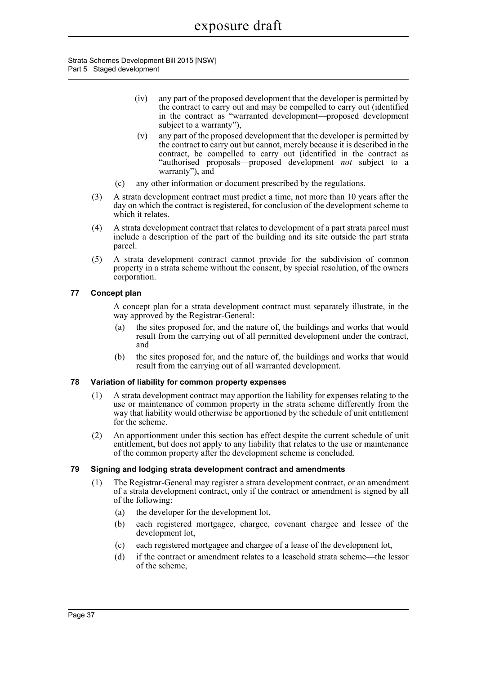Strata Schemes Development Bill 2015 [NSW] Part 5 Staged development

- (iv) any part of the proposed development that the developer is permitted by the contract to carry out and may be compelled to carry out (identified in the contract as "warranted development—proposed development subject to a warranty"),
- (v) any part of the proposed development that the developer is permitted by the contract to carry out but cannot, merely because it is described in the contract, be compelled to carry out (identified in the contract as "authorised proposals—proposed development *not* subject to a warranty"), and
- (c) any other information or document prescribed by the regulations.
- (3) A strata development contract must predict a time, not more than 10 years after the day on which the contract is registered, for conclusion of the development scheme to which it relates.
- (4) A strata development contract that relates to development of a part strata parcel must include a description of the part of the building and its site outside the part strata parcel.
- (5) A strata development contract cannot provide for the subdivision of common property in a strata scheme without the consent, by special resolution, of the owners corporation.

## **77 Concept plan**

A concept plan for a strata development contract must separately illustrate, in the way approved by the Registrar-General:

- (a) the sites proposed for, and the nature of, the buildings and works that would result from the carrying out of all permitted development under the contract, and
- (b) the sites proposed for, and the nature of, the buildings and works that would result from the carrying out of all warranted development.

## **78 Variation of liability for common property expenses**

- (1) A strata development contract may apportion the liability for expenses relating to the use or maintenance of common property in the strata scheme differently from the way that liability would otherwise be apportioned by the schedule of unit entitlement for the scheme.
- (2) An apportionment under this section has effect despite the current schedule of unit entitlement, but does not apply to any liability that relates to the use or maintenance of the common property after the development scheme is concluded.

## **79 Signing and lodging strata development contract and amendments**

- (1) The Registrar-General may register a strata development contract, or an amendment of a strata development contract, only if the contract or amendment is signed by all of the following:
	- (a) the developer for the development lot,
	- (b) each registered mortgagee, chargee, covenant chargee and lessee of the development lot,
	- (c) each registered mortgagee and chargee of a lease of the development lot,
	- (d) if the contract or amendment relates to a leasehold strata scheme—the lessor of the scheme,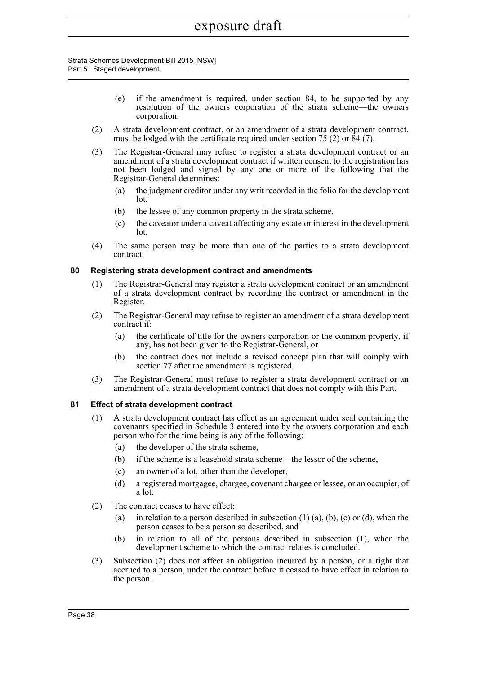#### Strata Schemes Development Bill 2015 [NSW] Part 5 Staged development

- (e) if the amendment is required, under section 84, to be supported by any resolution of the owners corporation of the strata scheme—the owners corporation.
- (2) A strata development contract, or an amendment of a strata development contract, must be lodged with the certificate required under section 75 (2) or  $\hat{8}4$  (7).
- (3) The Registrar-General may refuse to register a strata development contract or an amendment of a strata development contract if written consent to the registration has not been lodged and signed by any one or more of the following that the Registrar-General determines:
	- (a) the judgment creditor under any writ recorded in the folio for the development lot,
	- (b) the lessee of any common property in the strata scheme,
	- (c) the caveator under a caveat affecting any estate or interest in the development lot.
- (4) The same person may be more than one of the parties to a strata development contract.

## **80 Registering strata development contract and amendments**

- (1) The Registrar-General may register a strata development contract or an amendment of a strata development contract by recording the contract or amendment in the Register.
- (2) The Registrar-General may refuse to register an amendment of a strata development contract if:
	- (a) the certificate of title for the owners corporation or the common property, if any, has not been given to the Registrar-General, or
	- (b) the contract does not include a revised concept plan that will comply with section 77 after the amendment is registered.
- (3) The Registrar-General must refuse to register a strata development contract or an amendment of a strata development contract that does not comply with this Part.

## **81 Effect of strata development contract**

- (1) A strata development contract has effect as an agreement under seal containing the covenants specified in Schedule 3 entered into by the owners corporation and each person who for the time being is any of the following:
	- (a) the developer of the strata scheme,
	- (b) if the scheme is a leasehold strata scheme—the lessor of the scheme,
	- (c) an owner of a lot, other than the developer,
	- (d) a registered mortgagee, chargee, covenant chargee or lessee, or an occupier, of a lot.
- (2) The contract ceases to have effect:
	- (a) in relation to a person described in subsection  $(1)$  (a),  $(b)$ ,  $(c)$  or  $(d)$ , when the person ceases to be a person so described, and
	- (b) in relation to all of the persons described in subsection (1), when the development scheme to which the contract relates is concluded.
- (3) Subsection (2) does not affect an obligation incurred by a person, or a right that accrued to a person, under the contract before it ceased to have effect in relation to the person.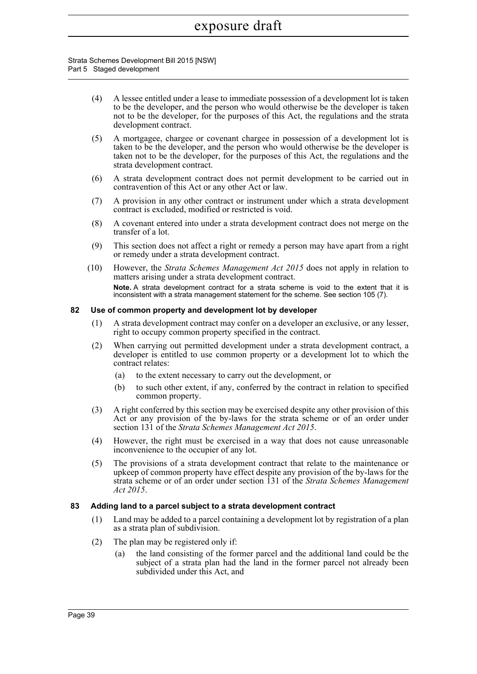### Strata Schemes Development Bill 2015 [NSW] Part 5 Staged development

- (4) A lessee entitled under a lease to immediate possession of a development lot is taken to be the developer, and the person who would otherwise be the developer is taken not to be the developer, for the purposes of this Act, the regulations and the strata development contract.
- (5) A mortgagee, chargee or covenant chargee in possession of a development lot is taken to be the developer, and the person who would otherwise be the developer is taken not to be the developer, for the purposes of this Act, the regulations and the strata development contract.
- (6) A strata development contract does not permit development to be carried out in contravention of this Act or any other Act or law.
- (7) A provision in any other contract or instrument under which a strata development contract is excluded, modified or restricted is void.
- (8) A covenant entered into under a strata development contract does not merge on the transfer of a lot.
- (9) This section does not affect a right or remedy a person may have apart from a right or remedy under a strata development contract.
- (10) However, the *Strata Schemes Management Act 2015* does not apply in relation to matters arising under a strata development contract. **Note.** A strata development contract for a strata scheme is void to the extent that it is inconsistent with a strata management statement for the scheme. See section 105 (7).

## **82 Use of common property and development lot by developer**

- (1) A strata development contract may confer on a developer an exclusive, or any lesser, right to occupy common property specified in the contract.
- (2) When carrying out permitted development under a strata development contract, a developer is entitled to use common property or a development lot to which the contract relates:
	- (a) to the extent necessary to carry out the development, or
	- (b) to such other extent, if any, conferred by the contract in relation to specified common property.
- (3) A right conferred by this section may be exercised despite any other provision of this Act or any provision of the by-laws for the strata scheme or of an order under section 131 of the *Strata Schemes Management Act 2015*.
- (4) However, the right must be exercised in a way that does not cause unreasonable inconvenience to the occupier of any lot.
- (5) The provisions of a strata development contract that relate to the maintenance or upkeep of common property have effect despite any provision of the by-laws for the strata scheme or of an order under section 131 of the *Strata Schemes Management Act 2015*.

### **83 Adding land to a parcel subject to a strata development contract**

- (1) Land may be added to a parcel containing a development lot by registration of a plan as a strata plan of subdivision.
- (2) The plan may be registered only if:
	- (a) the land consisting of the former parcel and the additional land could be the subject of a strata plan had the land in the former parcel not already been subdivided under this Act, and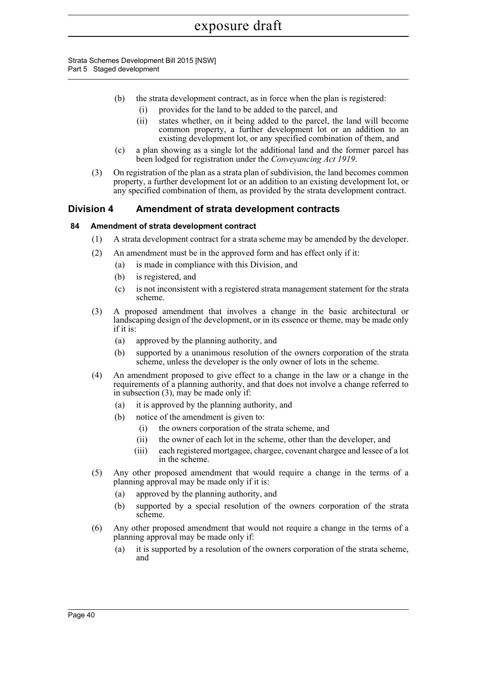Strata Schemes Development Bill 2015 [NSW] Part 5 Staged development

- (b) the strata development contract, as in force when the plan is registered: (i) provides for the land to be added to the parcel, and
	- (ii) states whether, on it being added to the parcel, the land will become common property, a further development lot or an addition to an existing development lot, or any specified combination of them, and
- (c) a plan showing as a single lot the additional land and the former parcel has been lodged for registration under the *Conveyancing Act 1919*.
- (3) On registration of the plan as a strata plan of subdivision, the land becomes common property, a further development lot or an addition to an existing development lot, or any specified combination of them, as provided by the strata development contract.

## **Division 4 Amendment of strata development contracts**

## **84 Amendment of strata development contract**

- (1) A strata development contract for a strata scheme may be amended by the developer.
- (2) An amendment must be in the approved form and has effect only if it:
	- (a) is made in compliance with this Division, and
	- (b) is registered, and
	- (c) is not inconsistent with a registered strata management statement for the strata scheme.
- (3) A proposed amendment that involves a change in the basic architectural or landscaping design of the development, or in its essence or theme, may be made only if it is:
	- (a) approved by the planning authority, and
	- (b) supported by a unanimous resolution of the owners corporation of the strata scheme, unless the developer is the only owner of lots in the scheme.
- (4) An amendment proposed to give effect to a change in the law or a change in the requirements of a planning authority, and that does not involve a change referred to in subsection (3), may be made only if:
	- (a) it is approved by the planning authority, and
	- (b) notice of the amendment is given to:
		- (i) the owners corporation of the strata scheme, and
		- (ii) the owner of each lot in the scheme, other than the developer, and
		- (iii) each registered mortgagee, chargee, covenant chargee and lessee of a lot in the scheme.
- (5) Any other proposed amendment that would require a change in the terms of a planning approval may be made only if it is:
	- (a) approved by the planning authority, and
	- (b) supported by a special resolution of the owners corporation of the strata scheme.
- (6) Any other proposed amendment that would not require a change in the terms of a planning approval may be made only if:
	- (a) it is supported by a resolution of the owners corporation of the strata scheme, and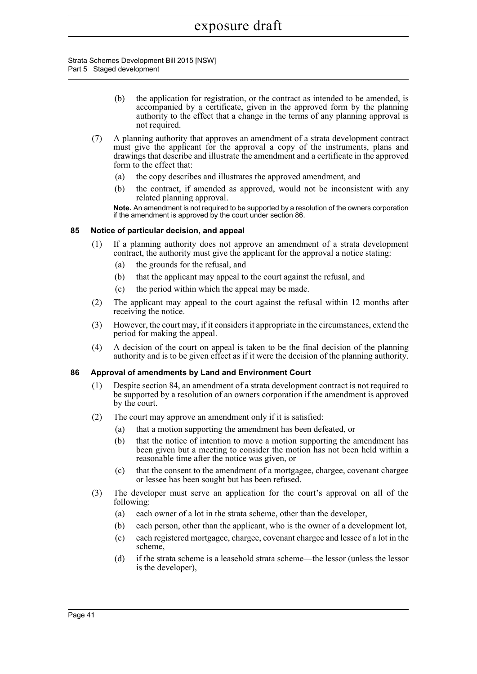Strata Schemes Development Bill 2015 [NSW] Part 5 Staged development

- (b) the application for registration, or the contract as intended to be amended, is accompanied by a certificate, given in the approved form by the planning authority to the effect that a change in the terms of any planning approval is not required.
- (7) A planning authority that approves an amendment of a strata development contract must give the applicant for the approval a copy of the instruments, plans and drawings that describe and illustrate the amendment and a certificate in the approved form to the effect that:
	- (a) the copy describes and illustrates the approved amendment, and
	- (b) the contract, if amended as approved, would not be inconsistent with any related planning approval.

**Note.** An amendment is not required to be supported by a resolution of the owners corporation if the amendment is approved by the court under section 86.

## **85 Notice of particular decision, and appeal**

- (1) If a planning authority does not approve an amendment of a strata development contract, the authority must give the applicant for the approval a notice stating:
	- (a) the grounds for the refusal, and
	- (b) that the applicant may appeal to the court against the refusal, and
	- (c) the period within which the appeal may be made.
- (2) The applicant may appeal to the court against the refusal within 12 months after receiving the notice.
- (3) However, the court may, if it considers it appropriate in the circumstances, extend the period for making the appeal.
- (4) A decision of the court on appeal is taken to be the final decision of the planning authority and is to be given effect as if it were the decision of the planning authority.

### **86 Approval of amendments by Land and Environment Court**

- (1) Despite section 84, an amendment of a strata development contract is not required to be supported by a resolution of an owners corporation if the amendment is approved by the court.
- (2) The court may approve an amendment only if it is satisfied:
	- (a) that a motion supporting the amendment has been defeated, or
	- (b) that the notice of intention to move a motion supporting the amendment has been given but a meeting to consider the motion has not been held within a reasonable time after the notice was given, or
	- (c) that the consent to the amendment of a mortgagee, chargee, covenant chargee or lessee has been sought but has been refused.
- (3) The developer must serve an application for the court's approval on all of the following:
	- (a) each owner of a lot in the strata scheme, other than the developer,
	- (b) each person, other than the applicant, who is the owner of a development lot,
	- (c) each registered mortgagee, chargee, covenant chargee and lessee of a lot in the scheme,
	- (d) if the strata scheme is a leasehold strata scheme—the lessor (unless the lessor is the developer),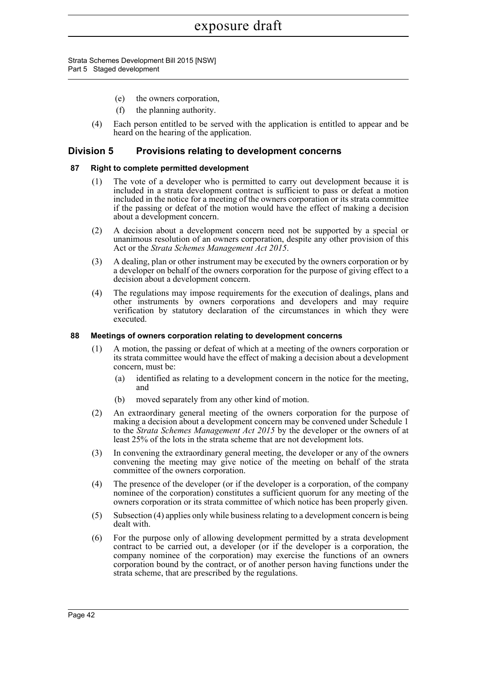Strata Schemes Development Bill 2015 [NSW] Part 5 Staged development

- (e) the owners corporation,
- (f) the planning authority.
- (4) Each person entitled to be served with the application is entitled to appear and be heard on the hearing of the application.

## **Division 5 Provisions relating to development concerns**

## **87 Right to complete permitted development**

- (1) The vote of a developer who is permitted to carry out development because it is included in a strata development contract is sufficient to pass or defeat a motion included in the notice for a meeting of the owners corporation or its strata committee if the passing or defeat of the motion would have the effect of making a decision about a development concern.
- (2) A decision about a development concern need not be supported by a special or unanimous resolution of an owners corporation, despite any other provision of this Act or the *Strata Schemes Management Act 2015*.
- (3) A dealing, plan or other instrument may be executed by the owners corporation or by a developer on behalf of the owners corporation for the purpose of giving effect to a decision about a development concern.
- (4) The regulations may impose requirements for the execution of dealings, plans and other instruments by owners corporations and developers and may require verification by statutory declaration of the circumstances in which they were executed.

### **88 Meetings of owners corporation relating to development concerns**

- (1) A motion, the passing or defeat of which at a meeting of the owners corporation or its strata committee would have the effect of making a decision about a development concern, must be:
	- (a) identified as relating to a development concern in the notice for the meeting, and
	- (b) moved separately from any other kind of motion.
- (2) An extraordinary general meeting of the owners corporation for the purpose of making a decision about a development concern may be convened under Schedule 1 to the *Strata Schemes Management Act 2015* by the developer or the owners of at least 25% of the lots in the strata scheme that are not development lots.
- (3) In convening the extraordinary general meeting, the developer or any of the owners convening the meeting may give notice of the meeting on behalf of the strata committee of the owners corporation.
- (4) The presence of the developer (or if the developer is a corporation, of the company nominee of the corporation) constitutes a sufficient quorum for any meeting of the owners corporation or its strata committee of which notice has been properly given.
- (5) Subsection (4) applies only while business relating to a development concern is being dealt with.
- (6) For the purpose only of allowing development permitted by a strata development contract to be carried out, a developer (or if the developer is a corporation, the company nominee of the corporation) may exercise the functions of an owners corporation bound by the contract, or of another person having functions under the strata scheme, that are prescribed by the regulations.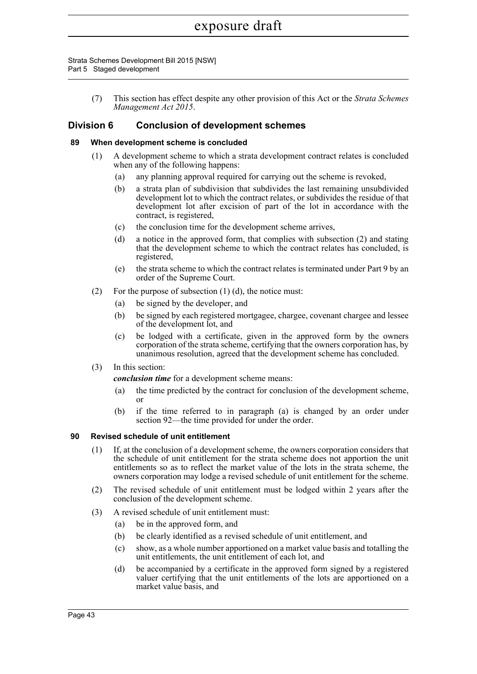Strata Schemes Development Bill 2015 [NSW] Part 5 Staged development

> (7) This section has effect despite any other provision of this Act or the *Strata Schemes Management Act 2015*.

## **Division 6 Conclusion of development schemes**

#### **89 When development scheme is concluded**

- (1) A development scheme to which a strata development contract relates is concluded when any of the following happens:
	- (a) any planning approval required for carrying out the scheme is revoked,
	- (b) a strata plan of subdivision that subdivides the last remaining unsubdivided development lot to which the contract relates, or subdivides the residue of that development lot after excision of part of the lot in accordance with the contract, is registered,
	- (c) the conclusion time for the development scheme arrives,
	- (d) a notice in the approved form, that complies with subsection (2) and stating that the development scheme to which the contract relates has concluded, is registered,
	- (e) the strata scheme to which the contract relates is terminated under Part 9 by an order of the Supreme Court.
- (2) For the purpose of subsection  $(1)$   $(d)$ , the notice must:
	- (a) be signed by the developer, and
	- (b) be signed by each registered mortgagee, chargee, covenant chargee and lessee of the development lot, and
	- (c) be lodged with a certificate, given in the approved form by the owners corporation of the strata scheme, certifying that the owners corporation has, by unanimous resolution, agreed that the development scheme has concluded.
- (3) In this section:

*conclusion time* for a development scheme means:

- (a) the time predicted by the contract for conclusion of the development scheme, or
- (b) if the time referred to in paragraph (a) is changed by an order under section 92—the time provided for under the order.

#### **90 Revised schedule of unit entitlement**

- (1) If, at the conclusion of a development scheme, the owners corporation considers that the schedule of unit entitlement for the strata scheme does not apportion the unit entitlements so as to reflect the market value of the lots in the strata scheme, the owners corporation may lodge a revised schedule of unit entitlement for the scheme.
- (2) The revised schedule of unit entitlement must be lodged within 2 years after the conclusion of the development scheme.
- (3) A revised schedule of unit entitlement must:
	- (a) be in the approved form, and
	- (b) be clearly identified as a revised schedule of unit entitlement, and
	- (c) show, as a whole number apportioned on a market value basis and totalling the unit entitlements, the unit entitlement of each lot, and
	- (d) be accompanied by a certificate in the approved form signed by a registered valuer certifying that the unit entitlements of the lots are apportioned on a market value basis, and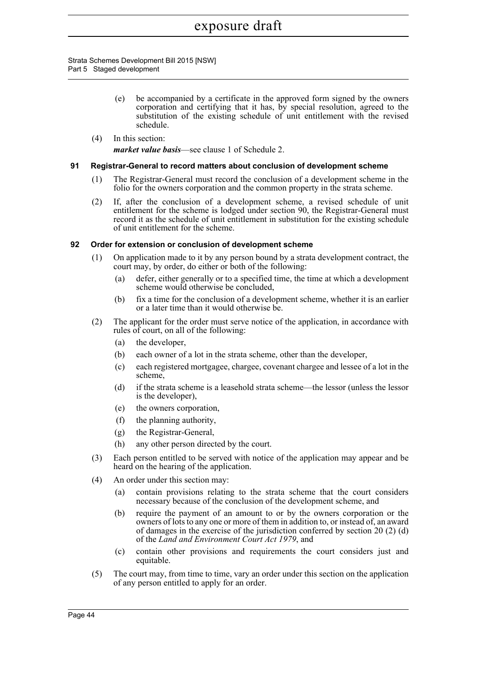Strata Schemes Development Bill 2015 [NSW] Part 5 Staged development

- (e) be accompanied by a certificate in the approved form signed by the owners corporation and certifying that it has, by special resolution, agreed to the substitution of the existing schedule of unit entitlement with the revised schedule.
- (4) In this section: *market value basis*—see clause 1 of Schedule 2.

#### **91 Registrar-General to record matters about conclusion of development scheme**

- (1) The Registrar-General must record the conclusion of a development scheme in the folio for the owners corporation and the common property in the strata scheme.
- (2) If, after the conclusion of a development scheme, a revised schedule of unit entitlement for the scheme is lodged under section 90, the Registrar-General must record it as the schedule of unit entitlement in substitution for the existing schedule of unit entitlement for the scheme.

### **92 Order for extension or conclusion of development scheme**

- (1) On application made to it by any person bound by a strata development contract, the court may, by order, do either or both of the following:
	- (a) defer, either generally or to a specified time, the time at which a development scheme would otherwise be concluded,
	- (b) fix a time for the conclusion of a development scheme, whether it is an earlier or a later time than it would otherwise be.
- (2) The applicant for the order must serve notice of the application, in accordance with rules of court, on all of the following:
	- (a) the developer,
	- (b) each owner of a lot in the strata scheme, other than the developer,
	- (c) each registered mortgagee, chargee, covenant chargee and lessee of a lot in the scheme,
	- (d) if the strata scheme is a leasehold strata scheme—the lessor (unless the lessor is the developer),
	- (e) the owners corporation,
	- (f) the planning authority,
	- (g) the Registrar-General,
	- (h) any other person directed by the court.
- (3) Each person entitled to be served with notice of the application may appear and be heard on the hearing of the application.
- (4) An order under this section may:
	- (a) contain provisions relating to the strata scheme that the court considers necessary because of the conclusion of the development scheme, and
	- (b) require the payment of an amount to or by the owners corporation or the owners of lots to any one or more of them in addition to, or instead of, an award of damages in the exercise of the jurisdiction conferred by section 20 (2) (d) of the *Land and Environment Court Act 1979*, and
	- (c) contain other provisions and requirements the court considers just and equitable.
- (5) The court may, from time to time, vary an order under this section on the application of any person entitled to apply for an order.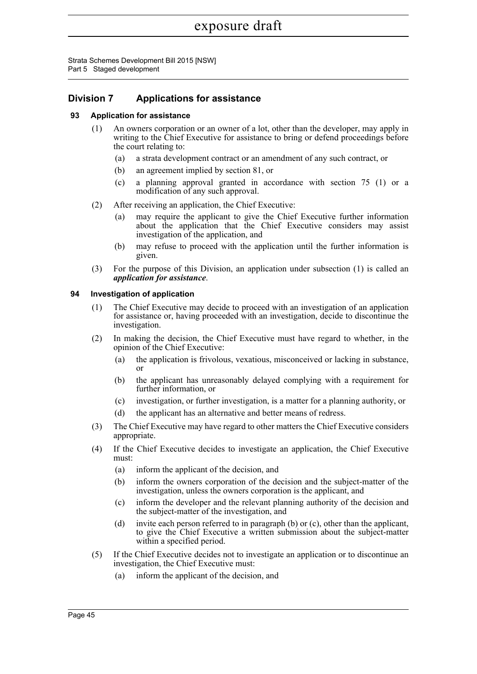Strata Schemes Development Bill 2015 [NSW] Part 5 Staged development

## **Division 7 Applications for assistance**

### **93 Application for assistance**

- (1) An owners corporation or an owner of a lot, other than the developer, may apply in writing to the Chief Executive for assistance to bring or defend proceedings before the court relating to:
	- (a) a strata development contract or an amendment of any such contract, or
	- (b) an agreement implied by section 81, or
	- (c) a planning approval granted in accordance with section 75 (1) or a modification of any such approval.
- (2) After receiving an application, the Chief Executive:
	- (a) may require the applicant to give the Chief Executive further information about the application that the Chief Executive considers may assist investigation of the application, and
	- (b) may refuse to proceed with the application until the further information is given.
- (3) For the purpose of this Division, an application under subsection (1) is called an *application for assistance*.

#### **94 Investigation of application**

- (1) The Chief Executive may decide to proceed with an investigation of an application for assistance or, having proceeded with an investigation, decide to discontinue the investigation.
- (2) In making the decision, the Chief Executive must have regard to whether, in the opinion of the Chief Executive:
	- (a) the application is frivolous, vexatious, misconceived or lacking in substance, or
	- (b) the applicant has unreasonably delayed complying with a requirement for further information, or
	- (c) investigation, or further investigation, is a matter for a planning authority, or
	- (d) the applicant has an alternative and better means of redress.
- (3) The Chief Executive may have regard to other matters the Chief Executive considers appropriate.
- (4) If the Chief Executive decides to investigate an application, the Chief Executive must:
	- (a) inform the applicant of the decision, and
	- (b) inform the owners corporation of the decision and the subject-matter of the investigation, unless the owners corporation is the applicant, and
	- (c) inform the developer and the relevant planning authority of the decision and the subject-matter of the investigation, and
	- (d) invite each person referred to in paragraph (b) or (c), other than the applicant, to give the Chief Executive a written submission about the subject-matter within a specified period.
- (5) If the Chief Executive decides not to investigate an application or to discontinue an investigation, the Chief Executive must:
	- (a) inform the applicant of the decision, and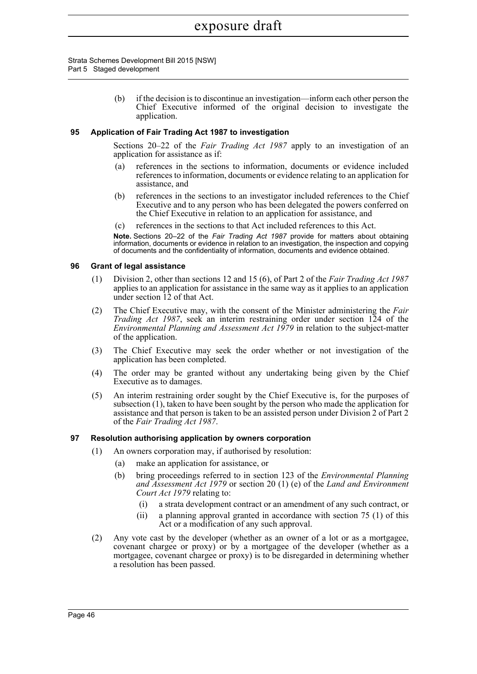Strata Schemes Development Bill 2015 [NSW] Part 5 Staged development

> (b) if the decision is to discontinue an investigation—inform each other person the Chief Executive informed of the original decision to investigate the application.

#### **95 Application of Fair Trading Act 1987 to investigation**

Sections 20–22 of the *Fair Trading Act 1987* apply to an investigation of an application for assistance as if:

- (a) references in the sections to information, documents or evidence included references to information, documents or evidence relating to an application for assistance, and
- (b) references in the sections to an investigator included references to the Chief Executive and to any person who has been delegated the powers conferred on the Chief Executive in relation to an application for assistance, and
- (c) references in the sections to that Act included references to this Act.

**Note.** Sections 20–22 of the *Fair Trading Act 1987* provide for matters about obtaining information, documents or evidence in relation to an investigation, the inspection and copying of documents and the confidentiality of information, documents and evidence obtained.

#### **96 Grant of legal assistance**

- (1) Division 2, other than sections 12 and 15 (6), of Part 2 of the *Fair Trading Act 1987* applies to an application for assistance in the same way as it applies to an application under section 12 of that Act.
- (2) The Chief Executive may, with the consent of the Minister administering the *Fair Trading Act 1987*, seek an interim restraining order under section 124 of the *Environmental Planning and Assessment Act 1979* in relation to the subject-matter of the application.
- (3) The Chief Executive may seek the order whether or not investigation of the application has been completed.
- (4) The order may be granted without any undertaking being given by the Chief Executive as to damages.
- (5) An interim restraining order sought by the Chief Executive is, for the purposes of subsection (1), taken to have been sought by the person who made the application for assistance and that person is taken to be an assisted person under Division 2 of Part 2 of the *Fair Trading Act 1987*.

#### **97 Resolution authorising application by owners corporation**

- (1) An owners corporation may, if authorised by resolution:
	- (a) make an application for assistance, or
	- (b) bring proceedings referred to in section 123 of the *Environmental Planning and Assessment Act 1979* or section 20 (1) (e) of the *Land and Environment Court Act 1979* relating to:
		- (i) a strata development contract or an amendment of any such contract, or
		- (ii) a planning approval granted in accordance with section 75 (1) of this Act or a modification of any such approval.
- (2) Any vote cast by the developer (whether as an owner of a lot or as a mortgagee, covenant chargee or proxy) or by a mortgagee of the developer (whether as a mortgagee, covenant chargee or proxy) is to be disregarded in determining whether a resolution has been passed.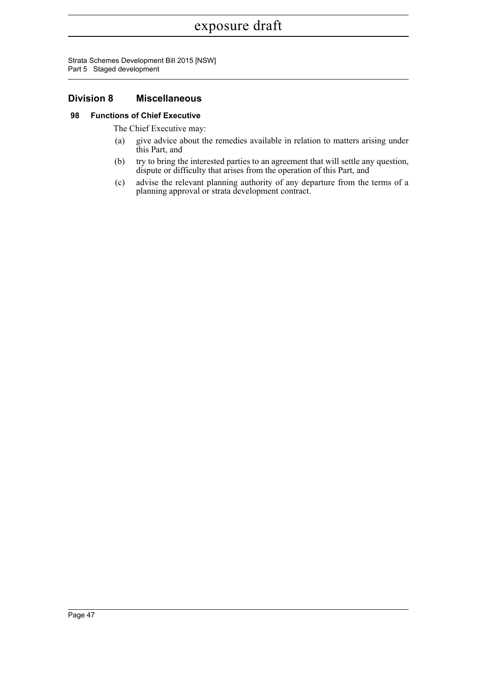Strata Schemes Development Bill 2015 [NSW] Part 5 Staged development

## **Division 8 Miscellaneous**

### **98 Functions of Chief Executive**

The Chief Executive may:

- (a) give advice about the remedies available in relation to matters arising under this Part, and
- (b) try to bring the interested parties to an agreement that will settle any question, dispute or difficulty that arises from the operation of this Part, and
- (c) advise the relevant planning authority of any departure from the terms of a planning approval or strata development contract.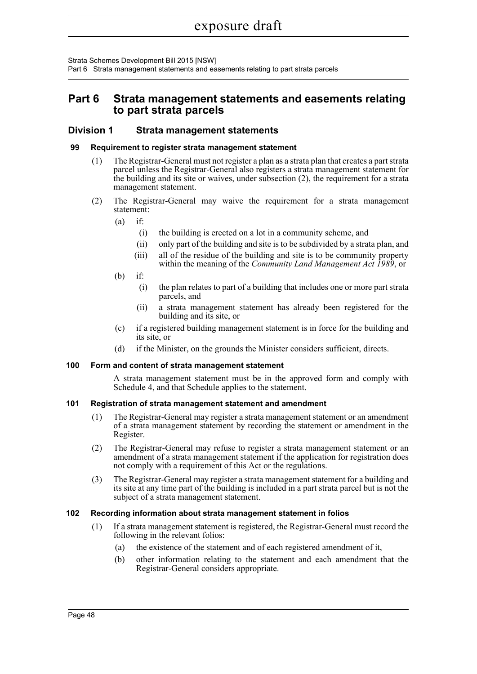Strata Schemes Development Bill 2015 [NSW]

Part 6 Strata management statements and easements relating to part strata parcels

## **Part 6 Strata management statements and easements relating to part strata parcels**

### **Division 1 Strata management statements**

#### **99 Requirement to register strata management statement**

- (1) The Registrar-General must not register a plan as a strata plan that creates a part strata parcel unless the Registrar-General also registers a strata management statement for the building and its site or waives, under subsection (2), the requirement for a strata management statement.
- (2) The Registrar-General may waive the requirement for a strata management statement:
	- $(a)$  if:
		- (i) the building is erected on a lot in a community scheme, and
		- (ii) only part of the building and site is to be subdivided by a strata plan, and
		- (iii) all of the residue of the building and site is to be community property within the meaning of the *Community Land Management Act 1989*, or
	- (b) if:
		- (i) the plan relates to part of a building that includes one or more part strata parcels, and
		- (ii) a strata management statement has already been registered for the building and its site, or
	- (c) if a registered building management statement is in force for the building and its site, or
	- (d) if the Minister, on the grounds the Minister considers sufficient, directs.

### **100 Form and content of strata management statement**

A strata management statement must be in the approved form and comply with Schedule 4, and that Schedule applies to the statement.

### **101 Registration of strata management statement and amendment**

- (1) The Registrar-General may register a strata management statement or an amendment of a strata management statement by recording the statement or amendment in the Register.
- (2) The Registrar-General may refuse to register a strata management statement or an amendment of a strata management statement if the application for registration does not comply with a requirement of this Act or the regulations.
- (3) The Registrar-General may register a strata management statement for a building and its site at any time part of the building is included in a part strata parcel but is not the subject of a strata management statement.

### **102 Recording information about strata management statement in folios**

- (1) If a strata management statement is registered, the Registrar-General must record the following in the relevant folios:
	- (a) the existence of the statement and of each registered amendment of it,
	- (b) other information relating to the statement and each amendment that the Registrar-General considers appropriate.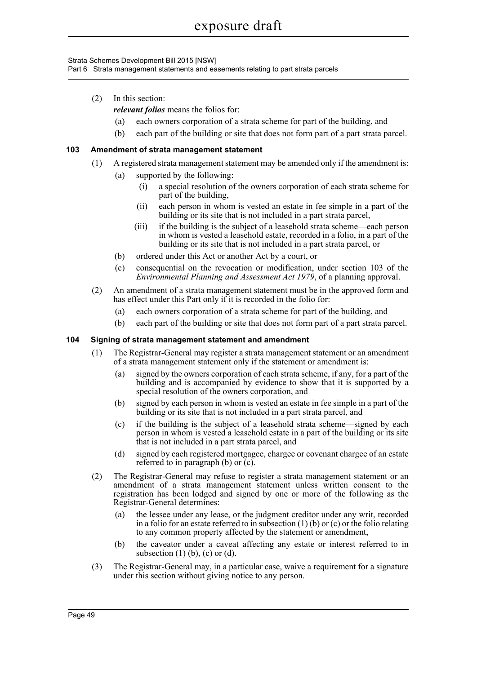Strata Schemes Development Bill 2015 [NSW]

Part 6 Strata management statements and easements relating to part strata parcels

(2) In this section:

*relevant folios* means the folios for:

- (a) each owners corporation of a strata scheme for part of the building, and
- (b) each part of the building or site that does not form part of a part strata parcel.

### **103 Amendment of strata management statement**

- (1) A registered strata management statement may be amended only if the amendment is:
	- (a) supported by the following:
		- (i) a special resolution of the owners corporation of each strata scheme for part of the building,
		- (ii) each person in whom is vested an estate in fee simple in a part of the building or its site that is not included in a part strata parcel,
		- (iii) if the building is the subject of a leasehold strata scheme—each person in whom is vested a leasehold estate, recorded in a folio, in a part of the building or its site that is not included in a part strata parcel, or
	- (b) ordered under this Act or another Act by a court, or
	- (c) consequential on the revocation or modification, under section 103 of the *Environmental Planning and Assessment Act 1979*, of a planning approval.
- (2) An amendment of a strata management statement must be in the approved form and has effect under this Part only if it is recorded in the folio for:
	- (a) each owners corporation of a strata scheme for part of the building, and
	- (b) each part of the building or site that does not form part of a part strata parcel.

#### **104 Signing of strata management statement and amendment**

- (1) The Registrar-General may register a strata management statement or an amendment of a strata management statement only if the statement or amendment is:
	- (a) signed by the owners corporation of each strata scheme, if any, for a part of the building and is accompanied by evidence to show that it is supported by a special resolution of the owners corporation, and
	- (b) signed by each person in whom is vested an estate in fee simple in a part of the building or its site that is not included in a part strata parcel, and
	- (c) if the building is the subject of a leasehold strata scheme—signed by each person in whom is vested a leasehold estate in a part of the building or its site that is not included in a part strata parcel, and
	- (d) signed by each registered mortgagee, chargee or covenant chargee of an estate referred to in paragraph (b) or (c).
- (2) The Registrar-General may refuse to register a strata management statement or an amendment of a strata management statement unless written consent to the registration has been lodged and signed by one or more of the following as the Registrar-General determines:
	- (a) the lessee under any lease, or the judgment creditor under any writ, recorded in a folio for an estate referred to in subsection  $(1)$  (b) or  $(c)$  or the folio relating to any common property affected by the statement or amendment,
	- (b) the caveator under a caveat affecting any estate or interest referred to in subsection  $(1)$   $(b)$ ,  $(c)$  or  $(d)$ .
- (3) The Registrar-General may, in a particular case, waive a requirement for a signature under this section without giving notice to any person.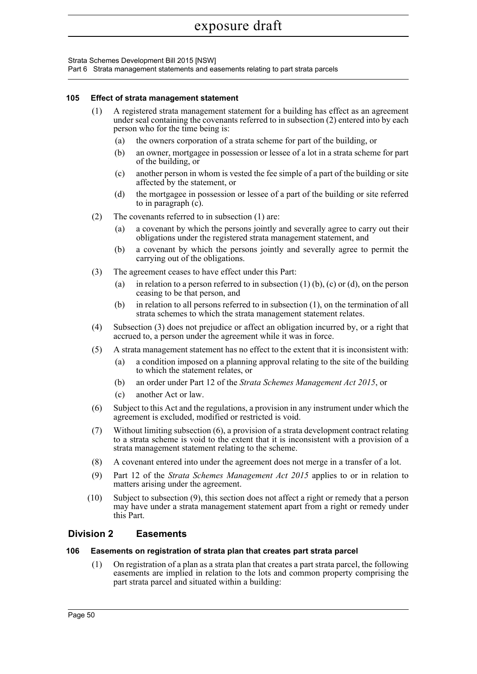Strata Schemes Development Bill 2015 [NSW]

Part 6 Strata management statements and easements relating to part strata parcels

#### **105 Effect of strata management statement**

- (1) A registered strata management statement for a building has effect as an agreement under seal containing the covenants referred to in subsection (2) entered into by each person who for the time being is:
	- (a) the owners corporation of a strata scheme for part of the building, or
	- (b) an owner, mortgagee in possession or lessee of a lot in a strata scheme for part of the building, or
	- (c) another person in whom is vested the fee simple of a part of the building or site affected by the statement, or
	- (d) the mortgagee in possession or lessee of a part of the building or site referred to in paragraph (c).
- (2) The covenants referred to in subsection (1) are:
	- (a) a covenant by which the persons jointly and severally agree to carry out their obligations under the registered strata management statement, and
	- (b) a covenant by which the persons jointly and severally agree to permit the carrying out of the obligations.
- (3) The agreement ceases to have effect under this Part:
	- (a) in relation to a person referred to in subsection  $(1)$  (b),  $(c)$  or  $(d)$ , on the person ceasing to be that person, and
	- (b) in relation to all persons referred to in subsection (1), on the termination of all strata schemes to which the strata management statement relates.
- (4) Subsection (3) does not prejudice or affect an obligation incurred by, or a right that accrued to, a person under the agreement while it was in force.
- (5) A strata management statement has no effect to the extent that it is inconsistent with:
	- (a) a condition imposed on a planning approval relating to the site of the building to which the statement relates, or
	- (b) an order under Part 12 of the *Strata Schemes Management Act 2015*, or
	- (c) another Act or law.
- (6) Subject to this Act and the regulations, a provision in any instrument under which the agreement is excluded, modified or restricted is void.
- (7) Without limiting subsection (6), a provision of a strata development contract relating to a strata scheme is void to the extent that it is inconsistent with a provision of a strata management statement relating to the scheme.
- (8) A covenant entered into under the agreement does not merge in a transfer of a lot.
- (9) Part 12 of the *Strata Schemes Management Act 2015* applies to or in relation to matters arising under the agreement.
- (10) Subject to subsection (9), this section does not affect a right or remedy that a person may have under a strata management statement apart from a right or remedy under this Part.

## **Division 2 Easements**

#### **106 Easements on registration of strata plan that creates part strata parcel**

(1) On registration of a plan as a strata plan that creates a part strata parcel, the following easements are implied in relation to the lots and common property comprising the part strata parcel and situated within a building: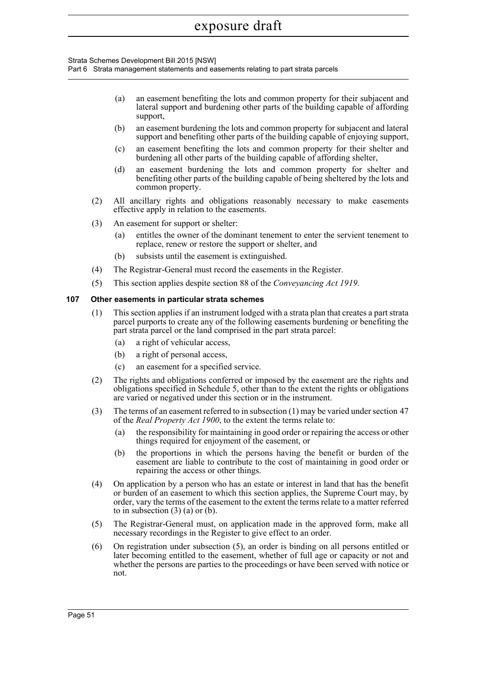Strata Schemes Development Bill 2015 [NSW]

Part 6 Strata management statements and easements relating to part strata parcels

- (a) an easement benefiting the lots and common property for their subjacent and lateral support and burdening other parts of the building capable of affording support,
- (b) an easement burdening the lots and common property for subjacent and lateral support and benefiting other parts of the building capable of enjoying support,
- (c) an easement benefiting the lots and common property for their shelter and burdening all other parts of the building capable of affording shelter,
- (d) an easement burdening the lots and common property for shelter and benefiting other parts of the building capable of being sheltered by the lots and common property.
- (2) All ancillary rights and obligations reasonably necessary to make easements effective apply in relation to the easements.
- (3) An easement for support or shelter:
	- (a) entitles the owner of the dominant tenement to enter the servient tenement to replace, renew or restore the support or shelter, and
	- (b) subsists until the easement is extinguished.
- (4) The Registrar-General must record the easements in the Register.
- (5) This section applies despite section 88 of the *Conveyancing Act 1919*.

#### **107 Other easements in particular strata schemes**

- (1) This section applies if an instrument lodged with a strata plan that creates a part strata parcel purports to create any of the following easements burdening or benefiting the part strata parcel or the land comprised in the part strata parcel:
	- (a) a right of vehicular access,
	- (b) a right of personal access,
	- (c) an easement for a specified service.
- (2) The rights and obligations conferred or imposed by the easement are the rights and obligations specified in Schedule 5, other than to the extent the rights or obligations are varied or negatived under this section or in the instrument.
- (3) The terms of an easement referred to in subsection (1) may be varied under section 47 of the *Real Property Act 1900*, to the extent the terms relate to:
	- (a) the responsibility for maintaining in good order or repairing the access or other things required for enjoyment of the easement, or
	- (b) the proportions in which the persons having the benefit or burden of the easement are liable to contribute to the cost of maintaining in good order or repairing the access or other things.
- (4) On application by a person who has an estate or interest in land that has the benefit or burden of an easement to which this section applies, the Supreme Court may, by order, vary the terms of the easement to the extent the terms relate to a matter referred to in subsection  $(3)$   $(a)$  or  $(b)$ .
- (5) The Registrar-General must, on application made in the approved form, make all necessary recordings in the Register to give effect to an order.
- (6) On registration under subsection (5), an order is binding on all persons entitled or later becoming entitled to the easement, whether of full age or capacity or not and whether the persons are parties to the proceedings or have been served with notice or not.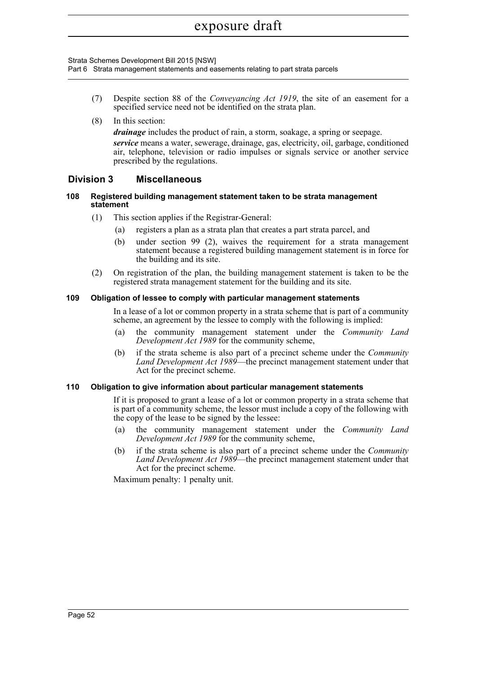Strata Schemes Development Bill 2015 [NSW]

Part 6 Strata management statements and easements relating to part strata parcels

- (7) Despite section 88 of the *Conveyancing Act 1919*, the site of an easement for a specified service need not be identified on the strata plan.
- (8) In this section:

*drainage* includes the product of rain, a storm, soakage, a spring or seepage. *service* means a water, sewerage, drainage, gas, electricity, oil, garbage, conditioned air, telephone, television or radio impulses or signals service or another service prescribed by the regulations.

## **Division 3 Miscellaneous**

#### **108 Registered building management statement taken to be strata management statement**

- (1) This section applies if the Registrar-General:
	- (a) registers a plan as a strata plan that creates a part strata parcel, and
	- (b) under section 99 (2), waives the requirement for a strata management statement because a registered building management statement is in force for the building and its site.
- (2) On registration of the plan, the building management statement is taken to be the registered strata management statement for the building and its site.

#### **109 Obligation of lessee to comply with particular management statements**

In a lease of a lot or common property in a strata scheme that is part of a community scheme, an agreement by the lessee to comply with the following is implied:

- (a) the community management statement under the *Community Land Development Act 1989* for the community scheme,
- (b) if the strata scheme is also part of a precinct scheme under the *Community Land Development Act 1989*—the precinct management statement under that Act for the precinct scheme.

#### **110 Obligation to give information about particular management statements**

If it is proposed to grant a lease of a lot or common property in a strata scheme that is part of a community scheme, the lessor must include a copy of the following with the copy of the lease to be signed by the lessee:

- (a) the community management statement under the *Community Land Development Act 1989* for the community scheme,
- (b) if the strata scheme is also part of a precinct scheme under the *Community Land Development Act 1989*—the precinct management statement under that Act for the precinct scheme.

Maximum penalty: 1 penalty unit.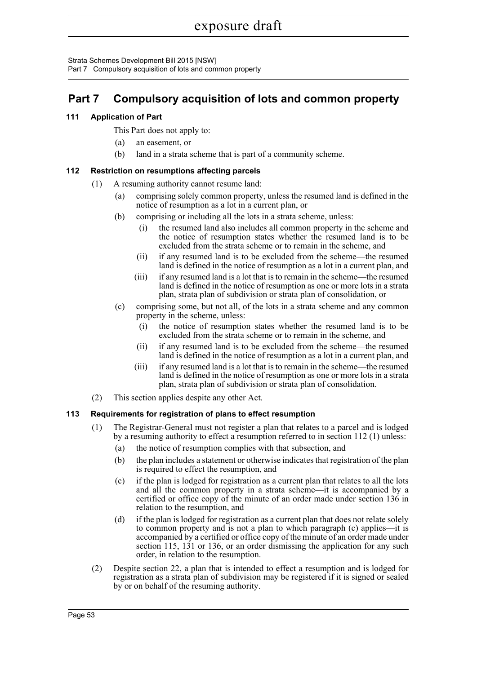Strata Schemes Development Bill 2015 [NSW]

Part 7 Compulsory acquisition of lots and common property

## **Part 7 Compulsory acquisition of lots and common property**

## **111 Application of Part**

This Part does not apply to:

- (a) an easement, or
- (b) land in a strata scheme that is part of a community scheme.

## **112 Restriction on resumptions affecting parcels**

- (1) A resuming authority cannot resume land:
	- (a) comprising solely common property, unless the resumed land is defined in the notice of resumption as a lot in a current plan, or
	- (b) comprising or including all the lots in a strata scheme, unless:
		- (i) the resumed land also includes all common property in the scheme and the notice of resumption states whether the resumed land is to be excluded from the strata scheme or to remain in the scheme, and
		- (ii) if any resumed land is to be excluded from the scheme—the resumed land is defined in the notice of resumption as a lot in a current plan, and
		- (iii) if any resumed land is a lot that is to remain in the scheme—the resumed land is defined in the notice of resumption as one or more lots in a strata plan, strata plan of subdivision or strata plan of consolidation, or
	- (c) comprising some, but not all, of the lots in a strata scheme and any common property in the scheme, unless:
		- (i) the notice of resumption states whether the resumed land is to be excluded from the strata scheme or to remain in the scheme, and
		- (ii) if any resumed land is to be excluded from the scheme—the resumed land is defined in the notice of resumption as a lot in a current plan, and
		- (iii) if any resumed land is a lot that is to remain in the scheme—the resumed land is defined in the notice of resumption as one or more lots in a strata plan, strata plan of subdivision or strata plan of consolidation.
- (2) This section applies despite any other Act.

## **113 Requirements for registration of plans to effect resumption**

- (1) The Registrar-General must not register a plan that relates to a parcel and is lodged by a resuming authority to effect a resumption referred to in section 112 (1) unless:
	- (a) the notice of resumption complies with that subsection, and
	- (b) the plan includes a statement or otherwise indicates that registration of the plan is required to effect the resumption, and
	- (c) if the plan is lodged for registration as a current plan that relates to all the lots and all the common property in a strata scheme—it is accompanied by a certified or office copy of the minute of an order made under section 136 in relation to the resumption, and
	- (d) if the plan is lodged for registration as a current plan that does not relate solely to common property and is not a plan to which paragraph (c) applies—it is accompanied by a certified or office copy of the minute of an order made under section 115, 131 or 136, or an order dismissing the application for any such order, in relation to the resumption.
- (2) Despite section 22, a plan that is intended to effect a resumption and is lodged for registration as a strata plan of subdivision may be registered if it is signed or sealed by or on behalf of the resuming authority.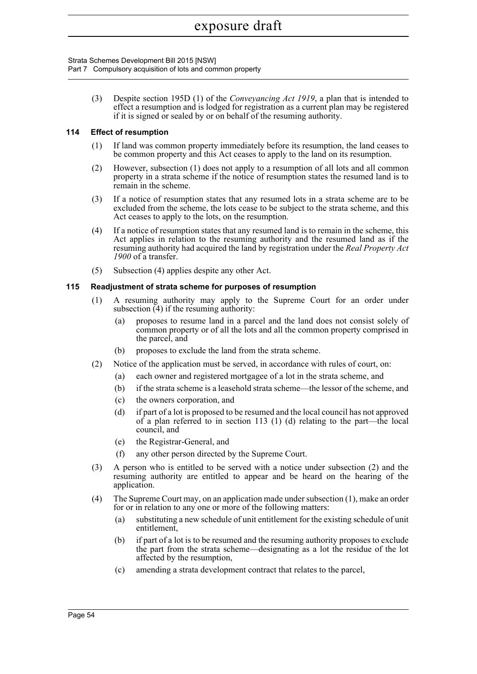Strata Schemes Development Bill 2015 [NSW] Part 7 Compulsory acquisition of lots and common property

> (3) Despite section 195D (1) of the *Conveyancing Act 1919*, a plan that is intended to effect a resumption and is lodged for registration as a current plan may be registered if it is signed or sealed by or on behalf of the resuming authority.

### **114 Effect of resumption**

- (1) If land was common property immediately before its resumption, the land ceases to be common property and this Act ceases to apply to the land on its resumption.
- (2) However, subsection (1) does not apply to a resumption of all lots and all common property in a strata scheme if the notice of resumption states the resumed land is to remain in the scheme.
- (3) If a notice of resumption states that any resumed lots in a strata scheme are to be excluded from the scheme, the lots cease to be subject to the strata scheme, and this Act ceases to apply to the lots, on the resumption.
- (4) If a notice of resumption states that any resumed land is to remain in the scheme, this Act applies in relation to the resuming authority and the resumed land as if the resuming authority had acquired the land by registration under the *Real Property Act 1900* of a transfer.
- (5) Subsection (4) applies despite any other Act.

### **115 Readjustment of strata scheme for purposes of resumption**

- (1) A resuming authority may apply to the Supreme Court for an order under subsection  $\overline{4}$ ) if the resuming authority:
	- (a) proposes to resume land in a parcel and the land does not consist solely of common property or of all the lots and all the common property comprised in the parcel, and
	- (b) proposes to exclude the land from the strata scheme.
- (2) Notice of the application must be served, in accordance with rules of court, on:
	- (a) each owner and registered mortgagee of a lot in the strata scheme, and
	- (b) if the strata scheme is a leasehold strata scheme—the lessor of the scheme, and
	- (c) the owners corporation, and
	- (d) if part of a lot is proposed to be resumed and the local council has not approved of a plan referred to in section 113 (1) (d) relating to the part—the local council, and
	- (e) the Registrar-General, and
	- (f) any other person directed by the Supreme Court.
- (3) A person who is entitled to be served with a notice under subsection (2) and the resuming authority are entitled to appear and be heard on the hearing of the application.
- (4) The Supreme Court may, on an application made under subsection (1), make an order for or in relation to any one or more of the following matters:
	- (a) substituting a new schedule of unit entitlement for the existing schedule of unit entitlement,
	- (b) if part of a lot is to be resumed and the resuming authority proposes to exclude the part from the strata scheme—designating as a lot the residue of the lot affected by the resumption,
	- (c) amending a strata development contract that relates to the parcel,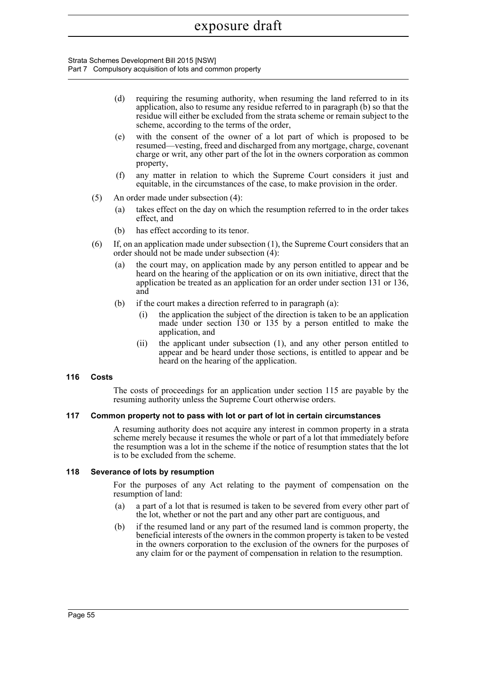Strata Schemes Development Bill 2015 [NSW] Part 7 Compulsory acquisition of lots and common property

- (d) requiring the resuming authority, when resuming the land referred to in its application, also to resume any residue referred to in paragraph (b) so that the residue will either be excluded from the strata scheme or remain subject to the scheme, according to the terms of the order,
- (e) with the consent of the owner of a lot part of which is proposed to be resumed—vesting, freed and discharged from any mortgage, charge, covenant charge or writ, any other part of the lot in the owners corporation as common property,
- (f) any matter in relation to which the Supreme Court considers it just and equitable, in the circumstances of the case, to make provision in the order.
- (5) An order made under subsection (4):
	- (a) takes effect on the day on which the resumption referred to in the order takes effect, and
	- (b) has effect according to its tenor.
- (6) If, on an application made under subsection (1), the Supreme Court considers that an order should not be made under subsection (4):
	- (a) the court may, on application made by any person entitled to appear and be heard on the hearing of the application or on its own initiative, direct that the application be treated as an application for an order under section 131 or 136, and
	- (b) if the court makes a direction referred to in paragraph (a):
		- (i) the application the subject of the direction is taken to be an application made under section 130 or 135 by a person entitled to make the application, and
		- (ii) the applicant under subsection (1), and any other person entitled to appear and be heard under those sections, is entitled to appear and be heard on the hearing of the application.

### **116 Costs**

The costs of proceedings for an application under section 115 are payable by the resuming authority unless the Supreme Court otherwise orders.

#### **117 Common property not to pass with lot or part of lot in certain circumstances**

A resuming authority does not acquire any interest in common property in a strata scheme merely because it resumes the whole or part of a lot that immediately before the resumption was a lot in the scheme if the notice of resumption states that the lot is to be excluded from the scheme.

#### **118 Severance of lots by resumption**

For the purposes of any Act relating to the payment of compensation on the resumption of land:

- (a) a part of a lot that is resumed is taken to be severed from every other part of the lot, whether or not the part and any other part are contiguous, and
- (b) if the resumed land or any part of the resumed land is common property, the beneficial interests of the owners in the common property is taken to be vested in the owners corporation to the exclusion of the owners for the purposes of any claim for or the payment of compensation in relation to the resumption.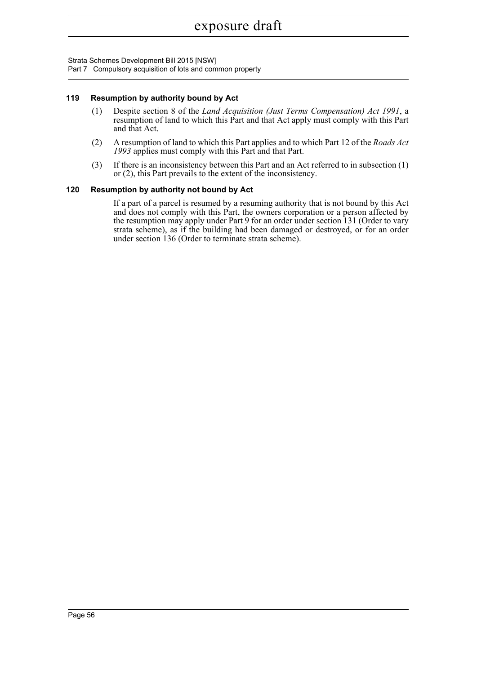Strata Schemes Development Bill 2015 [NSW]

Part 7 Compulsory acquisition of lots and common property

#### **119 Resumption by authority bound by Act**

- (1) Despite section 8 of the *Land Acquisition (Just Terms Compensation) Act 1991*, a resumption of land to which this Part and that Act apply must comply with this Part and that Act.
- (2) A resumption of land to which this Part applies and to which Part 12 of the *Roads Act 1993* applies must comply with this Part and that Part.
- (3) If there is an inconsistency between this Part and an Act referred to in subsection (1) or (2), this Part prevails to the extent of the inconsistency.

#### **120 Resumption by authority not bound by Act**

If a part of a parcel is resumed by a resuming authority that is not bound by this Act and does not comply with this Part, the owners corporation or a person affected by the resumption may apply under Part 9 for an order under section 131 (Order to vary strata scheme), as if the building had been damaged or destroyed, or for an order under section 136 (Order to terminate strata scheme).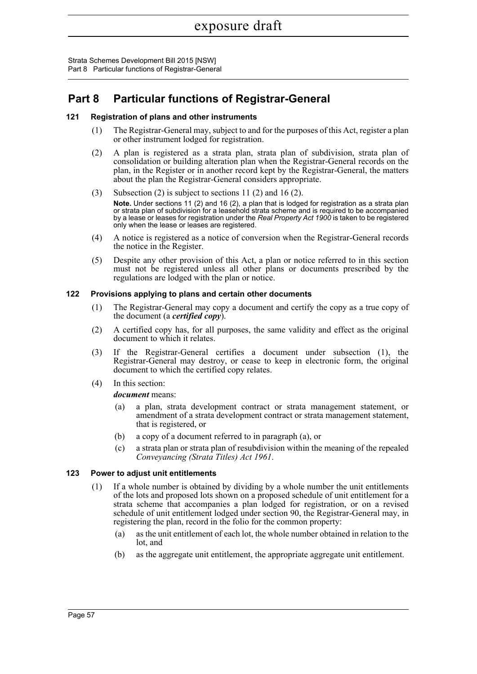Strata Schemes Development Bill 2015 [NSW] Part 8 Particular functions of Registrar-General

## **Part 8 Particular functions of Registrar-General**

### **121 Registration of plans and other instruments**

- (1) The Registrar-General may, subject to and for the purposes of this Act, register a plan or other instrument lodged for registration.
- (2) A plan is registered as a strata plan, strata plan of subdivision, strata plan of consolidation or building alteration plan when the Registrar-General records on the plan, in the Register or in another record kept by the Registrar-General, the matters about the plan the Registrar-General considers appropriate.
- (3) Subsection (2) is subject to sections 11 (2) and 16 (2). **Note.** Under sections 11 (2) and 16 (2), a plan that is lodged for registration as a strata plan or strata plan of subdivision for a leasehold strata scheme and is required to be accompanied by a lease or leases for registration under the *Real Property Act 1900* is taken to be registered only when the lease or leases are registered.
- (4) A notice is registered as a notice of conversion when the Registrar-General records the notice in the Register.
- (5) Despite any other provision of this Act, a plan or notice referred to in this section must not be registered unless all other plans or documents prescribed by the regulations are lodged with the plan or notice.

### **122 Provisions applying to plans and certain other documents**

- (1) The Registrar-General may copy a document and certify the copy as a true copy of the document (a *certified copy*).
- (2) A certified copy has, for all purposes, the same validity and effect as the original document to which it relates.
- (3) If the Registrar-General certifies a document under subsection (1), the Registrar-General may destroy, or cease to keep in electronic form, the original document to which the certified copy relates.
- (4) In this section:

### *document* means:

- (a) a plan, strata development contract or strata management statement, or amendment of a strata development contract or strata management statement, that is registered, or
- (b) a copy of a document referred to in paragraph (a), or
- (c) a strata plan or strata plan of resubdivision within the meaning of the repealed *Conveyancing (Strata Titles) Act 1961*.

### **123 Power to adjust unit entitlements**

- (1) If a whole number is obtained by dividing by a whole number the unit entitlements of the lots and proposed lots shown on a proposed schedule of unit entitlement for a strata scheme that accompanies a plan lodged for registration, or on a revised schedule of unit entitlement lodged under section 90, the Registrar-General may, in registering the plan, record in the folio for the common property:
	- (a) as the unit entitlement of each lot, the whole number obtained in relation to the lot, and
	- (b) as the aggregate unit entitlement, the appropriate aggregate unit entitlement.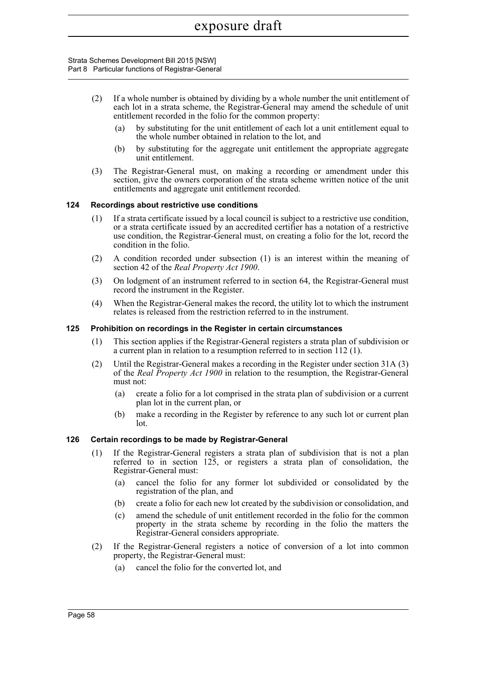#### Strata Schemes Development Bill 2015 [NSW] Part 8 Particular functions of Registrar-General

- (2) If a whole number is obtained by dividing by a whole number the unit entitlement of each lot in a strata scheme, the Registrar-General may amend the schedule of unit entitlement recorded in the folio for the common property:
	- (a) by substituting for the unit entitlement of each lot a unit entitlement equal to the whole number obtained in relation to the lot, and
	- (b) by substituting for the aggregate unit entitlement the appropriate aggregate unit entitlement.
- (3) The Registrar-General must, on making a recording or amendment under this section, give the owners corporation of the strata scheme written notice of the unit entitlements and aggregate unit entitlement recorded.

#### **124 Recordings about restrictive use conditions**

- (1) If a strata certificate issued by a local council is subject to a restrictive use condition, or a strata certificate issued by an accredited certifier has a notation of a restrictive use condition, the Registrar-General must, on creating a folio for the lot, record the condition in the folio.
- (2) A condition recorded under subsection (1) is an interest within the meaning of section 42 of the *Real Property Act 1900*.
- (3) On lodgment of an instrument referred to in section 64, the Registrar-General must record the instrument in the Register.
- (4) When the Registrar-General makes the record, the utility lot to which the instrument relates is released from the restriction referred to in the instrument.

#### **125 Prohibition on recordings in the Register in certain circumstances**

- (1) This section applies if the Registrar-General registers a strata plan of subdivision or a current plan in relation to a resumption referred to in section 112 (1).
- (2) Until the Registrar-General makes a recording in the Register under section 31A (3) of the *Real Property Act 1900* in relation to the resumption, the Registrar-General must not:
	- (a) create a folio for a lot comprised in the strata plan of subdivision or a current plan lot in the current plan, or
	- (b) make a recording in the Register by reference to any such lot or current plan lot.

#### **126 Certain recordings to be made by Registrar-General**

- (1) If the Registrar-General registers a strata plan of subdivision that is not a plan referred to in section  $125$ , or registers a strata plan of consolidation, the Registrar-General must:
	- (a) cancel the folio for any former lot subdivided or consolidated by the registration of the plan, and
	- (b) create a folio for each new lot created by the subdivision or consolidation, and
	- (c) amend the schedule of unit entitlement recorded in the folio for the common property in the strata scheme by recording in the folio the matters the Registrar-General considers appropriate.
- (2) If the Registrar-General registers a notice of conversion of a lot into common property, the Registrar-General must:
	- (a) cancel the folio for the converted lot, and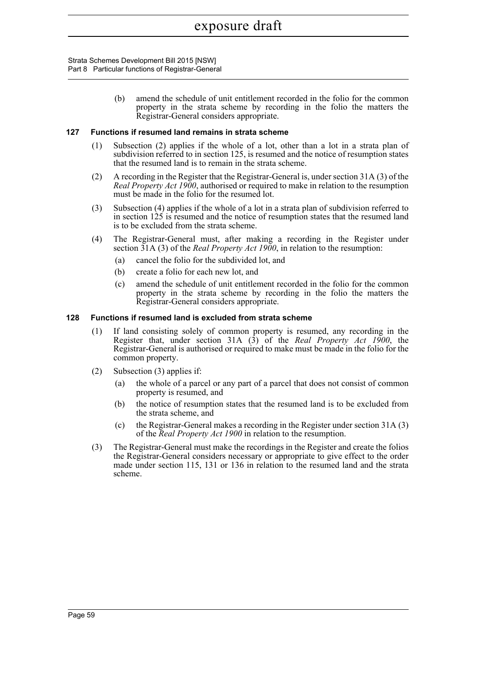Strata Schemes Development Bill 2015 [NSW] Part 8 Particular functions of Registrar-General

> (b) amend the schedule of unit entitlement recorded in the folio for the common property in the strata scheme by recording in the folio the matters the Registrar-General considers appropriate.

#### **127 Functions if resumed land remains in strata scheme**

- (1) Subsection (2) applies if the whole of a lot, other than a lot in a strata plan of subdivision referred to in section 125, is resumed and the notice of resumption states that the resumed land is to remain in the strata scheme.
- (2) A recording in the Register that the Registrar-General is, under section 31A (3) of the *Real Property Act 1900*, authorised or required to make in relation to the resumption must be made in the folio for the resumed lot.
- (3) Subsection (4) applies if the whole of a lot in a strata plan of subdivision referred to in section  $125$  is resumed and the notice of resumption states that the resumed land is to be excluded from the strata scheme.
- (4) The Registrar-General must, after making a recording in the Register under section 31A (3) of the *Real Property Act 1900*, in relation to the resumption:
	- (a) cancel the folio for the subdivided lot, and
	- (b) create a folio for each new lot, and
	- (c) amend the schedule of unit entitlement recorded in the folio for the common property in the strata scheme by recording in the folio the matters the Registrar-General considers appropriate.

### **128 Functions if resumed land is excluded from strata scheme**

- (1) If land consisting solely of common property is resumed, any recording in the Register that, under section 31A (3) of the *Real Property Act 1900*, the Registrar-General is authorised or required to make must be made in the folio for the common property.
- (2) Subsection (3) applies if:
	- (a) the whole of a parcel or any part of a parcel that does not consist of common property is resumed, and
	- (b) the notice of resumption states that the resumed land is to be excluded from the strata scheme, and
	- (c) the Registrar-General makes a recording in the Register under section 31A (3) of the *Real Property Act 1900* in relation to the resumption.
- (3) The Registrar-General must make the recordings in the Register and create the folios the Registrar-General considers necessary or appropriate to give effect to the order made under section 115, 131 or 136 in relation to the resumed land and the strata scheme.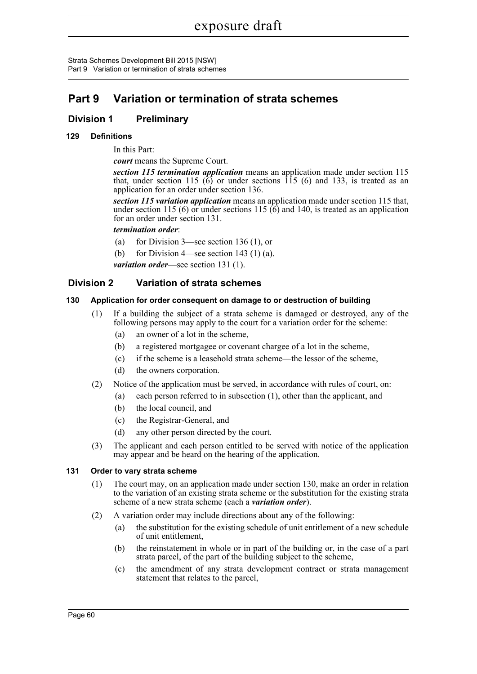## **Part 9 Variation or termination of strata schemes**

## **Division 1 Preliminary**

### **129 Definitions**

In this Part:

*court* means the Supreme Court.

*section 115 termination application* means an application made under section 115 that, under section 115 (6) or under sections  $\hat{115}$  (6) and 133, is treated as an application for an order under section 136.

*section 115 variation application* means an application made under section 115 that, under section 115 (6) or under sections 115 (6) and 140, is treated as an application for an order under section 131.

*termination order*:

- (a) for Division 3—see section 136 (1), or
- (b) for Division 4—see section 143 (1) (a).
- *variation order*—see section 131 (1).

## **Division 2 Variation of strata schemes**

### **130 Application for order consequent on damage to or destruction of building**

- (1) If a building the subject of a strata scheme is damaged or destroyed, any of the following persons may apply to the court for a variation order for the scheme:
	- (a) an owner of a lot in the scheme,
	- (b) a registered mortgagee or covenant chargee of a lot in the scheme,
	- (c) if the scheme is a leasehold strata scheme—the lessor of the scheme,
	- (d) the owners corporation.
- (2) Notice of the application must be served, in accordance with rules of court, on:
	- (a) each person referred to in subsection (1), other than the applicant, and
	- (b) the local council, and
	- (c) the Registrar-General, and
	- (d) any other person directed by the court.
- (3) The applicant and each person entitled to be served with notice of the application may appear and be heard on the hearing of the application.

### **131 Order to vary strata scheme**

- (1) The court may, on an application made under section 130, make an order in relation to the variation of an existing strata scheme or the substitution for the existing strata scheme of a new strata scheme (each a *variation order*).
- (2) A variation order may include directions about any of the following:
	- (a) the substitution for the existing schedule of unit entitlement of a new schedule of unit entitlement,
	- (b) the reinstatement in whole or in part of the building or, in the case of a part strata parcel, of the part of the building subject to the scheme,
	- (c) the amendment of any strata development contract or strata management statement that relates to the parcel,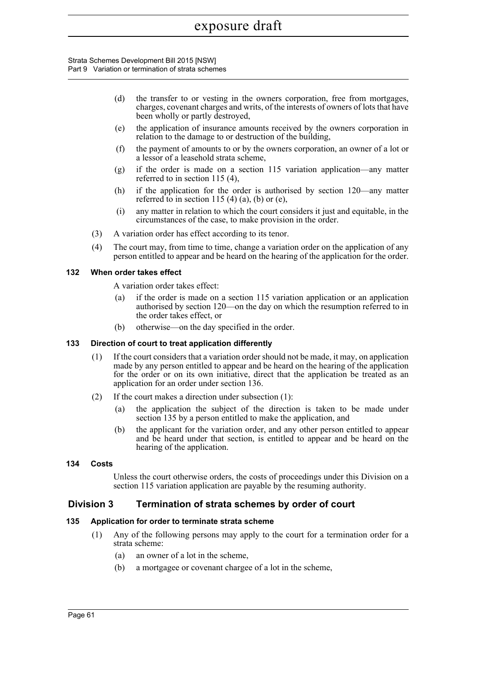#### Strata Schemes Development Bill 2015 [NSW] Part 9 Variation or termination of strata schemes

- (d) the transfer to or vesting in the owners corporation, free from mortgages, charges, covenant charges and writs, of the interests of owners of lots that have been wholly or partly destroyed,
- (e) the application of insurance amounts received by the owners corporation in relation to the damage to or destruction of the building,
- (f) the payment of amounts to or by the owners corporation, an owner of a lot or a lessor of a leasehold strata scheme,
- (g) if the order is made on a section 115 variation application—any matter referred to in section 115 (4),
- (h) if the application for the order is authorised by section 120—any matter referred to in section 115 (4) (a), (b) or (e),
- (i) any matter in relation to which the court considers it just and equitable, in the circumstances of the case, to make provision in the order.
- (3) A variation order has effect according to its tenor.
- (4) The court may, from time to time, change a variation order on the application of any person entitled to appear and be heard on the hearing of the application for the order.

#### **132 When order takes effect**

A variation order takes effect:

- (a) if the order is made on a section 115 variation application or an application authorised by section 120—on the day on which the resumption referred to in the order takes effect, or
- (b) otherwise—on the day specified in the order.

### **133 Direction of court to treat application differently**

- (1) If the court considers that a variation order should not be made, it may, on application made by any person entitled to appear and be heard on the hearing of the application for the order or on its own initiative, direct that the application be treated as an application for an order under section 136.
- (2) If the court makes a direction under subsection (1):
	- (a) the application the subject of the direction is taken to be made under section 135 by a person entitled to make the application, and
	- (b) the applicant for the variation order, and any other person entitled to appear and be heard under that section, is entitled to appear and be heard on the hearing of the application.

### **134 Costs**

Unless the court otherwise orders, the costs of proceedings under this Division on a section 115 variation application are payable by the resuming authority.

### **Division 3 Termination of strata schemes by order of court**

### **135 Application for order to terminate strata scheme**

- (1) Any of the following persons may apply to the court for a termination order for a strata scheme:
	- (a) an owner of a lot in the scheme,
	- (b) a mortgagee or covenant chargee of a lot in the scheme,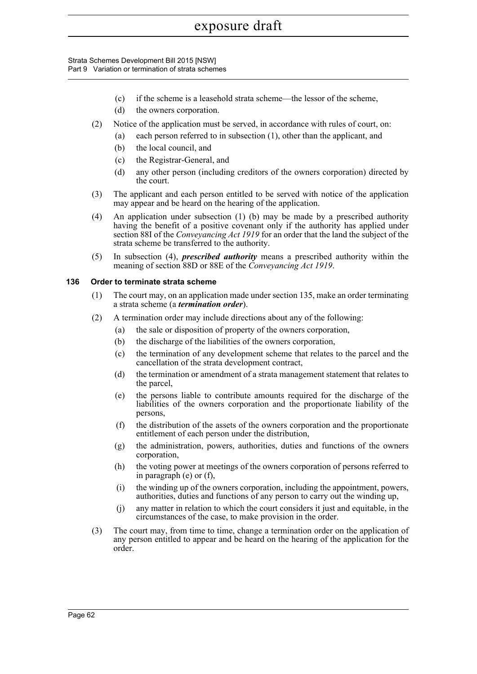#### Strata Schemes Development Bill 2015 [NSW] Part 9 Variation or termination of strata schemes

- (c) if the scheme is a leasehold strata scheme—the lessor of the scheme,
- (d) the owners corporation.
- (2) Notice of the application must be served, in accordance with rules of court, on:
	- (a) each person referred to in subsection (1), other than the applicant, and
	- (b) the local council, and
	- (c) the Registrar-General, and
	- (d) any other person (including creditors of the owners corporation) directed by the court.
- (3) The applicant and each person entitled to be served with notice of the application may appear and be heard on the hearing of the application.
- (4) An application under subsection (1) (b) may be made by a prescribed authority having the benefit of a positive covenant only if the authority has applied under section 88I of the *Conveyancing Act 1919* for an order that the land the subject of the strata scheme be transferred to the authority.
- (5) In subsection (4), *prescribed authority* means a prescribed authority within the meaning of section 88D or 88E of the *Conveyancing Act 1919*.

#### **136 Order to terminate strata scheme**

- (1) The court may, on an application made under section 135, make an order terminating a strata scheme (a *termination order*).
- (2) A termination order may include directions about any of the following:
	- (a) the sale or disposition of property of the owners corporation,
	- (b) the discharge of the liabilities of the owners corporation,
	- (c) the termination of any development scheme that relates to the parcel and the cancellation of the strata development contract,
	- (d) the termination or amendment of a strata management statement that relates to the parcel,
	- (e) the persons liable to contribute amounts required for the discharge of the liabilities of the owners corporation and the proportionate liability of the persons,
	- (f) the distribution of the assets of the owners corporation and the proportionate entitlement of each person under the distribution,
	- (g) the administration, powers, authorities, duties and functions of the owners corporation,
	- (h) the voting power at meetings of the owners corporation of persons referred to in paragraph (e) or (f),
	- (i) the winding up of the owners corporation, including the appointment, powers, authorities, duties and functions of any person to carry out the winding up,
	- (j) any matter in relation to which the court considers it just and equitable, in the circumstances of the case, to make provision in the order.
- (3) The court may, from time to time, change a termination order on the application of any person entitled to appear and be heard on the hearing of the application for the order.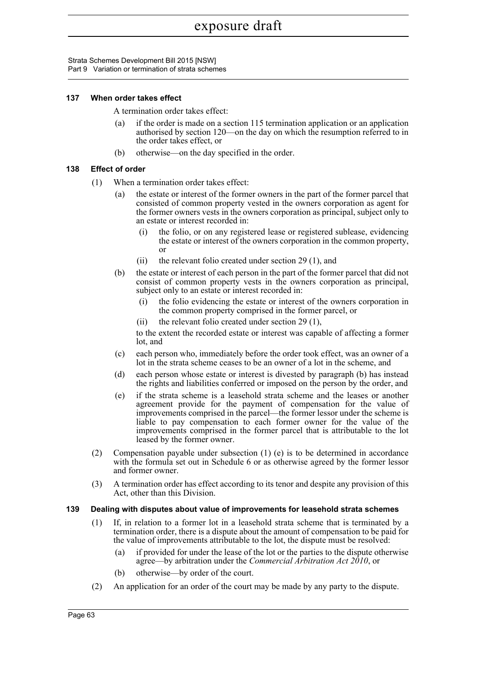#### **137 When order takes effect**

A termination order takes effect:

- (a) if the order is made on a section 115 termination application or an application authorised by section 120—on the day on which the resumption referred to in the order takes effect, or
- (b) otherwise—on the day specified in the order.

### **138 Effect of order**

- (1) When a termination order takes effect:
	- (a) the estate or interest of the former owners in the part of the former parcel that consisted of common property vested in the owners corporation as agent for the former owners vests in the owners corporation as principal, subject only to an estate or interest recorded in:
		- (i) the folio, or on any registered lease or registered sublease, evidencing the estate or interest of the owners corporation in the common property, or
		- (ii) the relevant folio created under section 29 (1), and
	- (b) the estate or interest of each person in the part of the former parcel that did not consist of common property vests in the owners corporation as principal, subject only to an estate or interest recorded in:
		- (i) the folio evidencing the estate or interest of the owners corporation in the common property comprised in the former parcel, or
		- (ii) the relevant folio created under section 29 (1),

to the extent the recorded estate or interest was capable of affecting a former lot, and

- (c) each person who, immediately before the order took effect, was an owner of a lot in the strata scheme ceases to be an owner of a lot in the scheme, and
- (d) each person whose estate or interest is divested by paragraph (b) has instead the rights and liabilities conferred or imposed on the person by the order, and
- (e) if the strata scheme is a leasehold strata scheme and the leases or another agreement provide for the payment of compensation for the value of improvements comprised in the parcel—the former lessor under the scheme is liable to pay compensation to each former owner for the value of the improvements comprised in the former parcel that is attributable to the lot leased by the former owner.
- (2) Compensation payable under subsection (1) (e) is to be determined in accordance with the formula set out in Schedule 6 or as otherwise agreed by the former lessor and former owner.
- (3) A termination order has effect according to its tenor and despite any provision of this Act, other than this Division.

#### **139 Dealing with disputes about value of improvements for leasehold strata schemes**

- (1) If, in relation to a former lot in a leasehold strata scheme that is terminated by a termination order, there is a dispute about the amount of compensation to be paid for the value of improvements attributable to the lot, the dispute must be resolved:
	- (a) if provided for under the lease of the lot or the parties to the dispute otherwise agree—by arbitration under the *Commercial Arbitration Act 2010*, or
	- (b) otherwise—by order of the court.
- (2) An application for an order of the court may be made by any party to the dispute.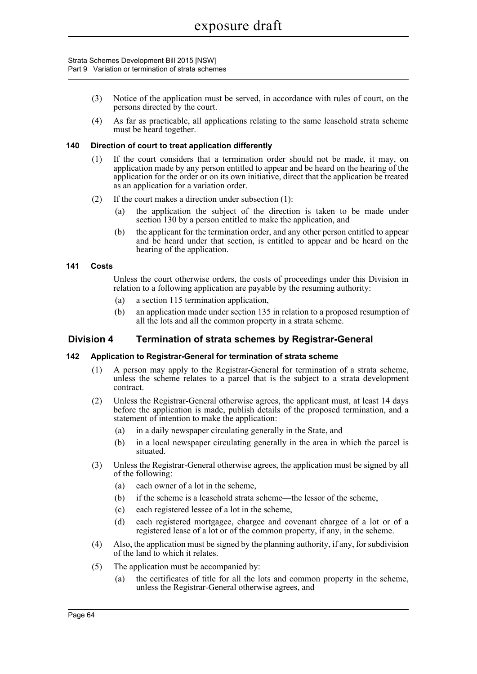#### Strata Schemes Development Bill 2015 [NSW] Part 9 Variation or termination of strata schemes

- (3) Notice of the application must be served, in accordance with rules of court, on the persons directed by the court.
- (4) As far as practicable, all applications relating to the same leasehold strata scheme must be heard together.

#### **140 Direction of court to treat application differently**

- (1) If the court considers that a termination order should not be made, it may, on application made by any person entitled to appear and be heard on the hearing of the application for the order or on its own initiative, direct that the application be treated as an application for a variation order.
- (2) If the court makes a direction under subsection (1):
	- (a) the application the subject of the direction is taken to be made under section 130 by a person entitled to make the application, and
	- (b) the applicant for the termination order, and any other person entitled to appear and be heard under that section, is entitled to appear and be heard on the hearing of the application.

#### **141 Costs**

Unless the court otherwise orders, the costs of proceedings under this Division in relation to a following application are payable by the resuming authority:

- (a) a section 115 termination application,
- (b) an application made under section 135 in relation to a proposed resumption of all the lots and all the common property in a strata scheme.

## **Division 4 Termination of strata schemes by Registrar-General**

### **142 Application to Registrar-General for termination of strata scheme**

- (1) A person may apply to the Registrar-General for termination of a strata scheme, unless the scheme relates to a parcel that is the subject to a strata development contract.
- (2) Unless the Registrar-General otherwise agrees, the applicant must, at least 14 days before the application is made, publish details of the proposed termination, and a statement of intention to make the application:
	- (a) in a daily newspaper circulating generally in the State, and
	- (b) in a local newspaper circulating generally in the area in which the parcel is situated.
- (3) Unless the Registrar-General otherwise agrees, the application must be signed by all of the following:
	- (a) each owner of a lot in the scheme,
	- (b) if the scheme is a leasehold strata scheme—the lessor of the scheme,
	- (c) each registered lessee of a lot in the scheme,
	- (d) each registered mortgagee, chargee and covenant chargee of a lot or of a registered lease of a lot or of the common property, if any, in the scheme.
- (4) Also, the application must be signed by the planning authority, if any, for subdivision of the land to which it relates.
- (5) The application must be accompanied by:
	- (a) the certificates of title for all the lots and common property in the scheme, unless the Registrar-General otherwise agrees, and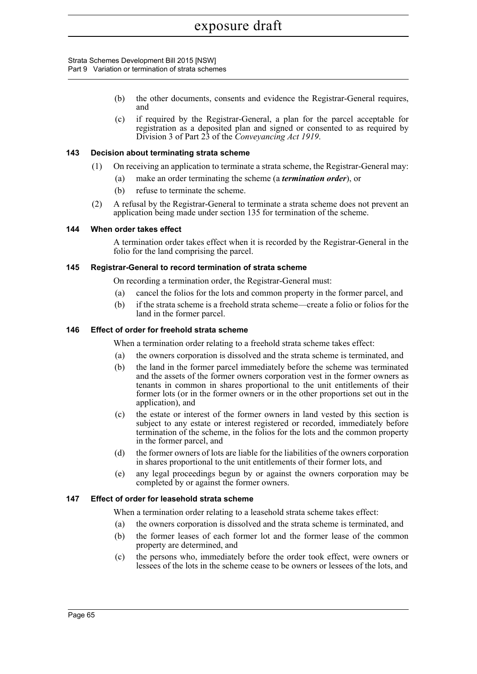- (b) the other documents, consents and evidence the Registrar-General requires, and
- (c) if required by the Registrar-General, a plan for the parcel acceptable for registration as a deposited plan and signed or consented to as required by Division 3 of Part 23 of the *Conveyancing Act 1919*.

### **143 Decision about terminating strata scheme**

- (1) On receiving an application to terminate a strata scheme, the Registrar-General may:
	- (a) make an order terminating the scheme (a *termination order*), or
		- (b) refuse to terminate the scheme.
- (2) A refusal by the Registrar-General to terminate a strata scheme does not prevent an application being made under section 135 for termination of the scheme.

#### **144 When order takes effect**

A termination order takes effect when it is recorded by the Registrar-General in the folio for the land comprising the parcel.

#### **145 Registrar-General to record termination of strata scheme**

On recording a termination order, the Registrar-General must:

- (a) cancel the folios for the lots and common property in the former parcel, and
- (b) if the strata scheme is a freehold strata scheme—create a folio or folios for the land in the former parcel.

### **146 Effect of order for freehold strata scheme**

When a termination order relating to a freehold strata scheme takes effect:

- (a) the owners corporation is dissolved and the strata scheme is terminated, and
- (b) the land in the former parcel immediately before the scheme was terminated and the assets of the former owners corporation vest in the former owners as tenants in common in shares proportional to the unit entitlements of their former lots (or in the former owners or in the other proportions set out in the application), and
- (c) the estate or interest of the former owners in land vested by this section is subject to any estate or interest registered or recorded, immediately before termination of the scheme, in the folios for the lots and the common property in the former parcel, and
- (d) the former owners of lots are liable for the liabilities of the owners corporation in shares proportional to the unit entitlements of their former lots, and
- (e) any legal proceedings begun by or against the owners corporation may be completed by or against the former owners.

#### **147 Effect of order for leasehold strata scheme**

When a termination order relating to a leasehold strata scheme takes effect:

- (a) the owners corporation is dissolved and the strata scheme is terminated, and
- (b) the former leases of each former lot and the former lease of the common property are determined, and
- (c) the persons who, immediately before the order took effect, were owners or lessees of the lots in the scheme cease to be owners or lessees of the lots, and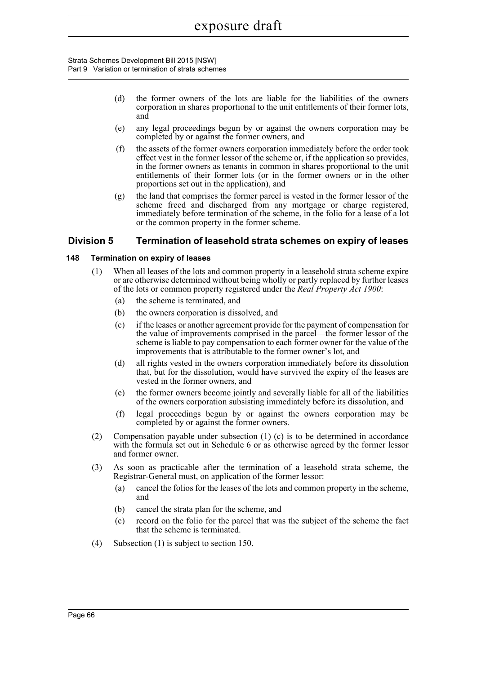- (d) the former owners of the lots are liable for the liabilities of the owners corporation in shares proportional to the unit entitlements of their former lots, and
- (e) any legal proceedings begun by or against the owners corporation may be completed by or against the former owners, and
- (f) the assets of the former owners corporation immediately before the order took effect vest in the former lessor of the scheme or, if the application so provides, in the former owners as tenants in common in shares proportional to the unit entitlements of their former lots (or in the former owners or in the other proportions set out in the application), and
- (g) the land that comprises the former parcel is vested in the former lessor of the scheme freed and discharged from any mortgage or charge registered, immediately before termination of the scheme, in the folio for a lease of a lot or the common property in the former scheme.

## **Division 5 Termination of leasehold strata schemes on expiry of leases**

### **148 Termination on expiry of leases**

- (1) When all leases of the lots and common property in a leasehold strata scheme expire or are otherwise determined without being wholly or partly replaced by further leases of the lots or common property registered under the *Real Property Act 1900*:
	- (a) the scheme is terminated, and
	- (b) the owners corporation is dissolved, and
	- (c) if the leases or another agreement provide for the payment of compensation for the value of improvements comprised in the parcel—the former lessor of the scheme is liable to pay compensation to each former owner for the value of the improvements that is attributable to the former owner's lot, and
	- (d) all rights vested in the owners corporation immediately before its dissolution that, but for the dissolution, would have survived the expiry of the leases are vested in the former owners, and
	- (e) the former owners become jointly and severally liable for all of the liabilities of the owners corporation subsisting immediately before its dissolution, and
	- (f) legal proceedings begun by or against the owners corporation may be completed by or against the former owners.
- (2) Compensation payable under subsection (1) (c) is to be determined in accordance with the formula set out in Schedule 6 or as otherwise agreed by the former lessor and former owner.
- (3) As soon as practicable after the termination of a leasehold strata scheme, the Registrar-General must, on application of the former lessor:
	- (a) cancel the folios for the leases of the lots and common property in the scheme, and
	- (b) cancel the strata plan for the scheme, and
	- (c) record on the folio for the parcel that was the subject of the scheme the fact that the scheme is terminated.
- (4) Subsection (1) is subject to section 150.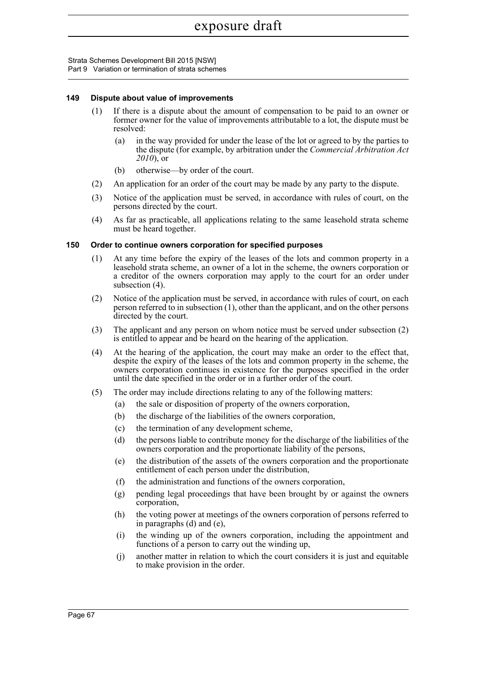#### **149 Dispute about value of improvements**

- (1) If there is a dispute about the amount of compensation to be paid to an owner or former owner for the value of improvements attributable to a lot, the dispute must be resolved:
	- (a) in the way provided for under the lease of the lot or agreed to by the parties to the dispute (for example, by arbitration under the *Commercial Arbitration Act 2010*), or
	- (b) otherwise—by order of the court.
- (2) An application for an order of the court may be made by any party to the dispute.
- (3) Notice of the application must be served, in accordance with rules of court, on the persons directed by the court.
- (4) As far as practicable, all applications relating to the same leasehold strata scheme must be heard together.

#### **150 Order to continue owners corporation for specified purposes**

- (1) At any time before the expiry of the leases of the lots and common property in a leasehold strata scheme, an owner of a lot in the scheme, the owners corporation or a creditor of the owners corporation may apply to the court for an order under subsection (4).
- (2) Notice of the application must be served, in accordance with rules of court, on each person referred to in subsection (1), other than the applicant, and on the other persons directed by the court.
- (3) The applicant and any person on whom notice must be served under subsection (2) is entitled to appear and be heard on the hearing of the application.
- (4) At the hearing of the application, the court may make an order to the effect that, despite the expiry of the leases of the lots and common property in the scheme, the owners corporation continues in existence for the purposes specified in the order until the date specified in the order or in a further order of the court.
- (5) The order may include directions relating to any of the following matters:
	- (a) the sale or disposition of property of the owners corporation,
	- (b) the discharge of the liabilities of the owners corporation,
	- (c) the termination of any development scheme,
	- (d) the persons liable to contribute money for the discharge of the liabilities of the owners corporation and the proportionate liability of the persons,
	- (e) the distribution of the assets of the owners corporation and the proportionate entitlement of each person under the distribution,
	- (f) the administration and functions of the owners corporation,
	- (g) pending legal proceedings that have been brought by or against the owners corporation,
	- (h) the voting power at meetings of the owners corporation of persons referred to in paragraphs (d) and (e),
	- (i) the winding up of the owners corporation, including the appointment and functions of a person to carry out the winding up,
	- (j) another matter in relation to which the court considers it is just and equitable to make provision in the order.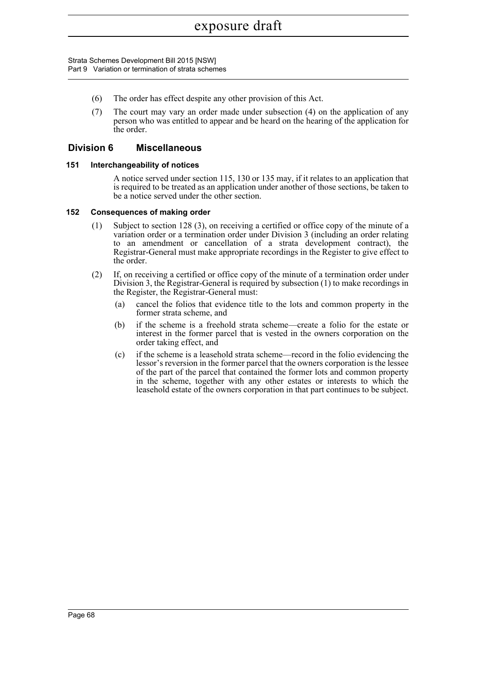- (6) The order has effect despite any other provision of this Act.
- (7) The court may vary an order made under subsection (4) on the application of any person who was entitled to appear and be heard on the hearing of the application for the order.

### **Division 6 Miscellaneous**

#### **151 Interchangeability of notices**

A notice served under section 115, 130 or 135 may, if it relates to an application that is required to be treated as an application under another of those sections, be taken to be a notice served under the other section.

#### **152 Consequences of making order**

- (1) Subject to section 128 (3), on receiving a certified or office copy of the minute of a variation order or a termination order under Division 3 (including an order relating to an amendment or cancellation of a strata development contract), the Registrar-General must make appropriate recordings in the Register to give effect to the order.
- (2) If, on receiving a certified or office copy of the minute of a termination order under Division 3, the Registrar-General is required by subsection (1) to make recordings in the Register, the Registrar-General must:
	- (a) cancel the folios that evidence title to the lots and common property in the former strata scheme, and
	- (b) if the scheme is a freehold strata scheme—create a folio for the estate or interest in the former parcel that is vested in the owners corporation on the order taking effect, and
	- (c) if the scheme is a leasehold strata scheme—record in the folio evidencing the lessor's reversion in the former parcel that the owners corporation is the lessee of the part of the parcel that contained the former lots and common property in the scheme, together with any other estates or interests to which the leasehold estate of the owners corporation in that part continues to be subject.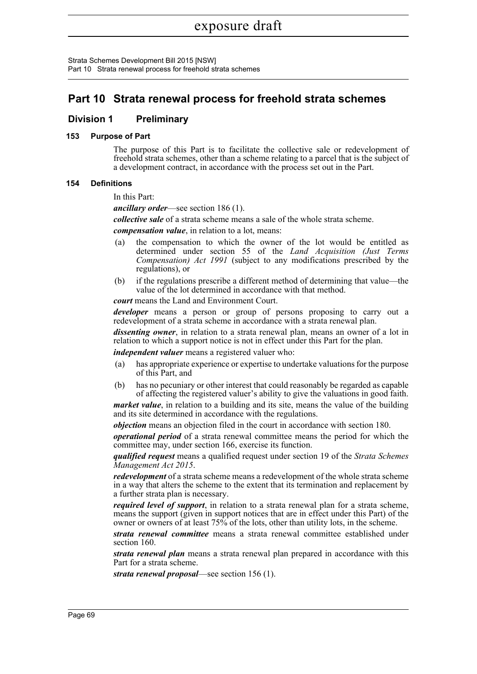Strata Schemes Development Bill 2015 [NSW] Part 10 Strata renewal process for freehold strata schemes

## **Part 10 Strata renewal process for freehold strata schemes**

## **Division 1 Preliminary**

### **153 Purpose of Part**

The purpose of this Part is to facilitate the collective sale or redevelopment of freehold strata schemes, other than a scheme relating to a parcel that is the subject of a development contract, in accordance with the process set out in the Part.

### **154 Definitions**

In this Part:

*ancillary order*—see section 186 (1).

*collective sale* of a strata scheme means a sale of the whole strata scheme.

*compensation value*, in relation to a lot, means:

- (a) the compensation to which the owner of the lot would be entitled as determined under section 55 of the *Land Acquisition (Just Terms Compensation) Act 1991* (subject to any modifications prescribed by the regulations), or
- (b) if the regulations prescribe a different method of determining that value—the value of the lot determined in accordance with that method.

*court* means the Land and Environment Court.

*developer* means a person or group of persons proposing to carry out a redevelopment of a strata scheme in accordance with a strata renewal plan.

*dissenting owner*, in relation to a strata renewal plan, means an owner of a lot in relation to which a support notice is not in effect under this Part for the plan.

*independent valuer* means a registered valuer who:

- (a) has appropriate experience or expertise to undertake valuations for the purpose of this Part, and
- (b) has no pecuniary or other interest that could reasonably be regarded as capable of affecting the registered valuer's ability to give the valuations in good faith.

*market value*, in relation to a building and its site, means the value of the building and its site determined in accordance with the regulations.

*objection* means an objection filed in the court in accordance with section 180.

*operational period* of a strata renewal committee means the period for which the committee may, under section 166, exercise its function.

*qualified request* means a qualified request under section 19 of the *Strata Schemes Management Act 2015*.

*redevelopment* of a strata scheme means a redevelopment of the whole strata scheme in a way that alters the scheme to the extent that its termination and replacement by a further strata plan is necessary.

*required level of support*, in relation to a strata renewal plan for a strata scheme, means the support (given in support notices that are in effect under this Part) of the owner or owners of at least 75% of the lots, other than utility lots, in the scheme.

*strata renewal committee* means a strata renewal committee established under section 160.

*strata renewal plan* means a strata renewal plan prepared in accordance with this Part for a strata scheme.

*strata renewal proposal*—see section 156 (1).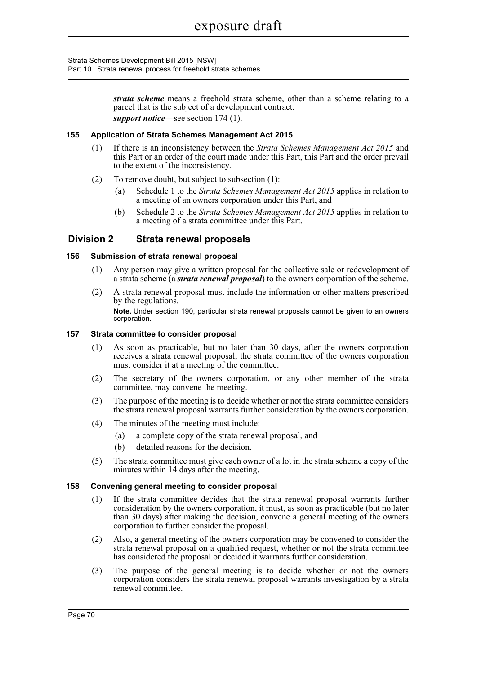Strata Schemes Development Bill 2015 [NSW] Part 10 Strata renewal process for freehold strata schemes

> *strata scheme* means a freehold strata scheme, other than a scheme relating to a parcel that is the subject of a development contract. *support notice*—see section 174 (1).

#### **155 Application of Strata Schemes Management Act 2015**

- (1) If there is an inconsistency between the *Strata Schemes Management Act 2015* and this Part or an order of the court made under this Part, this Part and the order prevail to the extent of the inconsistency.
- (2) To remove doubt, but subject to subsection (1):
	- (a) Schedule 1 to the *Strata Schemes Management Act 2015* applies in relation to a meeting of an owners corporation under this Part, and
	- (b) Schedule 2 to the *Strata Schemes Management Act 2015* applies in relation to a meeting of a strata committee under this Part.

### **Division 2 Strata renewal proposals**

#### **156 Submission of strata renewal proposal**

- (1) Any person may give a written proposal for the collective sale or redevelopment of a strata scheme (a *strata renewal proposal*) to the owners corporation of the scheme.
- (2) A strata renewal proposal must include the information or other matters prescribed by the regulations. **Note.** Under section 190, particular strata renewal proposals cannot be given to an owners corporation.

#### **157 Strata committee to consider proposal**

- (1) As soon as practicable, but no later than 30 days, after the owners corporation receives a strata renewal proposal, the strata committee of the owners corporation must consider it at a meeting of the committee.
- (2) The secretary of the owners corporation, or any other member of the strata committee, may convene the meeting.
- (3) The purpose of the meeting is to decide whether or not the strata committee considers the strata renewal proposal warrants further consideration by the owners corporation.
- (4) The minutes of the meeting must include:
	- (a) a complete copy of the strata renewal proposal, and
	- (b) detailed reasons for the decision.
- (5) The strata committee must give each owner of a lot in the strata scheme a copy of the minutes within 14 days after the meeting.

#### **158 Convening general meeting to consider proposal**

- (1) If the strata committee decides that the strata renewal proposal warrants further consideration by the owners corporation, it must, as soon as practicable (but no later than 30 days) after making the decision, convene a general meeting of the owners corporation to further consider the proposal.
- (2) Also, a general meeting of the owners corporation may be convened to consider the strata renewal proposal on a qualified request, whether or not the strata committee has considered the proposal or decided it warrants further consideration.
- (3) The purpose of the general meeting is to decide whether or not the owners corporation considers the strata renewal proposal warrants investigation by a strata renewal committee.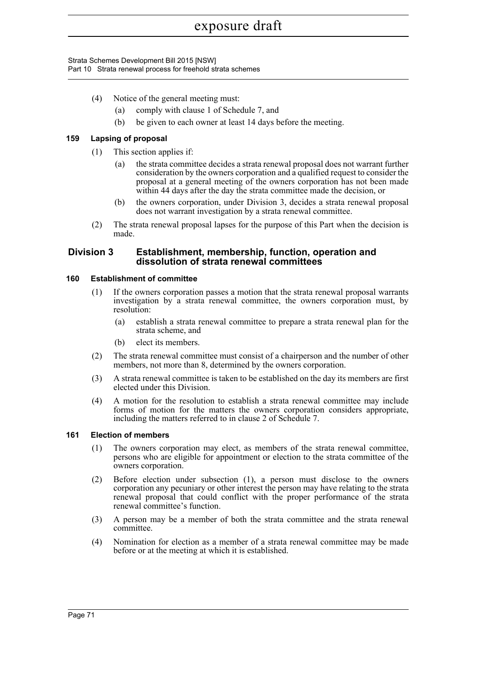Strata Schemes Development Bill 2015 [NSW] Part 10 Strata renewal process for freehold strata schemes

- (4) Notice of the general meeting must:
	- (a) comply with clause 1 of Schedule 7, and
	- (b) be given to each owner at least 14 days before the meeting.

### **159 Lapsing of proposal**

- (1) This section applies if:
	- (a) the strata committee decides a strata renewal proposal does not warrant further consideration by the owners corporation and a qualified request to consider the proposal at a general meeting of the owners corporation has not been made within 44 days after the day the strata committee made the decision, or
	- (b) the owners corporation, under Division 3, decides a strata renewal proposal does not warrant investigation by a strata renewal committee.
- (2) The strata renewal proposal lapses for the purpose of this Part when the decision is made.

### **Division 3 Establishment, membership, function, operation and dissolution of strata renewal committees**

#### **160 Establishment of committee**

- (1) If the owners corporation passes a motion that the strata renewal proposal warrants investigation by a strata renewal committee, the owners corporation must, by resolution:
	- (a) establish a strata renewal committee to prepare a strata renewal plan for the strata scheme, and
	- (b) elect its members.
- (2) The strata renewal committee must consist of a chairperson and the number of other members, not more than 8, determined by the owners corporation.
- (3) A strata renewal committee is taken to be established on the day its members are first elected under this Division.
- (4) A motion for the resolution to establish a strata renewal committee may include forms of motion for the matters the owners corporation considers appropriate, including the matters referred to in clause 2 of Schedule 7.

### **161 Election of members**

- (1) The owners corporation may elect, as members of the strata renewal committee, persons who are eligible for appointment or election to the strata committee of the owners corporation.
- (2) Before election under subsection (1), a person must disclose to the owners corporation any pecuniary or other interest the person may have relating to the strata renewal proposal that could conflict with the proper performance of the strata renewal committee's function.
- (3) A person may be a member of both the strata committee and the strata renewal committee.
- (4) Nomination for election as a member of a strata renewal committee may be made before or at the meeting at which it is established.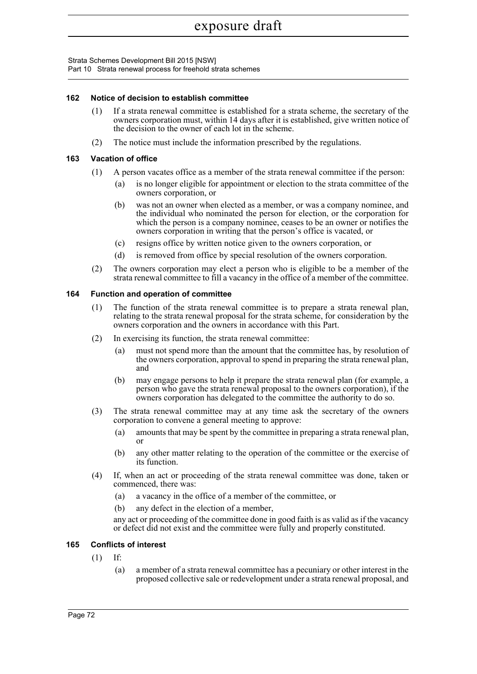Strata Schemes Development Bill 2015 [NSW] Part 10 Strata renewal process for freehold strata schemes

### **162 Notice of decision to establish committee**

- (1) If a strata renewal committee is established for a strata scheme, the secretary of the owners corporation must, within 14 days after it is established, give written notice of the decision to the owner of each lot in the scheme.
- (2) The notice must include the information prescribed by the regulations.

#### **163 Vacation of office**

- (1) A person vacates office as a member of the strata renewal committee if the person:
	- (a) is no longer eligible for appointment or election to the strata committee of the owners corporation, or
	- (b) was not an owner when elected as a member, or was a company nominee, and the individual who nominated the person for election, or the corporation for which the person is a company nominee, ceases to be an owner or notifies the owners corporation in writing that the person's office is vacated, or
	- (c) resigns office by written notice given to the owners corporation, or
	- (d) is removed from office by special resolution of the owners corporation.
- (2) The owners corporation may elect a person who is eligible to be a member of the strata renewal committee to fill a vacancy in the office of a member of the committee.

#### **164 Function and operation of committee**

- (1) The function of the strata renewal committee is to prepare a strata renewal plan, relating to the strata renewal proposal for the strata scheme, for consideration by the owners corporation and the owners in accordance with this Part.
- (2) In exercising its function, the strata renewal committee:
	- (a) must not spend more than the amount that the committee has, by resolution of the owners corporation, approval to spend in preparing the strata renewal plan, and
	- (b) may engage persons to help it prepare the strata renewal plan (for example, a person who gave the strata renewal proposal to the owners corporation), if the owners corporation has delegated to the committee the authority to do so.
- (3) The strata renewal committee may at any time ask the secretary of the owners corporation to convene a general meeting to approve:
	- (a) amounts that may be spent by the committee in preparing a strata renewal plan, or
	- (b) any other matter relating to the operation of the committee or the exercise of its function.
- (4) If, when an act or proceeding of the strata renewal committee was done, taken or commenced, there was:
	- (a) a vacancy in the office of a member of the committee, or
	- (b) any defect in the election of a member,

any act or proceeding of the committee done in good faith is as valid as if the vacancy or defect did not exist and the committee were fully and properly constituted.

### **165 Conflicts of interest**

- (1) If:
	- (a) a member of a strata renewal committee has a pecuniary or other interest in the proposed collective sale or redevelopment under a strata renewal proposal, and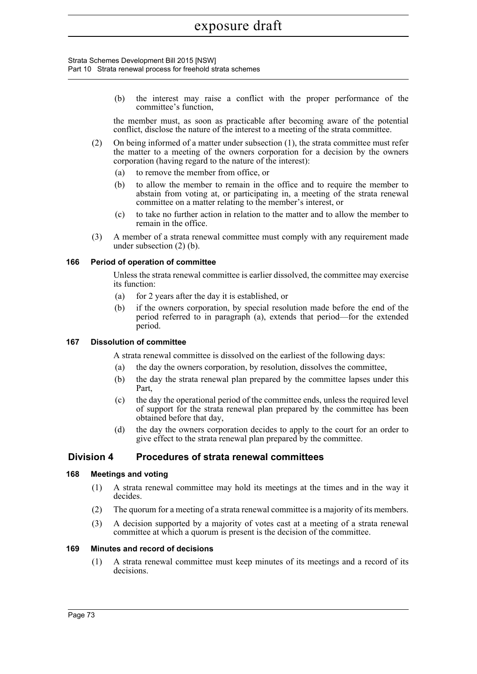#### Strata Schemes Development Bill 2015 [NSW] Part 10 Strata renewal process for freehold strata schemes

(b) the interest may raise a conflict with the proper performance of the committee's function,

the member must, as soon as practicable after becoming aware of the potential conflict, disclose the nature of the interest to a meeting of the strata committee.

- (2) On being informed of a matter under subsection (1), the strata committee must refer the matter to a meeting of the owners corporation for a decision by the owners corporation (having regard to the nature of the interest):
	- (a) to remove the member from office, or
	- (b) to allow the member to remain in the office and to require the member to abstain from voting at, or participating in, a meeting of the strata renewal committee on a matter relating to the member's interest, or
	- (c) to take no further action in relation to the matter and to allow the member to remain in the office.
- (3) A member of a strata renewal committee must comply with any requirement made under subsection (2) (b).

### **166 Period of operation of committee**

Unless the strata renewal committee is earlier dissolved, the committee may exercise its function:

- (a) for 2 years after the day it is established, or
- (b) if the owners corporation, by special resolution made before the end of the period referred to in paragraph (a), extends that period—for the extended period.

### **167 Dissolution of committee**

A strata renewal committee is dissolved on the earliest of the following days:

- (a) the day the owners corporation, by resolution, dissolves the committee,
- (b) the day the strata renewal plan prepared by the committee lapses under this Part,
- (c) the day the operational period of the committee ends, unless the required level of support for the strata renewal plan prepared by the committee has been obtained before that day,
- (d) the day the owners corporation decides to apply to the court for an order to give effect to the strata renewal plan prepared by the committee.

## **Division 4 Procedures of strata renewal committees**

### **168 Meetings and voting**

- (1) A strata renewal committee may hold its meetings at the times and in the way it decides.
- (2) The quorum for a meeting of a strata renewal committee is a majority of its members.
- (3) A decision supported by a majority of votes cast at a meeting of a strata renewal committee at which a quorum is present is the decision of the committee.

#### **169 Minutes and record of decisions**

(1) A strata renewal committee must keep minutes of its meetings and a record of its decisions.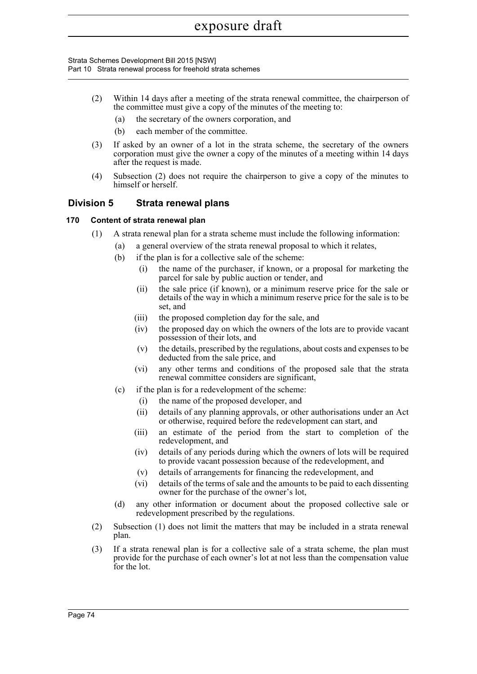Strata Schemes Development Bill 2015 [NSW] Part 10 Strata renewal process for freehold strata schemes

- (2) Within 14 days after a meeting of the strata renewal committee, the chairperson of the committee must give a copy of the minutes of the meeting to:
	- (a) the secretary of the owners corporation, and
	- (b) each member of the committee.
- (3) If asked by an owner of a lot in the strata scheme, the secretary of the owners corporation must give the owner a copy of the minutes of a meeting within 14 days after the request is made.
- (4) Subsection (2) does not require the chairperson to give a copy of the minutes to himself or herself.

## **Division 5 Strata renewal plans**

### **170 Content of strata renewal plan**

- (1) A strata renewal plan for a strata scheme must include the following information:
	- (a) a general overview of the strata renewal proposal to which it relates,
	- (b) if the plan is for a collective sale of the scheme:
		- (i) the name of the purchaser, if known, or a proposal for marketing the parcel for sale by public auction or tender, and
		- (ii) the sale price (if known), or a minimum reserve price for the sale or details of the way in which a minimum reserve price for the sale is to be set, and
		- (iii) the proposed completion day for the sale, and
		- (iv) the proposed day on which the owners of the lots are to provide vacant possession of their lots, and
		- (v) the details, prescribed by the regulations, about costs and expenses to be deducted from the sale price, and
		- (vi) any other terms and conditions of the proposed sale that the strata renewal committee considers are significant,
	- (c) if the plan is for a redevelopment of the scheme:
		- (i) the name of the proposed developer, and
		- (ii) details of any planning approvals, or other authorisations under an Act or otherwise, required before the redevelopment can start, and
		- (iii) an estimate of the period from the start to completion of the redevelopment, and
		- (iv) details of any periods during which the owners of lots will be required to provide vacant possession because of the redevelopment, and
		- (v) details of arrangements for financing the redevelopment, and
		- (vi) details of the terms of sale and the amounts to be paid to each dissenting owner for the purchase of the owner's lot,
	- (d) any other information or document about the proposed collective sale or redevelopment prescribed by the regulations.
- (2) Subsection (1) does not limit the matters that may be included in a strata renewal plan.
- (3) If a strata renewal plan is for a collective sale of a strata scheme, the plan must provide for the purchase of each owner's lot at not less than the compensation value for the lot.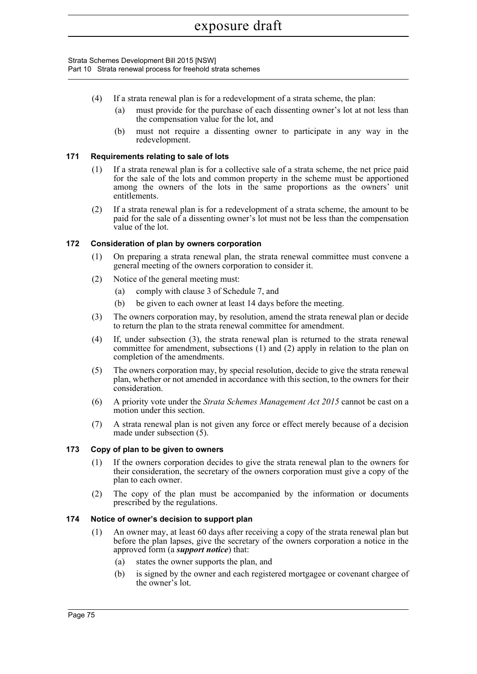Strata Schemes Development Bill 2015 [NSW] Part 10 Strata renewal process for freehold strata schemes

- (4) If a strata renewal plan is for a redevelopment of a strata scheme, the plan:
	- (a) must provide for the purchase of each dissenting owner's lot at not less than the compensation value for the lot, and
	- (b) must not require a dissenting owner to participate in any way in the redevelopment.

### **171 Requirements relating to sale of lots**

- (1) If a strata renewal plan is for a collective sale of a strata scheme, the net price paid for the sale of the lots and common property in the scheme must be apportioned among the owners of the lots in the same proportions as the owners' unit entitlements.
- (2) If a strata renewal plan is for a redevelopment of a strata scheme, the amount to be paid for the sale of a dissenting owner's lot must not be less than the compensation value of the lot.

### **172 Consideration of plan by owners corporation**

- (1) On preparing a strata renewal plan, the strata renewal committee must convene a general meeting of the owners corporation to consider it.
- (2) Notice of the general meeting must:
	- (a) comply with clause 3 of Schedule 7, and
	- (b) be given to each owner at least 14 days before the meeting.
- (3) The owners corporation may, by resolution, amend the strata renewal plan or decide to return the plan to the strata renewal committee for amendment.
- (4) If, under subsection (3), the strata renewal plan is returned to the strata renewal committee for amendment, subsections (1) and (2) apply in relation to the plan on completion of the amendments.
- (5) The owners corporation may, by special resolution, decide to give the strata renewal plan, whether or not amended in accordance with this section, to the owners for their consideration.
- (6) A priority vote under the *Strata Schemes Management Act 2015* cannot be cast on a motion under this section.
- (7) A strata renewal plan is not given any force or effect merely because of a decision made under subsection (5).

### **173 Copy of plan to be given to owners**

- (1) If the owners corporation decides to give the strata renewal plan to the owners for their consideration, the secretary of the owners corporation must give a copy of the plan to each owner.
- (2) The copy of the plan must be accompanied by the information or documents prescribed by the regulations.

### **174 Notice of owner's decision to support plan**

- (1) An owner may, at least 60 days after receiving a copy of the strata renewal plan but before the plan lapses, give the secretary of the owners corporation a notice in the approved form (a *support notice*) that:
	- (a) states the owner supports the plan, and
	- (b) is signed by the owner and each registered mortgagee or covenant chargee of the owner's lot.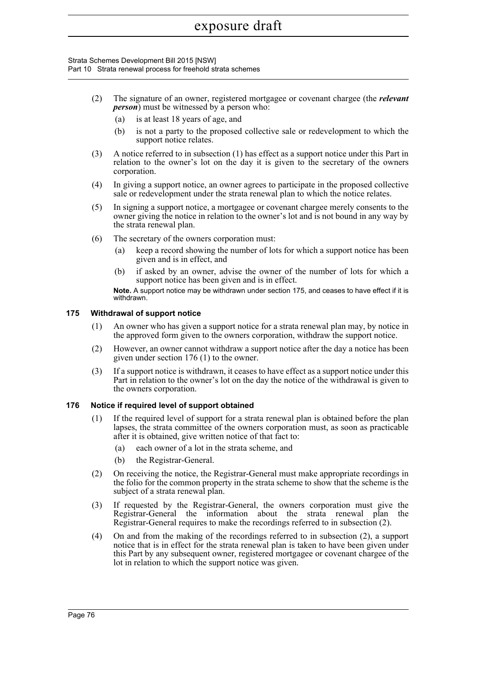Strata Schemes Development Bill 2015 [NSW] Part 10 Strata renewal process for freehold strata schemes

- (2) The signature of an owner, registered mortgagee or covenant chargee (the *relevant person*) must be witnessed by a person who:
	- (a) is at least 18 years of age, and
	- (b) is not a party to the proposed collective sale or redevelopment to which the support notice relates.
- (3) A notice referred to in subsection (1) has effect as a support notice under this Part in relation to the owner's lot on the day it is given to the secretary of the owners corporation.
- (4) In giving a support notice, an owner agrees to participate in the proposed collective sale or redevelopment under the strata renewal plan to which the notice relates.
- (5) In signing a support notice, a mortgagee or covenant chargee merely consents to the owner giving the notice in relation to the owner's lot and is not bound in any way by the strata renewal plan.
- (6) The secretary of the owners corporation must:
	- (a) keep a record showing the number of lots for which a support notice has been given and is in effect, and
	- (b) if asked by an owner, advise the owner of the number of lots for which a support notice has been given and is in effect.

**Note.** A support notice may be withdrawn under section 175, and ceases to have effect if it is withdrawn.

#### **175 Withdrawal of support notice**

- (1) An owner who has given a support notice for a strata renewal plan may, by notice in the approved form given to the owners corporation, withdraw the support notice.
- (2) However, an owner cannot withdraw a support notice after the day a notice has been given under section 176 (1) to the owner.
- (3) If a support notice is withdrawn, it ceases to have effect as a support notice under this Part in relation to the owner's lot on the day the notice of the withdrawal is given to the owners corporation.

### **176 Notice if required level of support obtained**

- (1) If the required level of support for a strata renewal plan is obtained before the plan lapses, the strata committee of the owners corporation must, as soon as practicable after it is obtained, give written notice of that fact to:
	- (a) each owner of a lot in the strata scheme, and
	- (b) the Registrar-General.
- (2) On receiving the notice, the Registrar-General must make appropriate recordings in the folio for the common property in the strata scheme to show that the scheme is the subject of a strata renewal plan.
- (3) If requested by the Registrar-General, the owners corporation must give the Registrar-General the information about the strata renewal plan the Registrar-General requires to make the recordings referred to in subsection (2).
- (4) On and from the making of the recordings referred to in subsection (2), a support notice that is in effect for the strata renewal plan is taken to have been given under this Part by any subsequent owner, registered mortgagee or covenant chargee of the lot in relation to which the support notice was given.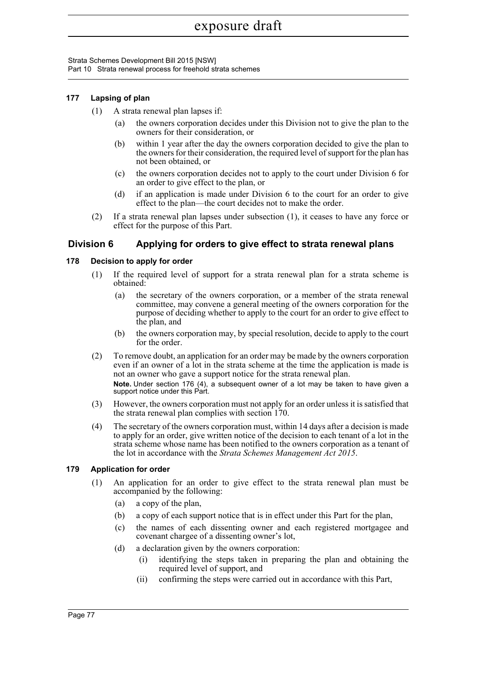Strata Schemes Development Bill 2015 [NSW] Part 10 Strata renewal process for freehold strata schemes

### **177 Lapsing of plan**

- (1) A strata renewal plan lapses if:
	- (a) the owners corporation decides under this Division not to give the plan to the owners for their consideration, or
	- (b) within 1 year after the day the owners corporation decided to give the plan to the owners for their consideration, the required level of support for the plan has not been obtained, or
	- (c) the owners corporation decides not to apply to the court under Division 6 for an order to give effect to the plan, or
	- (d) if an application is made under Division 6 to the court for an order to give effect to the plan—the court decides not to make the order.
- (2) If a strata renewal plan lapses under subsection (1), it ceases to have any force or effect for the purpose of this Part.

## **Division 6 Applying for orders to give effect to strata renewal plans**

### **178 Decision to apply for order**

- (1) If the required level of support for a strata renewal plan for a strata scheme is obtained:
	- (a) the secretary of the owners corporation, or a member of the strata renewal committee, may convene a general meeting of the owners corporation for the purpose of deciding whether to apply to the court for an order to give effect to the plan, and
	- (b) the owners corporation may, by special resolution, decide to apply to the court for the order.
- (2) To remove doubt, an application for an order may be made by the owners corporation even if an owner of a lot in the strata scheme at the time the application is made is not an owner who gave a support notice for the strata renewal plan.

**Note.** Under section 176 (4), a subsequent owner of a lot may be taken to have given a support notice under this Part.

- (3) However, the owners corporation must not apply for an order unless it is satisfied that the strata renewal plan complies with section 170.
- (4) The secretary of the owners corporation must, within 14 days after a decision is made to apply for an order, give written notice of the decision to each tenant of a lot in the strata scheme whose name has been notified to the owners corporation as a tenant of the lot in accordance with the *Strata Schemes Management Act 2015*.

### **179 Application for order**

- (1) An application for an order to give effect to the strata renewal plan must be accompanied by the following:
	- (a) a copy of the plan,
	- (b) a copy of each support notice that is in effect under this Part for the plan,
	- (c) the names of each dissenting owner and each registered mortgagee and covenant chargee of a dissenting owner's lot,
	- (d) a declaration given by the owners corporation:
		- (i) identifying the steps taken in preparing the plan and obtaining the required level of support, and
		- (ii) confirming the steps were carried out in accordance with this Part,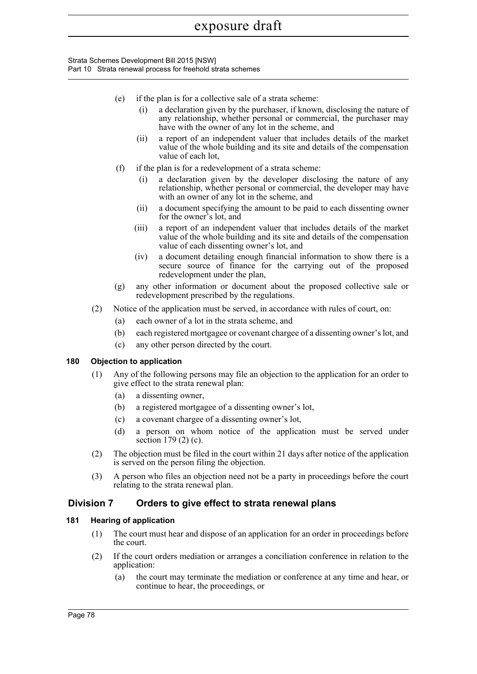Strata Schemes Development Bill 2015 [NSW] Part 10 Strata renewal process for freehold strata schemes

- (e) if the plan is for a collective sale of a strata scheme:
	- (i) a declaration given by the purchaser, if known, disclosing the nature of any relationship, whether personal or commercial, the purchaser may have with the owner of any lot in the scheme, and
	- (ii) a report of an independent valuer that includes details of the market value of the whole building and its site and details of the compensation value of each lot,
- (f) if the plan is for a redevelopment of a strata scheme:
	- (i) a declaration given by the developer disclosing the nature of any relationship, whether personal or commercial, the developer may have with an owner of any lot in the scheme, and
	- (ii) a document specifying the amount to be paid to each dissenting owner for the owner's lot, and
	- (iii) a report of an independent valuer that includes details of the market value of the whole building and its site and details of the compensation value of each dissenting owner's lot, and
	- (iv) a document detailing enough financial information to show there is a secure source of finance for the carrying out of the proposed redevelopment under the plan,
- (g) any other information or document about the proposed collective sale or redevelopment prescribed by the regulations.
- (2) Notice of the application must be served, in accordance with rules of court, on:
	- (a) each owner of a lot in the strata scheme, and
	- (b) each registered mortgagee or covenant chargee of a dissenting owner's lot, and
	- (c) any other person directed by the court.

### **180 Objection to application**

- (1) Any of the following persons may file an objection to the application for an order to give effect to the strata renewal plan:
	- (a) a dissenting owner,
	- (b) a registered mortgagee of a dissenting owner's lot,
	- (c) a covenant chargee of a dissenting owner's lot,
	- (d) a person on whom notice of the application must be served under section 179 (2) (c).
- (2) The objection must be filed in the court within 21 days after notice of the application is served on the person filing the objection.
- (3) A person who files an objection need not be a party in proceedings before the court relating to the strata renewal plan.

## **Division 7 Orders to give effect to strata renewal plans**

### **181 Hearing of application**

- (1) The court must hear and dispose of an application for an order in proceedings before the court.
- (2) If the court orders mediation or arranges a conciliation conference in relation to the application:
	- (a) the court may terminate the mediation or conference at any time and hear, or continue to hear, the proceedings, or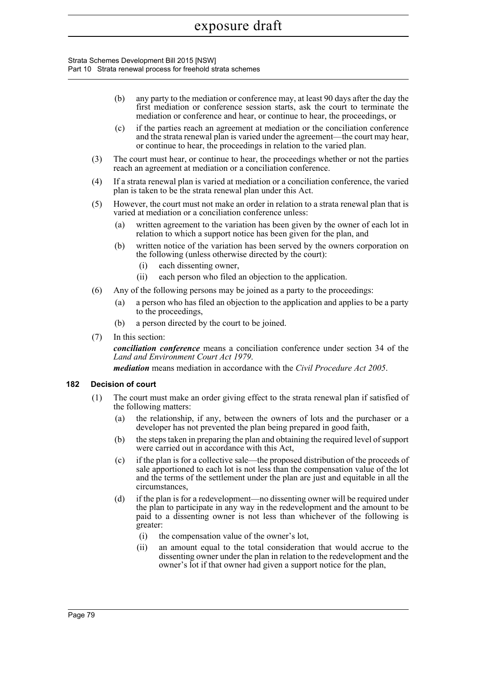Strata Schemes Development Bill 2015 [NSW] Part 10 Strata renewal process for freehold strata schemes

- (b) any party to the mediation or conference may, at least 90 days after the day the first mediation or conference session starts, ask the court to terminate the mediation or conference and hear, or continue to hear, the proceedings, or
- (c) if the parties reach an agreement at mediation or the conciliation conference and the strata renewal plan is varied under the agreement—the court may hear, or continue to hear, the proceedings in relation to the varied plan.
- (3) The court must hear, or continue to hear, the proceedings whether or not the parties reach an agreement at mediation or a conciliation conference.
- (4) If a strata renewal plan is varied at mediation or a conciliation conference, the varied plan is taken to be the strata renewal plan under this Act.
- (5) However, the court must not make an order in relation to a strata renewal plan that is varied at mediation or a conciliation conference unless:
	- (a) written agreement to the variation has been given by the owner of each lot in relation to which a support notice has been given for the plan, and
	- (b) written notice of the variation has been served by the owners corporation on the following (unless otherwise directed by the court):
		- (i) each dissenting owner,
		- (ii) each person who filed an objection to the application.
- (6) Any of the following persons may be joined as a party to the proceedings:
	- (a) a person who has filed an objection to the application and applies to be a party to the proceedings,
	- (b) a person directed by the court to be joined.
- (7) In this section:

*conciliation conference* means a conciliation conference under section 34 of the *Land and Environment Court Act 1979*.

*mediation* means mediation in accordance with the *Civil Procedure Act 2005*.

#### **182 Decision of court**

- (1) The court must make an order giving effect to the strata renewal plan if satisfied of the following matters:
	- (a) the relationship, if any, between the owners of lots and the purchaser or a developer has not prevented the plan being prepared in good faith,
	- (b) the steps taken in preparing the plan and obtaining the required level of support were carried out in accordance with this Act,
	- (c) if the plan is for a collective sale—the proposed distribution of the proceeds of sale apportioned to each lot is not less than the compensation value of the lot and the terms of the settlement under the plan are just and equitable in all the circumstances,
	- (d) if the plan is for a redevelopment—no dissenting owner will be required under the plan to participate in any way in the redevelopment and the amount to be paid to a dissenting owner is not less than whichever of the following is greater:
		- (i) the compensation value of the owner's lot,
		- (ii) an amount equal to the total consideration that would accrue to the dissenting owner under the plan in relation to the redevelopment and the owner's lot if that owner had given a support notice for the plan,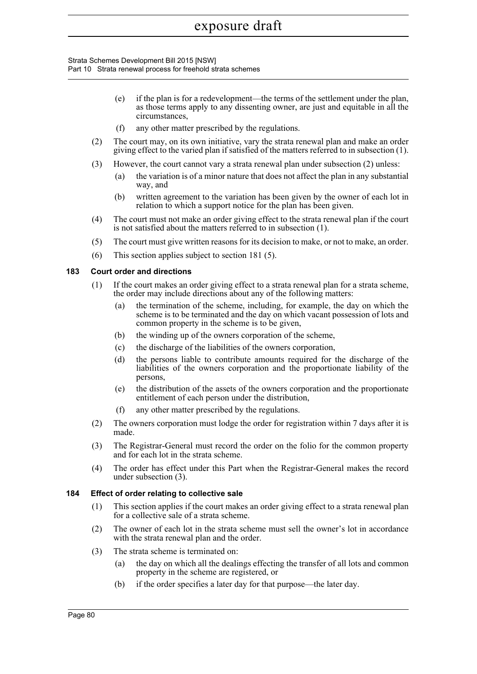#### Strata Schemes Development Bill 2015 [NSW] Part 10 Strata renewal process for freehold strata schemes

- (e) if the plan is for a redevelopment—the terms of the settlement under the plan, as those terms apply to any dissenting owner, are just and equitable in all the circumstances,
- (f) any other matter prescribed by the regulations.
- (2) The court may, on its own initiative, vary the strata renewal plan and make an order giving effect to the varied plan if satisfied of the matters referred to in subsection (1).
- (3) However, the court cannot vary a strata renewal plan under subsection (2) unless:
	- (a) the variation is of a minor nature that does not affect the plan in any substantial way, and
	- (b) written agreement to the variation has been given by the owner of each lot in relation to which a support notice for the plan has been given.
- (4) The court must not make an order giving effect to the strata renewal plan if the court is not satisfied about the matters referred to in subsection (1).
- (5) The court must give written reasons for its decision to make, or not to make, an order.
- (6) This section applies subject to section 181 (5).

#### **183 Court order and directions**

- (1) If the court makes an order giving effect to a strata renewal plan for a strata scheme, the order may include directions about any of the following matters:
	- (a) the termination of the scheme, including, for example, the day on which the scheme is to be terminated and the day on which vacant possession of lots and common property in the scheme is to be given,
	- (b) the winding up of the owners corporation of the scheme,
	- (c) the discharge of the liabilities of the owners corporation,
	- (d) the persons liable to contribute amounts required for the discharge of the liabilities of the owners corporation and the proportionate liability of the persons,
	- (e) the distribution of the assets of the owners corporation and the proportionate entitlement of each person under the distribution,
	- (f) any other matter prescribed by the regulations.
- (2) The owners corporation must lodge the order for registration within 7 days after it is made.
- (3) The Registrar-General must record the order on the folio for the common property and for each lot in the strata scheme.
- (4) The order has effect under this Part when the Registrar-General makes the record under subsection (3).

#### **184 Effect of order relating to collective sale**

- (1) This section applies if the court makes an order giving effect to a strata renewal plan for a collective sale of a strata scheme.
- (2) The owner of each lot in the strata scheme must sell the owner's lot in accordance with the strata renewal plan and the order.
- (3) The strata scheme is terminated on:
	- (a) the day on which all the dealings effecting the transfer of all lots and common property in the scheme are registered, or
	- (b) if the order specifies a later day for that purpose—the later day.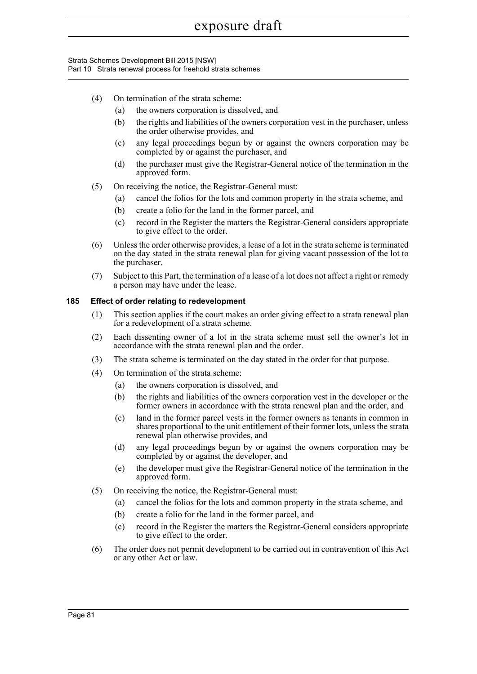#### Strata Schemes Development Bill 2015 [NSW] Part 10 Strata renewal process for freehold strata schemes

- (4) On termination of the strata scheme:
	- (a) the owners corporation is dissolved, and
	- (b) the rights and liabilities of the owners corporation vest in the purchaser, unless the order otherwise provides, and
	- (c) any legal proceedings begun by or against the owners corporation may be completed by or against the purchaser, and
	- (d) the purchaser must give the Registrar-General notice of the termination in the approved form.
- (5) On receiving the notice, the Registrar-General must:
	- (a) cancel the folios for the lots and common property in the strata scheme, and
	- (b) create a folio for the land in the former parcel, and
	- (c) record in the Register the matters the Registrar-General considers appropriate to give effect to the order.
- (6) Unless the order otherwise provides, a lease of a lot in the strata scheme is terminated on the day stated in the strata renewal plan for giving vacant possession of the lot to the purchaser.
- (7) Subject to this Part, the termination of a lease of a lot does not affect a right or remedy a person may have under the lease.

#### **185 Effect of order relating to redevelopment**

- (1) This section applies if the court makes an order giving effect to a strata renewal plan for a redevelopment of a strata scheme.
- (2) Each dissenting owner of a lot in the strata scheme must sell the owner's lot in accordance with the strata renewal plan and the order.
- (3) The strata scheme is terminated on the day stated in the order for that purpose.
- (4) On termination of the strata scheme:
	- (a) the owners corporation is dissolved, and
	- (b) the rights and liabilities of the owners corporation vest in the developer or the former owners in accordance with the strata renewal plan and the order, and
	- (c) land in the former parcel vests in the former owners as tenants in common in shares proportional to the unit entitlement of their former lots, unless the strata renewal plan otherwise provides, and
	- (d) any legal proceedings begun by or against the owners corporation may be completed by or against the developer, and
	- (e) the developer must give the Registrar-General notice of the termination in the approved form.
- (5) On receiving the notice, the Registrar-General must:
	- (a) cancel the folios for the lots and common property in the strata scheme, and
		- (b) create a folio for the land in the former parcel, and
		- (c) record in the Register the matters the Registrar-General considers appropriate to give effect to the order.
- (6) The order does not permit development to be carried out in contravention of this Act or any other Act or law.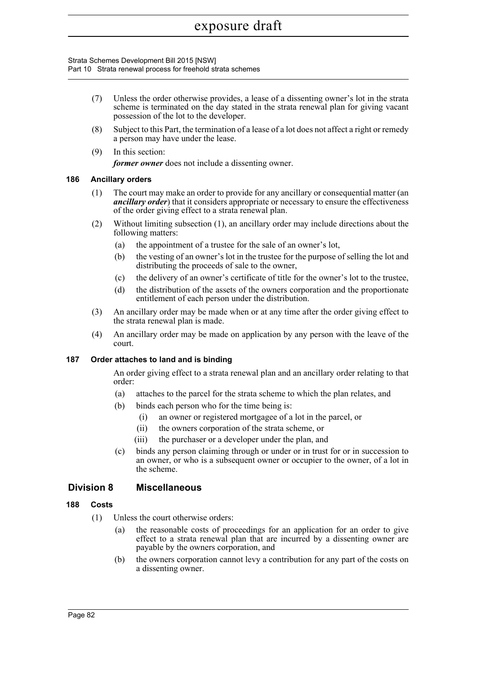Strata Schemes Development Bill 2015 [NSW] Part 10 Strata renewal process for freehold strata schemes

- (7) Unless the order otherwise provides, a lease of a dissenting owner's lot in the strata scheme is terminated on the day stated in the strata renewal plan for giving vacant possession of the lot to the developer.
- (8) Subject to this Part, the termination of a lease of a lot does not affect a right or remedy a person may have under the lease.
- (9) In this section: *former owner* does not include a dissenting owner.

#### **186 Ancillary orders**

- (1) The court may make an order to provide for any ancillary or consequential matter (an *ancillary order*) that it considers appropriate or necessary to ensure the effectiveness of the order giving effect to a strata renewal plan.
- (2) Without limiting subsection (1), an ancillary order may include directions about the following matters:
	- (a) the appointment of a trustee for the sale of an owner's lot,
	- (b) the vesting of an owner's lot in the trustee for the purpose of selling the lot and distributing the proceeds of sale to the owner,
	- (c) the delivery of an owner's certificate of title for the owner's lot to the trustee,
	- (d) the distribution of the assets of the owners corporation and the proportionate entitlement of each person under the distribution.
- (3) An ancillary order may be made when or at any time after the order giving effect to the strata renewal plan is made.
- (4) An ancillary order may be made on application by any person with the leave of the court.

#### **187 Order attaches to land and is binding**

An order giving effect to a strata renewal plan and an ancillary order relating to that order:

- (a) attaches to the parcel for the strata scheme to which the plan relates, and
- (b) binds each person who for the time being is:
	- (i) an owner or registered mortgagee of a lot in the parcel, or
		- (ii) the owners corporation of the strata scheme, or
	- (iii) the purchaser or a developer under the plan, and
- (c) binds any person claiming through or under or in trust for or in succession to an owner, or who is a subsequent owner or occupier to the owner, of a lot in the scheme.

## **Division 8 Miscellaneous**

#### **188 Costs**

- (1) Unless the court otherwise orders:
	- (a) the reasonable costs of proceedings for an application for an order to give effect to a strata renewal plan that are incurred by a dissenting owner are payable by the owners corporation, and
	- (b) the owners corporation cannot levy a contribution for any part of the costs on a dissenting owner.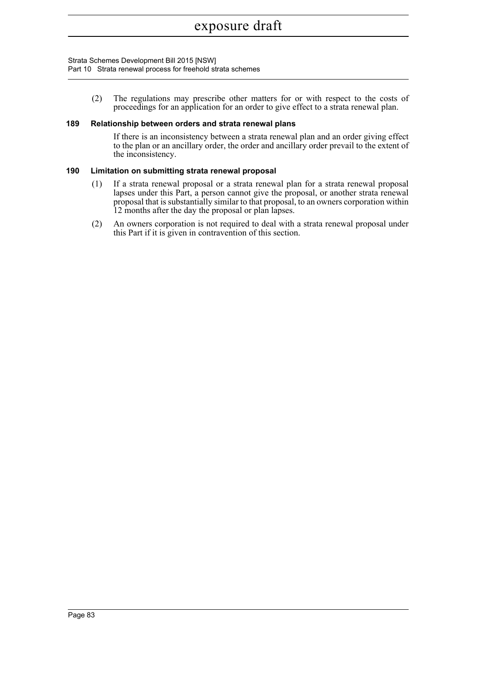#### Strata Schemes Development Bill 2015 [NSW] Part 10 Strata renewal process for freehold strata schemes

(2) The regulations may prescribe other matters for or with respect to the costs of proceedings for an application for an order to give effect to a strata renewal plan.

#### **189 Relationship between orders and strata renewal plans**

If there is an inconsistency between a strata renewal plan and an order giving effect to the plan or an ancillary order, the order and ancillary order prevail to the extent of the inconsistency.

#### **190 Limitation on submitting strata renewal proposal**

- (1) If a strata renewal proposal or a strata renewal plan for a strata renewal proposal lapses under this Part, a person cannot give the proposal, or another strata renewal proposal that is substantially similar to that proposal, to an owners corporation within 12 months after the day the proposal or plan lapses.
- (2) An owners corporation is not required to deal with a strata renewal proposal under this Part if it is given in contravention of this section.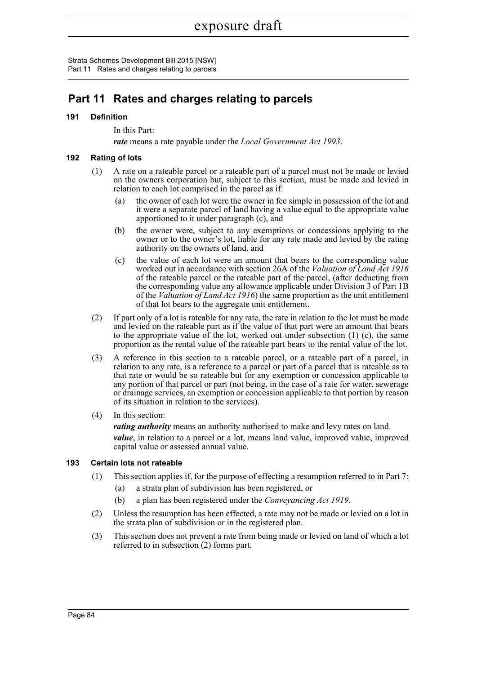Strata Schemes Development Bill 2015 [NSW] Part 11 Rates and charges relating to parcels

# **Part 11 Rates and charges relating to parcels**

#### **191 Definition**

In this Part:

*rate* means a rate payable under the *Local Government Act 1993*.

#### **192 Rating of lots**

- (1) A rate on a rateable parcel or a rateable part of a parcel must not be made or levied on the owners corporation but, subject to this section, must be made and levied in relation to each lot comprised in the parcel as if:
	- (a) the owner of each lot were the owner in fee simple in possession of the lot and it were a separate parcel of land having a value equal to the appropriate value apportioned to it under paragraph (c), and
	- (b) the owner were, subject to any exemptions or concessions applying to the owner or to the owner's lot, liable for any rate made and levied by the rating authority on the owners of land, and
	- (c) the value of each lot were an amount that bears to the corresponding value worked out in accordance with section 26A of the *Valuation of Land Act 1916* of the rateable parcel or the rateable part of the parcel, (after deducting from the corresponding value any allowance applicable under Division 3 of Part 1B of the *Valuation of Land Act 1916*) the same proportion as the unit entitlement of that lot bears to the aggregate unit entitlement.
- (2) If part only of a lot is rateable for any rate, the rate in relation to the lot must be made and levied on the rateable part as if the value of that part were an amount that bears to the appropriate value of the lot, worked out under subsection (1) (c), the same proportion as the rental value of the rateable part bears to the rental value of the lot.
- (3) A reference in this section to a rateable parcel, or a rateable part of a parcel, in relation to any rate, is a reference to a parcel or part of a parcel that is rateable as to that rate or would be so rateable but for any exemption or concession applicable to any portion of that parcel or part (not being, in the case of a rate for water, sewerage or drainage services, an exemption or concession applicable to that portion by reason of its situation in relation to the services).
- (4) In this section:

*rating authority* means an authority authorised to make and levy rates on land. *value*, in relation to a parcel or a lot, means land value, improved value, improved capital value or assessed annual value.

#### **193 Certain lots not rateable**

- (1) This section applies if, for the purpose of effecting a resumption referred to in Part 7:
	- (a) a strata plan of subdivision has been registered, or
	- (b) a plan has been registered under the *Conveyancing Act 1919*.
- (2) Unless the resumption has been effected, a rate may not be made or levied on a lot in the strata plan of subdivision or in the registered plan.
- (3) This section does not prevent a rate from being made or levied on land of which a lot referred to in subsection (2) forms part.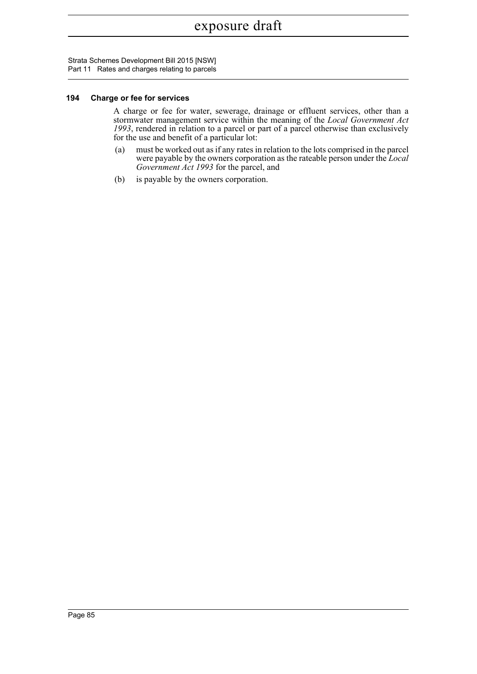Strata Schemes Development Bill 2015 [NSW] Part 11 Rates and charges relating to parcels

#### **194 Charge or fee for services**

A charge or fee for water, sewerage, drainage or effluent services, other than a stormwater management service within the meaning of the *Local Government Act 1993*, rendered in relation to a parcel or part of a parcel otherwise than exclusively for the use and benefit of a particular lot:

- (a) must be worked out as if any rates in relation to the lots comprised in the parcel were payable by the owners corporation as the rateable person under the *Local Government Act 1993* for the parcel, and
- (b) is payable by the owners corporation.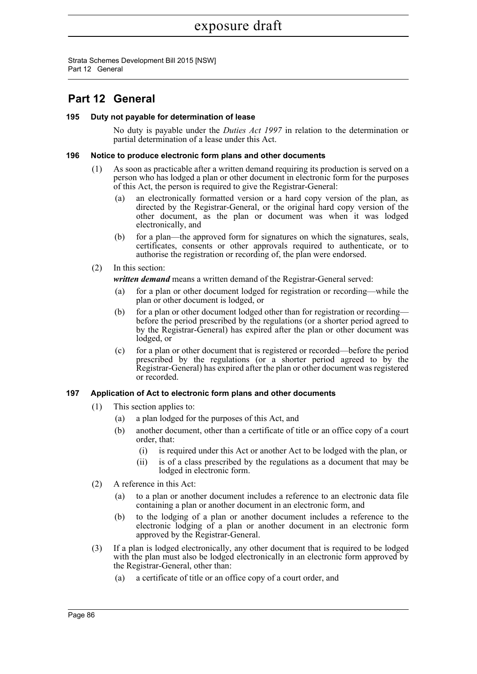Strata Schemes Development Bill 2015 [NSW] Part 12 General

# **Part 12 General**

#### **195 Duty not payable for determination of lease**

No duty is payable under the *Duties Act 1997* in relation to the determination or partial determination of a lease under this Act.

#### **196 Notice to produce electronic form plans and other documents**

- (1) As soon as practicable after a written demand requiring its production is served on a person who has lodged a plan or other document in electronic form for the purposes of this Act, the person is required to give the Registrar-General:
	- (a) an electronically formatted version or a hard copy version of the plan, as directed by the Registrar-General, or the original hard copy version of the other document, as the plan or document was when it was lodged electronically, and
	- (b) for a plan—the approved form for signatures on which the signatures, seals, certificates, consents or other approvals required to authenticate, or to authorise the registration or recording of, the plan were endorsed.
- (2) In this section:

*written demand* means a written demand of the Registrar-General served:

- (a) for a plan or other document lodged for registration or recording—while the plan or other document is lodged, or
- (b) for a plan or other document lodged other than for registration or recording before the period prescribed by the regulations (or a shorter period agreed to by the Registrar-General) has expired after the plan or other document was lodged, or
- (c) for a plan or other document that is registered or recorded—before the period prescribed by the regulations (or a shorter period agreed to by the Registrar-General) has expired after the plan or other document was registered or recorded.

#### **197 Application of Act to electronic form plans and other documents**

- (1) This section applies to:
	- (a) a plan lodged for the purposes of this Act, and
	- (b) another document, other than a certificate of title or an office copy of a court order, that:
		- (i) is required under this Act or another Act to be lodged with the plan, or
		- (ii) is of a class prescribed by the regulations as a document that may be lodged in electronic form.
- (2) A reference in this Act:
	- (a) to a plan or another document includes a reference to an electronic data file containing a plan or another document in an electronic form, and
	- (b) to the lodging of a plan or another document includes a reference to the electronic lodging of a plan or another document in an electronic form approved by the Registrar-General.
- (3) If a plan is lodged electronically, any other document that is required to be lodged with the plan must also be lodged electronically in an electronic form approved by the Registrar-General, other than:
	- (a) a certificate of title or an office copy of a court order, and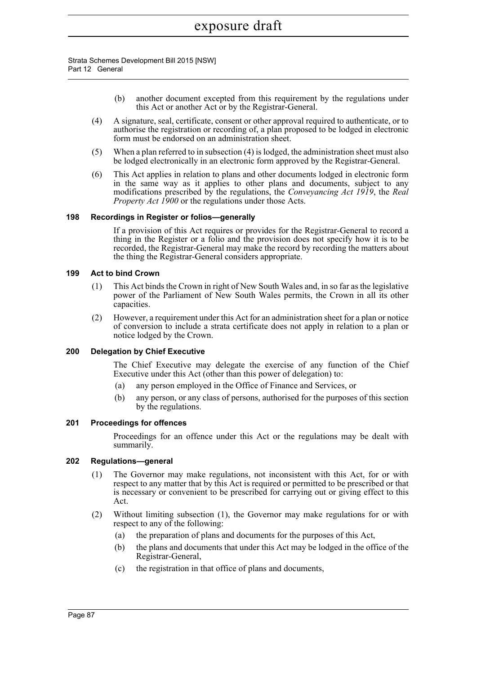Strata Schemes Development Bill 2015 [NSW] Part 12 General

- (b) another document excepted from this requirement by the regulations under this Act or another Act or by the Registrar-General.
- (4) A signature, seal, certificate, consent or other approval required to authenticate, or to authorise the registration or recording of, a plan proposed to be lodged in electronic form must be endorsed on an administration sheet.
- (5) When a plan referred to in subsection (4) is lodged, the administration sheet must also be lodged electronically in an electronic form approved by the Registrar-General.
- (6) This Act applies in relation to plans and other documents lodged in electronic form in the same way as it applies to other plans and documents, subject to any modifications prescribed by the regulations, the *Conveyancing Act 1919*, the *Real Property Act 1900* or the regulations under those Acts.

#### **198 Recordings in Register or folios—generally**

If a provision of this Act requires or provides for the Registrar-General to record a thing in the Register or a folio and the provision does not specify how it is to be recorded, the Registrar-General may make the record by recording the matters about the thing the Registrar-General considers appropriate.

#### **199 Act to bind Crown**

- (1) This Act binds the Crown in right of New South Wales and, in so far as the legislative power of the Parliament of New South Wales permits, the Crown in all its other capacities.
- (2) However, a requirement under this Act for an administration sheet for a plan or notice of conversion to include a strata certificate does not apply in relation to a plan or notice lodged by the Crown.

#### **200 Delegation by Chief Executive**

The Chief Executive may delegate the exercise of any function of the Chief Executive under this Act (other than this power of delegation) to:

- (a) any person employed in the Office of Finance and Services, or
- (b) any person, or any class of persons, authorised for the purposes of this section by the regulations.

#### **201 Proceedings for offences**

Proceedings for an offence under this Act or the regulations may be dealt with summarily.

#### **202 Regulations—general**

- (1) The Governor may make regulations, not inconsistent with this Act, for or with respect to any matter that by this Act is required or permitted to be prescribed or that is necessary or convenient to be prescribed for carrying out or giving effect to this Act.
- (2) Without limiting subsection (1), the Governor may make regulations for or with respect to any of the following:
	- (a) the preparation of plans and documents for the purposes of this Act,
	- (b) the plans and documents that under this Act may be lodged in the office of the Registrar-General,
	- (c) the registration in that office of plans and documents,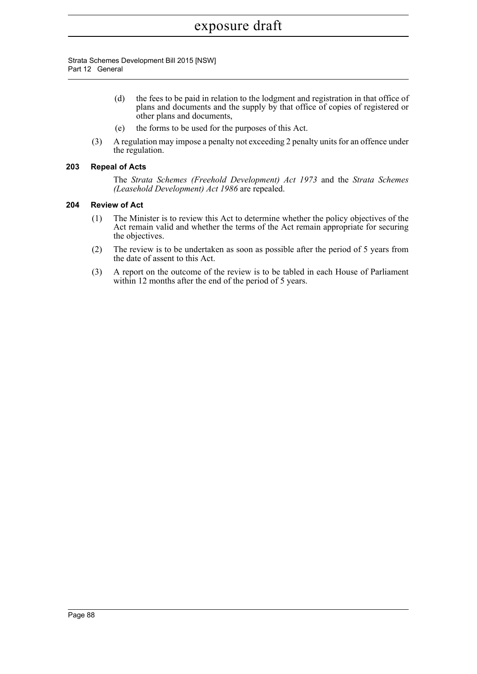Strata Schemes Development Bill 2015 [NSW] Part 12 General

- (d) the fees to be paid in relation to the lodgment and registration in that office of plans and documents and the supply by that office of copies of registered or other plans and documents,
- (e) the forms to be used for the purposes of this Act.
- (3) A regulation may impose a penalty not exceeding 2 penalty units for an offence under the regulation.

#### **203 Repeal of Acts**

The *Strata Schemes (Freehold Development) Act 1973* and the *Strata Schemes (Leasehold Development) Act 1986* are repealed.

#### **204 Review of Act**

- (1) The Minister is to review this Act to determine whether the policy objectives of the Act remain valid and whether the terms of the Act remain appropriate for securing the objectives.
- (2) The review is to be undertaken as soon as possible after the period of 5 years from the date of assent to this Act.
- (3) A report on the outcome of the review is to be tabled in each House of Parliament within 12 months after the end of the period of 5 years.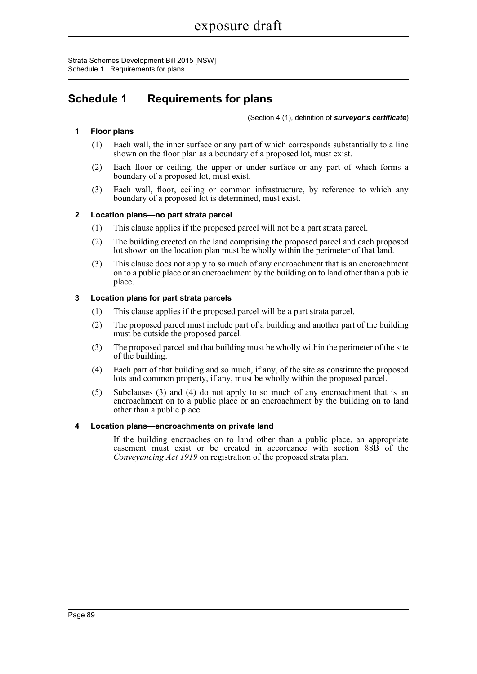Strata Schemes Development Bill 2015 [NSW] Schedule 1 Requirements for plans

# **Schedule 1 Requirements for plans**

(Section 4 (1), definition of *surveyor's certificate*)

#### **1 Floor plans**

- (1) Each wall, the inner surface or any part of which corresponds substantially to a line shown on the floor plan as a boundary of a proposed lot, must exist.
- (2) Each floor or ceiling, the upper or under surface or any part of which forms a boundary of a proposed lot, must exist.
- (3) Each wall, floor, ceiling or common infrastructure, by reference to which any boundary of a proposed lot is determined, must exist.

#### **2 Location plans—no part strata parcel**

- (1) This clause applies if the proposed parcel will not be a part strata parcel.
- (2) The building erected on the land comprising the proposed parcel and each proposed lot shown on the location plan must be wholly within the perimeter of that land.
- (3) This clause does not apply to so much of any encroachment that is an encroachment on to a public place or an encroachment by the building on to land other than a public place.

#### **3 Location plans for part strata parcels**

- (1) This clause applies if the proposed parcel will be a part strata parcel.
- (2) The proposed parcel must include part of a building and another part of the building must be outside the proposed parcel.
- (3) The proposed parcel and that building must be wholly within the perimeter of the site of the building.
- (4) Each part of that building and so much, if any, of the site as constitute the proposed lots and common property, if any, must be wholly within the proposed parcel.
- (5) Subclauses (3) and (4) do not apply to so much of any encroachment that is an encroachment on to a public place or an encroachment by the building on to land other than a public place.

#### **4 Location plans—encroachments on private land**

If the building encroaches on to land other than a public place, an appropriate easement must exist or be created in accordance with section 88B of the *Conveyancing Act 1919* on registration of the proposed strata plan.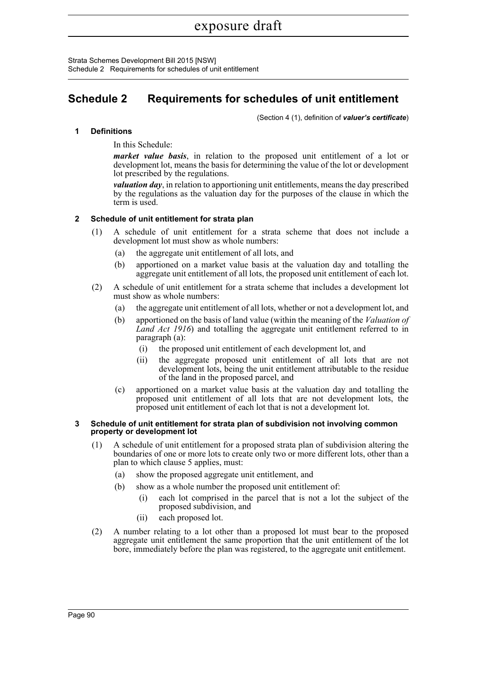Strata Schemes Development Bill 2015 [NSW] Schedule 2 Requirements for schedules of unit entitlement

# **Schedule 2 Requirements for schedules of unit entitlement**

(Section 4 (1), definition of *valuer's certificate*)

#### **1 Definitions**

In this Schedule:

*market value basis*, in relation to the proposed unit entitlement of a lot or development lot, means the basis for determining the value of the lot or development lot prescribed by the regulations.

*valuation day*, in relation to apportioning unit entitlements, means the day prescribed by the regulations as the valuation day for the purposes of the clause in which the term is used.

#### **2 Schedule of unit entitlement for strata plan**

- (1) A schedule of unit entitlement for a strata scheme that does not include a development lot must show as whole numbers:
	- (a) the aggregate unit entitlement of all lots, and
	- (b) apportioned on a market value basis at the valuation day and totalling the aggregate unit entitlement of all lots, the proposed unit entitlement of each lot.
- (2) A schedule of unit entitlement for a strata scheme that includes a development lot must show as whole numbers:
	- (a) the aggregate unit entitlement of all lots, whether or not a development lot, and
	- (b) apportioned on the basis of land value (within the meaning of the *Valuation of Land Act 1916*) and totalling the aggregate unit entitlement referred to in paragraph (a):
		- (i) the proposed unit entitlement of each development lot, and
		- (ii) the aggregate proposed unit entitlement of all lots that are not development lots, being the unit entitlement attributable to the residue of the land in the proposed parcel, and
	- (c) apportioned on a market value basis at the valuation day and totalling the proposed unit entitlement of all lots that are not development lots, the proposed unit entitlement of each lot that is not a development lot.

#### **3 Schedule of unit entitlement for strata plan of subdivision not involving common property or development lot**

- (1) A schedule of unit entitlement for a proposed strata plan of subdivision altering the boundaries of one or more lots to create only two or more different lots, other than a plan to which clause 5 applies, must:
	- (a) show the proposed aggregate unit entitlement, and
	- (b) show as a whole number the proposed unit entitlement of:
		- (i) each lot comprised in the parcel that is not a lot the subject of the proposed subdivision, and
		- (ii) each proposed lot.
- (2) A number relating to a lot other than a proposed lot must bear to the proposed aggregate unit entitlement the same proportion that the unit entitlement of the lot bore, immediately before the plan was registered, to the aggregate unit entitlement.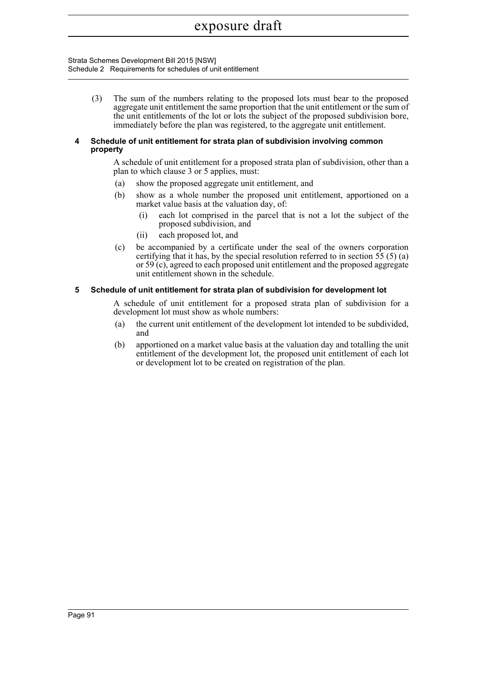Strata Schemes Development Bill 2015 [NSW] Schedule 2 Requirements for schedules of unit entitlement

> (3) The sum of the numbers relating to the proposed lots must bear to the proposed aggregate unit entitlement the same proportion that the unit entitlement or the sum of the unit entitlements of the lot or lots the subject of the proposed subdivision bore, immediately before the plan was registered, to the aggregate unit entitlement.

#### **4 Schedule of unit entitlement for strata plan of subdivision involving common property**

A schedule of unit entitlement for a proposed strata plan of subdivision, other than a plan to which clause 3 or 5 applies, must:

- (a) show the proposed aggregate unit entitlement, and
- (b) show as a whole number the proposed unit entitlement, apportioned on a market value basis at the valuation day, of:
	- (i) each lot comprised in the parcel that is not a lot the subject of the proposed subdivision, and
	- (ii) each proposed lot, and
- (c) be accompanied by a certificate under the seal of the owners corporation certifying that it has, by the special resolution referred to in section  $55(5)(a)$ or 59 (c), agreed to each proposed unit entitlement and the proposed aggregate unit entitlement shown in the schedule.

#### **5 Schedule of unit entitlement for strata plan of subdivision for development lot**

A schedule of unit entitlement for a proposed strata plan of subdivision for a development lot must show as whole numbers:

- (a) the current unit entitlement of the development lot intended to be subdivided, and
- (b) apportioned on a market value basis at the valuation day and totalling the unit entitlement of the development lot, the proposed unit entitlement of each lot or development lot to be created on registration of the plan.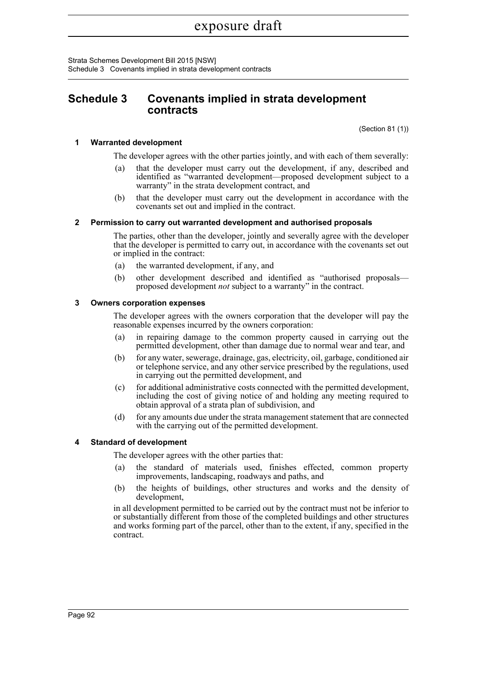Strata Schemes Development Bill 2015 [NSW] Schedule 3 Covenants implied in strata development contracts

# **Schedule 3 Covenants implied in strata development contracts**

(Section 81 (1))

#### **1 Warranted development**

The developer agrees with the other parties jointly, and with each of them severally:

- that the developer must carry out the development, if any, described and identified as "warranted development—proposed development subject to a warranty" in the strata development contract, and
- (b) that the developer must carry out the development in accordance with the covenants set out and implied in the contract.

#### **2 Permission to carry out warranted development and authorised proposals**

The parties, other than the developer, jointly and severally agree with the developer that the developer is permitted to carry out, in accordance with the covenants set out or implied in the contract:

- (a) the warranted development, if any, and
- (b) other development described and identified as "authorised proposals proposed development *not* subject to a warranty" in the contract.

#### **3 Owners corporation expenses**

The developer agrees with the owners corporation that the developer will pay the reasonable expenses incurred by the owners corporation:

- (a) in repairing damage to the common property caused in carrying out the permitted development, other than damage due to normal wear and tear, and
- (b) for any water, sewerage, drainage, gas, electricity, oil, garbage, conditioned air or telephone service, and any other service prescribed by the regulations, used in carrying out the permitted development, and
- (c) for additional administrative costs connected with the permitted development, including the cost of giving notice of and holding any meeting required to obtain approval of a strata plan of subdivision, and
- (d) for any amounts due under the strata management statement that are connected with the carrying out of the permitted development.

#### **4 Standard of development**

The developer agrees with the other parties that:

- (a) the standard of materials used, finishes effected, common property improvements, landscaping, roadways and paths, and
- (b) the heights of buildings, other structures and works and the density of development,

in all development permitted to be carried out by the contract must not be inferior to or substantially different from those of the completed buildings and other structures and works forming part of the parcel, other than to the extent, if any, specified in the contract.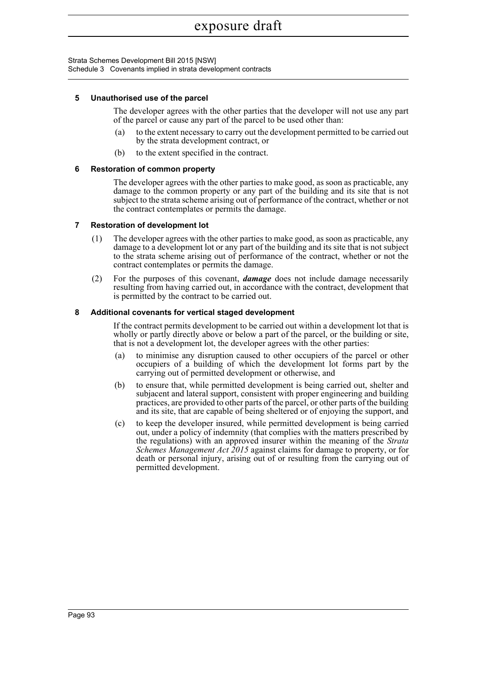Strata Schemes Development Bill 2015 [NSW] Schedule 3 Covenants implied in strata development contracts

#### **5 Unauthorised use of the parcel**

The developer agrees with the other parties that the developer will not use any part of the parcel or cause any part of the parcel to be used other than:

- (a) to the extent necessary to carry out the development permitted to be carried out by the strata development contract, or
- (b) to the extent specified in the contract.

#### **6 Restoration of common property**

The developer agrees with the other parties to make good, as soon as practicable, any damage to the common property or any part of the building and its site that is not subject to the strata scheme arising out of performance of the contract, whether or not the contract contemplates or permits the damage.

#### **7 Restoration of development lot**

- (1) The developer agrees with the other parties to make good, as soon as practicable, any damage to a development lot or any part of the building and its site that is not subject to the strata scheme arising out of performance of the contract, whether or not the contract contemplates or permits the damage.
- (2) For the purposes of this covenant, *damage* does not include damage necessarily resulting from having carried out, in accordance with the contract, development that is permitted by the contract to be carried out.

#### **8 Additional covenants for vertical staged development**

If the contract permits development to be carried out within a development lot that is wholly or partly directly above or below a part of the parcel, or the building or site, that is not a development lot, the developer agrees with the other parties:

- (a) to minimise any disruption caused to other occupiers of the parcel or other occupiers of a building of which the development lot forms part by the carrying out of permitted development or otherwise, and
- (b) to ensure that, while permitted development is being carried out, shelter and subjacent and lateral support, consistent with proper engineering and building practices, are provided to other parts of the parcel, or other parts of the building and its site, that are capable of being sheltered or of enjoying the support, and
- (c) to keep the developer insured, while permitted development is being carried out, under a policy of indemnity (that complies with the matters prescribed by the regulations) with an approved insurer within the meaning of the *Strata Schemes Management Act 2015* against claims for damage to property, or for death or personal injury, arising out of or resulting from the carrying out of permitted development.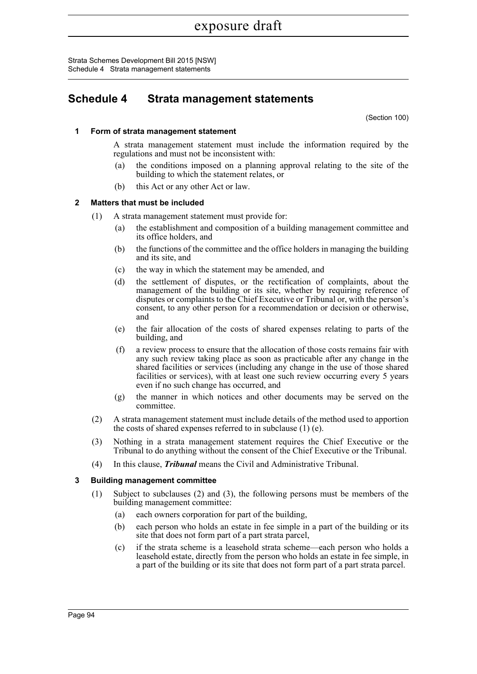Strata Schemes Development Bill 2015 [NSW] Schedule 4 Strata management statements

# **Schedule 4 Strata management statements**

(Section 100)

#### **1 Form of strata management statement**

A strata management statement must include the information required by the regulations and must not be inconsistent with:

- (a) the conditions imposed on a planning approval relating to the site of the building to which the statement relates, or
- (b) this Act or any other Act or law.

#### **2 Matters that must be included**

- (1) A strata management statement must provide for:
	- (a) the establishment and composition of a building management committee and its office holders, and
	- (b) the functions of the committee and the office holders in managing the building and its site, and
	- (c) the way in which the statement may be amended, and
	- (d) the settlement of disputes, or the rectification of complaints, about the management of the building or its site, whether by requiring reference of disputes or complaints to the Chief Executive or Tribunal or, with the person's consent, to any other person for a recommendation or decision or otherwise, and
	- (e) the fair allocation of the costs of shared expenses relating to parts of the building, and
	- (f) a review process to ensure that the allocation of those costs remains fair with any such review taking place as soon as practicable after any change in the shared facilities or services (including any change in the use of those shared facilities or services), with at least one such review occurring every 5 years even if no such change has occurred, and
	- (g) the manner in which notices and other documents may be served on the committee.
- (2) A strata management statement must include details of the method used to apportion the costs of shared expenses referred to in subclause (1) (e).
- (3) Nothing in a strata management statement requires the Chief Executive or the Tribunal to do anything without the consent of the Chief Executive or the Tribunal.
- (4) In this clause, *Tribunal* means the Civil and Administrative Tribunal.

#### **3 Building management committee**

- (1) Subject to subclauses (2) and (3), the following persons must be members of the building management committee:
	- (a) each owners corporation for part of the building,
	- (b) each person who holds an estate in fee simple in a part of the building or its site that does not form part of a part strata parcel,
	- (c) if the strata scheme is a leasehold strata scheme—each person who holds a leasehold estate, directly from the person who holds an estate in fee simple, in a part of the building or its site that does not form part of a part strata parcel.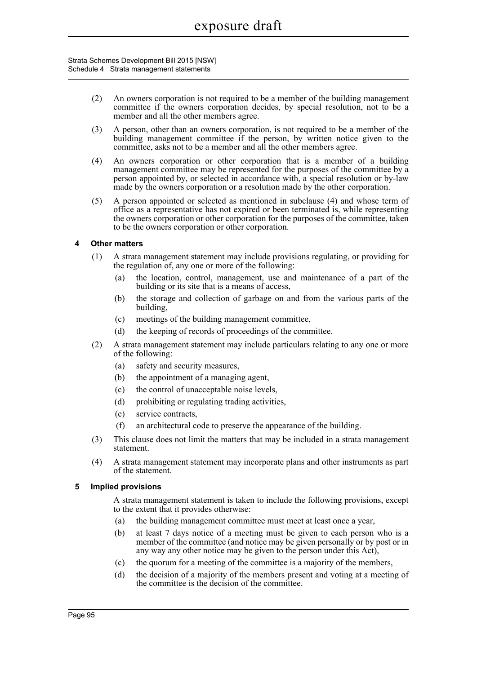Strata Schemes Development Bill 2015 [NSW] Schedule 4 Strata management statements

- (2) An owners corporation is not required to be a member of the building management committee if the owners corporation decides, by special resolution, not to be a member and all the other members agree.
- (3) A person, other than an owners corporation, is not required to be a member of the building management committee if the person, by written notice given to the committee, asks not to be a member and all the other members agree.
- (4) An owners corporation or other corporation that is a member of a building management committee may be represented for the purposes of the committee by a person appointed by, or selected in accordance with, a special resolution or by-law made by the owners corporation or a resolution made by the other corporation.
- (5) A person appointed or selected as mentioned in subclause (4) and whose term of office as a representative has not expired or been terminated is, while representing the owners corporation or other corporation for the purposes of the committee, taken to be the owners corporation or other corporation.

#### **4 Other matters**

- (1) A strata management statement may include provisions regulating, or providing for the regulation of, any one or more of the following:
	- (a) the location, control, management, use and maintenance of a part of the building or its site that is a means of access,
	- (b) the storage and collection of garbage on and from the various parts of the building,
	- (c) meetings of the building management committee,
	- (d) the keeping of records of proceedings of the committee.
- (2) A strata management statement may include particulars relating to any one or more of the following:
	- (a) safety and security measures,
	- (b) the appointment of a managing agent,
	- (c) the control of unacceptable noise levels,
	- (d) prohibiting or regulating trading activities,
	- (e) service contracts,
	- (f) an architectural code to preserve the appearance of the building.
- (3) This clause does not limit the matters that may be included in a strata management statement.
- (4) A strata management statement may incorporate plans and other instruments as part of the statement.

#### **5 Implied provisions**

A strata management statement is taken to include the following provisions, except to the extent that it provides otherwise:

- (a) the building management committee must meet at least once a year,
- (b) at least 7 days notice of a meeting must be given to each person who is a member of the committee (and notice may be given personally or by post or in any way any other notice may be given to the person under this Act),
- (c) the quorum for a meeting of the committee is a majority of the members,
- (d) the decision of a majority of the members present and voting at a meeting of the committee is the decision of the committee.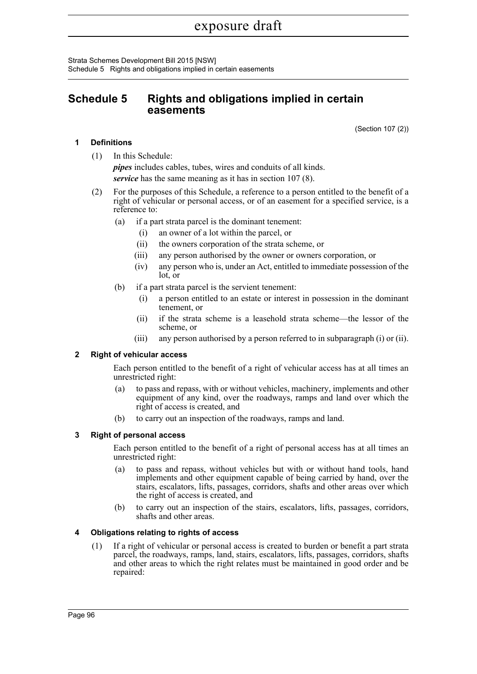Strata Schemes Development Bill 2015 [NSW] Schedule 5 Rights and obligations implied in certain easements

# **Schedule 5 Rights and obligations implied in certain easements**

(Section 107 (2))

#### **1 Definitions**

(1) In this Schedule:

*pipes* includes cables, tubes, wires and conduits of all kinds. *service* has the same meaning as it has in section 107 (8).

- (2) For the purposes of this Schedule, a reference to a person entitled to the benefit of a right of vehicular or personal access, or of an easement for a specified service, is a reference to:
	- (a) if a part strata parcel is the dominant tenement:
		- (i) an owner of a lot within the parcel, or
		- (ii) the owners corporation of the strata scheme, or
		- (iii) any person authorised by the owner or owners corporation, or
		- (iv) any person who is, under an Act, entitled to immediate possession of the lot, or
	- (b) if a part strata parcel is the servient tenement:
		- (i) a person entitled to an estate or interest in possession in the dominant tenement, or
		- (ii) if the strata scheme is a leasehold strata scheme—the lessor of the scheme, or
		- (iii) any person authorised by a person referred to in subparagraph (i) or (ii).

#### **2 Right of vehicular access**

Each person entitled to the benefit of a right of vehicular access has at all times an unrestricted right:

- (a) to pass and repass, with or without vehicles, machinery, implements and other equipment of any kind, over the roadways, ramps and land over which the right of access is created, and
- (b) to carry out an inspection of the roadways, ramps and land.

#### **3 Right of personal access**

Each person entitled to the benefit of a right of personal access has at all times an unrestricted right:

- (a) to pass and repass, without vehicles but with or without hand tools, hand implements and other equipment capable of being carried by hand, over the stairs, escalators, lifts, passages, corridors, shafts and other areas over which the right of access is created, and
- (b) to carry out an inspection of the stairs, escalators, lifts, passages, corridors, shafts and other areas.

#### **4 Obligations relating to rights of access**

(1) If a right of vehicular or personal access is created to burden or benefit a part strata parcel, the roadways, ramps, land, stairs, escalators, lifts, passages, corridors, shafts and other areas to which the right relates must be maintained in good order and be repaired: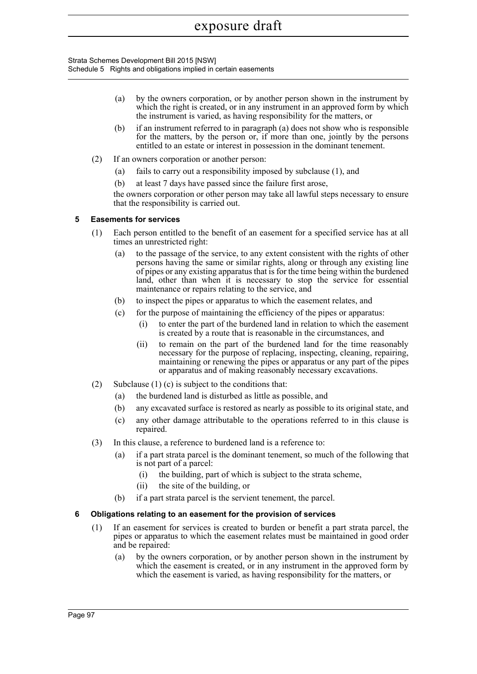Strata Schemes Development Bill 2015 [NSW] Schedule 5 Rights and obligations implied in certain easements

- (a) by the owners corporation, or by another person shown in the instrument by which the right is created, or in any instrument in an approved form by which the instrument is varied, as having responsibility for the matters, or
- (b) if an instrument referred to in paragraph (a) does not show who is responsible for the matters, by the person or, if more than one, jointly by the persons entitled to an estate or interest in possession in the dominant tenement.
- (2) If an owners corporation or another person:
	- (a) fails to carry out a responsibility imposed by subclause (1), and
	- (b) at least 7 days have passed since the failure first arose,

the owners corporation or other person may take all lawful steps necessary to ensure that the responsibility is carried out.

#### **5 Easements for services**

- (1) Each person entitled to the benefit of an easement for a specified service has at all times an unrestricted right:
	- (a) to the passage of the service, to any extent consistent with the rights of other persons having the same or similar rights, along or through any existing line of pipes or any existing apparatus that is for the time being within the burdened land, other than when it is necessary to stop the service for essential maintenance or repairs relating to the service, and
	- (b) to inspect the pipes or apparatus to which the easement relates, and
	- (c) for the purpose of maintaining the efficiency of the pipes or apparatus:
		- (i) to enter the part of the burdened land in relation to which the easement is created by a route that is reasonable in the circumstances, and
		- (ii) to remain on the part of the burdened land for the time reasonably necessary for the purpose of replacing, inspecting, cleaning, repairing, maintaining or renewing the pipes or apparatus or any part of the pipes or apparatus and of making reasonably necessary excavations.
- (2) Subclause (1) (c) is subject to the conditions that:
	- (a) the burdened land is disturbed as little as possible, and
	- (b) any excavated surface is restored as nearly as possible to its original state, and
	- (c) any other damage attributable to the operations referred to in this clause is repaired.
- (3) In this clause, a reference to burdened land is a reference to:
	- (a) if a part strata parcel is the dominant tenement, so much of the following that is not part of a parcel:
		- (i) the building, part of which is subject to the strata scheme,
		- (ii) the site of the building, or
	- (b) if a part strata parcel is the servient tenement, the parcel.

#### **6 Obligations relating to an easement for the provision of services**

- (1) If an easement for services is created to burden or benefit a part strata parcel, the pipes or apparatus to which the easement relates must be maintained in good order and be repaired:
	- (a) by the owners corporation, or by another person shown in the instrument by which the easement is created, or in any instrument in the approved form by which the easement is varied, as having responsibility for the matters, or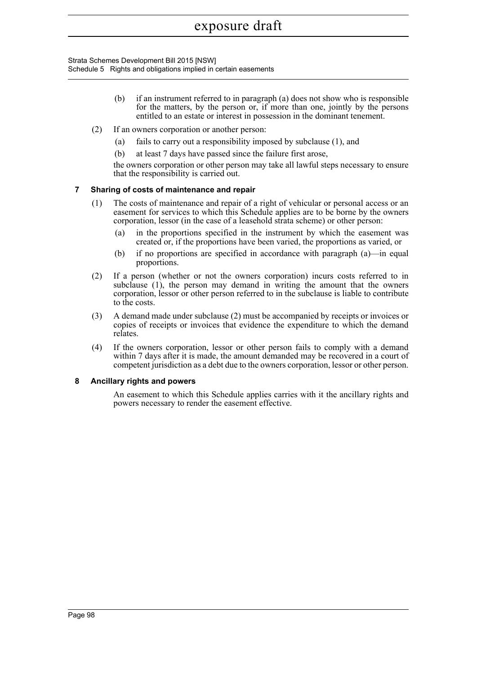Strata Schemes Development Bill 2015 [NSW] Schedule 5 Rights and obligations implied in certain easements

- (b) if an instrument referred to in paragraph (a) does not show who is responsible for the matters, by the person or, if more than one, jointly by the persons entitled to an estate or interest in possession in the dominant tenement.
- (2) If an owners corporation or another person:
	- (a) fails to carry out a responsibility imposed by subclause (1), and
	- (b) at least 7 days have passed since the failure first arose,

the owners corporation or other person may take all lawful steps necessary to ensure that the responsibility is carried out.

#### **7 Sharing of costs of maintenance and repair**

- (1) The costs of maintenance and repair of a right of vehicular or personal access or an easement for services to which this Schedule applies are to be borne by the owners corporation, lessor (in the case of a leasehold strata scheme) or other person:
	- (a) in the proportions specified in the instrument by which the easement was created or, if the proportions have been varied, the proportions as varied, or
	- (b) if no proportions are specified in accordance with paragraph  $(a)$ —in equal proportions.
- (2) If a person (whether or not the owners corporation) incurs costs referred to in subclause (1), the person may demand in writing the amount that the owners corporation, lessor or other person referred to in the subclause is liable to contribute to the costs.
- (3) A demand made under subclause (2) must be accompanied by receipts or invoices or copies of receipts or invoices that evidence the expenditure to which the demand relates.
- (4) If the owners corporation, lessor or other person fails to comply with a demand within 7 days after it is made, the amount demanded may be recovered in a court of competent jurisdiction as a debt due to the owners corporation, lessor or other person.

#### **8 Ancillary rights and powers**

An easement to which this Schedule applies carries with it the ancillary rights and powers necessary to render the easement effective.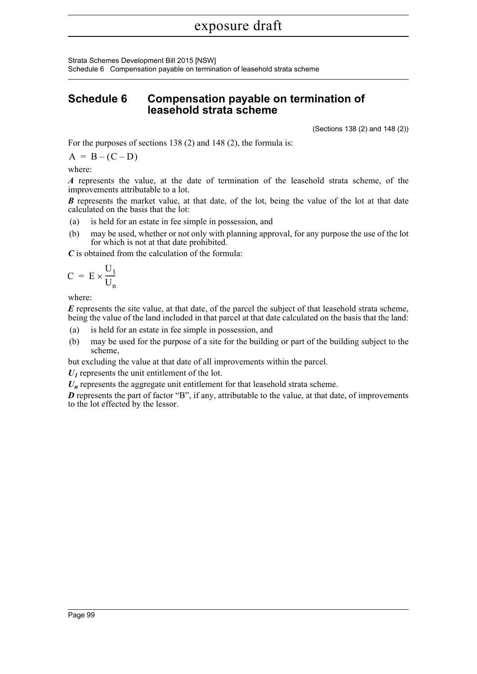Strata Schemes Development Bill 2015 [NSW] Schedule 6 Compensation payable on termination of leasehold strata scheme

# **Schedule 6 Compensation payable on termination of leasehold strata scheme**

(Sections 138 (2) and 148 (2))

For the purposes of sections 138 (2) and 148 (2), the formula is:

 $A = B - (C - D)$ 

where:

*A* represents the value, at the date of termination of the leasehold strata scheme, of the improvements attributable to a lot.

*B* represents the market value, at that date, of the lot, being the value of the lot at that date calculated on the basis that the lot:

- (a) is held for an estate in fee simple in possession, and
- (b) may be used, whether or not only with planning approval, for any purpose the use of the lot for which is not at that date prohibited.

*C* is obtained from the calculation of the formula:

$$
C = E \times \frac{U_1}{U_n}
$$

where:

*E* represents the site value, at that date, of the parcel the subject of that leasehold strata scheme, being the value of the land included in that parcel at that date calculated on the basis that the land:

- (a) is held for an estate in fee simple in possession, and
- (b) may be used for the purpose of a site for the building or part of the building subject to the scheme,

but excluding the value at that date of all improvements within the parcel.

 $U_I$  represents the unit entitlement of the lot.

 $U_n$  represents the aggregate unit entitlement for that leasehold strata scheme.

*D* represents the part of factor "B", if any, attributable to the value, at that date, of improvements to the lot effected by the lessor.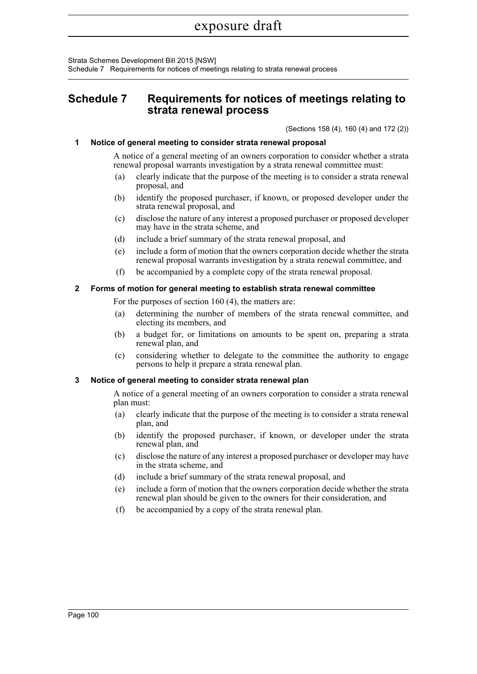Strata Schemes Development Bill 2015 [NSW] Schedule 7 Requirements for notices of meetings relating to strata renewal process

# **Schedule 7 Requirements for notices of meetings relating to strata renewal process**

(Sections 158 (4), 160 (4) and 172 (2))

#### **1 Notice of general meeting to consider strata renewal proposal**

A notice of a general meeting of an owners corporation to consider whether a strata renewal proposal warrants investigation by a strata renewal committee must:

- (a) clearly indicate that the purpose of the meeting is to consider a strata renewal proposal, and
- (b) identify the proposed purchaser, if known, or proposed developer under the strata renewal proposal, and
- (c) disclose the nature of any interest a proposed purchaser or proposed developer may have in the strata scheme, and
- (d) include a brief summary of the strata renewal proposal, and
- (e) include a form of motion that the owners corporation decide whether the strata renewal proposal warrants investigation by a strata renewal committee, and
- (f) be accompanied by a complete copy of the strata renewal proposal.

#### **2 Forms of motion for general meeting to establish strata renewal committee**

For the purposes of section 160 (4), the matters are:

- (a) determining the number of members of the strata renewal committee, and electing its members, and
- (b) a budget for, or limitations on amounts to be spent on, preparing a strata renewal plan, and
- (c) considering whether to delegate to the committee the authority to engage persons to help it prepare a strata renewal plan.

#### **3 Notice of general meeting to consider strata renewal plan**

A notice of a general meeting of an owners corporation to consider a strata renewal plan must:

- (a) clearly indicate that the purpose of the meeting is to consider a strata renewal plan, and
- (b) identify the proposed purchaser, if known, or developer under the strata renewal plan, and
- (c) disclose the nature of any interest a proposed purchaser or developer may have in the strata scheme, and
- (d) include a brief summary of the strata renewal proposal, and
- (e) include a form of motion that the owners corporation decide whether the strata renewal plan should be given to the owners for their consideration, and
- (f) be accompanied by a copy of the strata renewal plan.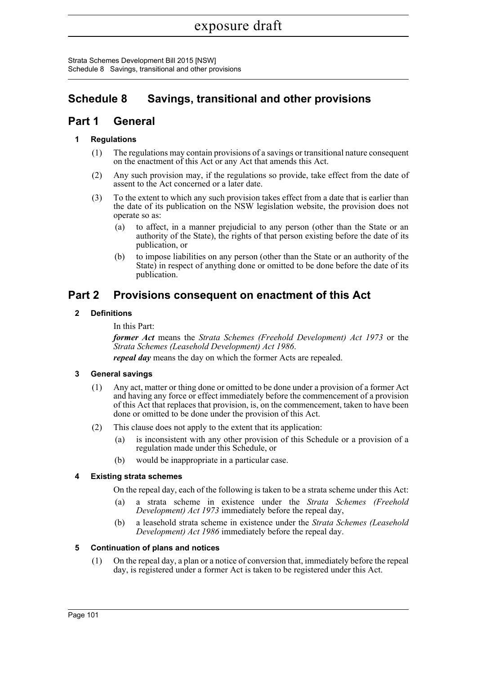Strata Schemes Development Bill 2015 [NSW] Schedule 8 Savings, transitional and other provisions

# **Schedule 8 Savings, transitional and other provisions**

# **Part 1 General**

## **1 Regulations**

- (1) The regulations may contain provisions of a savings or transitional nature consequent on the enactment of this Act or any Act that amends this Act.
- (2) Any such provision may, if the regulations so provide, take effect from the date of assent to the Act concerned or a later date.
- (3) To the extent to which any such provision takes effect from a date that is earlier than the date of its publication on the NSW legislation website, the provision does not operate so as:
	- (a) to affect, in a manner prejudicial to any person (other than the State or an authority of the State), the rights of that person existing before the date of its publication, or
	- (b) to impose liabilities on any person (other than the State or an authority of the State) in respect of anything done or omitted to be done before the date of its publication.

# **Part 2 Provisions consequent on enactment of this Act**

## **2 Definitions**

In this Part:

*former Act* means the *Strata Schemes (Freehold Development) Act 1973* or the *Strata Schemes (Leasehold Development) Act 1986*.

*repeal day* means the day on which the former Acts are repealed.

## **3 General savings**

- (1) Any act, matter or thing done or omitted to be done under a provision of a former Act and having any force or effect immediately before the commencement of a provision of this Act that replaces that provision, is, on the commencement, taken to have been done or omitted to be done under the provision of this Act.
- (2) This clause does not apply to the extent that its application:
	- (a) is inconsistent with any other provision of this Schedule or a provision of a regulation made under this Schedule, or
	- (b) would be inappropriate in a particular case.

## **4 Existing strata schemes**

On the repeal day, each of the following is taken to be a strata scheme under this Act:

- (a) a strata scheme in existence under the *Strata Schemes (Freehold Development) Act 1973* immediately before the repeal day,
- (b) a leasehold strata scheme in existence under the *Strata Schemes (Leasehold Development) Act 1986* immediately before the repeal day.

#### **5 Continuation of plans and notices**

(1) On the repeal day, a plan or a notice of conversion that, immediately before the repeal day, is registered under a former Act is taken to be registered under this Act.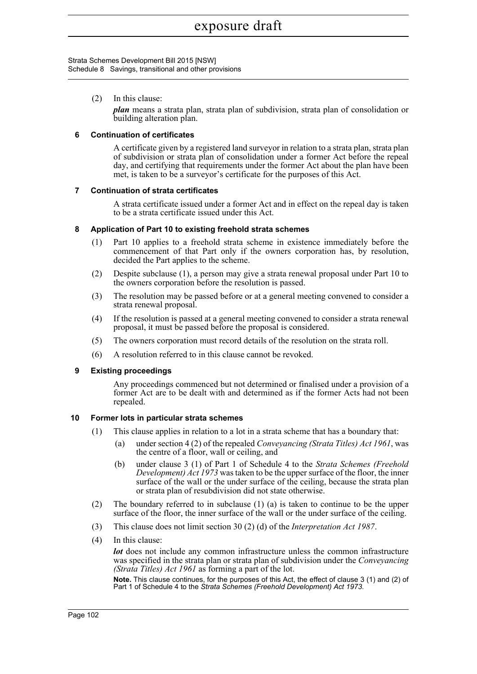#### Strata Schemes Development Bill 2015 [NSW] Schedule 8 Savings, transitional and other provisions

(2) In this clause:

*plan* means a strata plan, strata plan of subdivision, strata plan of consolidation or building alteration plan.

#### **6 Continuation of certificates**

A certificate given by a registered land surveyor in relation to a strata plan, strata plan of subdivision or strata plan of consolidation under a former Act before the repeal day, and certifying that requirements under the former Act about the plan have been met, is taken to be a surveyor's certificate for the purposes of this Act.

#### **7 Continuation of strata certificates**

A strata certificate issued under a former Act and in effect on the repeal day is taken to be a strata certificate issued under this Act.

#### **8 Application of Part 10 to existing freehold strata schemes**

- (1) Part 10 applies to a freehold strata scheme in existence immediately before the commencement of that Part only if the owners corporation has, by resolution, decided the Part applies to the scheme.
- (2) Despite subclause (1), a person may give a strata renewal proposal under Part 10 to the owners corporation before the resolution is passed.
- (3) The resolution may be passed before or at a general meeting convened to consider a strata renewal proposal.
- (4) If the resolution is passed at a general meeting convened to consider a strata renewal proposal, it must be passed before the proposal is considered.
- (5) The owners corporation must record details of the resolution on the strata roll.
- (6) A resolution referred to in this clause cannot be revoked.

#### **9 Existing proceedings**

Any proceedings commenced but not determined or finalised under a provision of a former Act are to be dealt with and determined as if the former Acts had not been repealed.

#### **10 Former lots in particular strata schemes**

- (1) This clause applies in relation to a lot in a strata scheme that has a boundary that:
	- (a) under section 4 (2) of the repealed *Conveyancing (Strata Titles) Act 1961*, was the centre of a floor, wall or ceiling, and
	- (b) under clause 3 (1) of Part 1 of Schedule 4 to the *Strata Schemes (Freehold Development) Act 1973* was taken to be the upper surface of the floor, the inner surface of the wall or the under surface of the ceiling, because the strata plan or strata plan of resubdivision did not state otherwise.
- (2) The boundary referred to in subclause (1) (a) is taken to continue to be the upper surface of the floor, the inner surface of the wall or the under surface of the ceiling.
- (3) This clause does not limit section 30 (2) (d) of the *Interpretation Act 1987*.
- (4) In this clause:

*lot* does not include any common infrastructure unless the common infrastructure was specified in the strata plan or strata plan of subdivision under the *Conveyancing (Strata Titles) Act 1961* as forming a part of the lot.

**Note.** This clause continues, for the purposes of this Act, the effect of clause 3 (1) and (2) of Part 1 of Schedule 4 to the *Strata Schemes (Freehold Development) Act 1973*.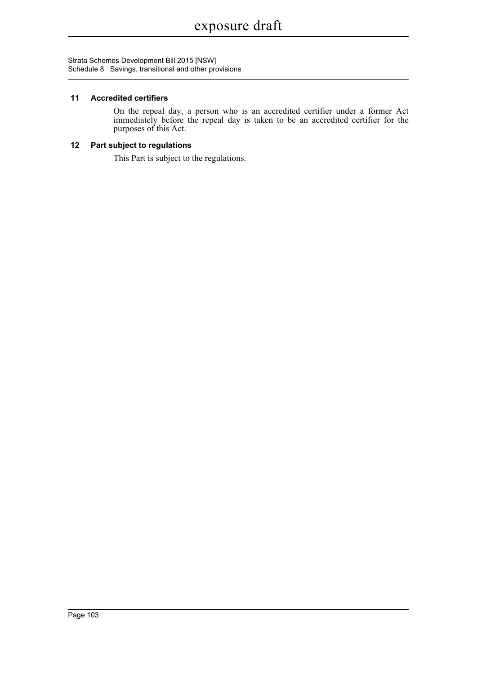Strata Schemes Development Bill 2015 [NSW] Schedule 8 Savings, transitional and other provisions

#### **11 Accredited certifiers**

On the repeal day, a person who is an accredited certifier under a former Act immediately before the repeal day is taken to be an accredited certifier for the purposes of this Act.

## **12 Part subject to regulations**

This Part is subject to the regulations.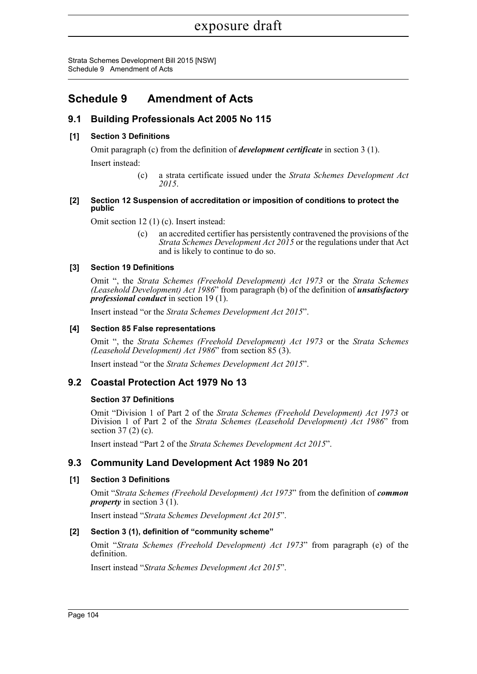Strata Schemes Development Bill 2015 [NSW] Schedule 9 Amendment of Acts

# **Schedule 9 Amendment of Acts**

# **9.1 Building Professionals Act 2005 No 115**

### **[1] Section 3 Definitions**

Omit paragraph (c) from the definition of *development certificate* in section 3 (1).

Insert instead:

(c) a strata certificate issued under the *Strata Schemes Development Act 2015*.

#### **[2] Section 12 Suspension of accreditation or imposition of conditions to protect the public**

Omit section 12 (1) (c). Insert instead:

(c) an accredited certifier has persistently contravened the provisions of the *Strata Schemes Development Act 2015* or the regulations under that Act and is likely to continue to do so.

#### **[3] Section 19 Definitions**

Omit ", the *Strata Schemes (Freehold Development) Act 1973* or the *Strata Schemes (Leasehold Development) Act 1986*" from paragraph (b) of the definition of *unsatisfactory professional conduct* in section 19 (1).

Insert instead "or the *Strata Schemes Development Act 2015*".

#### **[4] Section 85 False representations**

Omit ", the *Strata Schemes (Freehold Development) Act 1973* or the *Strata Schemes (Leasehold Development) Act 1986*" from section 85 (3).

Insert instead "or the *Strata Schemes Development Act 2015*".

# **9.2 Coastal Protection Act 1979 No 13**

#### **Section 37 Definitions**

Omit "Division 1 of Part 2 of the *Strata Schemes (Freehold Development) Act 1973* or Division 1 of Part 2 of the *Strata Schemes (Leasehold Development) Act 1986*" from section 37 (2) (c).

Insert instead "Part 2 of the *Strata Schemes Development Act 2015*".

# **9.3 Community Land Development Act 1989 No 201**

#### **[1] Section 3 Definitions**

Omit "*Strata Schemes (Freehold Development) Act 1973*" from the definition of *common property* in section 3 (1).

Insert instead "*Strata Schemes Development Act 2015*".

#### **[2] Section 3 (1), definition of "community scheme"**

Omit "*Strata Schemes (Freehold Development) Act 1973*" from paragraph (e) of the definition.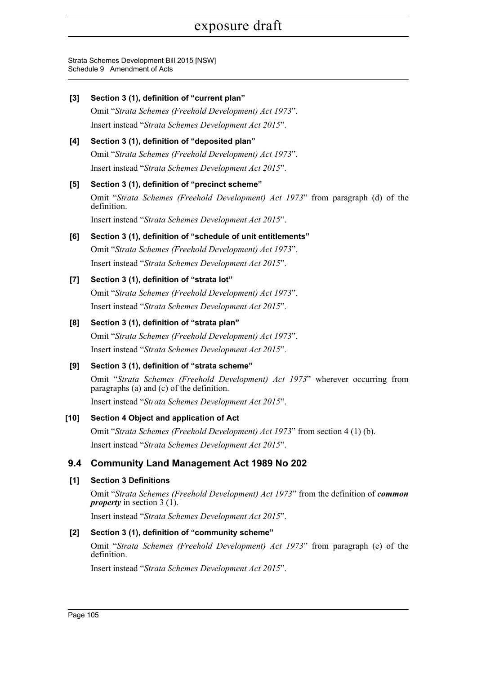Strata Schemes Development Bill 2015 [NSW] Schedule 9 Amendment of Acts

| $[3]$ | Section 3 (1), definition of "current plan"<br>Omit "Strata Schemes (Freehold Development) Act 1973".<br>Insert instead "Strata Schemes Development Act 2015".                                                                      |
|-------|-------------------------------------------------------------------------------------------------------------------------------------------------------------------------------------------------------------------------------------|
| [4]   | Section 3 (1), definition of "deposited plan"<br>Omit "Strata Schemes (Freehold Development) Act 1973".<br>Insert instead "Strata Schemes Development Act 2015".                                                                    |
| [5]   | Section 3 (1), definition of "precinct scheme"<br>Omit "Strata Schemes (Freehold Development) Act 1973" from paragraph (d) of the<br>definition.<br>Insert instead "Strata Schemes Development Act 2015".                           |
| [6]   | Section 3 (1), definition of "schedule of unit entitlements"<br>Omit "Strata Schemes (Freehold Development) Act 1973".<br>Insert instead "Strata Schemes Development Act 2015".                                                     |
| $[7]$ | Section 3 (1), definition of "strata lot"<br>Omit "Strata Schemes (Freehold Development) Act 1973".<br>Insert instead "Strata Schemes Development Act 2015".                                                                        |
| [8]   | Section 3 (1), definition of "strata plan"<br>Omit "Strata Schemes (Freehold Development) Act 1973".<br>Insert instead "Strata Schemes Development Act 2015".                                                                       |
| [9]   | Section 3 (1), definition of "strata scheme"<br>Omit "Strata Schemes (Freehold Development) Act 1973" wherever occurring from<br>paragraphs (a) and (c) of the definition.<br>Insert instead "Strata Schemes Development Act 2015". |
| [10]  | Section 4 Object and application of Act<br>Omit "Strata Schemes (Freehold Development) Act 1973" from section 4 (1) (b).<br>Insert instead "Strata Schemes Development Act 2015"                                                    |
| 9.4   | <b>Community Land Management Act 1989 No 202</b>                                                                                                                                                                                    |
| [1]   | <b>Section 3 Definitions</b><br>Omit "Strata Schemes (Freehold Development) Act 1973" from the definition of common<br><i>property</i> in section 3 (1).                                                                            |
|       | Insert instead "Strata Schemes Development Act 2015".                                                                                                                                                                               |
| [2]   | Section 3 (1), definition of "community scheme"<br>Omit "Strata Schemes (Freehold Development) Act 1973" from paragraph (e) of the<br>definition.                                                                                   |
|       | Insert instead "Strata Schemes Development Act 2015".                                                                                                                                                                               |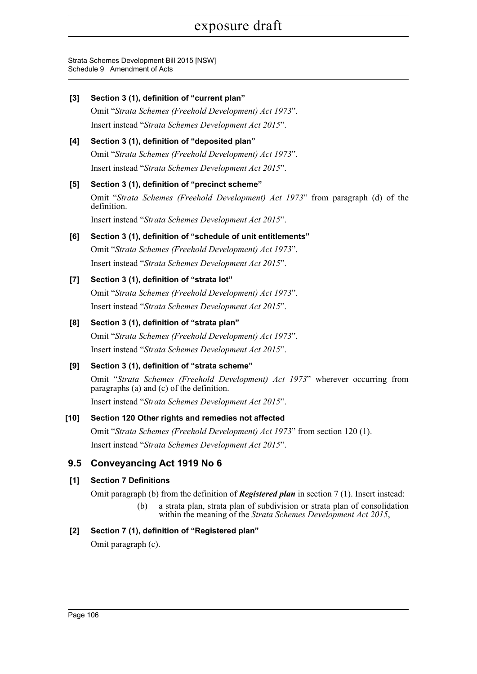Strata Schemes Development Bill 2015 [NSW] Schedule 9 Amendment of Acts

| $[3]$ | Section 3 (1), definition of "current plan"                                                                                                        |
|-------|----------------------------------------------------------------------------------------------------------------------------------------------------|
|       | Omit "Strata Schemes (Freehold Development) Act 1973".                                                                                             |
|       | Insert instead "Strata Schemes Development Act 2015".                                                                                              |
| [4]   | Section 3 (1), definition of "deposited plan"                                                                                                      |
|       | Omit "Strata Schemes (Freehold Development) Act 1973".                                                                                             |
|       | Insert instead "Strata Schemes Development Act 2015".                                                                                              |
| [5]   | Section 3 (1), definition of "precinct scheme"                                                                                                     |
|       | Omit "Strata Schemes (Freehold Development) Act 1973" from paragraph (d) of the<br>definition.                                                     |
|       | Insert instead "Strata Schemes Development Act 2015".                                                                                              |
| [6]   | Section 3 (1), definition of "schedule of unit entitlements"                                                                                       |
|       | Omit "Strata Schemes (Freehold Development) Act 1973".                                                                                             |
|       | Insert instead "Strata Schemes Development Act 2015".                                                                                              |
| $[7]$ | Section 3 (1), definition of "strata lot"                                                                                                          |
|       | Omit "Strata Schemes (Freehold Development) Act 1973".                                                                                             |
|       | Insert instead "Strata Schemes Development Act 2015".                                                                                              |
| [8]   | Section 3 (1), definition of "strata plan"                                                                                                         |
|       | Omit "Strata Schemes (Freehold Development) Act 1973".                                                                                             |
|       | Insert instead "Strata Schemes Development Act 2015".                                                                                              |
| [9]   | Section 3 (1), definition of "strata scheme"                                                                                                       |
|       | Omit "Strata Schemes (Freehold Development) Act 1973" wherever occurring from<br>paragraphs (a) and (c) of the definition.                         |
|       | Insert instead "Strata Schemes Development Act 2015".                                                                                              |
| [10]  | Section 120 Other rights and remedies not affected                                                                                                 |
|       | Omit "Strata Schemes (Freehold Development) Act 1973" from section 120 (1).                                                                        |
|       | Insert instead "Strata Schemes Development Act 2015".                                                                                              |
| 9.5   | <b>Conveyancing Act 1919 No 6</b>                                                                                                                  |
| [1]   | <b>Section 7 Definitions</b>                                                                                                                       |
|       | Omit paragraph (b) from the definition of <b>Registered plan</b> in section $7(1)$ . Insert instead:                                               |
|       | a strata plan, strata plan of subdivision or strata plan of consolidation<br>(b)<br>within the meaning of the Strata Schemes Development Act 2015, |
| $[2]$ | Section 7 (1), definition of "Registered plan"                                                                                                     |
|       | Omit paragraph (c).                                                                                                                                |
|       |                                                                                                                                                    |
|       |                                                                                                                                                    |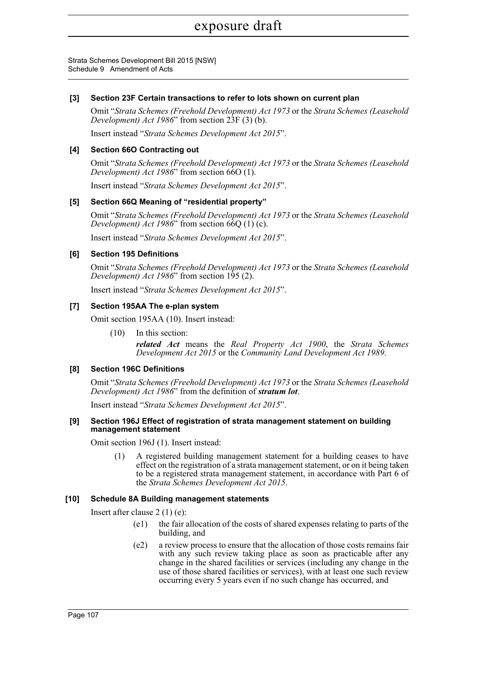Strata Schemes Development Bill 2015 [NSW] Schedule 9 Amendment of Acts

#### **[3] Section 23F Certain transactions to refer to lots shown on current plan**

Omit "*Strata Schemes (Freehold Development) Act 1973* or the *Strata Schemes (Leasehold Development) Act 1986*" from section 23F (3) (b).

Insert instead "*Strata Schemes Development Act 2015*".

#### **[4] Section 66O Contracting out**

Omit "*Strata Schemes (Freehold Development) Act 1973* or the *Strata Schemes (Leasehold Development) Act 1986*" from section 66O (1).

Insert instead "*Strata Schemes Development Act 2015*".

#### **[5] Section 66Q Meaning of "residential property"**

Omit "*Strata Schemes (Freehold Development) Act 1973* or the *Strata Schemes (Leasehold Development) Act 1986*" from section 66Q (1) (c).

Insert instead "*Strata Schemes Development Act 2015*".

#### **[6] Section 195 Definitions**

Omit "*Strata Schemes (Freehold Development) Act 1973* or the *Strata Schemes (Leasehold Development) Act 1986*" from section 195 (2).

Insert instead "*Strata Schemes Development Act 2015*".

#### **[7] Section 195AA The e-plan system**

Omit section 195AA (10). Insert instead:

(10) In this section:

*related Act* means the *Real Property Act 1900*, the *Strata Schemes Development Act 2015* or the *Community Land Development Act 1989*.

#### **[8] Section 196C Definitions**

Omit "*Strata Schemes (Freehold Development) Act 1973* or the *Strata Schemes (Leasehold Development) Act 1986*" from the definition of *stratum lot*.

Insert instead "*Strata Schemes Development Act 2015*".

#### **[9] Section 196J Effect of registration of strata management statement on building management statement**

Omit section 196J (1). Insert instead:

(1) A registered building management statement for a building ceases to have effect on the registration of a strata management statement, or on it being taken to be a registered strata management statement, in accordance with Part 6 of the *Strata Schemes Development Act 2015*.

#### **[10] Schedule 8A Building management statements**

Insert after clause 2 (1) (e):

- (e1) the fair allocation of the costs of shared expenses relating to parts of the building, and
- (e2) a review process to ensure that the allocation of those costs remains fair with any such review taking place as soon as practicable after any change in the shared facilities or services (including any change in the use of those shared facilities or services), with at least one such review occurring every 5 years even if no such change has occurred, and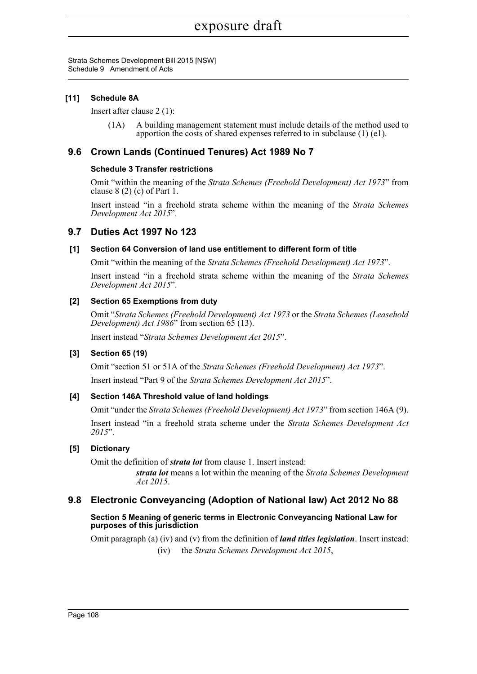Strata Schemes Development Bill 2015 [NSW] Schedule 9 Amendment of Acts

#### **[11] Schedule 8A**

Insert after clause 2 (1):

(1A) A building management statement must include details of the method used to apportion the costs of shared expenses referred to in subclause (1) (e1).

## **9.6 Crown Lands (Continued Tenures) Act 1989 No 7**

#### **Schedule 3 Transfer restrictions**

Omit "within the meaning of the *Strata Schemes (Freehold Development) Act 1973*" from clause  $8(2)$  (c) of Part 1.

Insert instead "in a freehold strata scheme within the meaning of the *Strata Schemes Development Act 2015*".

#### **9.7 Duties Act 1997 No 123**

#### **[1] Section 64 Conversion of land use entitlement to different form of title**

Omit "within the meaning of the *Strata Schemes (Freehold Development) Act 1973*".

Insert instead "in a freehold strata scheme within the meaning of the *Strata Schemes Development Act 2015*".

#### **[2] Section 65 Exemptions from duty**

Omit "*Strata Schemes (Freehold Development) Act 1973* or the *Strata Schemes (Leasehold Development) Act 1986*" from section 65 (13).

Insert instead "*Strata Schemes Development Act 2015*".

#### **[3] Section 65 (19)**

Omit "section 51 or 51A of the *Strata Schemes (Freehold Development) Act 1973*". Insert instead "Part 9 of the *Strata Schemes Development Act 2015*".

## **[4] Section 146A Threshold value of land holdings**

Omit "under the *Strata Schemes (Freehold Development) Act 1973*" from section 146A (9). Insert instead "in a freehold strata scheme under the *Strata Schemes Development Act 2015*".

#### **[5] Dictionary**

Omit the definition of *strata lot* from clause 1. Insert instead:

*strata lot* means a lot within the meaning of the *Strata Schemes Development Act 2015*.

## **9.8 Electronic Conveyancing (Adoption of National law) Act 2012 No 88**

#### **Section 5 Meaning of generic terms in Electronic Conveyancing National Law for purposes of this jurisdiction**

Omit paragraph (a) (iv) and (v) from the definition of *land titles legislation*. Insert instead:

(iv) the *Strata Schemes Development Act 2015*,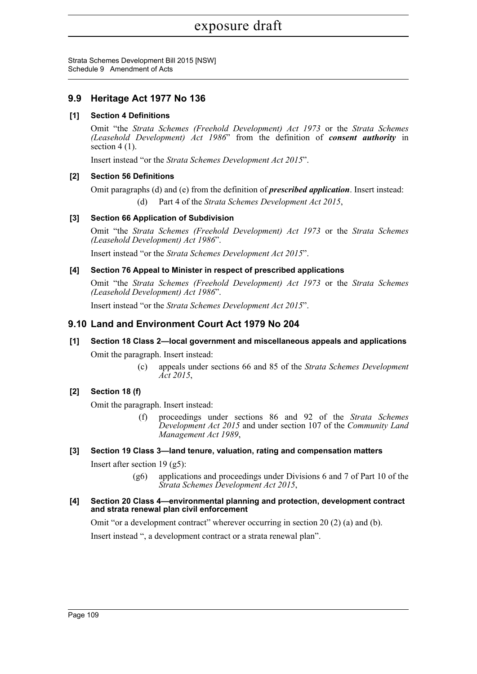Strata Schemes Development Bill 2015 [NSW] Schedule 9 Amendment of Acts

# **9.9 Heritage Act 1977 No 136**

### **[1] Section 4 Definitions**

Omit "the *Strata Schemes (Freehold Development) Act 1973* or the *Strata Schemes (Leasehold Development) Act 1986*" from the definition of *consent authority* in section 4 (1).

Insert instead "or the *Strata Schemes Development Act 2015*".

#### **[2] Section 56 Definitions**

Omit paragraphs (d) and (e) from the definition of *prescribed application*. Insert instead:

Part 4 of the *Strata Schemes Development Act 2015*,

## **[3] Section 66 Application of Subdivision**

Omit "the *Strata Schemes (Freehold Development) Act 1973* or the *Strata Schemes (Leasehold Development) Act 1986*".

Insert instead "or the *Strata Schemes Development Act 2015*".

#### **[4] Section 76 Appeal to Minister in respect of prescribed applications**

Omit "the *Strata Schemes (Freehold Development) Act 1973* or the *Strata Schemes (Leasehold Development) Act 1986*".

Insert instead "or the *Strata Schemes Development Act 2015*".

## **9.10 Land and Environment Court Act 1979 No 204**

# **[1] Section 18 Class 2—local government and miscellaneous appeals and applications** Omit the paragraph. Insert instead:

(c) appeals under sections 66 and 85 of the *Strata Schemes Development Act 2015*,

## **[2] Section 18 (f)**

Omit the paragraph. Insert instead:

(f) proceedings under sections 86 and 92 of the *Strata Schemes Development Act 2015* and under section 107 of the *Community Land Management Act 1989*,

#### **[3] Section 19 Class 3—land tenure, valuation, rating and compensation matters**

Insert after section 19 (g5):

(g6) applications and proceedings under Divisions 6 and 7 of Part 10 of the *Strata Schemes Development Act 2015*,

#### **[4] Section 20 Class 4—environmental planning and protection, development contract and strata renewal plan civil enforcement**

Omit "or a development contract" wherever occurring in section 20 (2) (a) and (b).

Insert instead ", a development contract or a strata renewal plan".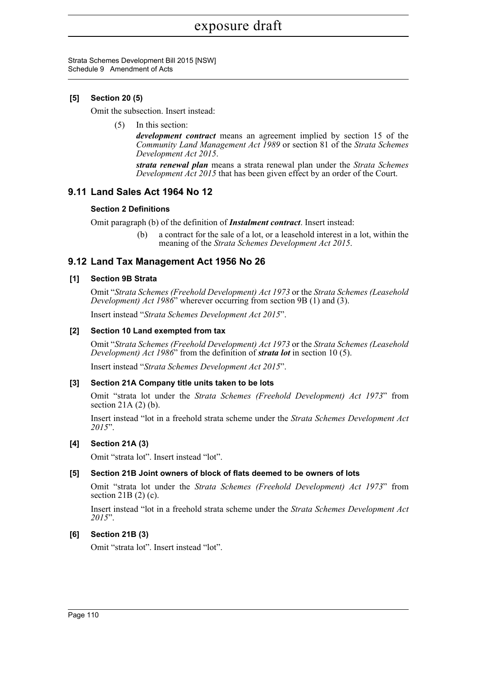Strata Schemes Development Bill 2015 [NSW] Schedule 9 Amendment of Acts

#### **[5] Section 20 (5)**

Omit the subsection. Insert instead:

(5) In this section:

*development contract* means an agreement implied by section 15 of the *Community Land Management Act 1989* or section 81 of the *Strata Schemes Development Act 2015*.

*strata renewal plan* means a strata renewal plan under the *Strata Schemes Development Act 2015* that has been given effect by an order of the Court.

## **9.11 Land Sales Act 1964 No 12**

#### **Section 2 Definitions**

Omit paragraph (b) of the definition of *Instalment contract*. Insert instead:

(b) a contract for the sale of a lot, or a leasehold interest in a lot, within the meaning of the *Strata Schemes Development Act 2015*.

#### **9.12 Land Tax Management Act 1956 No 26**

#### **[1] Section 9B Strata**

Omit "*Strata Schemes (Freehold Development) Act 1973* or the *Strata Schemes (Leasehold Development) Act 1986*" wherever occurring from section 9B (1) and (3).

Insert instead "*Strata Schemes Development Act 2015*".

#### **[2] Section 10 Land exempted from tax**

Omit "*Strata Schemes (Freehold Development) Act 1973* or the *Strata Schemes (Leasehold Development) Act 1986*" from the definition of *strata lot* in section 10 (5).

Insert instead "*Strata Schemes Development Act 2015*".

#### **[3] Section 21A Company title units taken to be lots**

Omit "strata lot under the *Strata Schemes (Freehold Development) Act 1973*" from section  $21A(2)(b)$ .

Insert instead "lot in a freehold strata scheme under the *Strata Schemes Development Act 2015*".

#### **[4] Section 21A (3)**

Omit "strata lot". Insert instead "lot".

#### **[5] Section 21B Joint owners of block of flats deemed to be owners of lots**

Omit "strata lot under the *Strata Schemes (Freehold Development) Act 1973*" from section 21B (2) (c).

Insert instead "lot in a freehold strata scheme under the *Strata Schemes Development Act 2015*".

#### **[6] Section 21B (3)**

Omit "strata lot". Insert instead "lot".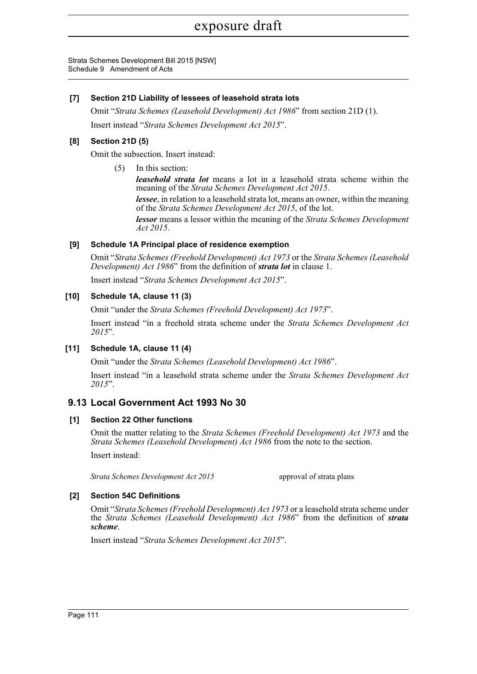Strata Schemes Development Bill 2015 [NSW] Schedule 9 Amendment of Acts

#### **[7] Section 21D Liability of lessees of leasehold strata lots**

Omit "*Strata Schemes (Leasehold Development) Act 1986*" from section 21D (1). Insert instead "*Strata Schemes Development Act 2015*".

## **[8] Section 21D (5)**

Omit the subsection. Insert instead:

(5) In this section:

*leasehold strata lot* means a lot in a leasehold strata scheme within the meaning of the *Strata Schemes Development Act 2015*.

*lessee*, in relation to a leasehold strata lot, means an owner, within the meaning of the *Strata Schemes Development Act 2015*, of the lot.

*lessor* means a lessor within the meaning of the *Strata Schemes Development Act 2015*.

#### **[9] Schedule 1A Principal place of residence exemption**

Omit "*Strata Schemes (Freehold Development) Act 1973* or the *Strata Schemes (Leasehold Development) Act 1986*" from the definition of *strata lot* in clause 1.

Insert instead "*Strata Schemes Development Act 2015*".

## **[10] Schedule 1A, clause 11 (3)**

Omit "under the *Strata Schemes (Freehold Development) Act 1973*".

Insert instead "in a freehold strata scheme under the *Strata Schemes Development Act 2015*".

## **[11] Schedule 1A, clause 11 (4)**

Omit "under the *Strata Schemes (Leasehold Development) Act 1986*".

Insert instead "in a leasehold strata scheme under the *Strata Schemes Development Act 2015*".

# **9.13 Local Government Act 1993 No 30**

#### **[1] Section 22 Other functions**

Omit the matter relating to the *Strata Schemes (Freehold Development) Act 1973* and the *Strata Schemes (Leasehold Development) Act 1986* from the note to the section.

Insert instead:

*Strata Schemes Development Act 2015* approval of strata plans

## **[2] Section 54C Definitions**

Omit "*Strata Schemes (Freehold Development) Act 1973* or a leasehold strata scheme under the *Strata Schemes (Leasehold Development) Act 1986*" from the definition of *strata scheme*.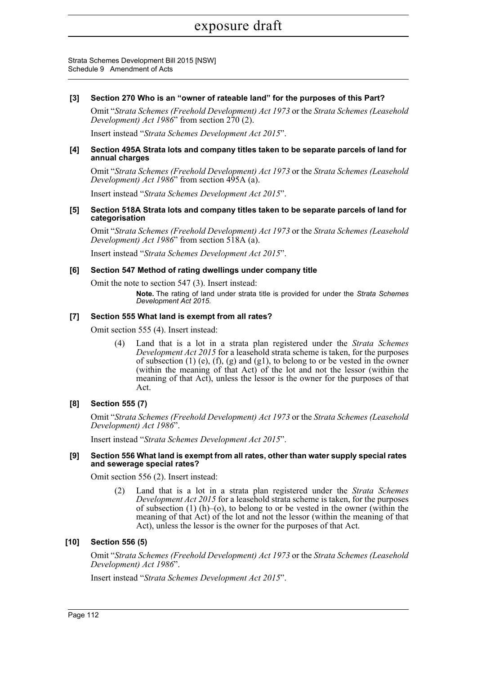Strata Schemes Development Bill 2015 [NSW] Schedule 9 Amendment of Acts

#### **[3] Section 270 Who is an "owner of rateable land" for the purposes of this Part?**

Omit "*Strata Schemes (Freehold Development) Act 1973* or the *Strata Schemes (Leasehold Development) Act 1986*" from section 270 (2).

Insert instead "*Strata Schemes Development Act 2015*".

#### **[4] Section 495A Strata lots and company titles taken to be separate parcels of land for annual charges**

Omit "*Strata Schemes (Freehold Development) Act 1973* or the *Strata Schemes (Leasehold Development) Act 1986*" from section 495A (a).

Insert instead "*Strata Schemes Development Act 2015*".

#### **[5] Section 518A Strata lots and company titles taken to be separate parcels of land for categorisation**

Omit "*Strata Schemes (Freehold Development) Act 1973* or the *Strata Schemes (Leasehold Development) Act 1986*" from section 518A (a).

Insert instead "*Strata Schemes Development Act 2015*".

#### **[6] Section 547 Method of rating dwellings under company title**

Omit the note to section 547 (3). Insert instead:

**Note.** The rating of land under strata title is provided for under the *Strata Schemes Development Act 2015*.

#### **[7] Section 555 What land is exempt from all rates?**

Omit section 555 (4). Insert instead:

(4) Land that is a lot in a strata plan registered under the *Strata Schemes Development Act 2015* for a leasehold strata scheme is taken, for the purposes of subsection  $(1)$  (e),  $(f)$ ,  $(g)$  and  $(g1)$ , to belong to or be vested in the owner (within the meaning of that Act) of the lot and not the lessor (within the meaning of that Act), unless the lessor is the owner for the purposes of that Act.

#### **[8] Section 555 (7)**

Omit "*Strata Schemes (Freehold Development) Act 1973* or the *Strata Schemes (Leasehold Development) Act 1986*".

Insert instead "*Strata Schemes Development Act 2015*".

#### **[9] Section 556 What land is exempt from all rates, other than water supply special rates and sewerage special rates?**

Omit section 556 (2). Insert instead:

(2) Land that is a lot in a strata plan registered under the *Strata Schemes Development Act 2015* for a leasehold strata scheme is taken, for the purposes of subsection  $(1)$  (h)–(o), to belong to or be vested in the owner (within the meaning of that Act) of the lot and not the lessor (within the meaning of that Act), unless the lessor is the owner for the purposes of that Act.

#### **[10] Section 556 (5)**

Omit "*Strata Schemes (Freehold Development) Act 1973* or the *Strata Schemes (Leasehold Development) Act 1986*".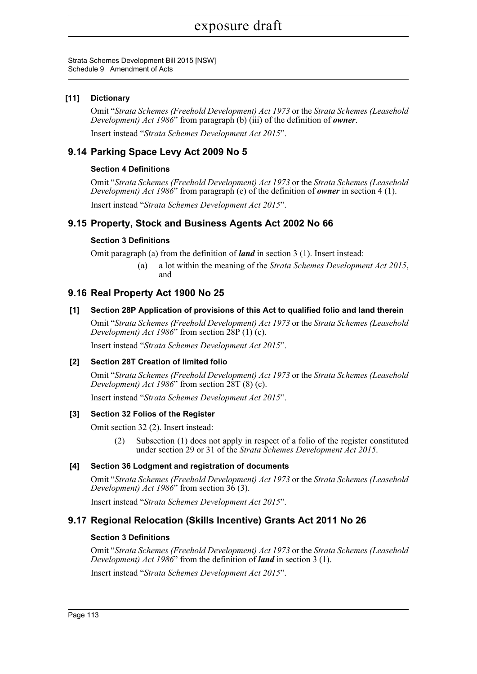Strata Schemes Development Bill 2015 [NSW] Schedule 9 Amendment of Acts

#### **[11] Dictionary**

Omit "*Strata Schemes (Freehold Development) Act 1973* or the *Strata Schemes (Leasehold Development) Act 1986*" from paragraph (b) (iii) of the definition of *owner*.

Insert instead "*Strata Schemes Development Act 2015*".

## **9.14 Parking Space Levy Act 2009 No 5**

#### **Section 4 Definitions**

Omit "*Strata Schemes (Freehold Development) Act 1973* or the *Strata Schemes (Leasehold Development) Act 1986*" from paragraph (e) of the definition of *owner* in section 4 (1).

Insert instead "*Strata Schemes Development Act 2015*".

## **9.15 Property, Stock and Business Agents Act 2002 No 66**

#### **Section 3 Definitions**

Omit paragraph (a) from the definition of *land* in section 3 (1). Insert instead:

(a) a lot within the meaning of the *Strata Schemes Development Act 2015*, and

# **9.16 Real Property Act 1900 No 25**

#### **[1] Section 28P Application of provisions of this Act to qualified folio and land therein**

Omit "*Strata Schemes (Freehold Development) Act 1973* or the *Strata Schemes (Leasehold Development) Act 1986*" from section  $28P(1)(c)$ .

Insert instead "*Strata Schemes Development Act 2015*".

#### **[2] Section 28T Creation of limited folio**

Omit "*Strata Schemes (Freehold Development) Act 1973* or the *Strata Schemes (Leasehold Development) Act 1986*" from section 28T (8) (c).

Insert instead "*Strata Schemes Development Act 2015*".

#### **[3] Section 32 Folios of the Register**

Omit section 32 (2). Insert instead:

(2) Subsection (1) does not apply in respect of a folio of the register constituted under section 29 or 31 of the *Strata Schemes Development Act 2015*.

#### **[4] Section 36 Lodgment and registration of documents**

Omit "*Strata Schemes (Freehold Development) Act 1973* or the *Strata Schemes (Leasehold Development) Act 1986*" from section 36 (3).

Insert instead "*Strata Schemes Development Act 2015*".

## **9.17 Regional Relocation (Skills Incentive) Grants Act 2011 No 26**

#### **Section 3 Definitions**

Omit "*Strata Schemes (Freehold Development) Act 1973* or the *Strata Schemes (Leasehold Development) Act 1986*" from the definition of *land* in section 3 (1).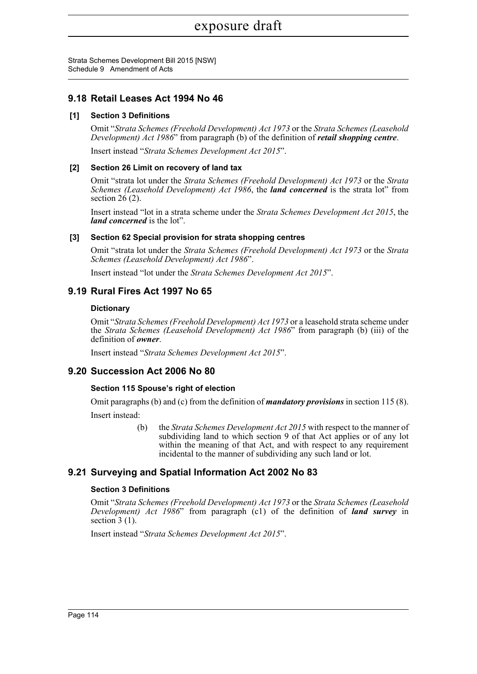Strata Schemes Development Bill 2015 [NSW] Schedule 9 Amendment of Acts

## **9.18 Retail Leases Act 1994 No 46**

#### **[1] Section 3 Definitions**

Omit "*Strata Schemes (Freehold Development) Act 1973* or the *Strata Schemes (Leasehold Development) Act 1986*" from paragraph (b) of the definition of *retail shopping centre*.

Insert instead "*Strata Schemes Development Act 2015*".

#### **[2] Section 26 Limit on recovery of land tax**

Omit "strata lot under the *Strata Schemes (Freehold Development) Act 1973* or the *Strata Schemes (Leasehold Development) Act 1986*, the *land concerned* is the strata lot" from section  $26(2)$ .

Insert instead "lot in a strata scheme under the *Strata Schemes Development Act 2015*, the *land concerned* is the lot".

#### **[3] Section 62 Special provision for strata shopping centres**

Omit "strata lot under the *Strata Schemes (Freehold Development) Act 1973* or the *Strata Schemes (Leasehold Development) Act 1986*".

Insert instead "lot under the *Strata Schemes Development Act 2015*".

## **9.19 Rural Fires Act 1997 No 65**

#### **Dictionary**

Omit "*Strata Schemes (Freehold Development) Act 1973* or a leasehold strata scheme under the *Strata Schemes (Leasehold Development) Act 1986*" from paragraph (b) (iii) of the definition of *owner*.

Insert instead "*Strata Schemes Development Act 2015*".

# **9.20 Succession Act 2006 No 80**

#### **Section 115 Spouse's right of election**

Omit paragraphs (b) and (c) from the definition of *mandatory provisions* in section 115 (8). Insert instead:

> (b) the *Strata Schemes Development Act 2015* with respect to the manner of subdividing land to which section 9 of that Act applies or of any lot within the meaning of that Act, and with respect to any requirement incidental to the manner of subdividing any such land or lot.

# **9.21 Surveying and Spatial Information Act 2002 No 83**

#### **Section 3 Definitions**

Omit "*Strata Schemes (Freehold Development) Act 1973* or the *Strata Schemes (Leasehold Development) Act 1986*" from paragraph (c1) of the definition of *land survey* in section  $3(1)$ .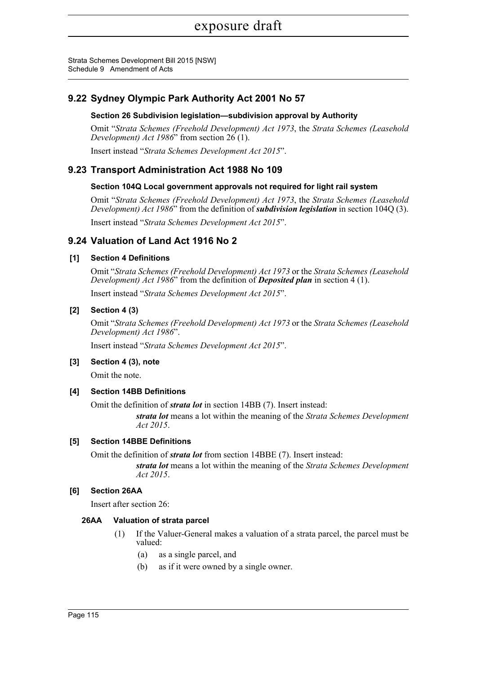Strata Schemes Development Bill 2015 [NSW] Schedule 9 Amendment of Acts

# **9.22 Sydney Olympic Park Authority Act 2001 No 57**

#### **Section 26 Subdivision legislation—subdivision approval by Authority**

Omit "*Strata Schemes (Freehold Development) Act 1973*, the *Strata Schemes (Leasehold Development) Act 1986*" from section 26 (1).

Insert instead "*Strata Schemes Development Act 2015*".

## **9.23 Transport Administration Act 1988 No 109**

## **Section 104Q Local government approvals not required for light rail system**

Omit "*Strata Schemes (Freehold Development) Act 1973*, the *Strata Schemes (Leasehold Development) Act 1986*" from the definition of *subdivision legislation* in section 104Q (3).

Insert instead "*Strata Schemes Development Act 2015*".

## **9.24 Valuation of Land Act 1916 No 2**

## **[1] Section 4 Definitions**

Omit "*Strata Schemes (Freehold Development) Act 1973* or the *Strata Schemes (Leasehold Development) Act 1986*" from the definition of *Deposited plan* in section 4 (1).

Insert instead "*Strata Schemes Development Act 2015*".

#### **[2] Section 4 (3)**

Omit "*Strata Schemes (Freehold Development) Act 1973* or the *Strata Schemes (Leasehold Development) Act 1986*".

Insert instead "*Strata Schemes Development Act 2015*".

#### **[3] Section 4 (3), note**

Omit the note.

#### **[4] Section 14BB Definitions**

Omit the definition of *strata lot* in section 14BB (7). Insert instead:

*strata lot* means a lot within the meaning of the *Strata Schemes Development Act 2015*.

#### **[5] Section 14BBE Definitions**

Omit the definition of *strata lot* from section 14BBE (7). Insert instead:

*strata lot* means a lot within the meaning of the *Strata Schemes Development Act 2015*.

#### **[6] Section 26AA**

Insert after section 26:

#### **26AA Valuation of strata parcel**

- (1) If the Valuer-General makes a valuation of a strata parcel, the parcel must be valued:
	- (a) as a single parcel, and
	- (b) as if it were owned by a single owner.